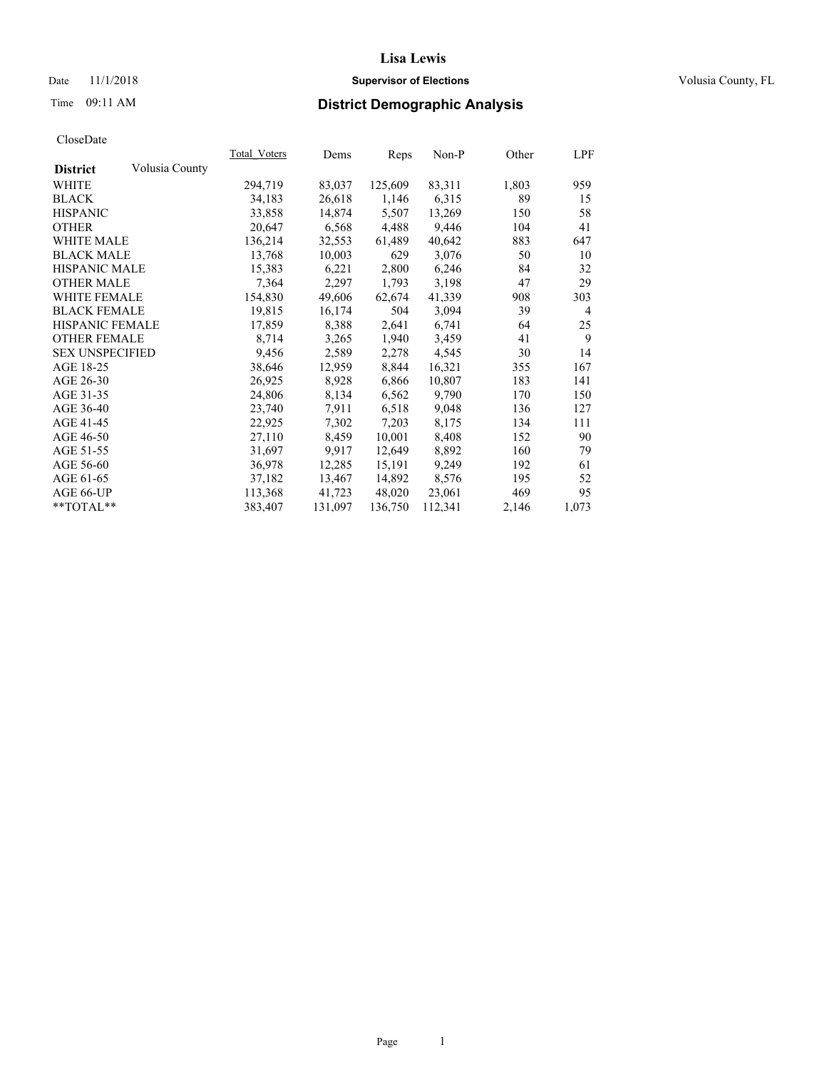## Date 11/1/2018 **Supervisor of Elections Supervisor of Elections** Volusia County, FL

# Time 09:11 AM **District Demographic Analysis**

|                        |                | Total Voters | Dems    | Reps    | <u>Non-P</u> | Other | <u>LPF</u>     |
|------------------------|----------------|--------------|---------|---------|--------------|-------|----------------|
| <b>District</b>        | Volusia County |              |         |         |              |       |                |
| WHITE                  |                | 294,719      | 83,037  | 125,609 | 83,311       | 1,803 | 959            |
| <b>BLACK</b>           |                | 34,183       | 26,618  | 1,146   | 6,315        | 89    | 15             |
| <b>HISPANIC</b>        |                | 33,858       | 14,874  | 5,507   | 13,269       | 150   | 58             |
| <b>OTHER</b>           |                | 20,647       | 6,568   | 4,488   | 9,446        | 104   | 41             |
| WHITE MALE             |                | 136,214      | 32,553  | 61,489  | 40,642       | 883   | 647            |
| <b>BLACK MALE</b>      |                | 13,768       | 10,003  | 629     | 3,076        | 50    | 10             |
| <b>HISPANIC MALE</b>   |                | 15,383       | 6,221   | 2,800   | 6,246        | 84    | 32             |
| <b>OTHER MALE</b>      |                | 7,364        | 2,297   | 1,793   | 3,198        | 47    | 29             |
| <b>WHITE FEMALE</b>    |                | 154,830      | 49,606  | 62,674  | 41,339       | 908   | 303            |
| <b>BLACK FEMALE</b>    |                | 19,815       | 16,174  | 504     | 3,094        | 39    | $\overline{4}$ |
| HISPANIC FEMALE        |                | 17,859       | 8,388   | 2,641   | 6,741        | 64    | 25             |
| <b>OTHER FEMALE</b>    |                | 8,714        | 3,265   | 1,940   | 3,459        | 41    | 9              |
| <b>SEX UNSPECIFIED</b> |                | 9,456        | 2,589   | 2,278   | 4,545        | 30    | 14             |
| AGE 18-25              |                | 38,646       | 12,959  | 8,844   | 16,321       | 355   | 167            |
| AGE 26-30              |                | 26,925       | 8,928   | 6,866   | 10,807       | 183   | 141            |
| AGE 31-35              |                | 24,806       | 8,134   | 6,562   | 9,790        | 170   | 150            |
| AGE 36-40              |                | 23,740       | 7,911   | 6,518   | 9,048        | 136   | 127            |
| AGE 41-45              |                | 22,925       | 7,302   | 7,203   | 8,175        | 134   | 111            |
| AGE 46-50              |                | 27,110       | 8,459   | 10,001  | 8,408        | 152   | 90             |
| AGE 51-55              |                | 31,697       | 9,917   | 12,649  | 8,892        | 160   | 79             |
| AGE 56-60              |                | 36,978       | 12,285  | 15,191  | 9,249        | 192   | 61             |
| AGE 61-65              |                | 37,182       | 13,467  | 14,892  | 8,576        | 195   | 52             |
| AGE 66-UP              |                | 113,368      | 41,723  | 48,020  | 23,061       | 469   | 95             |
| $*$ $TOTAL**$          |                | 383,407      | 131,097 | 136,750 | 112,341      | 2,146 | 1,073          |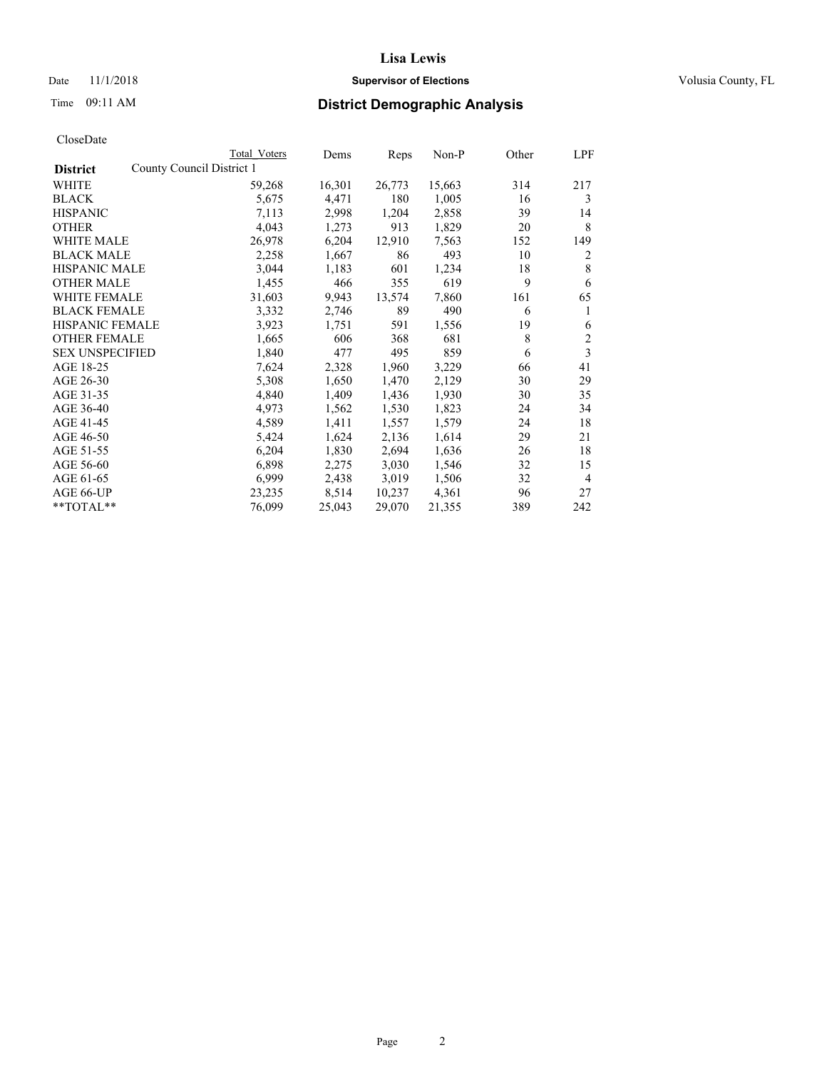## Date 11/1/2018 **Supervisor of Elections Supervisor of Elections** Volusia County, FL

|                                              | Total Voters | Dems   | Reps   | Non-P  | Other | LPF            |
|----------------------------------------------|--------------|--------|--------|--------|-------|----------------|
| County Council District 1<br><b>District</b> |              |        |        |        |       |                |
| WHITE                                        | 59,268       | 16,301 | 26,773 | 15,663 | 314   | 217            |
| <b>BLACK</b>                                 | 5,675        | 4,471  | 180    | 1,005  | 16    | 3              |
| <b>HISPANIC</b>                              | 7,113        | 2,998  | 1,204  | 2,858  | 39    | 14             |
| <b>OTHER</b>                                 | 4,043        | 1,273  | 913    | 1,829  | 20    | 8              |
| <b>WHITE MALE</b>                            | 26,978       | 6,204  | 12,910 | 7,563  | 152   | 149            |
| <b>BLACK MALE</b>                            | 2,258        | 1,667  | 86     | 493    | 10    | 2              |
| <b>HISPANIC MALE</b>                         | 3,044        | 1,183  | 601    | 1,234  | 18    | 8              |
| <b>OTHER MALE</b>                            | 1,455        | 466    | 355    | 619    | 9     | 6              |
| <b>WHITE FEMALE</b>                          | 31,603       | 9,943  | 13,574 | 7,860  | 161   | 65             |
| <b>BLACK FEMALE</b>                          | 3,332        | 2,746  | 89     | 490    | 6     | 1              |
| HISPANIC FEMALE                              | 3,923        | 1,751  | 591    | 1,556  | 19    | 6              |
| <b>OTHER FEMALE</b>                          | 1,665        | 606    | 368    | 681    | 8     | 2              |
| <b>SEX UNSPECIFIED</b>                       | 1,840        | 477    | 495    | 859    | 6     | 3              |
| AGE 18-25                                    | 7,624        | 2,328  | 1,960  | 3,229  | 66    | 41             |
| AGE 26-30                                    | 5,308        | 1,650  | 1,470  | 2,129  | 30    | 29             |
| AGE 31-35                                    | 4,840        | 1,409  | 1,436  | 1,930  | 30    | 35             |
| AGE 36-40                                    | 4,973        | 1,562  | 1,530  | 1,823  | 24    | 34             |
| AGE 41-45                                    | 4,589        | 1,411  | 1,557  | 1,579  | 24    | 18             |
| AGE 46-50                                    | 5,424        | 1,624  | 2,136  | 1,614  | 29    | 21             |
| AGE 51-55                                    | 6,204        | 1,830  | 2,694  | 1,636  | 26    | 18             |
| AGE 56-60                                    | 6,898        | 2,275  | 3,030  | 1,546  | 32    | 15             |
| AGE 61-65                                    | 6,999        | 2,438  | 3,019  | 1,506  | 32    | $\overline{4}$ |
| AGE 66-UP                                    | 23,235       | 8,514  | 10,237 | 4,361  | 96    | 27             |
| **TOTAL**                                    | 76,099       | 25,043 | 29,070 | 21,355 | 389   | 242            |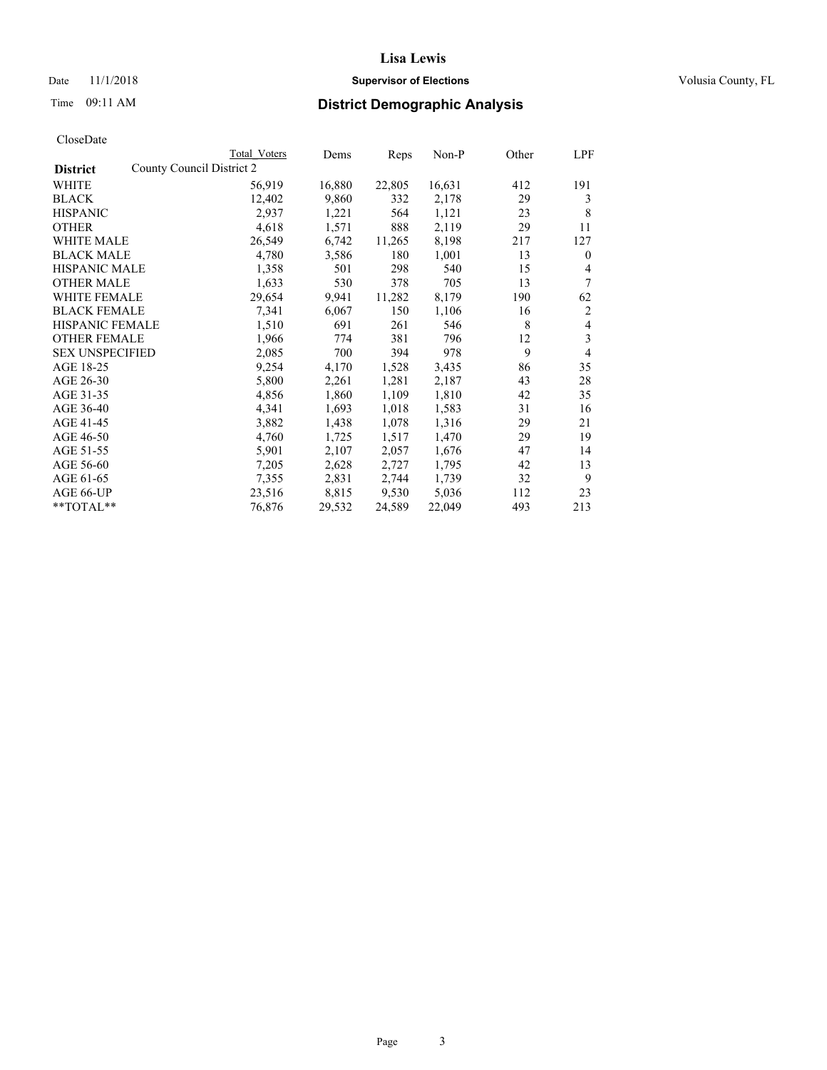## Date 11/1/2018 **Supervisor of Elections Supervisor of Elections** Volusia County, FL

| CloseDate |
|-----------|
|-----------|

|                                              | Total Voters | Dems   | Reps   | Non-P  | Other | LPF            |
|----------------------------------------------|--------------|--------|--------|--------|-------|----------------|
| County Council District 2<br><b>District</b> |              |        |        |        |       |                |
| WHITE                                        | 56,919       | 16,880 | 22,805 | 16,631 | 412   | 191            |
| <b>BLACK</b>                                 | 12,402       | 9,860  | 332    | 2,178  | 29    | 3              |
| <b>HISPANIC</b>                              | 2,937        | 1,221  | 564    | 1,121  | 23    | 8              |
| <b>OTHER</b>                                 | 4,618        | 1,571  | 888    | 2,119  | 29    | 11             |
| WHITE MALE                                   | 26,549       | 6,742  | 11,265 | 8,198  | 217   | 127            |
| <b>BLACK MALE</b>                            | 4,780        | 3,586  | 180    | 1,001  | 13    | $\theta$       |
| <b>HISPANIC MALE</b>                         | 1,358        | 501    | 298    | 540    | 15    | 4              |
| <b>OTHER MALE</b>                            | 1,633        | 530    | 378    | 705    | 13    | 7              |
| WHITE FEMALE                                 | 29,654       | 9,941  | 11,282 | 8,179  | 190   | 62             |
| <b>BLACK FEMALE</b>                          | 7,341        | 6,067  | 150    | 1,106  | 16    | $\overline{2}$ |
| <b>HISPANIC FEMALE</b>                       | 1,510        | 691    | 261    | 546    | 8     | 4              |
| <b>OTHER FEMALE</b>                          | 1,966        | 774    | 381    | 796    | 12    | 3              |
| <b>SEX UNSPECIFIED</b>                       | 2,085        | 700    | 394    | 978    | 9     | $\overline{4}$ |
| AGE 18-25                                    | 9,254        | 4,170  | 1,528  | 3,435  | 86    | 35             |
| AGE 26-30                                    | 5,800        | 2,261  | 1,281  | 2,187  | 43    | 28             |
| AGE 31-35                                    | 4,856        | 1,860  | 1,109  | 1,810  | 42    | 35             |
| AGE 36-40                                    | 4,341        | 1,693  | 1,018  | 1,583  | 31    | 16             |
| AGE 41-45                                    | 3,882        | 1,438  | 1,078  | 1,316  | 29    | 21             |
| AGE 46-50                                    | 4,760        | 1,725  | 1,517  | 1,470  | 29    | 19             |
| AGE 51-55                                    | 5,901        | 2,107  | 2,057  | 1,676  | 47    | 14             |
| AGE 56-60                                    | 7,205        | 2,628  | 2,727  | 1,795  | 42    | 13             |
| AGE 61-65                                    | 7,355        | 2,831  | 2,744  | 1,739  | 32    | 9              |
| AGE 66-UP                                    | 23,516       | 8,815  | 9,530  | 5,036  | 112   | 23             |
| $*$ $TOTAL**$                                | 76,876       | 29,532 | 24,589 | 22,049 | 493   | 213            |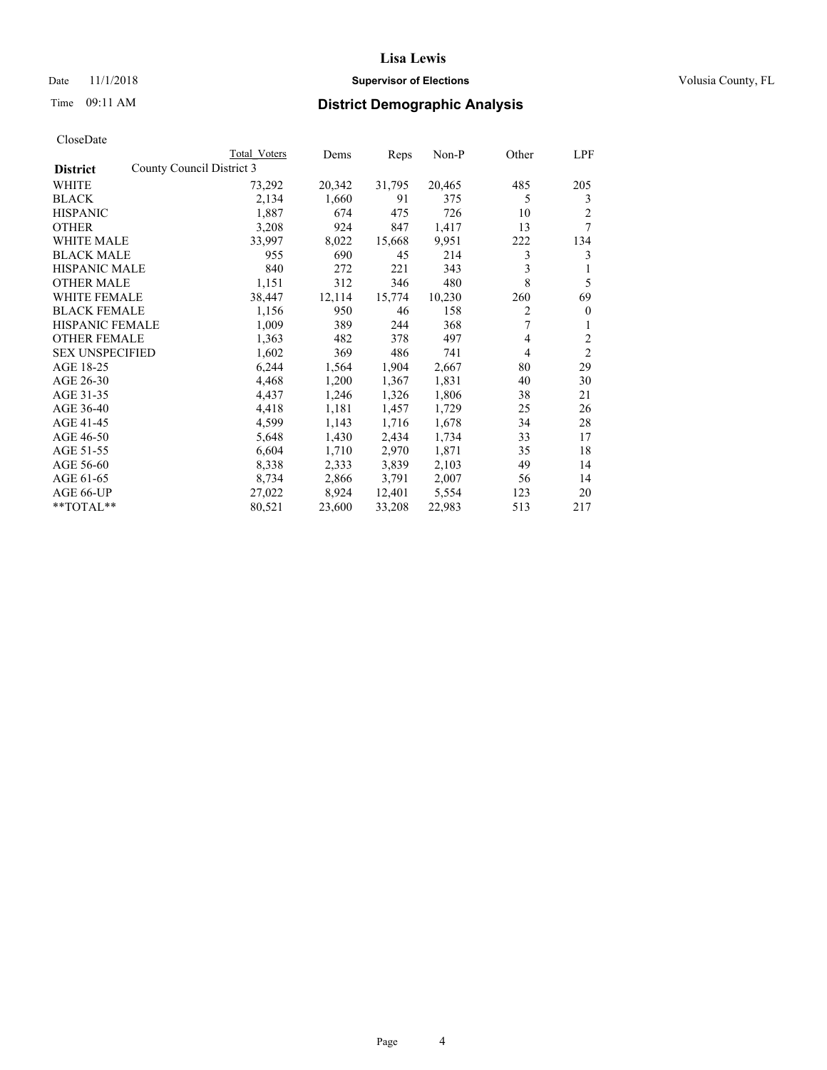## Date 11/1/2018 **Supervisor of Elections Supervisor of Elections** Volusia County, FL

| CloseDate |
|-----------|
|-----------|

|                                              | Total Voters | Dems   | Reps   | Non-P  | Other          | LPF            |
|----------------------------------------------|--------------|--------|--------|--------|----------------|----------------|
| County Council District 3<br><b>District</b> |              |        |        |        |                |                |
| WHITE                                        | 73,292       | 20,342 | 31,795 | 20,465 | 485            | 205            |
| <b>BLACK</b>                                 | 2,134        | 1,660  | 91     | 375    | 5              | 3              |
| <b>HISPANIC</b>                              | 1,887        | 674    | 475    | 726    | 10             | 2              |
| <b>OTHER</b>                                 | 3,208        | 924    | 847    | 1,417  | 13             | 7              |
| WHITE MALE                                   | 33,997       | 8,022  | 15,668 | 9,951  | 222            | 134            |
| <b>BLACK MALE</b>                            | 955          | 690    | 45     | 214    | 3              | 3              |
| <b>HISPANIC MALE</b>                         | 840          | 272    | 221    | 343    | 3              | 1              |
| <b>OTHER MALE</b>                            | 1,151        | 312    | 346    | 480    | 8              | 5              |
| <b>WHITE FEMALE</b>                          | 38,447       | 12,114 | 15,774 | 10,230 | 260            | 69             |
| <b>BLACK FEMALE</b>                          | 1,156        | 950    | 46     | 158    | 2              | $\mathbf{0}$   |
| <b>HISPANIC FEMALE</b>                       | 1,009        | 389    | 244    | 368    | 7              | 1              |
| <b>OTHER FEMALE</b>                          | 1,363        | 482    | 378    | 497    | $\overline{4}$ | 2              |
| <b>SEX UNSPECIFIED</b>                       | 1,602        | 369    | 486    | 741    | 4              | $\overline{2}$ |
| AGE 18-25                                    | 6,244        | 1,564  | 1,904  | 2,667  | 80             | 29             |
| AGE 26-30                                    | 4,468        | 1,200  | 1,367  | 1,831  | 40             | 30             |
| AGE 31-35                                    | 4,437        | 1,246  | 1,326  | 1,806  | 38             | 21             |
| AGE 36-40                                    | 4,418        | 1,181  | 1,457  | 1,729  | 25             | 26             |
| AGE 41-45                                    | 4,599        | 1,143  | 1,716  | 1,678  | 34             | 28             |
| AGE 46-50                                    | 5,648        | 1,430  | 2,434  | 1,734  | 33             | 17             |
| AGE 51-55                                    | 6,604        | 1,710  | 2,970  | 1,871  | 35             | 18             |
| AGE 56-60                                    | 8,338        | 2,333  | 3,839  | 2,103  | 49             | 14             |
| AGE 61-65                                    | 8,734        | 2,866  | 3,791  | 2,007  | 56             | 14             |
| AGE 66-UP                                    | 27,022       | 8,924  | 12,401 | 5,554  | 123            | 20             |
| $*$ $TOTAL**$                                | 80,521       | 23,600 | 33,208 | 22,983 | 513            | 217            |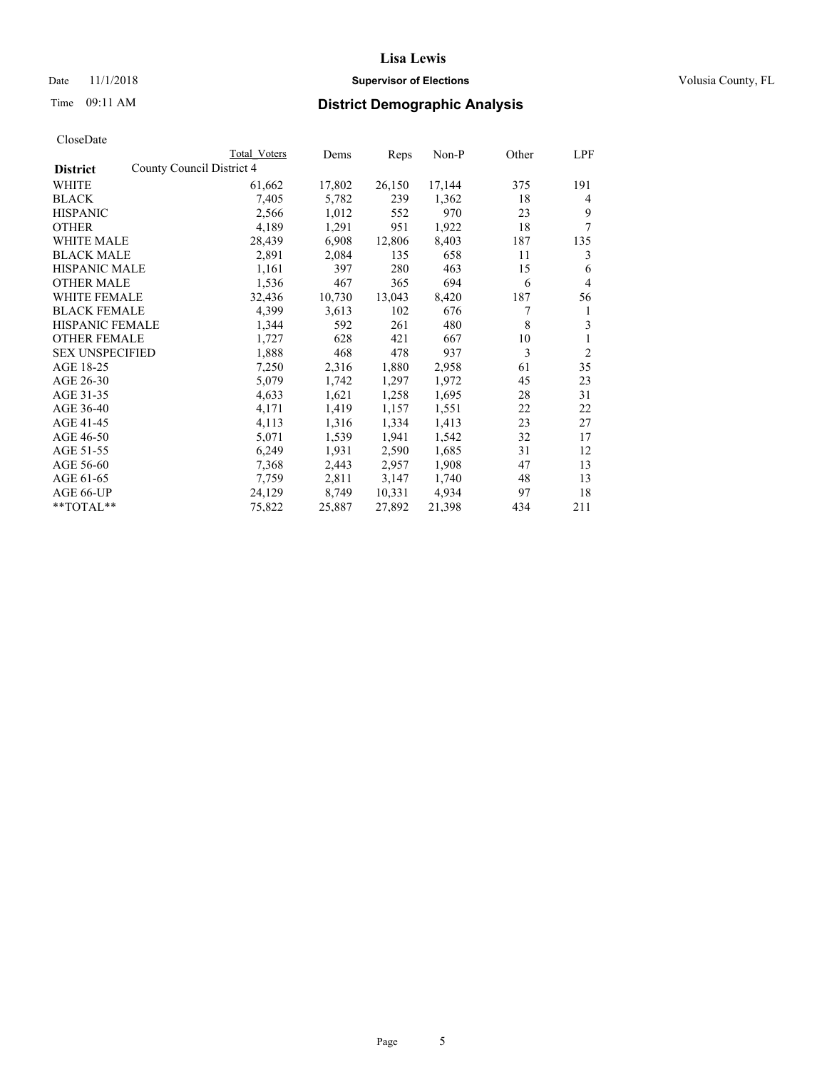## Date 11/1/2018 **Supervisor of Elections Supervisor of Elections** Volusia County, FL

| CloseDate |
|-----------|
|-----------|

|                                              | Total Voters | Dems   | Reps   | <u>Non-P</u> | Other | LPF            |
|----------------------------------------------|--------------|--------|--------|--------------|-------|----------------|
| County Council District 4<br><b>District</b> |              |        |        |              |       |                |
| WHITE                                        | 61,662       | 17,802 | 26,150 | 17,144       | 375   | 191            |
| <b>BLACK</b>                                 | 7,405        | 5,782  | 239    | 1,362        | 18    | 4              |
| <b>HISPANIC</b>                              | 2,566        | 1,012  | 552    | 970          | 23    | 9              |
| <b>OTHER</b>                                 | 4,189        | 1,291  | 951    | 1,922        | 18    | 7              |
| <b>WHITE MALE</b>                            | 28,439       | 6,908  | 12,806 | 8,403        | 187   | 135            |
| <b>BLACK MALE</b>                            | 2,891        | 2,084  | 135    | 658          | 11    | 3              |
| <b>HISPANIC MALE</b>                         | 1,161        | 397    | 280    | 463          | 15    | 6              |
| <b>OTHER MALE</b>                            | 1,536        | 467    | 365    | 694          | 6     | 4              |
| <b>WHITE FEMALE</b>                          | 32,436       | 10,730 | 13,043 | 8,420        | 187   | 56             |
| <b>BLACK FEMALE</b>                          | 4,399        | 3,613  | 102    | 676          | 7     | 1              |
| <b>HISPANIC FEMALE</b>                       | 1,344        | 592    | 261    | 480          | 8     | 3              |
| <b>OTHER FEMALE</b>                          | 1,727        | 628    | 421    | 667          | 10    | 1              |
| <b>SEX UNSPECIFIED</b>                       | 1,888        | 468    | 478    | 937          | 3     | $\overline{2}$ |
| AGE 18-25                                    | 7,250        | 2,316  | 1,880  | 2,958        | 61    | 35             |
| AGE 26-30                                    | 5,079        | 1,742  | 1,297  | 1,972        | 45    | 23             |
| AGE 31-35                                    | 4,633        | 1,621  | 1,258  | 1,695        | 28    | 31             |
| AGE 36-40                                    | 4,171        | 1,419  | 1,157  | 1,551        | 22    | 22             |
| AGE 41-45                                    | 4,113        | 1,316  | 1,334  | 1,413        | 23    | 27             |
| AGE 46-50                                    | 5,071        | 1,539  | 1,941  | 1,542        | 32    | 17             |
| AGE 51-55                                    | 6,249        | 1,931  | 2,590  | 1,685        | 31    | 12             |
| AGE 56-60                                    | 7,368        | 2,443  | 2,957  | 1,908        | 47    | 13             |
| AGE 61-65                                    | 7,759        | 2,811  | 3,147  | 1,740        | 48    | 13             |
| AGE 66-UP                                    | 24,129       | 8,749  | 10,331 | 4,934        | 97    | 18             |
| $*$ $TOTAL**$                                | 75,822       | 25,887 | 27,892 | 21,398       | 434   | 211            |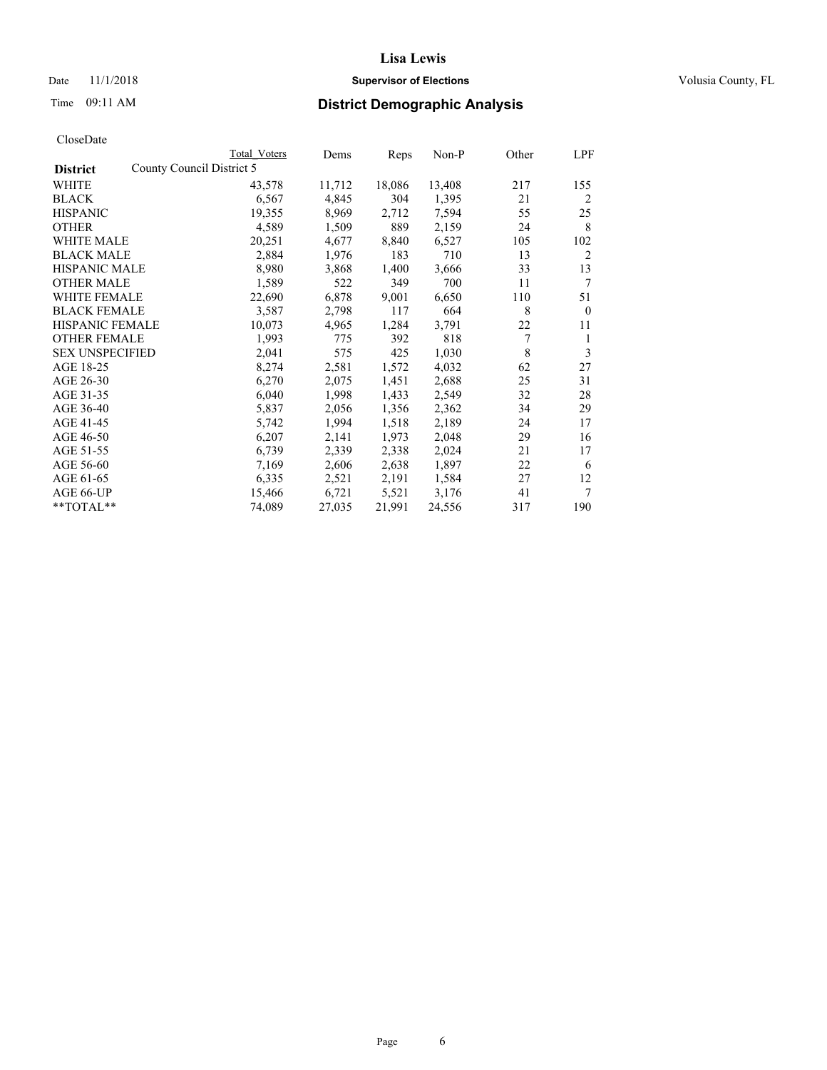## Date 11/1/2018 **Supervisor of Elections Supervisor of Elections** Volusia County, FL

|                        | Total Voters              | Dems   | Reps   | Non-P  | Other | LPF            |
|------------------------|---------------------------|--------|--------|--------|-------|----------------|
| <b>District</b>        | County Council District 5 |        |        |        |       |                |
| WHITE                  | 43,578                    | 11,712 | 18,086 | 13,408 | 217   | 155            |
| <b>BLACK</b>           | 6,567                     | 4,845  | 304    | 1,395  | 21    | 2              |
| <b>HISPANIC</b>        | 19,355                    | 8,969  | 2,712  | 7,594  | 55    | 25             |
| <b>OTHER</b>           | 4,589                     | 1,509  | 889    | 2,159  | 24    | 8              |
| <b>WHITE MALE</b>      | 20,251                    | 4,677  | 8,840  | 6,527  | 105   | 102            |
| <b>BLACK MALE</b>      | 2,884                     | 1,976  | 183    | 710    | 13    | $\overline{2}$ |
| <b>HISPANIC MALE</b>   | 8,980                     | 3,868  | 1,400  | 3,666  | 33    | 13             |
| <b>OTHER MALE</b>      | 1,589                     | 522    | 349    | 700    | 11    | 7              |
| <b>WHITE FEMALE</b>    | 22,690                    | 6,878  | 9,001  | 6,650  | 110   | 51             |
| <b>BLACK FEMALE</b>    | 3,587                     | 2,798  | 117    | 664    | 8     | $\mathbf{0}$   |
| <b>HISPANIC FEMALE</b> | 10,073                    | 4,965  | 1,284  | 3,791  | 22    | 11             |
| <b>OTHER FEMALE</b>    | 1,993                     | 775    | 392    | 818    | 7     | 1              |
| <b>SEX UNSPECIFIED</b> | 2,041                     | 575    | 425    | 1,030  | 8     | 3              |
| AGE 18-25              | 8,274                     | 2,581  | 1,572  | 4,032  | 62    | 27             |
| AGE 26-30              | 6,270                     | 2,075  | 1,451  | 2,688  | 25    | 31             |
| AGE 31-35              | 6,040                     | 1,998  | 1,433  | 2,549  | 32    | 28             |
| AGE 36-40              | 5,837                     | 2,056  | 1,356  | 2,362  | 34    | 29             |
| AGE 41-45              | 5,742                     | 1,994  | 1,518  | 2,189  | 24    | 17             |
| AGE 46-50              | 6,207                     | 2,141  | 1,973  | 2,048  | 29    | 16             |
| AGE 51-55              | 6,739                     | 2,339  | 2,338  | 2,024  | 21    | 17             |
| AGE 56-60              | 7,169                     | 2,606  | 2,638  | 1,897  | 22    | 6              |
| AGE 61-65              | 6,335                     | 2,521  | 2,191  | 1,584  | 27    | 12             |
| AGE 66-UP              | 15,466                    | 6,721  | 5,521  | 3,176  | 41    | 7              |
| **TOTAL**              | 74,089                    | 27,035 | 21,991 | 24,556 | 317   | 190            |
|                        |                           |        |        |        |       |                |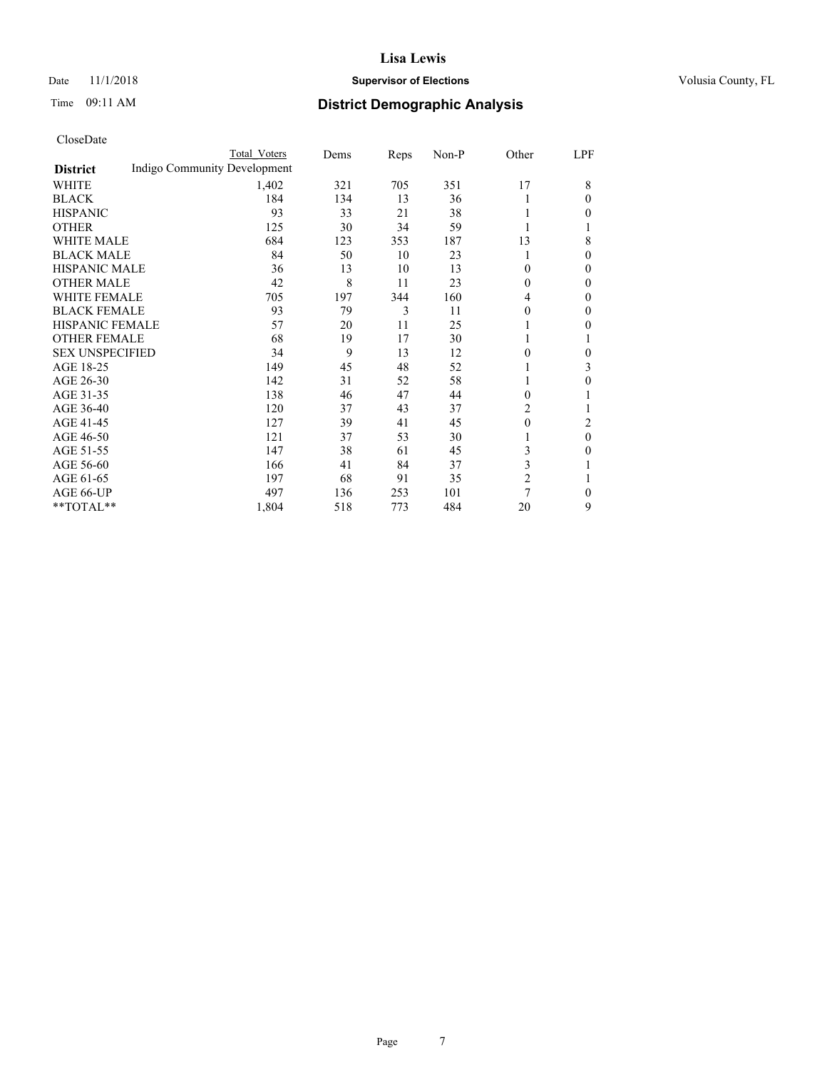## Date 11/1/2018 **Supervisor of Elections Supervisor of Elections** Volusia County, FL

# Time 09:11 AM **District Demographic Analysis**

|                        | Total Voters                 | Dems | Reps | Non-P | Other          | LPF    |
|------------------------|------------------------------|------|------|-------|----------------|--------|
| <b>District</b>        | Indigo Community Development |      |      |       |                |        |
| WHITE                  | 1,402                        | 321  | 705  | 351   | 17             | 8      |
| <b>BLACK</b>           | 184                          | 134  | 13   | 36    | 1              | 0      |
| <b>HISPANIC</b>        | 93                           | 33   | 21   | 38    | 1              | 0      |
| <b>OTHER</b>           | 125                          | 30   | 34   | 59    |                |        |
| <b>WHITE MALE</b>      | 684                          | 123  | 353  | 187   | 13             | 8      |
| <b>BLACK MALE</b>      | 84                           | 50   | 10   | 23    | 1              | $_{0}$ |
| <b>HISPANIC MALE</b>   | 36                           | 13   | 10   | 13    | 0              | 0      |
| <b>OTHER MALE</b>      | 42                           | 8    | 11   | 23    | $\theta$       | 0      |
| <b>WHITE FEMALE</b>    | 705                          | 197  | 344  | 160   | 4              | 0      |
| <b>BLACK FEMALE</b>    | 93                           | 79   | 3    | 11    | $\theta$       | 0      |
| <b>HISPANIC FEMALE</b> | 57                           | 20   | 11   | 25    |                | 0      |
| <b>OTHER FEMALE</b>    | 68                           | 19   | 17   | 30    | 1              |        |
| <b>SEX UNSPECIFIED</b> | 34                           | 9    | 13   | 12    | $\theta$       | 0      |
| AGE 18-25              | 149                          | 45   | 48   | 52    |                | 3      |
| AGE 26-30              | 142                          | 31   | 52   | 58    | 1              | 0      |
| AGE 31-35              | 138                          | 46   | 47   | 44    | $\Omega$       |        |
| AGE 36-40              | 120                          | 37   | 43   | 37    | 2              |        |
| AGE 41-45              | 127                          | 39   | 41   | 45    | $\theta$       | 2      |
| AGE 46-50              | 121                          | 37   | 53   | 30    |                | 0      |
| AGE 51-55              | 147                          | 38   | 61   | 45    | 3              | 0      |
| AGE 56-60              | 166                          | 41   | 84   | 37    | 3              |        |
| AGE 61-65              | 197                          | 68   | 91   | 35    | $\overline{c}$ |        |
| AGE 66-UP              | 497                          | 136  | 253  | 101   | 7              | 0      |
| **TOTAL**              | 1,804                        | 518  | 773  | 484   | 20             | 9      |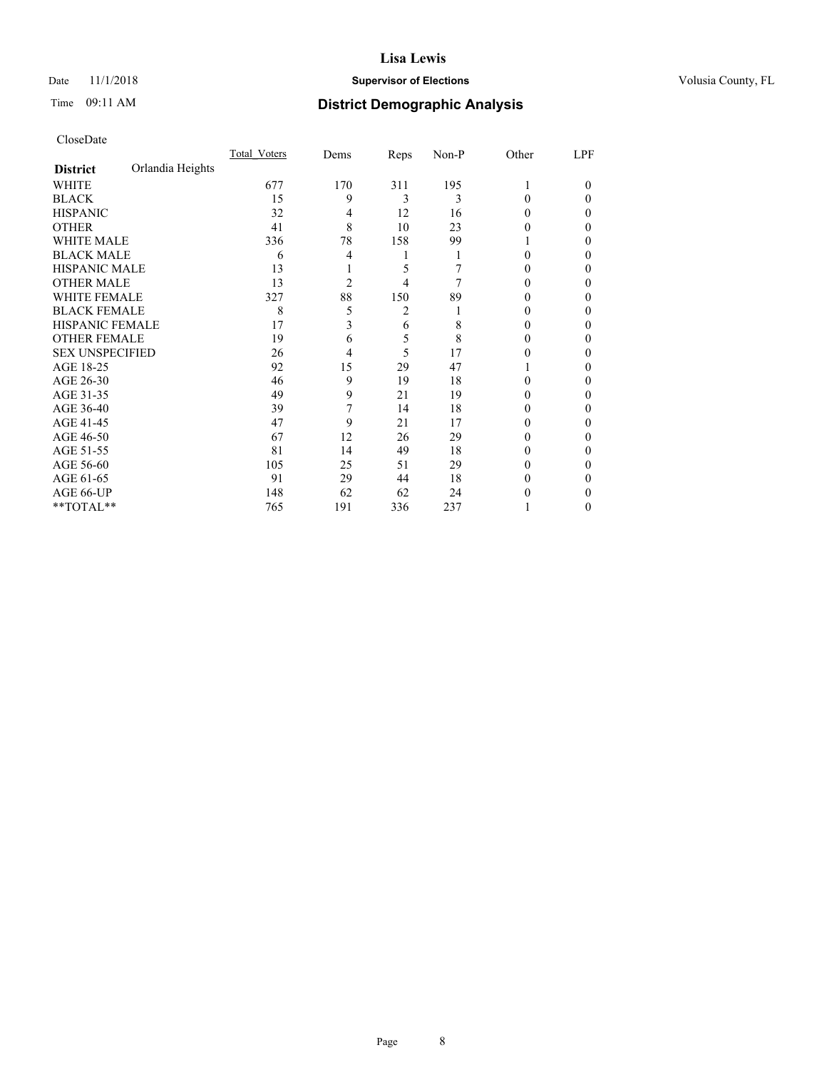## Date 11/1/2018 **Supervisor of Elections Supervisor of Elections** Volusia County, FL

# Time 09:11 AM **District Demographic Analysis**

|                        |                  | Total Voters | Dems           | Reps | Non-P | Other | LPF    |
|------------------------|------------------|--------------|----------------|------|-------|-------|--------|
| <b>District</b>        | Orlandia Heights |              |                |      |       |       |        |
| WHITE                  |                  | 677          | 170            | 311  | 195   |       | $_{0}$ |
| <b>BLACK</b>           |                  | 15           | 9              | 3    | 3     | 0     | 0      |
| <b>HISPANIC</b>        |                  | 32           | 4              | 12   | 16    | 0     | 0      |
| <b>OTHER</b>           |                  | 41           | 8              | 10   | 23    | 0     | 0      |
| <b>WHITE MALE</b>      |                  | 336          | 78             | 158  | 99    |       | 0      |
| <b>BLACK MALE</b>      |                  | 6            | 4              |      |       | 0     | 0      |
| <b>HISPANIC MALE</b>   |                  | 13           |                | 5    |       | 0     | 0      |
| <b>OTHER MALE</b>      |                  | 13           | $\overline{c}$ | 4    | 7     | 0     | 0      |
| <b>WHITE FEMALE</b>    |                  | 327          | 88             | 150  | 89    |       | 0      |
| <b>BLACK FEMALE</b>    |                  | 8            | 5              | 2    |       | 0     | 0      |
| <b>HISPANIC FEMALE</b> |                  | 17           | 3              | 6    | 8     | 0     | 0      |
| <b>OTHER FEMALE</b>    |                  | 19           | 6              | 5    | 8     | 0     | 0      |
| <b>SEX UNSPECIFIED</b> |                  | 26           | 4              | 5    | 17    | 0     | 0      |
| AGE 18-25              |                  | 92           | 15             | 29   | 47    |       | 0      |
| AGE 26-30              |                  | 46           | 9              | 19   | 18    | 0     | 0      |
| AGE 31-35              |                  | 49           | 9              | 21   | 19    | 0     | 0      |
| AGE 36-40              |                  | 39           | 7              | 14   | 18    | 0     | 0      |
| AGE 41-45              |                  | 47           | 9              | 21   | 17    | 0     | 0      |
| AGE 46-50              |                  | 67           | 12             | 26   | 29    | 0     | 0      |
| AGE 51-55              |                  | 81           | 14             | 49   | 18    | 0     | 0      |
| AGE 56-60              |                  | 105          | 25             | 51   | 29    | 0     | 0      |
| AGE 61-65              |                  | 91           | 29             | 44   | 18    | 0     | 0      |
| AGE 66-UP              |                  | 148          | 62             | 62   | 24    | 0     | 0      |
| **TOTAL**              |                  | 765          | 191            | 336  | 237   |       | 0      |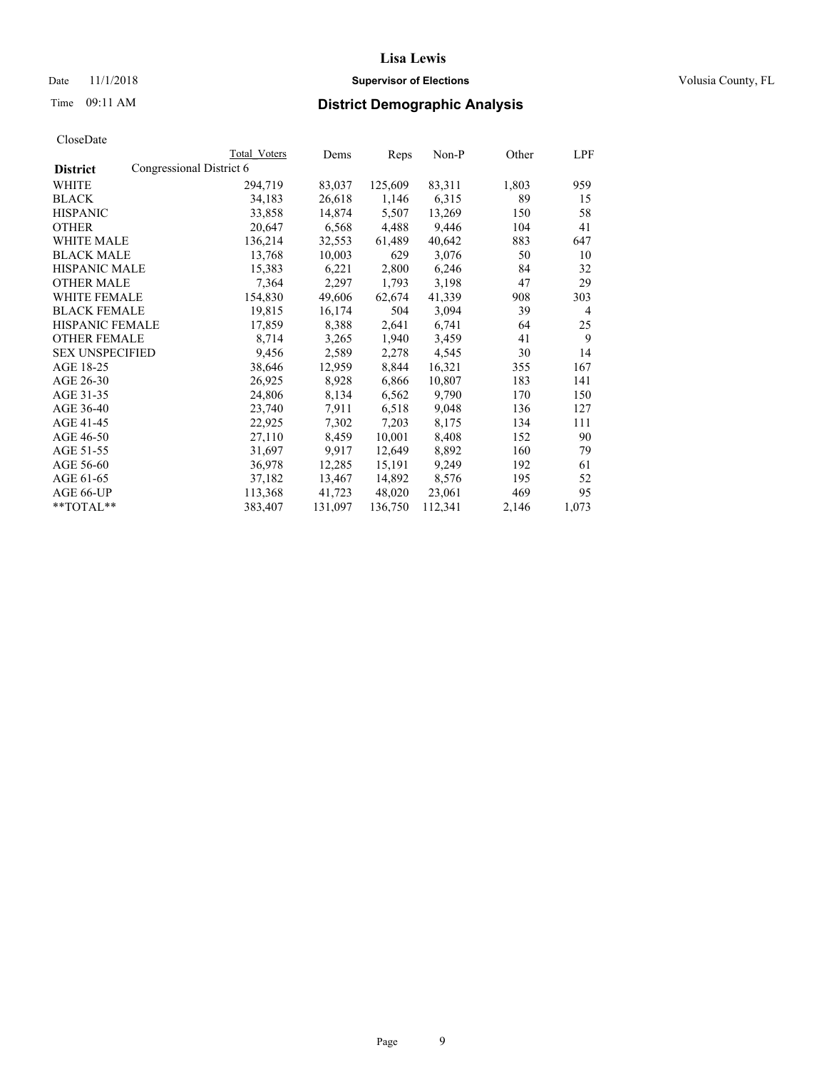Date 11/1/2018 **Supervisor of Elections Supervisor of Elections** Volusia County, FL

# Time 09:11 AM **District Demographic Analysis**

|                        |                          | Total Voters | Dems    | Reps    | Non-P   | Other | LPF            |
|------------------------|--------------------------|--------------|---------|---------|---------|-------|----------------|
| <b>District</b>        | Congressional District 6 |              |         |         |         |       |                |
| WHITE                  |                          | 294,719      | 83,037  | 125,609 | 83,311  | 1,803 | 959            |
| <b>BLACK</b>           |                          | 34,183       | 26,618  | 1,146   | 6,315   | 89    | 15             |
| <b>HISPANIC</b>        |                          | 33,858       | 14,874  | 5,507   | 13,269  | 150   | 58             |
| <b>OTHER</b>           |                          | 20,647       | 6,568   | 4,488   | 9,446   | 104   | 41             |
| WHITE MALE             |                          | 136,214      | 32,553  | 61,489  | 40,642  | 883   | 647            |
| <b>BLACK MALE</b>      |                          | 13,768       | 10,003  | 629     | 3,076   | 50    | 10             |
| <b>HISPANIC MALE</b>   |                          | 15,383       | 6,221   | 2,800   | 6,246   | 84    | 32             |
| <b>OTHER MALE</b>      |                          | 7,364        | 2,297   | 1,793   | 3,198   | 47    | 29             |
| <b>WHITE FEMALE</b>    |                          | 154,830      | 49,606  | 62,674  | 41,339  | 908   | 303            |
| <b>BLACK FEMALE</b>    |                          | 19,815       | 16,174  | 504     | 3,094   | 39    | $\overline{4}$ |
| <b>HISPANIC FEMALE</b> |                          | 17,859       | 8,388   | 2,641   | 6,741   | 64    | 25             |
| <b>OTHER FEMALE</b>    |                          | 8,714        | 3,265   | 1,940   | 3,459   | 41    | 9              |
| <b>SEX UNSPECIFIED</b> |                          | 9,456        | 2,589   | 2,278   | 4,545   | 30    | 14             |
| AGE 18-25              |                          | 38,646       | 12,959  | 8,844   | 16,321  | 355   | 167            |
| AGE 26-30              |                          | 26,925       | 8,928   | 6,866   | 10,807  | 183   | 141            |
| AGE 31-35              |                          | 24,806       | 8,134   | 6,562   | 9,790   | 170   | 150            |
| AGE 36-40              |                          | 23,740       | 7,911   | 6,518   | 9,048   | 136   | 127            |
| AGE 41-45              |                          | 22,925       | 7,302   | 7,203   | 8,175   | 134   | 111            |
| AGE 46-50              |                          | 27,110       | 8,459   | 10,001  | 8,408   | 152   | 90             |
| AGE 51-55              |                          | 31,697       | 9,917   | 12,649  | 8,892   | 160   | 79             |
| AGE 56-60              |                          | 36,978       | 12,285  | 15,191  | 9,249   | 192   | 61             |
| AGE 61-65              |                          | 37,182       | 13,467  | 14,892  | 8,576   | 195   | 52             |
| AGE 66-UP              |                          | 113,368      | 41,723  | 48,020  | 23,061  | 469   | 95             |
| $*$ $TOTAL**$          |                          | 383,407      | 131,097 | 136,750 | 112,341 | 2,146 | 1,073          |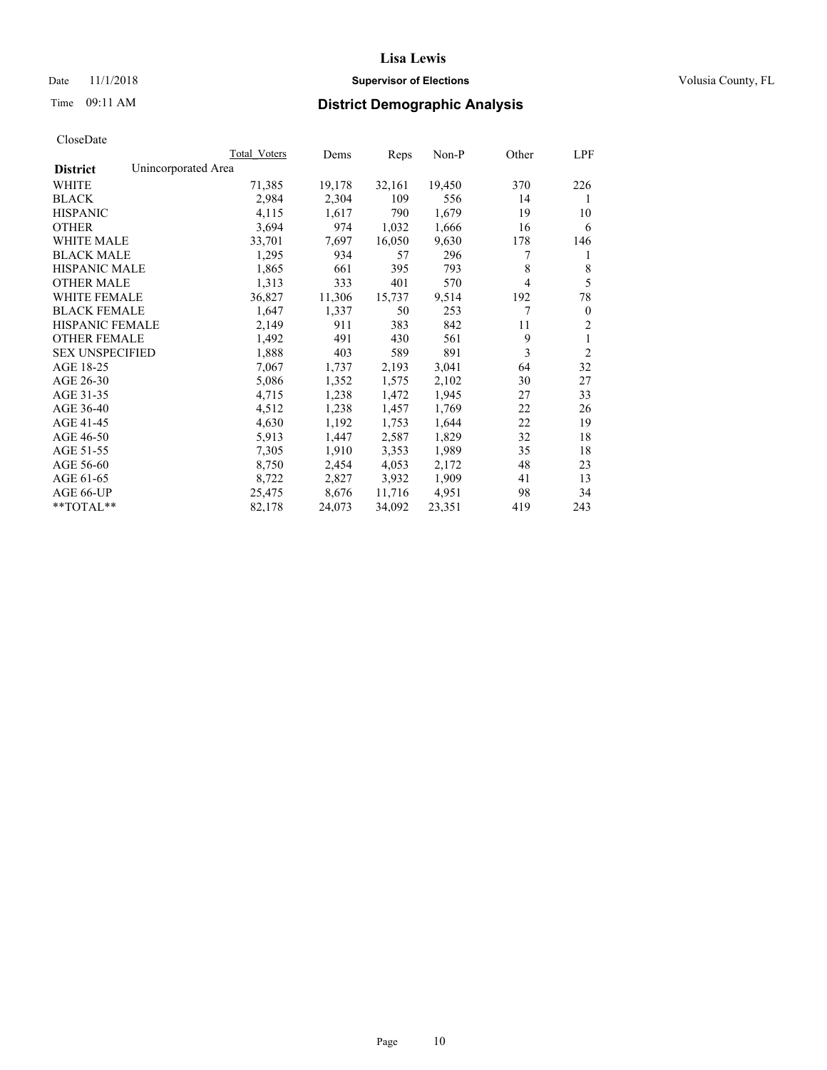## Date 11/1/2018 **Supervisor of Elections Supervisor of Elections** Volusia County, FL

# Time 09:11 AM **District Demographic Analysis**

|                                        | Total Voters | Dems   | Reps   | Non-P  | Other | LPF            |
|----------------------------------------|--------------|--------|--------|--------|-------|----------------|
| Unincorporated Area<br><b>District</b> |              |        |        |        |       |                |
| WHITE                                  | 71,385       | 19,178 | 32,161 | 19,450 | 370   | 226            |
| <b>BLACK</b>                           | 2,984        | 2,304  | 109    | 556    | 14    | 1              |
| <b>HISPANIC</b>                        | 4,115        | 1,617  | 790    | 1,679  | 19    | 10             |
| <b>OTHER</b>                           | 3,694        | 974    | 1,032  | 1,666  | 16    | 6              |
| WHITE MALE                             | 33,701       | 7,697  | 16,050 | 9,630  | 178   | 146            |
| <b>BLACK MALE</b>                      | 1,295        | 934    | 57     | 296    | 7     | 1              |
| <b>HISPANIC MALE</b>                   | 1,865        | 661    | 395    | 793    | 8     | 8              |
| <b>OTHER MALE</b>                      | 1,313        | 333    | 401    | 570    | 4     | 5              |
| <b>WHITE FEMALE</b>                    | 36,827       | 11,306 | 15,737 | 9,514  | 192   | 78             |
| <b>BLACK FEMALE</b>                    | 1,647        | 1,337  | 50     | 253    | 7     | $\theta$       |
| <b>HISPANIC FEMALE</b>                 | 2,149        | 911    | 383    | 842    | 11    | $\overline{2}$ |
| <b>OTHER FEMALE</b>                    | 1,492        | 491    | 430    | 561    | 9     | 1              |
| <b>SEX UNSPECIFIED</b>                 | 1,888        | 403    | 589    | 891    | 3     | $\overline{2}$ |
| AGE 18-25                              | 7,067        | 1,737  | 2,193  | 3,041  | 64    | 32             |
| AGE 26-30                              | 5,086        | 1,352  | 1,575  | 2,102  | 30    | 27             |
| AGE 31-35                              | 4,715        | 1,238  | 1,472  | 1,945  | 27    | 33             |
| AGE 36-40                              | 4,512        | 1,238  | 1,457  | 1,769  | 22    | 26             |
| AGE 41-45                              | 4,630        | 1,192  | 1,753  | 1,644  | 22    | 19             |
| AGE 46-50                              | 5,913        | 1,447  | 2,587  | 1,829  | 32    | 18             |
| AGE 51-55                              | 7,305        | 1,910  | 3,353  | 1,989  | 35    | 18             |
| AGE 56-60                              | 8,750        | 2,454  | 4,053  | 2,172  | 48    | 23             |
| AGE 61-65                              | 8,722        | 2,827  | 3,932  | 1,909  | 41    | 13             |
| AGE 66-UP                              | 25,475       | 8,676  | 11,716 | 4,951  | 98    | 34             |
| $*$ TOTAL $*$                          | 82,178       | 24,073 | 34,092 | 23,351 | 419   | 243            |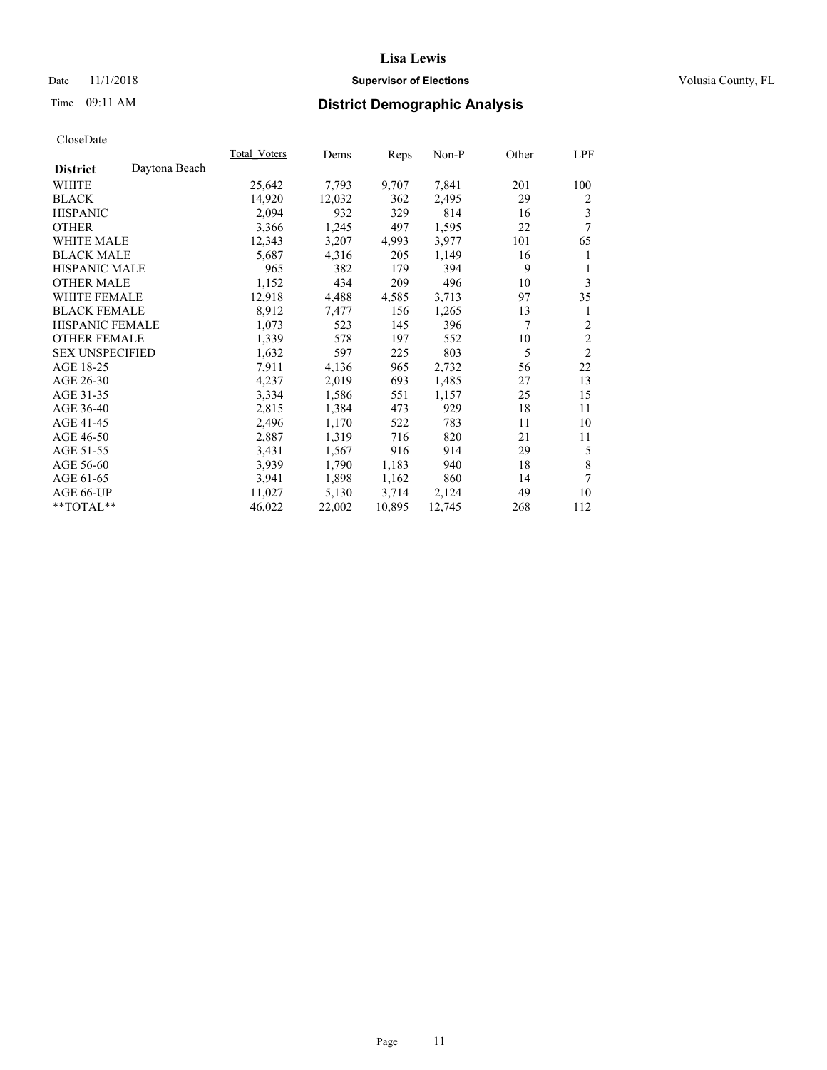## Date 11/1/2018 **Supervisor of Elections Supervisor of Elections** Volusia County, FL

# Time 09:11 AM **District Demographic Analysis**

|                                  | Total Voters | Dems   | Reps   | Non-P  | Other | LPF            |
|----------------------------------|--------------|--------|--------|--------|-------|----------------|
| Daytona Beach<br><b>District</b> |              |        |        |        |       |                |
| WHITE                            | 25,642       | 7,793  | 9,707  | 7,841  | 201   | 100            |
| <b>BLACK</b>                     | 14,920       | 12,032 | 362    | 2,495  | 29    | 2              |
| <b>HISPANIC</b>                  | 2,094        | 932    | 329    | 814    | 16    | 3              |
| <b>OTHER</b>                     | 3,366        | 1,245  | 497    | 1,595  | 22    | 7              |
| <b>WHITE MALE</b>                | 12,343       | 3,207  | 4,993  | 3,977  | 101   | 65             |
| <b>BLACK MALE</b>                | 5,687        | 4,316  | 205    | 1,149  | 16    | 1              |
| <b>HISPANIC MALE</b>             | 965          | 382    | 179    | 394    | 9     | 1              |
| <b>OTHER MALE</b>                | 1,152        | 434    | 209    | 496    | 10    | 3              |
| <b>WHITE FEMALE</b>              | 12,918       | 4,488  | 4,585  | 3,713  | 97    | 35             |
| <b>BLACK FEMALE</b>              | 8,912        | 7,477  | 156    | 1,265  | 13    | 1              |
| HISPANIC FEMALE                  | 1,073        | 523    | 145    | 396    | 7     | 2              |
| <b>OTHER FEMALE</b>              | 1,339        | 578    | 197    | 552    | 10    | $\overline{c}$ |
| <b>SEX UNSPECIFIED</b>           | 1,632        | 597    | 225    | 803    | 5     | $\overline{2}$ |
| AGE 18-25                        | 7,911        | 4,136  | 965    | 2,732  | 56    | 22             |
| AGE 26-30                        | 4,237        | 2,019  | 693    | 1,485  | 27    | 13             |
| AGE 31-35                        | 3,334        | 1,586  | 551    | 1,157  | 25    | 15             |
| AGE 36-40                        | 2,815        | 1,384  | 473    | 929    | 18    | 11             |
| AGE 41-45                        | 2,496        | 1,170  | 522    | 783    | 11    | 10             |
| AGE 46-50                        | 2,887        | 1,319  | 716    | 820    | 21    | 11             |
| AGE 51-55                        | 3,431        | 1,567  | 916    | 914    | 29    | 5              |
| AGE 56-60                        | 3,939        | 1,790  | 1,183  | 940    | 18    | 8              |
| AGE 61-65                        | 3,941        | 1,898  | 1,162  | 860    | 14    | 7              |
| AGE 66-UP                        | 11,027       | 5,130  | 3,714  | 2,124  | 49    | 10             |
| **TOTAL**                        | 46,022       | 22,002 | 10,895 | 12,745 | 268   | 112            |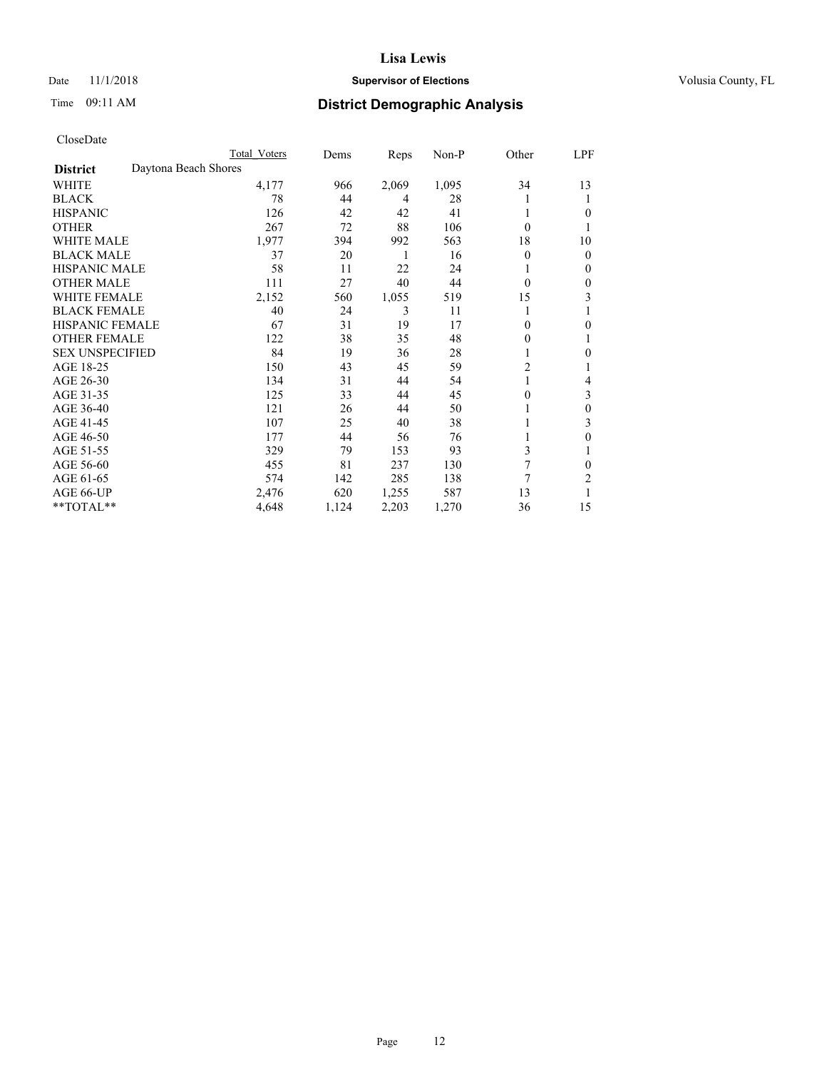## Date 11/1/2018 **Supervisor of Elections Supervisor of Elections** Volusia County, FL

# Time 09:11 AM **District Demographic Analysis**

|                        | Total Voters         | Dems  | Reps  | Non-P | Other          | LPF          |
|------------------------|----------------------|-------|-------|-------|----------------|--------------|
| <b>District</b>        | Daytona Beach Shores |       |       |       |                |              |
| WHITE                  | 4,177                | 966   | 2,069 | 1,095 | 34             | 13           |
| <b>BLACK</b>           | 78                   | 44    | 4     | 28    |                | 1            |
| <b>HISPANIC</b>        | 126                  | 42    | 42    | 41    |                | $\theta$     |
| <b>OTHER</b>           | 267                  | 72    | 88    | 106   | $\theta$       |              |
| <b>WHITE MALE</b>      | 1,977                | 394   | 992   | 563   | 18             | 10           |
| <b>BLACK MALE</b>      | 37                   | 20    | 1     | 16    | $\theta$       | $\mathbf{0}$ |
| <b>HISPANIC MALE</b>   | 58                   | 11    | 22    | 24    |                | $\mathbf{0}$ |
| <b>OTHER MALE</b>      | 111                  | 27    | 40    | 44    | $\theta$       | 0            |
| <b>WHITE FEMALE</b>    | 2,152                | 560   | 1,055 | 519   | 15             | 3            |
| <b>BLACK FEMALE</b>    | 40                   | 24    | 3     | 11    |                |              |
| <b>HISPANIC FEMALE</b> | 67                   | 31    | 19    | 17    | 0              | $\theta$     |
| <b>OTHER FEMALE</b>    | 122                  | 38    | 35    | 48    | 0              | 1            |
| <b>SEX UNSPECIFIED</b> | 84                   | 19    | 36    | 28    |                | $\theta$     |
| AGE 18-25              | 150                  | 43    | 45    | 59    | $\overline{2}$ |              |
| AGE 26-30              | 134                  | 31    | 44    | 54    | 1              | 4            |
| AGE 31-35              | 125                  | 33    | 44    | 45    | 0              | 3            |
| AGE 36-40              | 121                  | 26    | 44    | 50    |                | $\theta$     |
| AGE 41-45              | 107                  | 25    | 40    | 38    |                | 3            |
| AGE 46-50              | 177                  | 44    | 56    | 76    |                | $\theta$     |
| AGE 51-55              | 329                  | 79    | 153   | 93    | 3              | 1            |
| AGE 56-60              | 455                  | 81    | 237   | 130   | 7              | $\theta$     |
| AGE 61-65              | 574                  | 142   | 285   | 138   | 7              | 2            |
| AGE 66-UP              | 2,476                | 620   | 1,255 | 587   | 13             |              |
| **TOTAL**              | 4,648                | 1,124 | 2,203 | 1,270 | 36             | 15           |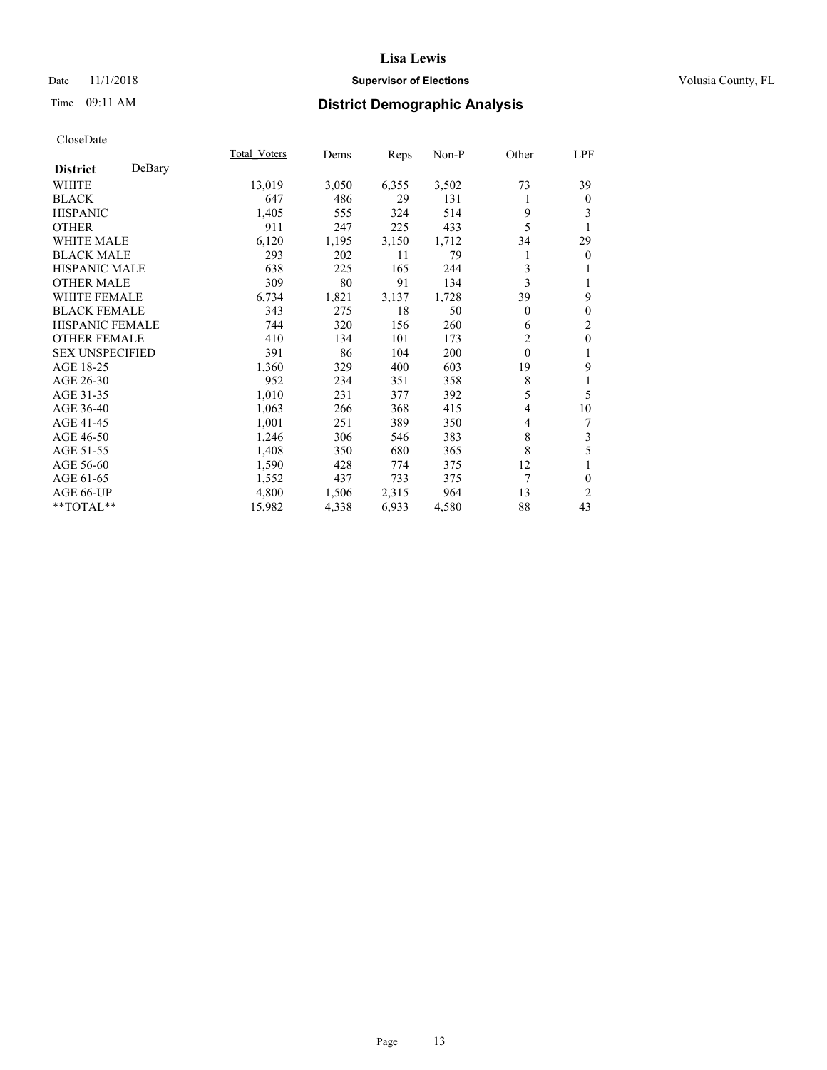## Date 11/1/2018 **Supervisor of Elections Supervisor of Elections** Volusia County, FL

# Time 09:11 AM **District Demographic Analysis**

|                        |        | Total Voters | Dems  | Reps  | Non-P | Other          | LPF            |
|------------------------|--------|--------------|-------|-------|-------|----------------|----------------|
| <b>District</b>        | DeBary |              |       |       |       |                |                |
| <b>WHITE</b>           |        | 13,019       | 3,050 | 6,355 | 3,502 | 73             | 39             |
| <b>BLACK</b>           |        | 647          | 486   | 29    | 131   | 1              | $\mathbf{0}$   |
| <b>HISPANIC</b>        |        | 1,405        | 555   | 324   | 514   | 9              | 3              |
| <b>OTHER</b>           |        | 911          | 247   | 225   | 433   | 5              |                |
| <b>WHITE MALE</b>      |        | 6,120        | 1,195 | 3,150 | 1,712 | 34             | 29             |
| <b>BLACK MALE</b>      |        | 293          | 202   | 11    | 79    |                | $\mathbf{0}$   |
| <b>HISPANIC MALE</b>   |        | 638          | 225   | 165   | 244   | 3              | 1              |
| <b>OTHER MALE</b>      |        | 309          | 80    | 91    | 134   | 3              | 1              |
| <b>WHITE FEMALE</b>    |        | 6,734        | 1,821 | 3,137 | 1,728 | 39             | 9              |
| <b>BLACK FEMALE</b>    |        | 343          | 275   | 18    | 50    | $\overline{0}$ | $\mathbf{0}$   |
| <b>HISPANIC FEMALE</b> |        | 744          | 320   | 156   | 260   | 6              | $\overline{c}$ |
| <b>OTHER FEMALE</b>    |        | 410          | 134   | 101   | 173   | 2              | $\mathbf{0}$   |
| <b>SEX UNSPECIFIED</b> |        | 391          | 86    | 104   | 200   | $\theta$       | 1              |
| AGE 18-25              |        | 1,360        | 329   | 400   | 603   | 19             | 9              |
| AGE 26-30              |        | 952          | 234   | 351   | 358   | 8              | 1              |
| AGE 31-35              |        | 1,010        | 231   | 377   | 392   | 5              | 5              |
| AGE 36-40              |        | 1,063        | 266   | 368   | 415   | 4              | 10             |
| AGE 41-45              |        | 1,001        | 251   | 389   | 350   | 4              | 7              |
| AGE 46-50              |        | 1,246        | 306   | 546   | 383   | 8              | 3              |
| AGE 51-55              |        | 1,408        | 350   | 680   | 365   | 8              | 5              |
| AGE 56-60              |        | 1,590        | 428   | 774   | 375   | 12             | 1              |
| AGE 61-65              |        | 1,552        | 437   | 733   | 375   | 7              | $\theta$       |
| AGE 66-UP              |        | 4,800        | 1,506 | 2,315 | 964   | 13             | 2              |
| **TOTAL**              |        | 15,982       | 4,338 | 6,933 | 4,580 | 88             | 43             |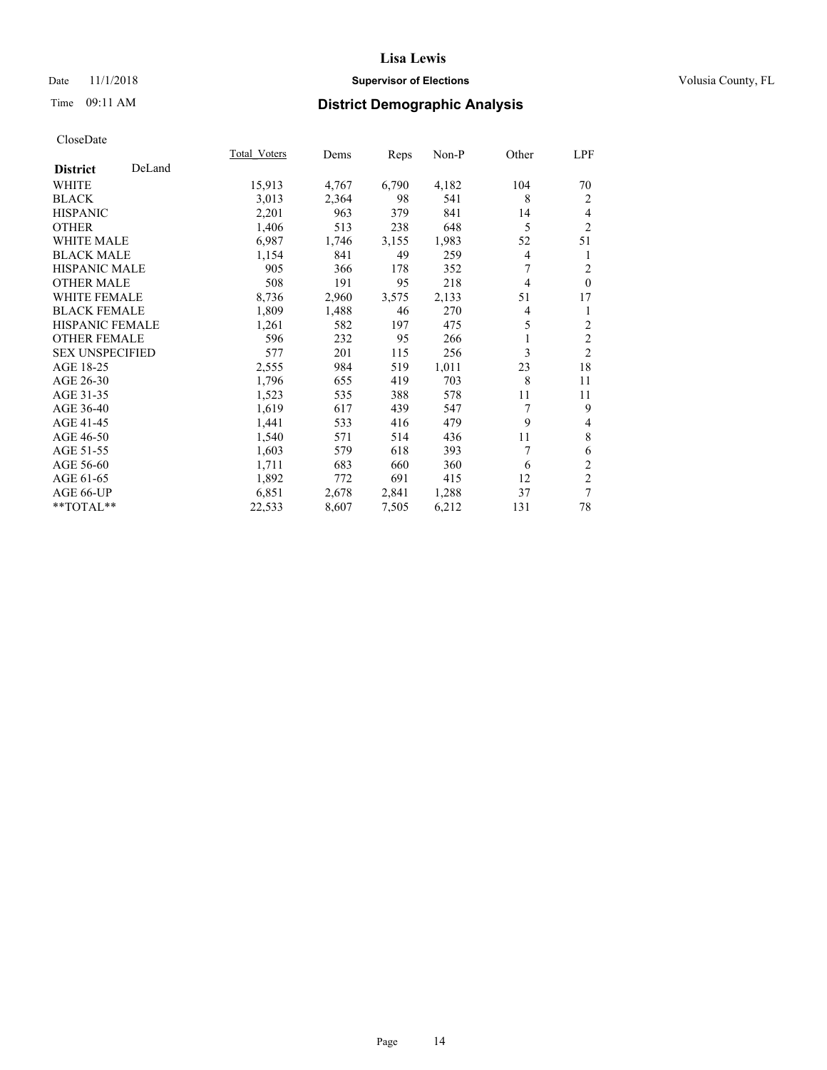## Date 11/1/2018 **Supervisor of Elections Supervisor of Elections** Volusia County, FL

# Time 09:11 AM **District Demographic Analysis**

|                        |        | Total Voters | Dems  | Reps  | Non-P | Other          | LPF            |
|------------------------|--------|--------------|-------|-------|-------|----------------|----------------|
| <b>District</b>        | DeLand |              |       |       |       |                |                |
| WHITE                  |        | 15,913       | 4,767 | 6,790 | 4,182 | 104            | 70             |
| <b>BLACK</b>           |        | 3,013        | 2,364 | 98    | 541   | 8              | 2              |
| <b>HISPANIC</b>        |        | 2,201        | 963   | 379   | 841   | 14             | 4              |
| <b>OTHER</b>           |        | 1,406        | 513   | 238   | 648   | 5              | $\overline{2}$ |
| <b>WHITE MALE</b>      |        | 6,987        | 1,746 | 3,155 | 1,983 | 52             | 51             |
| <b>BLACK MALE</b>      |        | 1,154        | 841   | 49    | 259   | 4              | 1              |
| <b>HISPANIC MALE</b>   |        | 905          | 366   | 178   | 352   | 7              | $\overline{2}$ |
| <b>OTHER MALE</b>      |        | 508          | 191   | 95    | 218   | $\overline{4}$ | $\Omega$       |
| <b>WHITE FEMALE</b>    |        | 8,736        | 2,960 | 3,575 | 2,133 | 51             | 17             |
| <b>BLACK FEMALE</b>    |        | 1,809        | 1,488 | 46    | 270   | 4              | 1              |
| <b>HISPANIC FEMALE</b> |        | 1,261        | 582   | 197   | 475   | 5              | $\overline{2}$ |
| <b>OTHER FEMALE</b>    |        | 596          | 232   | 95    | 266   | 1              | $\overline{c}$ |
| <b>SEX UNSPECIFIED</b> |        | 577          | 201   | 115   | 256   | 3              | $\overline{2}$ |
| AGE 18-25              |        | 2,555        | 984   | 519   | 1,011 | 23             | 18             |
| AGE 26-30              |        | 1,796        | 655   | 419   | 703   | 8              | 11             |
| AGE 31-35              |        | 1,523        | 535   | 388   | 578   | 11             | 11             |
| AGE 36-40              |        | 1,619        | 617   | 439   | 547   | 7              | 9              |
| AGE 41-45              |        | 1,441        | 533   | 416   | 479   | 9              | 4              |
| AGE 46-50              |        | 1,540        | 571   | 514   | 436   | 11             | $\,$ 8 $\,$    |
| AGE 51-55              |        | 1,603        | 579   | 618   | 393   | 7              | 6              |
| AGE 56-60              |        | 1,711        | 683   | 660   | 360   | 6              | $\mathfrak{2}$ |
| AGE 61-65              |        | 1,892        | 772   | 691   | 415   | 12             | $\mathfrak{2}$ |
| AGE 66-UP              |        | 6,851        | 2,678 | 2,841 | 1,288 | 37             | 7              |
| **TOTAL**              |        | 22,533       | 8,607 | 7,505 | 6,212 | 131            | 78             |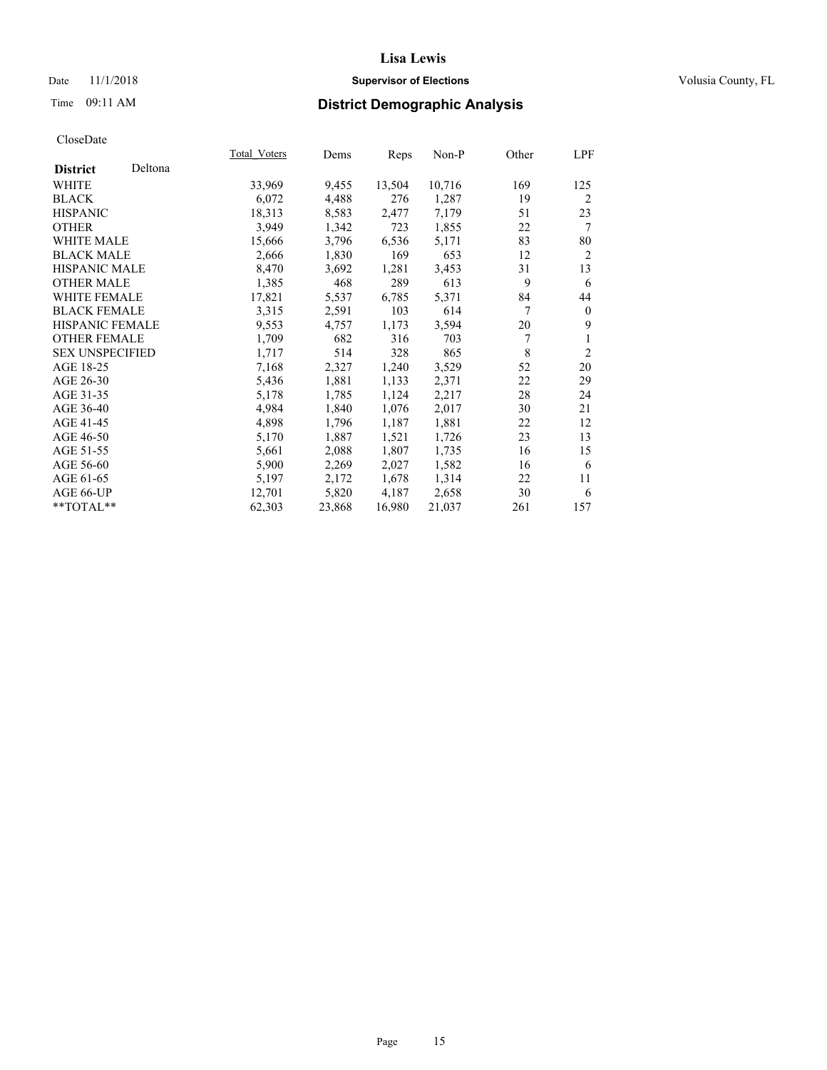## Date 11/1/2018 **Supervisor of Elections Supervisor of Elections** Volusia County, FL

# Time 09:11 AM **District Demographic Analysis**

|                        |         | Total Voters | Dems   | Reps   | Non-P  | Other | LPF            |
|------------------------|---------|--------------|--------|--------|--------|-------|----------------|
| <b>District</b>        | Deltona |              |        |        |        |       |                |
| WHITE                  |         | 33,969       | 9,455  | 13,504 | 10,716 | 169   | 125            |
| <b>BLACK</b>           |         | 6,072        | 4,488  | 276    | 1,287  | 19    | 2              |
| <b>HISPANIC</b>        |         | 18,313       | 8,583  | 2,477  | 7,179  | 51    | 23             |
| <b>OTHER</b>           |         | 3,949        | 1,342  | 723    | 1,855  | 22    | 7              |
| WHITE MALE             |         | 15,666       | 3,796  | 6,536  | 5,171  | 83    | 80             |
| <b>BLACK MALE</b>      |         | 2,666        | 1,830  | 169    | 653    | 12    | $\overline{2}$ |
| <b>HISPANIC MALE</b>   |         | 8,470        | 3,692  | 1,281  | 3,453  | 31    | 13             |
| <b>OTHER MALE</b>      |         | 1,385        | 468    | 289    | 613    | 9     | 6              |
| <b>WHITE FEMALE</b>    |         | 17,821       | 5,537  | 6,785  | 5,371  | 84    | 44             |
| <b>BLACK FEMALE</b>    |         | 3,315        | 2,591  | 103    | 614    | 7     | $\theta$       |
| HISPANIC FEMALE        |         | 9,553        | 4,757  | 1,173  | 3,594  | 20    | 9              |
| <b>OTHER FEMALE</b>    |         | 1,709        | 682    | 316    | 703    | 7     |                |
| <b>SEX UNSPECIFIED</b> |         | 1,717        | 514    | 328    | 865    | 8     | $\overline{2}$ |
| AGE 18-25              |         | 7,168        | 2,327  | 1,240  | 3,529  | 52    | 20             |
| AGE 26-30              |         | 5,436        | 1,881  | 1,133  | 2,371  | 22    | 29             |
| AGE 31-35              |         | 5,178        | 1,785  | 1,124  | 2,217  | 28    | 24             |
| AGE 36-40              |         | 4,984        | 1,840  | 1,076  | 2,017  | 30    | 21             |
| AGE 41-45              |         | 4,898        | 1,796  | 1,187  | 1,881  | 22    | 12             |
| AGE 46-50              |         | 5,170        | 1,887  | 1,521  | 1,726  | 23    | 13             |
| AGE 51-55              |         | 5,661        | 2,088  | 1,807  | 1,735  | 16    | 15             |
| AGE 56-60              |         | 5,900        | 2,269  | 2,027  | 1,582  | 16    | 6              |
| AGE 61-65              |         | 5,197        | 2,172  | 1,678  | 1,314  | 22    | 11             |
| AGE 66-UP              |         | 12,701       | 5,820  | 4,187  | 2,658  | 30    | 6              |
| $*$ $TOTAL**$          |         | 62,303       | 23,868 | 16,980 | 21,037 | 261   | 157            |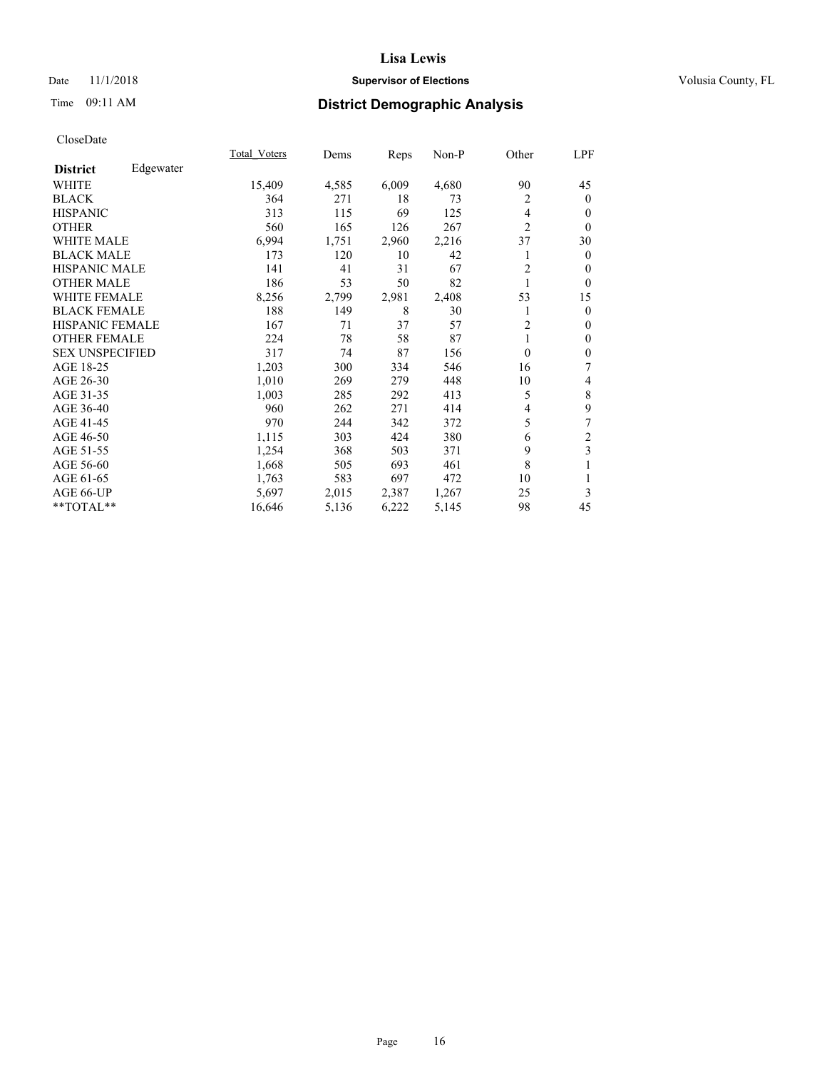## Date 11/1/2018 **Supervisor of Elections Supervisor of Elections** Volusia County, FL

# Time 09:11 AM **District Demographic Analysis**

|                        |           | Total Voters | Dems  | Reps  | $Non-P$ | Other            | LPF                     |
|------------------------|-----------|--------------|-------|-------|---------|------------------|-------------------------|
| <b>District</b>        | Edgewater |              |       |       |         |                  |                         |
| WHITE                  |           | 15,409       | 4,585 | 6,009 | 4,680   | 90               | 45                      |
| <b>BLACK</b>           |           | 364          | 271   | 18    | 73      | 2                | $\mathbf{0}$            |
| <b>HISPANIC</b>        |           | 313          | 115   | 69    | 125     | 4                | $\theta$                |
| <b>OTHER</b>           |           | 560          | 165   | 126   | 267     | $\overline{2}$   | $\theta$                |
| <b>WHITE MALE</b>      |           | 6,994        | 1,751 | 2,960 | 2,216   | 37               | 30                      |
| <b>BLACK MALE</b>      |           | 173          | 120   | 10    | 42      | 1                | $\mathbf{0}$            |
| <b>HISPANIC MALE</b>   |           | 141          | 41    | 31    | 67      | 2                | $\Omega$                |
| <b>OTHER MALE</b>      |           | 186          | 53    | 50    | 82      | 1                | $\theta$                |
| <b>WHITE FEMALE</b>    |           | 8,256        | 2,799 | 2,981 | 2,408   | 53               | 15                      |
| <b>BLACK FEMALE</b>    |           | 188          | 149   | 8     | 30      | 1                | $\mathbf{0}$            |
| <b>HISPANIC FEMALE</b> |           | 167          | 71    | 37    | 57      | 2                | $\theta$                |
| <b>OTHER FEMALE</b>    |           | 224          | 78    | 58    | 87      | 1                | $\mathbf{0}$            |
| <b>SEX UNSPECIFIED</b> |           | 317          | 74    | 87    | 156     | $\boldsymbol{0}$ | $\mathbf{0}$            |
| AGE 18-25              |           | 1,203        | 300   | 334   | 546     | 16               | 7                       |
| AGE 26-30              |           | 1,010        | 269   | 279   | 448     | 10               | 4                       |
| AGE 31-35              |           | 1,003        | 285   | 292   | 413     | 5                | 8                       |
| AGE 36-40              |           | 960          | 262   | 271   | 414     | 4                | 9                       |
| AGE 41-45              |           | 970          | 244   | 342   | 372     | 5                | 7                       |
| AGE 46-50              |           | 1,115        | 303   | 424   | 380     | 6                | $\overline{\mathbf{c}}$ |
| AGE 51-55              |           | 1,254        | 368   | 503   | 371     | 9                | 3                       |
| AGE 56-60              |           | 1,668        | 505   | 693   | 461     | 8                |                         |
| AGE 61-65              |           | 1,763        | 583   | 697   | 472     | 10               | 1                       |
| AGE 66-UP              |           | 5,697        | 2,015 | 2,387 | 1,267   | 25               | 3                       |
| **TOTAL**              |           | 16,646       | 5,136 | 6,222 | 5,145   | 98               | 45                      |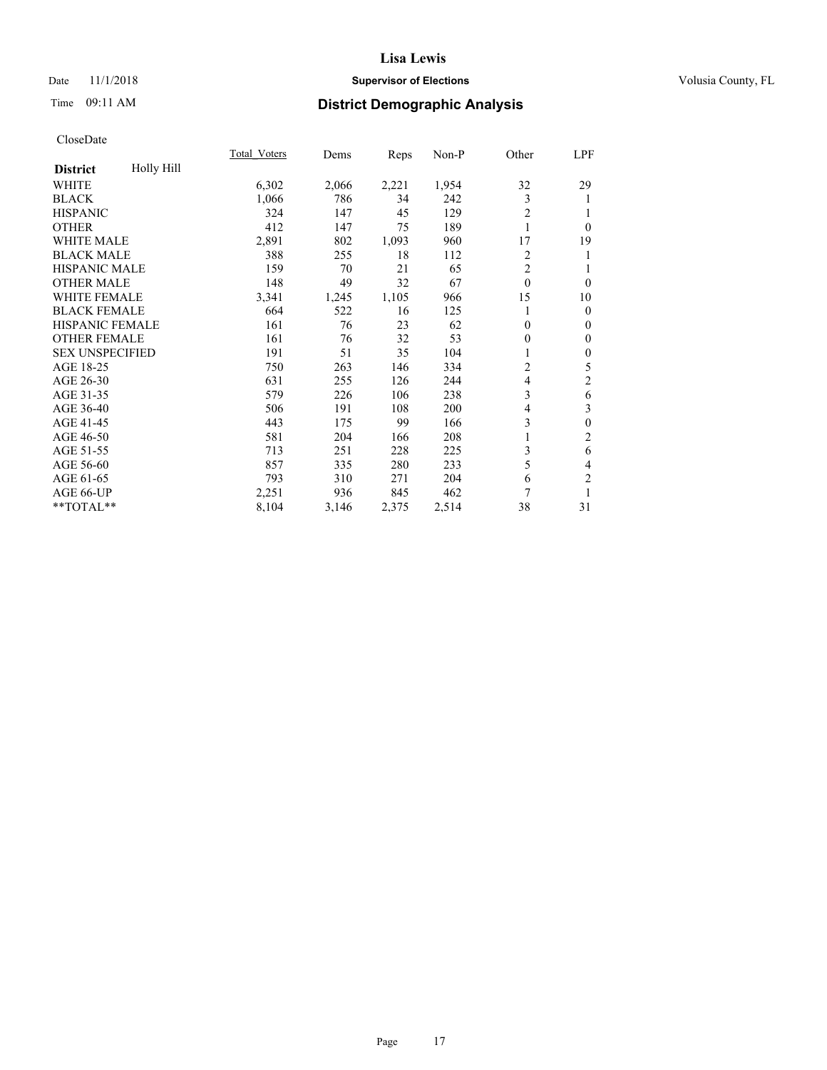## Date 11/1/2018 **Supervisor of Elections Supervisor of Elections** Volusia County, FL

# Time 09:11 AM **District Demographic Analysis**

|                        |            | Total Voters | Dems  | Reps  | Non-P | Other          | LPF              |
|------------------------|------------|--------------|-------|-------|-------|----------------|------------------|
| <b>District</b>        | Holly Hill |              |       |       |       |                |                  |
| WHITE                  |            | 6,302        | 2,066 | 2,221 | 1,954 | 32             | 29               |
| <b>BLACK</b>           |            | 1,066        | 786   | 34    | 242   | 3              | 1                |
| <b>HISPANIC</b>        |            | 324          | 147   | 45    | 129   | $\mathfrak{2}$ | 1                |
| <b>OTHER</b>           |            | 412          | 147   | 75    | 189   | 1              | $\theta$         |
| WHITE MALE             |            | 2,891        | 802   | 1,093 | 960   | 17             | 19               |
| <b>BLACK MALE</b>      |            | 388          | 255   | 18    | 112   | $\overline{c}$ | 1                |
| HISPANIC MALE          |            | 159          | 70    | 21    | 65    | $\overline{2}$ | 1                |
| <b>OTHER MALE</b>      |            | 148          | 49    | 32    | 67    | $\theta$       | $\theta$         |
| WHITE FEMALE           |            | 3,341        | 1,245 | 1,105 | 966   | 15             | 10               |
| <b>BLACK FEMALE</b>    |            | 664          | 522   | 16    | 125   |                | $\mathbf{0}$     |
| <b>HISPANIC FEMALE</b> |            | 161          | 76    | 23    | 62    | $\theta$       | $\mathbf{0}$     |
| <b>OTHER FEMALE</b>    |            | 161          | 76    | 32    | 53    | 0              | $\mathbf{0}$     |
| <b>SEX UNSPECIFIED</b> |            | 191          | 51    | 35    | 104   |                | $\boldsymbol{0}$ |
| AGE 18-25              |            | 750          | 263   | 146   | 334   | 2              | 5                |
| AGE 26-30              |            | 631          | 255   | 126   | 244   | 4              | $\mathfrak{2}$   |
| AGE 31-35              |            | 579          | 226   | 106   | 238   | 3              | 6                |
| AGE 36-40              |            | 506          | 191   | 108   | 200   | 4              | 3                |
| AGE 41-45              |            | 443          | 175   | 99    | 166   | 3              | $\mathbf{0}$     |
| AGE 46-50              |            | 581          | 204   | 166   | 208   |                | $\mathfrak{2}$   |
| AGE 51-55              |            | 713          | 251   | 228   | 225   | 3              | 6                |
| AGE 56-60              |            | 857          | 335   | 280   | 233   | 5              | 4                |
| AGE 61-65              |            | 793          | 310   | 271   | 204   | 6              | $\overline{c}$   |
| AGE 66-UP              |            | 2,251        | 936   | 845   | 462   | 7              | 1                |
| **TOTAL**              |            | 8,104        | 3,146 | 2,375 | 2,514 | 38             | 31               |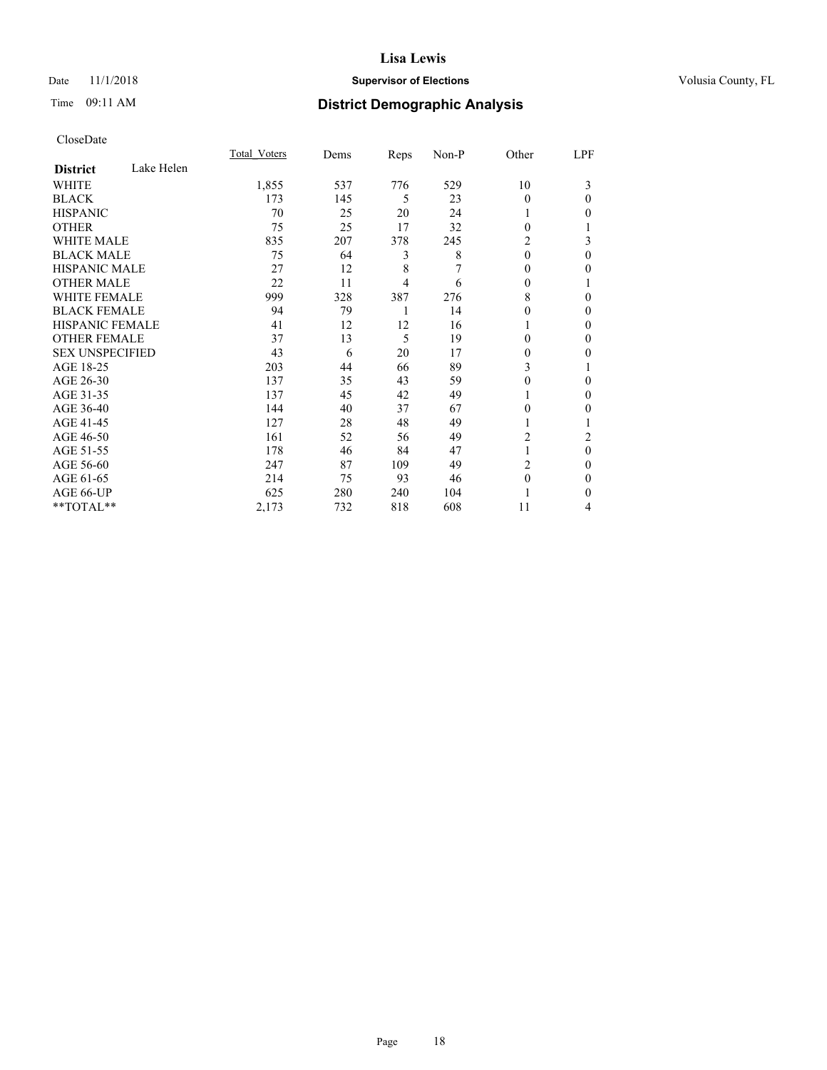## Date 11/1/2018 **Supervisor of Elections Supervisor of Elections** Volusia County, FL

# Time 09:11 AM **District Demographic Analysis**

|                        |            | Total Voters | Dems | Reps | Non-P | Other          | LPF      |
|------------------------|------------|--------------|------|------|-------|----------------|----------|
| <b>District</b>        | Lake Helen |              |      |      |       |                |          |
| WHITE                  |            | 1,855        | 537  | 776  | 529   | 10             | 3        |
| <b>BLACK</b>           |            | 173          | 145  | 5    | 23    | $\theta$       | $\Omega$ |
| <b>HISPANIC</b>        |            | 70           | 25   | 20   | 24    |                | 0        |
| <b>OTHER</b>           |            | 75           | 25   | 17   | 32    | 0              |          |
| WHITE MALE             |            | 835          | 207  | 378  | 245   | 2              | 3        |
| <b>BLACK MALE</b>      |            | 75           | 64   | 3    | 8     | $\theta$       | $\theta$ |
| <b>HISPANIC MALE</b>   |            | 27           | 12   | 8    | 7     | 0              | 0        |
| <b>OTHER MALE</b>      |            | 22           | 11   | 4    | 6     | 0              |          |
| <b>WHITE FEMALE</b>    |            | 999          | 328  | 387  | 276   | 8              | 0        |
| <b>BLACK FEMALE</b>    |            | 94           | 79   | 1    | 14    | 0              | $\Omega$ |
| <b>HISPANIC FEMALE</b> |            | 41           | 12   | 12   | 16    |                | $\Omega$ |
| <b>OTHER FEMALE</b>    |            | 37           | 13   | 5    | 19    | 0              | 0        |
| <b>SEX UNSPECIFIED</b> |            | 43           | 6    | 20   | 17    | 0              | 0        |
| AGE 18-25              |            | 203          | 44   | 66   | 89    | 3              |          |
| AGE 26-30              |            | 137          | 35   | 43   | 59    | 0              | 0        |
| AGE 31-35              |            | 137          | 45   | 42   | 49    |                | $\Omega$ |
| AGE 36-40              |            | 144          | 40   | 37   | 67    | 0              | 0        |
| AGE 41-45              |            | 127          | 28   | 48   | 49    |                |          |
| AGE 46-50              |            | 161          | 52   | 56   | 49    | $\overline{c}$ | 2        |
| AGE 51-55              |            | 178          | 46   | 84   | 47    |                | $\theta$ |
| AGE 56-60              |            | 247          | 87   | 109  | 49    | 2              | 0        |
| AGE 61-65              |            | 214          | 75   | 93   | 46    | $\theta$       | $\Omega$ |
| AGE 66-UP              |            | 625          | 280  | 240  | 104   |                | $\Omega$ |
| **TOTAL**              |            | 2,173        | 732  | 818  | 608   | 11             | 4        |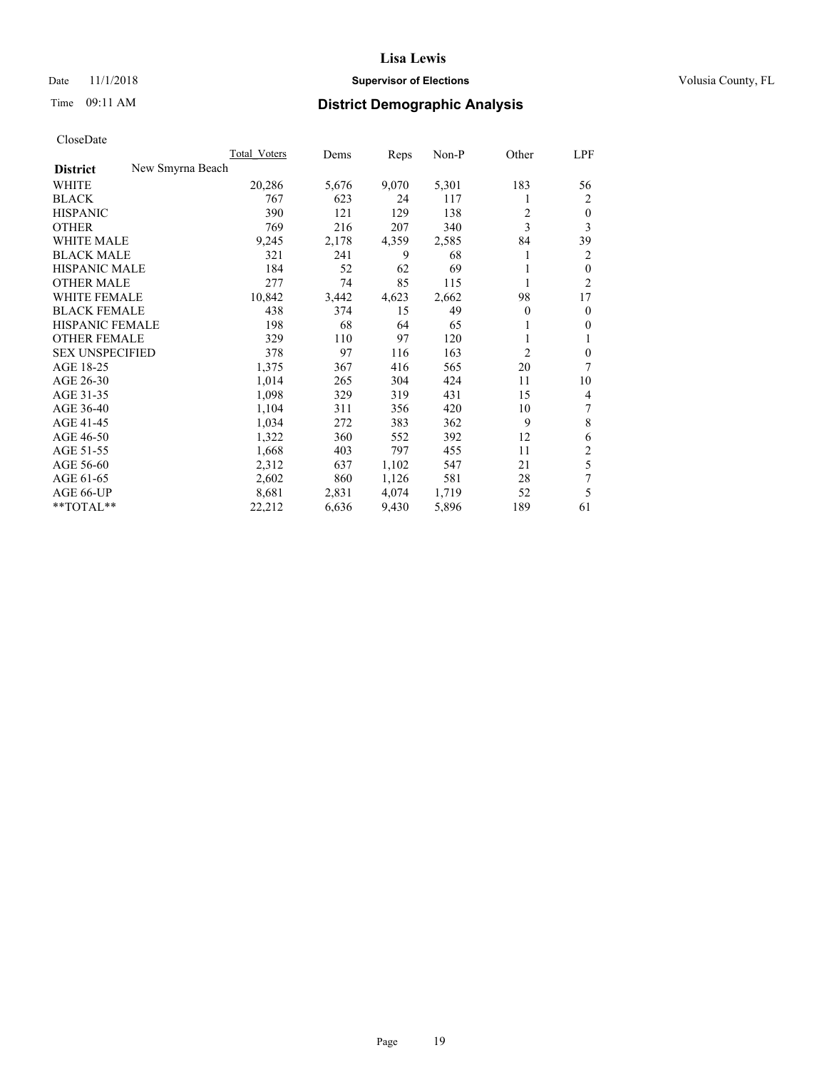## Date 11/1/2018 **Supervisor of Elections Supervisor of Elections** Volusia County, FL

# Time 09:11 AM **District Demographic Analysis**

|                                     | Total Voters | Dems  | Reps  | Non-P | Other    | LPF            |
|-------------------------------------|--------------|-------|-------|-------|----------|----------------|
| New Smyrna Beach<br><b>District</b> |              |       |       |       |          |                |
| WHITE                               | 20,286       | 5,676 | 9,070 | 5,301 | 183      | 56             |
| <b>BLACK</b>                        | 767          | 623   | 24    | 117   |          | 2              |
| <b>HISPANIC</b>                     | 390          | 121   | 129   | 138   | 2        | $\theta$       |
| <b>OTHER</b>                        | 769          | 216   | 207   | 340   | 3        | 3              |
| WHITE MALE                          | 9,245        | 2,178 | 4,359 | 2,585 | 84       | 39             |
| <b>BLACK MALE</b>                   | 321          | 241   | 9     | 68    | 1        | 2              |
| <b>HISPANIC MALE</b>                | 184          | 52    | 62    | 69    |          | $\theta$       |
| <b>OTHER MALE</b>                   | 277          | 74    | 85    | 115   |          | $\overline{2}$ |
| WHITE FEMALE                        | 10,842       | 3,442 | 4,623 | 2,662 | 98       | 17             |
| <b>BLACK FEMALE</b>                 | 438          | 374   | 15    | 49    | $\theta$ | $\mathbf{0}$   |
| HISPANIC FEMALE                     | 198          | 68    | 64    | 65    |          | $\theta$       |
| <b>OTHER FEMALE</b>                 | 329          | 110   | 97    | 120   |          | 1              |
| <b>SEX UNSPECIFIED</b>              | 378          | 97    | 116   | 163   | 2        | $\mathbf{0}$   |
| AGE 18-25                           | 1,375        | 367   | 416   | 565   | 20       | 7              |
| AGE 26-30                           | 1,014        | 265   | 304   | 424   | 11       | 10             |
| AGE 31-35                           | 1,098        | 329   | 319   | 431   | 15       | $\overline{4}$ |
| AGE 36-40                           | 1,104        | 311   | 356   | 420   | 10       |                |
| AGE 41-45                           | 1,034        | 272   | 383   | 362   | 9        | 8              |
| AGE 46-50                           | 1,322        | 360   | 552   | 392   | 12       | 6              |
| AGE 51-55                           | 1,668        | 403   | 797   | 455   | 11       | $\overline{c}$ |
| AGE 56-60                           | 2,312        | 637   | 1,102 | 547   | 21       | 5              |
| AGE 61-65                           | 2,602        | 860   | 1,126 | 581   | 28       | 7              |
| AGE 66-UP                           | 8,681        | 2,831 | 4,074 | 1,719 | 52       | 5              |
| $*$ TOTAL $**$                      | 22,212       | 6,636 | 9,430 | 5,896 | 189      | 61             |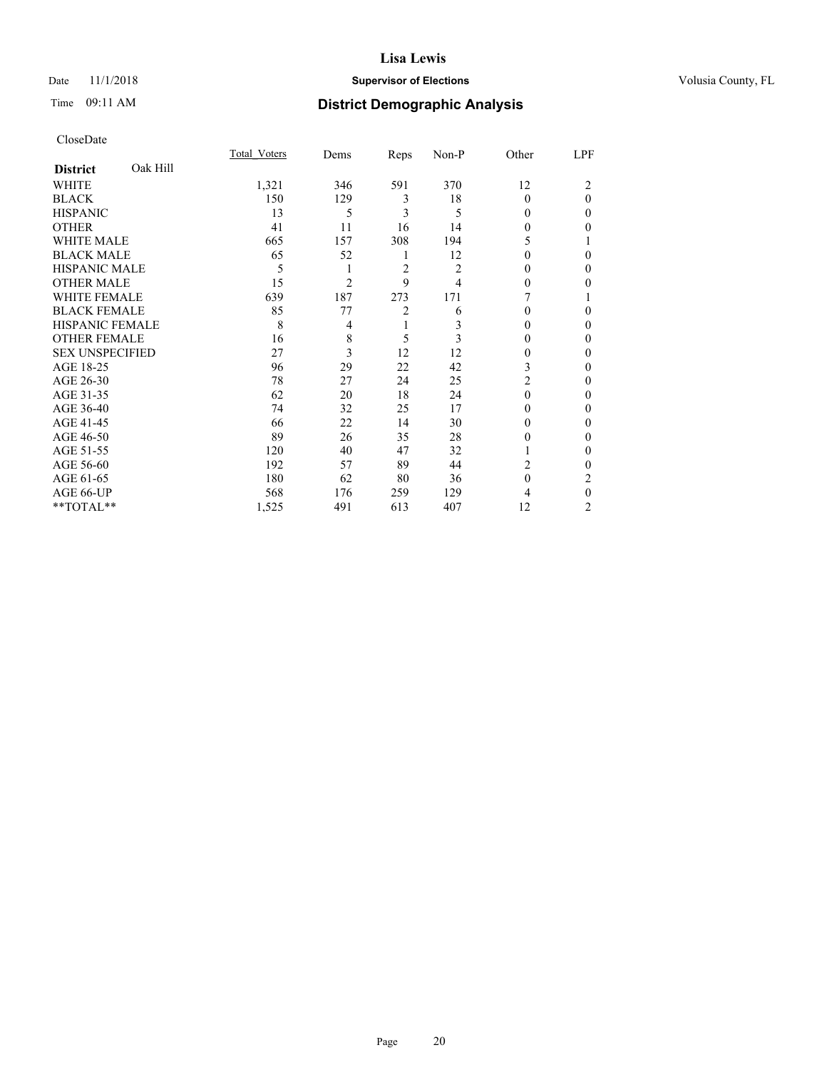## Date 11/1/2018 **Supervisor of Elections Supervisor of Elections** Volusia County, FL

# Time 09:11 AM **District Demographic Analysis**

|                        |          | Total Voters | Dems           | Reps | Non-P          | Other    | LPF            |
|------------------------|----------|--------------|----------------|------|----------------|----------|----------------|
| <b>District</b>        | Oak Hill |              |                |      |                |          |                |
| WHITE                  |          | 1,321        | 346            | 591  | 370            | 12       | 2              |
| <b>BLACK</b>           |          | 150          | 129            | 3    | 18             | $\Omega$ | $\theta$       |
| <b>HISPANIC</b>        |          | 13           | 5              | 3    | 5              | 0        | 0              |
| <b>OTHER</b>           |          | 41           | 11             | 16   | 14             | 0        | 0              |
| WHITE MALE             |          | 665          | 157            | 308  | 194            | 5        |                |
| <b>BLACK MALE</b>      |          | 65           | 52             | 1    | 12             | 0        | 0              |
| <b>HISPANIC MALE</b>   |          | 5            |                | 2    | $\overline{c}$ | 0        | 0              |
| <b>OTHER MALE</b>      |          | 15           | $\overline{c}$ | 9    | 4              | $\Omega$ | 0              |
| WHITE FEMALE           |          | 639          | 187            | 273  | 171            |          |                |
| <b>BLACK FEMALE</b>    |          | 85           | 77             | 2    | 6              | 0        | 0              |
| <b>HISPANIC FEMALE</b> |          | 8            | 4              | 1    | 3              | 0        | 0              |
| <b>OTHER FEMALE</b>    |          | 16           | 8              | 5    | 3              | 0        | 0              |
| <b>SEX UNSPECIFIED</b> |          | 27           | 3              | 12   | 12             | 0        | 0              |
| AGE 18-25              |          | 96           | 29             | 22   | 42             | 3        | 0              |
| AGE 26-30              |          | 78           | 27             | 24   | 25             | 2        | 0              |
| AGE 31-35              |          | 62           | 20             | 18   | 24             | $\Omega$ | 0              |
| AGE 36-40              |          | 74           | 32             | 25   | 17             | 0        | 0              |
| AGE 41-45              |          | 66           | 22             | 14   | 30             | 0        | 0              |
| AGE 46-50              |          | 89           | 26             | 35   | 28             | 0        | 0              |
| AGE 51-55              |          | 120          | 40             | 47   | 32             |          | 0              |
| AGE 56-60              |          | 192          | 57             | 89   | 44             | 2        | 0              |
| AGE 61-65              |          | 180          | 62             | 80   | 36             | $\theta$ | 2              |
| AGE 66-UP              |          | 568          | 176            | 259  | 129            | 4        | 0              |
| **TOTAL**              |          | 1,525        | 491            | 613  | 407            | 12       | $\overline{c}$ |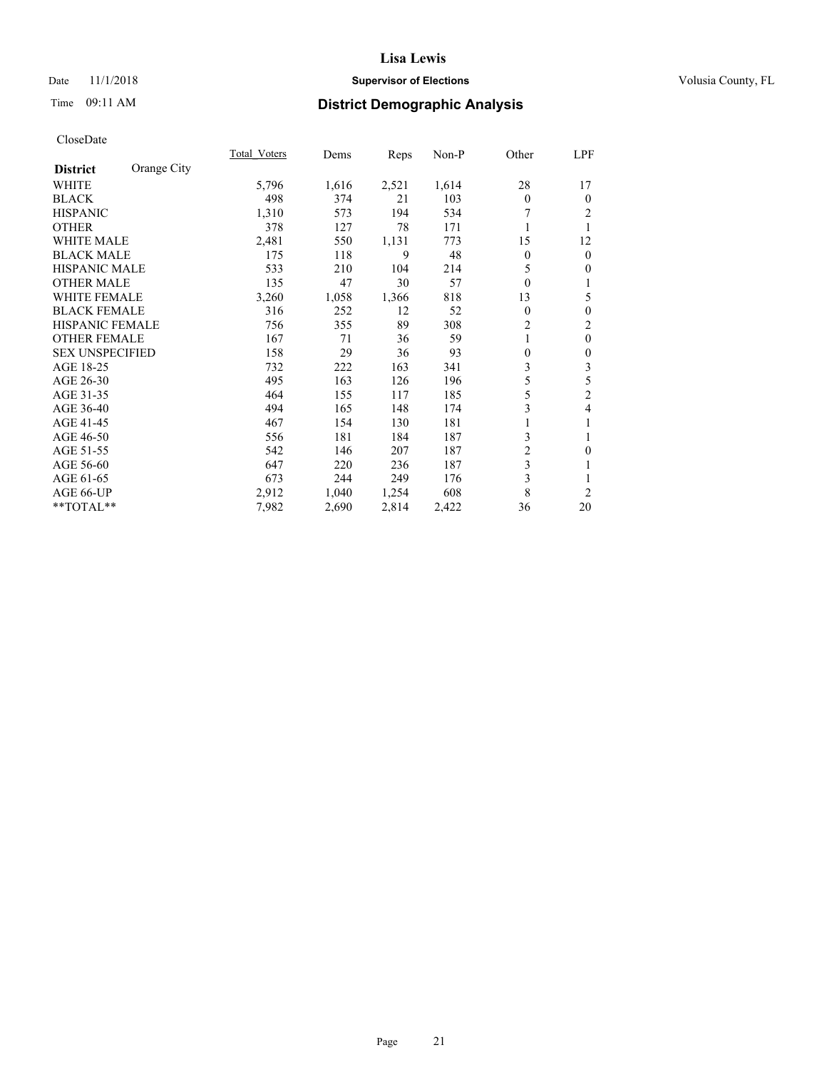## Date 11/1/2018 **Supervisor of Elections Supervisor of Elections** Volusia County, FL

# Time 09:11 AM **District Demographic Analysis**

|                                | Total Voters | Dems       | Reps  | Non-P | Other        | LPF            |
|--------------------------------|--------------|------------|-------|-------|--------------|----------------|
| Orange City<br><b>District</b> |              |            |       |       |              |                |
| WHITE                          | 5,796        | 1,616      | 2,521 | 1,614 | 28           | 17             |
| <b>BLACK</b>                   |              | 498<br>374 | 21    | 103   | $\theta$     | $\mathbf{0}$   |
| <b>HISPANIC</b>                | 1,310        | 573        | 194   | 534   |              | 2              |
| <b>OTHER</b>                   |              | 378<br>127 | 78    | 171   | 1            | 1              |
| <b>WHITE MALE</b>              | 2,481        | 550        | 1,131 | 773   | 15           | 12             |
| <b>BLACK MALE</b>              |              | 118<br>175 | 9     | 48    | $\theta$     | $\overline{0}$ |
| <b>HISPANIC MALE</b>           |              | 533<br>210 | 104   | 214   | 5            | $\theta$       |
| <b>OTHER MALE</b>              |              | 135<br>47  | 30    | 57    | $\theta$     | 1              |
| <b>WHITE FEMALE</b>            | 3,260        | 1,058      | 1,366 | 818   | 13           | 5              |
| <b>BLACK FEMALE</b>            |              | 316<br>252 | 12    | 52    | $\mathbf{0}$ | $\theta$       |
| HISPANIC FEMALE                |              | 756<br>355 | 89    | 308   | 2            | $\overline{c}$ |
| <b>OTHER FEMALE</b>            |              | 167<br>71  | 36    | 59    | 1            | $\mathbf{0}$   |
| <b>SEX UNSPECIFIED</b>         |              | 158<br>29  | 36    | 93    | $\theta$     | $\theta$       |
| AGE 18-25                      |              | 732<br>222 | 163   | 341   | 3            | 3              |
| AGE 26-30                      |              | 495<br>163 | 126   | 196   | 5            | 5              |
| AGE 31-35                      |              | 464<br>155 | 117   | 185   | 5            | $\overline{c}$ |
| AGE 36-40                      |              | 494<br>165 | 148   | 174   | 3            | 4              |
| AGE 41-45                      |              | 467<br>154 | 130   | 181   |              |                |
| AGE 46-50                      |              | 556<br>181 | 184   | 187   | 3            | 1              |
| AGE 51-55                      |              | 542<br>146 | 207   | 187   | 2            | $\mathbf{0}$   |
| AGE 56-60                      |              | 647<br>220 | 236   | 187   | 3            | 1              |
| AGE 61-65                      |              | 673<br>244 | 249   | 176   | 3            | 1              |
| AGE 66-UP                      | 2,912        | 1,040      | 1,254 | 608   | 8            | $\overline{2}$ |
| **TOTAL**                      | 7,982        | 2,690      | 2,814 | 2,422 | 36           | 20             |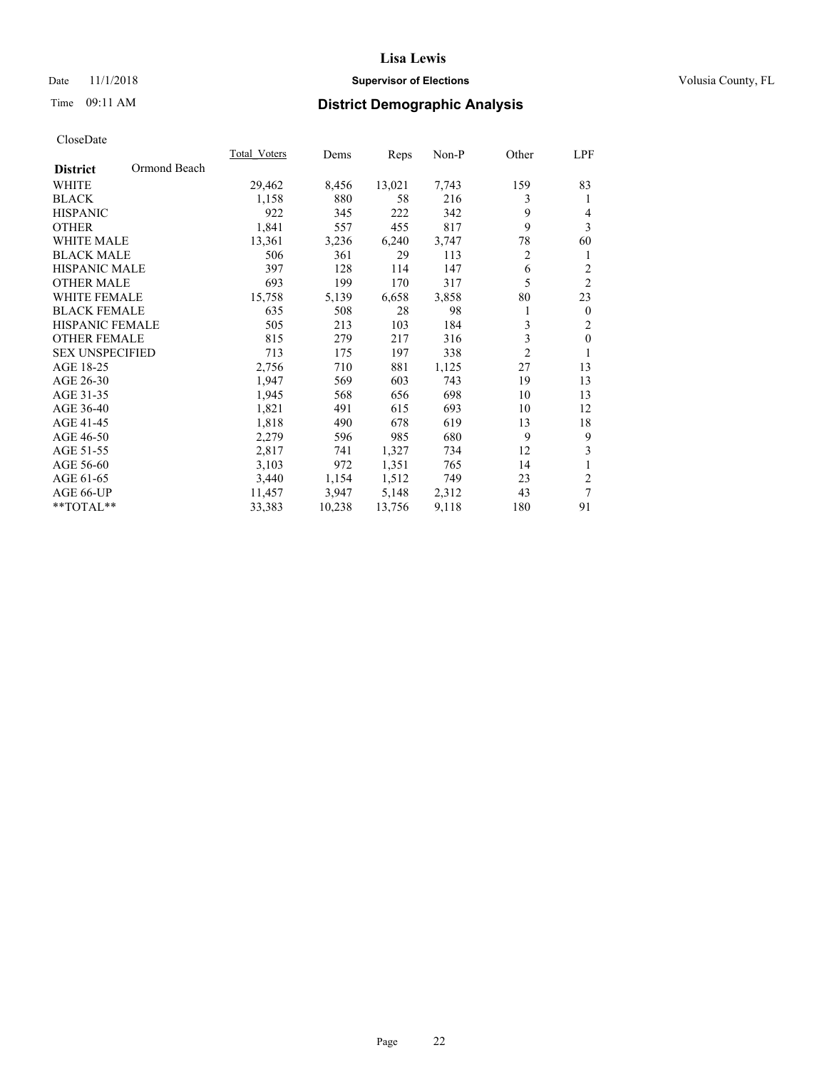## Date 11/1/2018 **Supervisor of Elections Supervisor of Elections** Volusia County, FL

# Time 09:11 AM **District Demographic Analysis**

|                                 | Total Voters | Dems   | Reps   | Non-P | Other          | LPF              |
|---------------------------------|--------------|--------|--------|-------|----------------|------------------|
| Ormond Beach<br><b>District</b> |              |        |        |       |                |                  |
| <b>WHITE</b>                    | 29,462       | 8,456  | 13,021 | 7,743 | 159            | 83               |
| <b>BLACK</b>                    | 1,158        | 880    | 58     | 216   | 3              | 1                |
| <b>HISPANIC</b>                 | 922          | 345    | 222    | 342   | 9              | 4                |
| <b>OTHER</b>                    | 1,841        | 557    | 455    | 817   | 9              | $\overline{3}$   |
| <b>WHITE MALE</b>               | 13,361       | 3,236  | 6,240  | 3,747 | 78             | 60               |
| <b>BLACK MALE</b>               | 506          | 361    | 29     | 113   | $\overline{c}$ | 1                |
| <b>HISPANIC MALE</b>            | 397          | 128    | 114    | 147   | 6              | $\overline{2}$   |
| <b>OTHER MALE</b>               | 693          | 199    | 170    | 317   | 5              | $\overline{2}$   |
| <b>WHITE FEMALE</b>             | 15,758       | 5,139  | 6,658  | 3,858 | 80             | 23               |
| <b>BLACK FEMALE</b>             | 635          | 508    | 28     | 98    | 1              | $\boldsymbol{0}$ |
| <b>HISPANIC FEMALE</b>          | 505          | 213    | 103    | 184   | 3              | $\overline{2}$   |
| <b>OTHER FEMALE</b>             | 815          | 279    | 217    | 316   | 3              | $\mathbf{0}$     |
| <b>SEX UNSPECIFIED</b>          | 713          | 175    | 197    | 338   | $\overline{2}$ | 1                |
| AGE 18-25                       | 2,756        | 710    | 881    | 1,125 | 27             | 13               |
| AGE 26-30                       | 1,947        | 569    | 603    | 743   | 19             | 13               |
| AGE 31-35                       | 1,945        | 568    | 656    | 698   | 10             | 13               |
| AGE 36-40                       | 1,821        | 491    | 615    | 693   | 10             | 12               |
| AGE 41-45                       | 1,818        | 490    | 678    | 619   | 13             | 18               |
| AGE 46-50                       | 2,279        | 596    | 985    | 680   | 9              | 9                |
| AGE 51-55                       | 2,817        | 741    | 1,327  | 734   | 12             | 3                |
| AGE 56-60                       | 3,103        | 972    | 1,351  | 765   | 14             | $\mathbf{1}$     |
| AGE 61-65                       | 3,440        | 1,154  | 1,512  | 749   | 23             | $\mathfrak{2}$   |
| AGE 66-UP                       | 11,457       | 3,947  | 5,148  | 2,312 | 43             | 7                |
| **TOTAL**                       | 33,383       | 10,238 | 13,756 | 9,118 | 180            | 91               |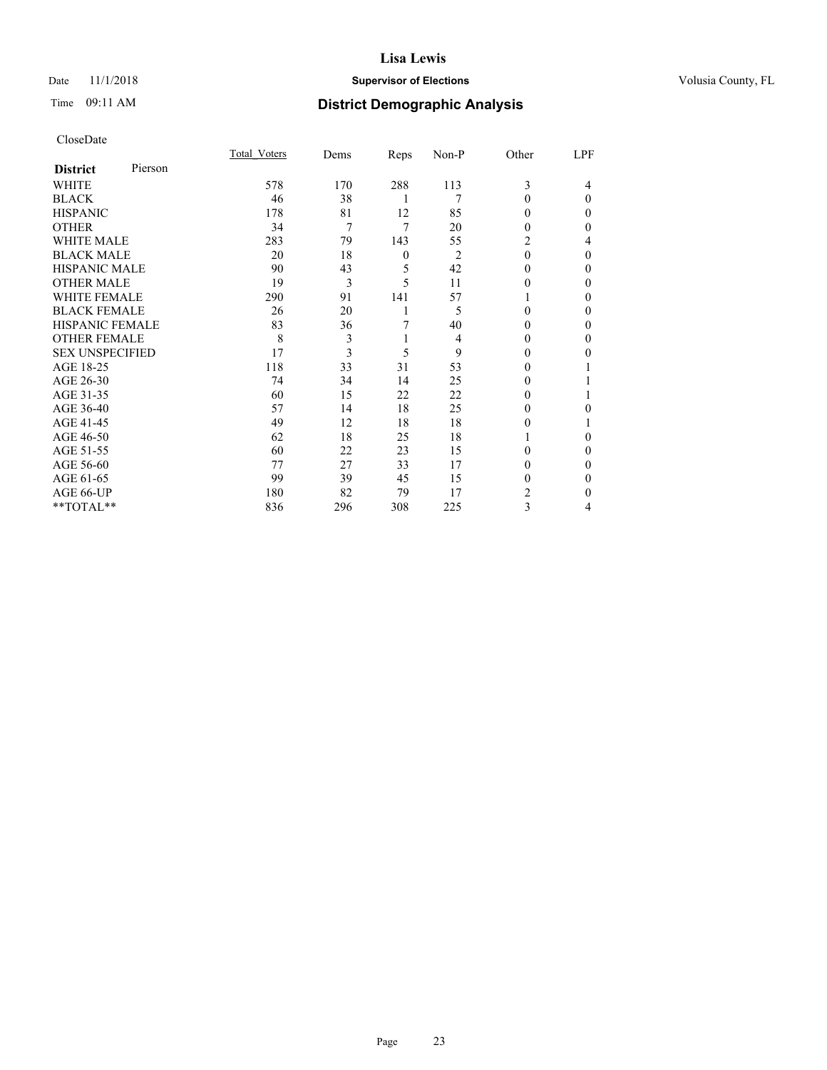## Date 11/1/2018 **Supervisor of Elections Supervisor of Elections** Volusia County, FL

# Time 09:11 AM **District Demographic Analysis**

|                        |         | Total Voters | Dems | Reps             | Non-P          | Other    | LPF      |
|------------------------|---------|--------------|------|------------------|----------------|----------|----------|
| <b>District</b>        | Pierson |              |      |                  |                |          |          |
| WHITE                  |         | 578          | 170  | 288              | 113            | 3        | 4        |
| <b>BLACK</b>           |         | 46           | 38   | 1                | 7              | $\theta$ | $\Omega$ |
| <b>HISPANIC</b>        |         | 178          | 81   | 12               | 85             | 0        | 0        |
| <b>OTHER</b>           |         | 34           | 7    | 7                | 20             | 0        | 0        |
| WHITE MALE             |         | 283          | 79   | 143              | 55             | 2        | 4        |
| <b>BLACK MALE</b>      |         | 20           | 18   | $\boldsymbol{0}$ | $\overline{2}$ | $\theta$ | $\Omega$ |
| <b>HISPANIC MALE</b>   |         | 90           | 43   | 5                | 42             | 0        | 0        |
| <b>OTHER MALE</b>      |         | 19           | 3    | 5                | 11             | 0        | 0        |
| WHITE FEMALE           |         | 290          | 91   | 141              | 57             |          | 0        |
| <b>BLACK FEMALE</b>    |         | 26           | 20   | 1                | 5              | 0        | $\Omega$ |
| <b>HISPANIC FEMALE</b> |         | 83           | 36   | 7                | 40             | 0        | 0        |
| <b>OTHER FEMALE</b>    |         | 8            | 3    | 1                | 4              | 0        | 0        |
| <b>SEX UNSPECIFIED</b> |         | 17           | 3    | 5                | 9              | $\theta$ | 0        |
| AGE 18-25              |         | 118          | 33   | 31               | 53             | 0        |          |
| AGE 26-30              |         | 74           | 34   | 14               | 25             | 0        |          |
| AGE 31-35              |         | 60           | 15   | 22               | 22             | 0        |          |
| AGE 36-40              |         | 57           | 14   | 18               | 25             | 0        | 0        |
| AGE 41-45              |         | 49           | 12   | 18               | 18             | 0        |          |
| AGE 46-50              |         | 62           | 18   | 25               | 18             |          | 0        |
| AGE 51-55              |         | 60           | 22   | 23               | 15             | 0        | $\Omega$ |
| AGE 56-60              |         | 77           | 27   | 33               | 17             | 0        | 0        |
| AGE 61-65              |         | 99           | 39   | 45               | 15             | 0        | $\Omega$ |
| AGE 66-UP              |         | 180          | 82   | 79               | 17             | 2        | $\Omega$ |
| **TOTAL**              |         | 836          | 296  | 308              | 225            | 3        | 4        |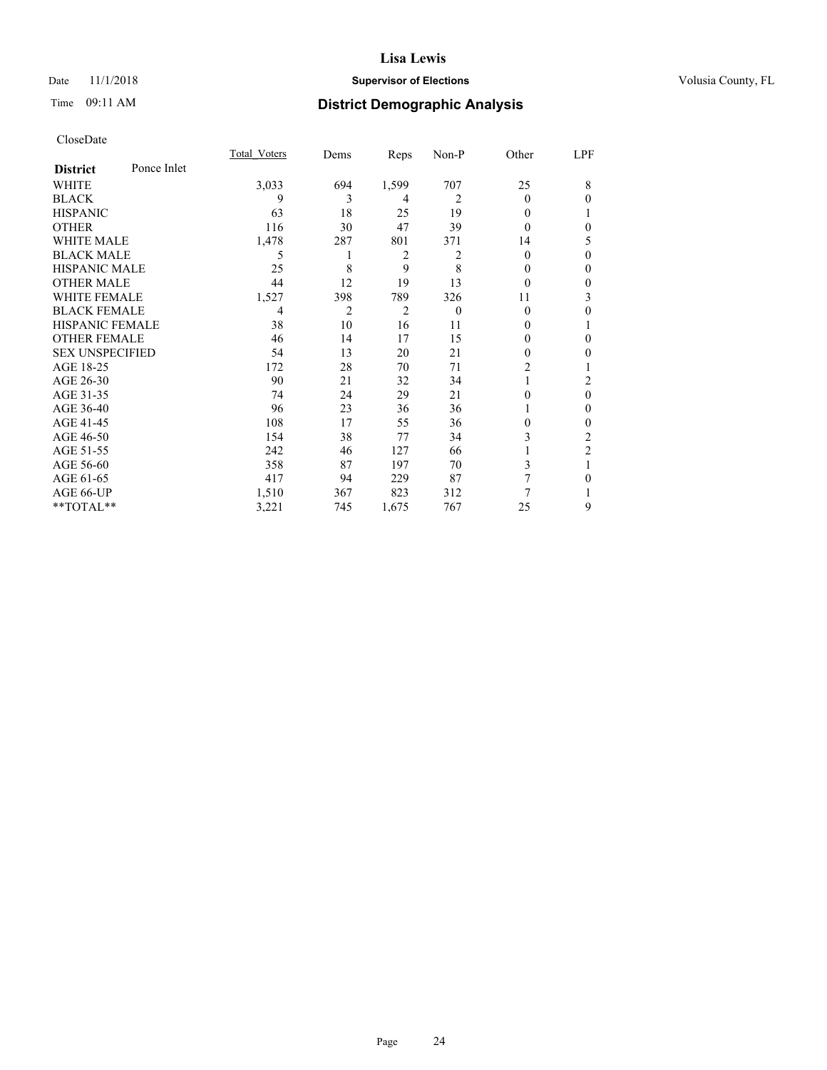## Date 11/1/2018 **Supervisor of Elections Supervisor of Elections** Volusia County, FL

# Time 09:11 AM **District Demographic Analysis**

|                        |             | Total Voters | Dems | Reps           | Non-P    | Other          | LPF            |
|------------------------|-------------|--------------|------|----------------|----------|----------------|----------------|
| <b>District</b>        | Ponce Inlet |              |      |                |          |                |                |
| WHITE                  |             | 3,033        | 694  | 1,599          | 707      | 25             | 8              |
| <b>BLACK</b>           |             | 9            | 3    | 4              | 2        | 0              | $\Omega$       |
| <b>HISPANIC</b>        |             | 63           | 18   | 25             | 19       | 0              |                |
| <b>OTHER</b>           |             | 116          | 30   | 47             | 39       | 0              | $\theta$       |
| WHITE MALE             |             | 1,478        | 287  | 801            | 371      | 14             | 5              |
| <b>BLACK MALE</b>      |             | 5            |      | $\overline{2}$ | 2        | 0              | $\theta$       |
| <b>HISPANIC MALE</b>   |             | 25           | 8    | 9              | 8        | 0              | $\theta$       |
| <b>OTHER MALE</b>      |             | 44           | 12   | 19             | 13       | 0              | $\mathbf{0}$   |
| <b>WHITE FEMALE</b>    |             | 1,527        | 398  | 789            | 326      | 11             | 3              |
| <b>BLACK FEMALE</b>    |             | 4            | 2    | $\overline{2}$ | $\theta$ | 0              | 0              |
| <b>HISPANIC FEMALE</b> |             | 38           | 10   | 16             | 11       | 0              |                |
| <b>OTHER FEMALE</b>    |             | 46           | 14   | 17             | 15       | 0              | $\theta$       |
| <b>SEX UNSPECIFIED</b> |             | 54           | 13   | 20             | 21       | 0              | $\theta$       |
| AGE 18-25              |             | 172          | 28   | 70             | 71       | $\overline{2}$ |                |
| AGE 26-30              |             | 90           | 21   | 32             | 34       |                | 2              |
| AGE 31-35              |             | 74           | 24   | 29             | 21       | 0              | $\mathbf{0}$   |
| AGE 36-40              |             | 96           | 23   | 36             | 36       |                | $\mathbf{0}$   |
| AGE 41-45              |             | 108          | 17   | 55             | 36       | 0              | $\theta$       |
| AGE 46-50              |             | 154          | 38   | 77             | 34       | 3              | 2              |
| AGE 51-55              |             | 242          | 46   | 127            | 66       |                | $\overline{2}$ |
| AGE 56-60              |             | 358          | 87   | 197            | 70       | 3              | 1              |
| AGE 61-65              |             | 417          | 94   | 229            | 87       | 7              | $\theta$       |
| AGE 66-UP              |             | 1,510        | 367  | 823            | 312      | 7              |                |
| **TOTAL**              |             | 3,221        | 745  | 1,675          | 767      | 25             | 9              |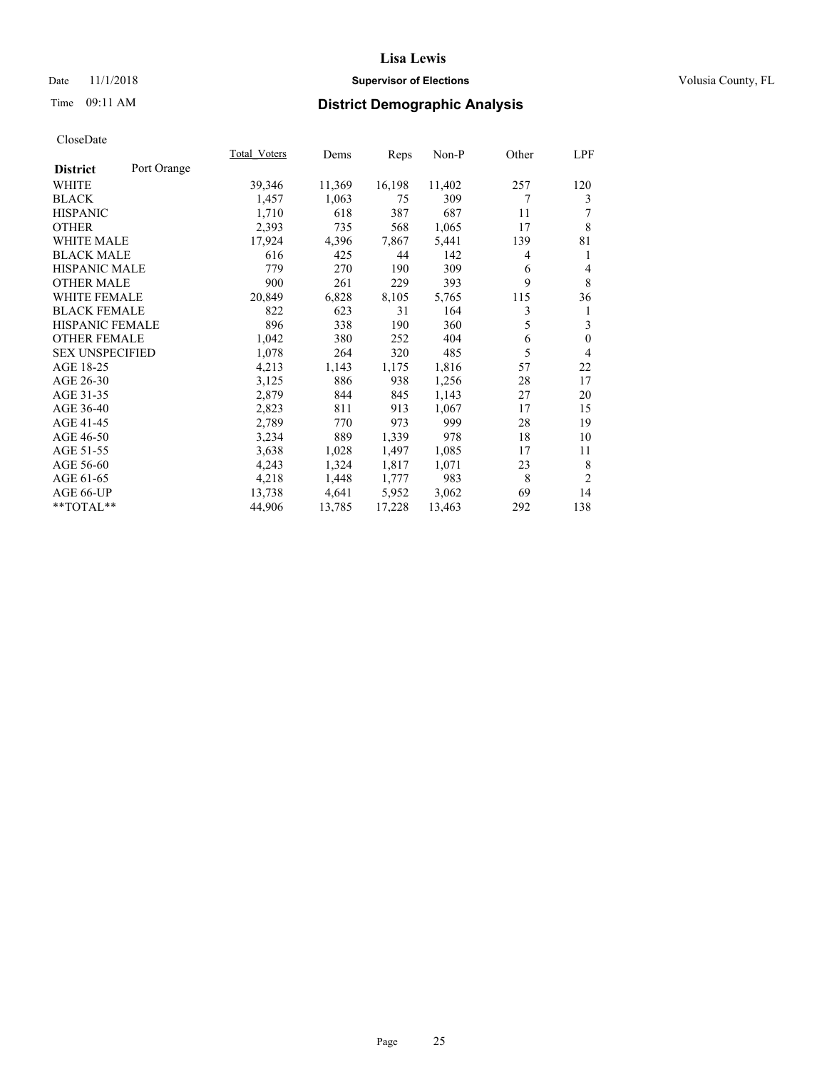## Date 11/1/2018 **Supervisor of Elections Supervisor of Elections** Volusia County, FL

# Time 09:11 AM **District Demographic Analysis**

|                        |             | Total Voters | Dems   | Reps   | Non-P  | Other | LPF      |
|------------------------|-------------|--------------|--------|--------|--------|-------|----------|
| <b>District</b>        | Port Orange |              |        |        |        |       |          |
| WHITE                  |             | 39,346       | 11,369 | 16,198 | 11,402 | 257   | 120      |
| <b>BLACK</b>           |             | 1,457        | 1,063  | 75     | 309    | 7     | 3        |
| <b>HISPANIC</b>        |             | 1,710        | 618    | 387    | 687    | 11    |          |
| <b>OTHER</b>           |             | 2,393        | 735    | 568    | 1,065  | 17    | 8        |
| <b>WHITE MALE</b>      |             | 17,924       | 4,396  | 7,867  | 5,441  | 139   | 81       |
| <b>BLACK MALE</b>      |             | 616          | 425    | 44     | 142    | 4     | 1        |
| <b>HISPANIC MALE</b>   |             | 779          | 270    | 190    | 309    | 6     | 4        |
| <b>OTHER MALE</b>      |             | 900          | 261    | 229    | 393    | 9     | 8        |
| <b>WHITE FEMALE</b>    |             | 20,849       | 6,828  | 8,105  | 5,765  | 115   | 36       |
| <b>BLACK FEMALE</b>    |             | 822          | 623    | 31     | 164    | 3     | 1        |
| HISPANIC FEMALE        |             | 896          | 338    | 190    | 360    | 5     | 3        |
| <b>OTHER FEMALE</b>    |             | 1,042        | 380    | 252    | 404    | 6     | $\theta$ |
| <b>SEX UNSPECIFIED</b> |             | 1,078        | 264    | 320    | 485    | 5     | 4        |
| AGE 18-25              |             | 4,213        | 1,143  | 1,175  | 1,816  | 57    | 22       |
| AGE 26-30              |             | 3,125        | 886    | 938    | 1,256  | 28    | 17       |
| AGE 31-35              |             | 2,879        | 844    | 845    | 1,143  | 27    | 20       |
| AGE 36-40              |             | 2,823        | 811    | 913    | 1,067  | 17    | 15       |
| AGE 41-45              |             | 2,789        | 770    | 973    | 999    | 28    | 19       |
| AGE 46-50              |             | 3,234        | 889    | 1,339  | 978    | 18    | 10       |
| AGE 51-55              |             | 3,638        | 1,028  | 1,497  | 1,085  | 17    | 11       |
| AGE 56-60              |             | 4,243        | 1,324  | 1,817  | 1,071  | 23    | 8        |
| AGE 61-65              |             | 4,218        | 1,448  | 1,777  | 983    | 8     | 2        |
| AGE 66-UP              |             | 13,738       | 4,641  | 5,952  | 3,062  | 69    | 14       |
| **TOTAL**              |             | 44,906       | 13,785 | 17,228 | 13,463 | 292   | 138      |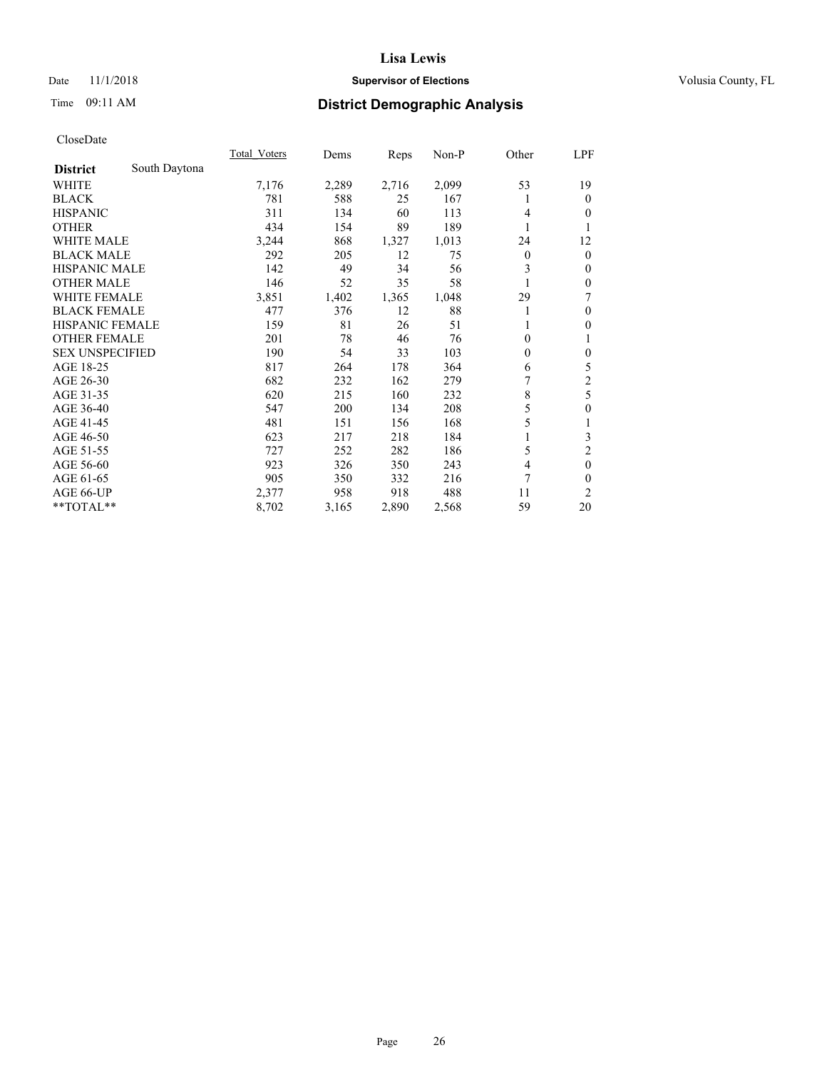## Date 11/1/2018 **Supervisor of Elections Supervisor of Elections** Volusia County, FL

# Time 09:11 AM **District Demographic Analysis**

|                        |               | Total Voters | Dems  | Reps  | Non-P | Other    | LPF            |
|------------------------|---------------|--------------|-------|-------|-------|----------|----------------|
| <b>District</b>        | South Daytona |              |       |       |       |          |                |
| WHITE                  |               | 7,176        | 2,289 | 2,716 | 2,099 | 53       | 19             |
| <b>BLACK</b>           |               | 781          | 588   | 25    | 167   |          | $\mathbf{0}$   |
| <b>HISPANIC</b>        |               | 311          | 134   | 60    | 113   | 4        | $\Omega$       |
| <b>OTHER</b>           |               | 434          | 154   | 89    | 189   |          | 1              |
| WHITE MALE             |               | 3,244        | 868   | 1,327 | 1,013 | 24       | 12             |
| <b>BLACK MALE</b>      |               | 292          | 205   | 12    | 75    | $\theta$ | $\mathbf{0}$   |
| <b>HISPANIC MALE</b>   |               | 142          | 49    | 34    | 56    | 3        | $\theta$       |
| <b>OTHER MALE</b>      |               | 146          | 52    | 35    | 58    |          | $\mathbf{0}$   |
| <b>WHITE FEMALE</b>    |               | 3,851        | 1,402 | 1,365 | 1,048 | 29       | 7              |
| <b>BLACK FEMALE</b>    |               | 477          | 376   | 12    | 88    |          | $\mathbf{0}$   |
| <b>HISPANIC FEMALE</b> |               | 159          | 81    | 26    | 51    |          | $\theta$       |
| <b>OTHER FEMALE</b>    |               | 201          | 78    | 46    | 76    | $\theta$ | 1              |
| <b>SEX UNSPECIFIED</b> |               | 190          | 54    | 33    | 103   | 0        | $\mathbf{0}$   |
| AGE 18-25              |               | 817          | 264   | 178   | 364   | 6        | 5              |
| AGE 26-30              |               | 682          | 232   | 162   | 279   | 7        | $\overline{c}$ |
| AGE 31-35              |               | 620          | 215   | 160   | 232   | 8        | 5              |
| AGE 36-40              |               | 547          | 200   | 134   | 208   | 5        | $\theta$       |
| AGE 41-45              |               | 481          | 151   | 156   | 168   | 5        | 1              |
| AGE 46-50              |               | 623          | 217   | 218   | 184   |          | 3              |
| AGE 51-55              |               | 727          | 252   | 282   | 186   | 5        | $\overline{c}$ |
| AGE 56-60              |               | 923          | 326   | 350   | 243   | 4        | $\mathbf{0}$   |
| AGE 61-65              |               | 905          | 350   | 332   | 216   | 7        | $\theta$       |
| AGE 66-UP              |               | 2,377        | 958   | 918   | 488   | 11       | 2              |
| **TOTAL**              |               | 8,702        | 3,165 | 2,890 | 2,568 | 59       | 20             |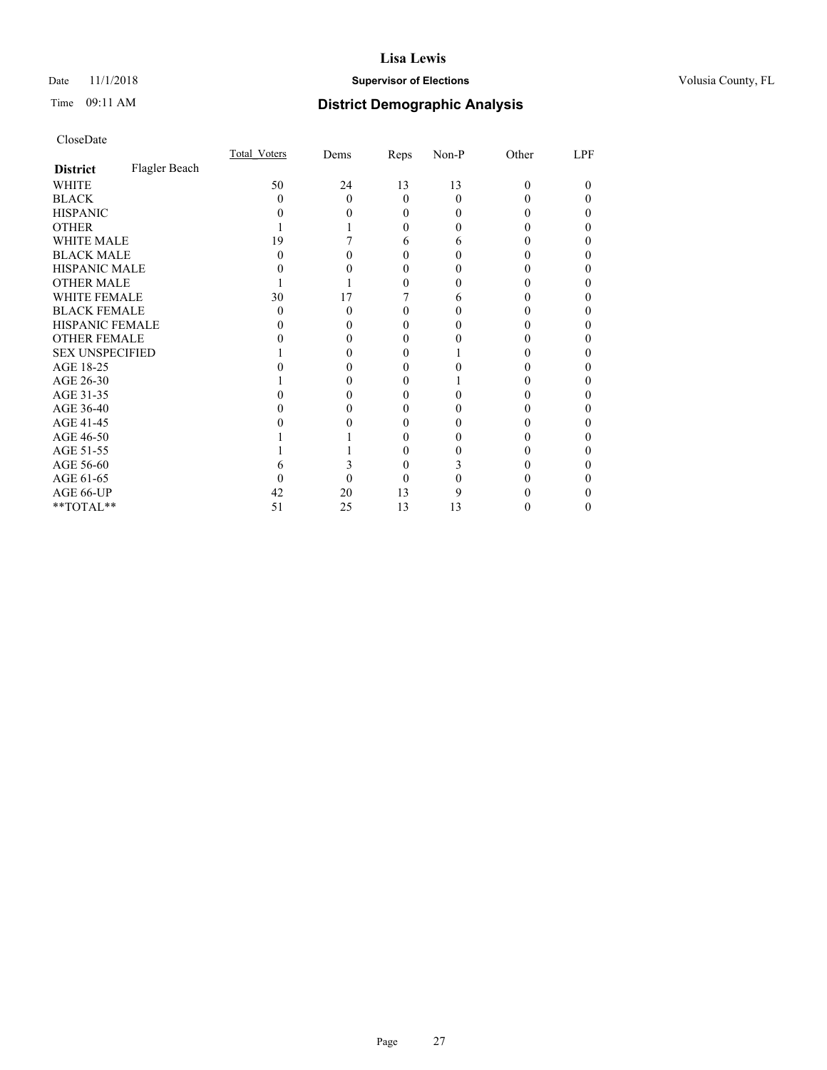## Date 11/1/2018 **Supervisor of Elections Supervisor of Elections** Volusia County, FL

# Time 09:11 AM **District Demographic Analysis**

|                        |               | Total Voters | Dems | Reps   | Non-P | Other | LPF |
|------------------------|---------------|--------------|------|--------|-------|-------|-----|
| <b>District</b>        | Flagler Beach |              |      |        |       |       |     |
| WHITE                  |               | 50           | 24   | 13     | 13    | 0     | 0   |
| <b>BLACK</b>           |               | $\mathbf{0}$ | 0    | 0      | 0     |       |     |
| <b>HISPANIC</b>        |               |              |      | 0      |       |       |     |
| <b>OTHER</b>           |               |              |      | 0      |       |       |     |
| WHITE MALE             |               | 19           |      | 6      | 6     |       |     |
| <b>BLACK MALE</b>      |               |              |      |        |       |       |     |
| <b>HISPANIC MALE</b>   |               |              |      |        |       |       |     |
| <b>OTHER MALE</b>      |               |              |      |        |       |       |     |
| <b>WHITE FEMALE</b>    |               | 30           | 17   |        |       |       |     |
| <b>BLACK FEMALE</b>    |               | 0            |      | $_{0}$ |       |       |     |
| <b>HISPANIC FEMALE</b> |               |              |      |        |       |       |     |
| OTHER FEMALE           |               |              |      | $_{0}$ |       |       |     |
| <b>SEX UNSPECIFIED</b> |               |              |      |        |       |       |     |
| AGE 18-25              |               |              |      |        |       |       |     |
| AGE 26-30              |               |              |      |        |       |       |     |
| AGE 31-35              |               |              |      |        |       |       |     |
| AGE 36-40              |               |              |      |        |       |       |     |
| AGE 41-45              |               |              |      |        |       |       |     |
| AGE 46-50              |               |              |      | 0      |       |       |     |
| AGE 51-55              |               |              |      |        |       |       |     |
| AGE 56-60              |               |              |      | 0      |       |       |     |
| AGE 61-65              |               |              |      |        |       |       |     |
| AGE 66-UP              |               | 42           | 20   | 13     |       |       |     |
| **TOTAL**              |               | 51           | 25   | 13     | 13    |       |     |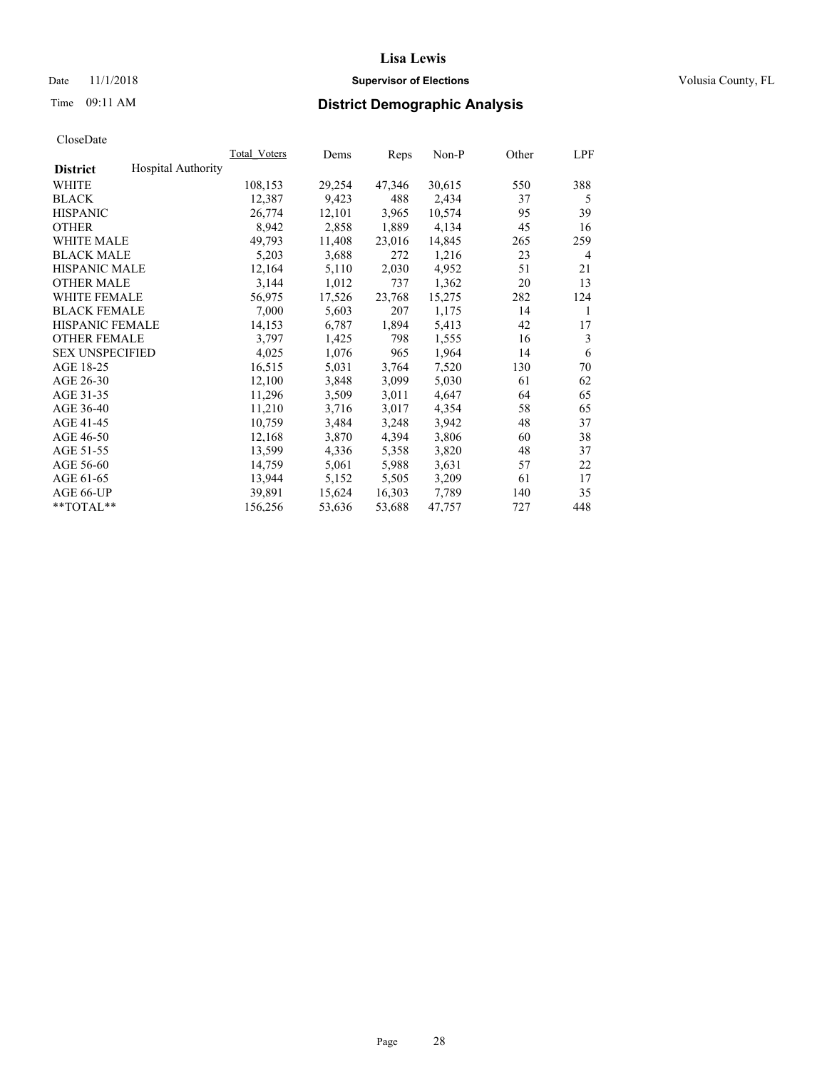## Date 11/1/2018 **Supervisor of Elections Supervisor of Elections** Volusia County, FL

| CloseDate |
|-----------|
|-----------|

|                        |                           | Total Voters | Dems   | Reps   | Non-P  | Other | LPF |
|------------------------|---------------------------|--------------|--------|--------|--------|-------|-----|
| <b>District</b>        | <b>Hospital Authority</b> |              |        |        |        |       |     |
| WHITE                  |                           | 108,153      | 29,254 | 47,346 | 30,615 | 550   | 388 |
| <b>BLACK</b>           |                           | 12,387       | 9,423  | 488    | 2,434  | 37    | 5   |
| <b>HISPANIC</b>        |                           | 26,774       | 12,101 | 3,965  | 10,574 | 95    | 39  |
| <b>OTHER</b>           |                           | 8,942        | 2,858  | 1,889  | 4,134  | 45    | 16  |
| <b>WHITE MALE</b>      |                           | 49,793       | 11,408 | 23,016 | 14,845 | 265   | 259 |
| <b>BLACK MALE</b>      |                           | 5,203        | 3,688  | 272    | 1,216  | 23    | 4   |
| <b>HISPANIC MALE</b>   |                           | 12,164       | 5,110  | 2,030  | 4,952  | 51    | 21  |
| <b>OTHER MALE</b>      |                           | 3,144        | 1,012  | 737    | 1,362  | 20    | 13  |
| <b>WHITE FEMALE</b>    |                           | 56,975       | 17,526 | 23,768 | 15,275 | 282   | 124 |
| <b>BLACK FEMALE</b>    |                           | 7,000        | 5,603  | 207    | 1,175  | 14    | 1   |
| <b>HISPANIC FEMALE</b> |                           | 14,153       | 6,787  | 1,894  | 5,413  | 42    | 17  |
| <b>OTHER FEMALE</b>    |                           | 3,797        | 1,425  | 798    | 1,555  | 16    | 3   |
| <b>SEX UNSPECIFIED</b> |                           | 4,025        | 1,076  | 965    | 1.964  | 14    | 6   |
| AGE 18-25              |                           | 16,515       | 5,031  | 3,764  | 7,520  | 130   | 70  |
| AGE 26-30              |                           | 12,100       | 3,848  | 3,099  | 5,030  | 61    | 62  |
| AGE 31-35              |                           | 11,296       | 3,509  | 3,011  | 4,647  | 64    | 65  |
| AGE 36-40              |                           | 11,210       | 3,716  | 3,017  | 4,354  | 58    | 65  |
| AGE 41-45              |                           | 10,759       | 3,484  | 3,248  | 3,942  | 48    | 37  |
| AGE 46-50              |                           | 12,168       | 3,870  | 4,394  | 3,806  | 60    | 38  |
| AGE 51-55              |                           | 13,599       | 4,336  | 5,358  | 3,820  | 48    | 37  |
| AGE 56-60              |                           | 14,759       | 5,061  | 5,988  | 3,631  | 57    | 22  |
| AGE 61-65              |                           | 13,944       | 5,152  | 5,505  | 3,209  | 61    | 17  |
| AGE 66-UP              |                           | 39,891       | 15,624 | 16,303 | 7,789  | 140   | 35  |
| $*$ $TOTAL**$          |                           | 156,256      | 53,636 | 53,688 | 47.757 | 727   | 448 |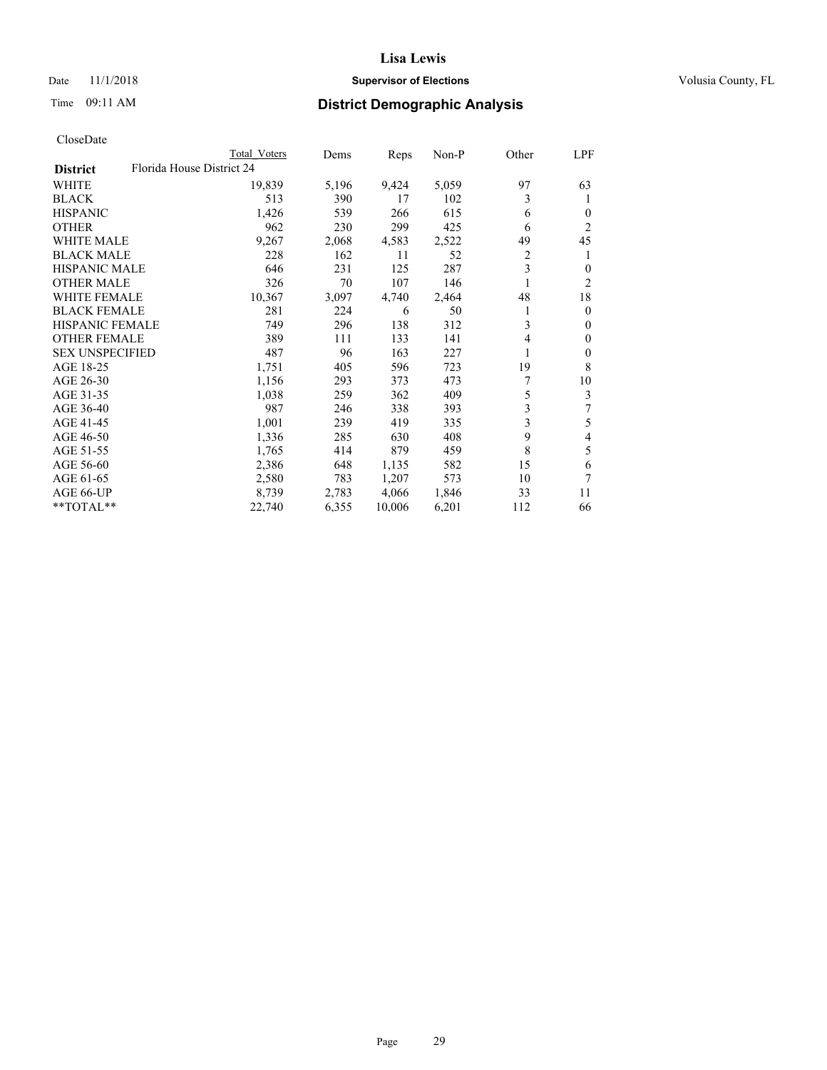## Date 11/1/2018 **Supervisor of Elections Supervisor of Elections** Volusia County, FL

| CloseDate |
|-----------|
|-----------|

|                                              | Total Voters | Dems  | Reps   | Non-P | Other | LPF            |
|----------------------------------------------|--------------|-------|--------|-------|-------|----------------|
| Florida House District 24<br><b>District</b> |              |       |        |       |       |                |
| WHITE                                        | 19,839       | 5,196 | 9,424  | 5,059 | 97    | 63             |
| <b>BLACK</b>                                 | 513          | 390   | 17     | 102   | 3     | 1              |
| <b>HISPANIC</b>                              | 1,426        | 539   | 266    | 615   | 6     | $\theta$       |
| <b>OTHER</b>                                 | 962          | 230   | 299    | 425   | 6     | 2              |
| <b>WHITE MALE</b>                            | 9,267        | 2,068 | 4,583  | 2,522 | 49    | 45             |
| <b>BLACK MALE</b>                            | 228          | 162   | 11     | 52    | 2     |                |
| <b>HISPANIC MALE</b>                         | 646          | 231   | 125    | 287   | 3     | 0              |
| <b>OTHER MALE</b>                            | 326          | 70    | 107    | 146   | 1     | 2              |
| <b>WHITE FEMALE</b>                          | 10,367       | 3,097 | 4,740  | 2,464 | 48    | 18             |
| <b>BLACK FEMALE</b>                          | 281          | 224   | 6      | 50    | 1     | $\Omega$       |
| <b>HISPANIC FEMALE</b>                       | 749          | 296   | 138    | 312   | 3     | 0              |
| <b>OTHER FEMALE</b>                          | 389          | 111   | 133    | 141   | 4     | 0              |
| <b>SEX UNSPECIFIED</b>                       | 487          | 96    | 163    | 227   | 1     | $\overline{0}$ |
| AGE 18-25                                    | 1,751        | 405   | 596    | 723   | 19    | 8              |
| AGE 26-30                                    | 1,156        | 293   | 373    | 473   | 7     | 10             |
| AGE 31-35                                    | 1,038        | 259   | 362    | 409   | 5     | 3              |
| AGE 36-40                                    | 987          | 246   | 338    | 393   | 3     | 7              |
| AGE 41-45                                    | 1,001        | 239   | 419    | 335   | 3     | 5              |
| AGE 46-50                                    | 1,336        | 285   | 630    | 408   | 9     | 4              |
| AGE 51-55                                    | 1,765        | 414   | 879    | 459   | 8     | 5              |
| AGE 56-60                                    | 2,386        | 648   | 1,135  | 582   | 15    | 6              |
| AGE 61-65                                    | 2,580        | 783   | 1,207  | 573   | 10    | 7              |
| AGE 66-UP                                    | 8,739        | 2,783 | 4,066  | 1,846 | 33    | 11             |
| **TOTAL**                                    | 22,740       | 6,355 | 10,006 | 6,201 | 112   | 66             |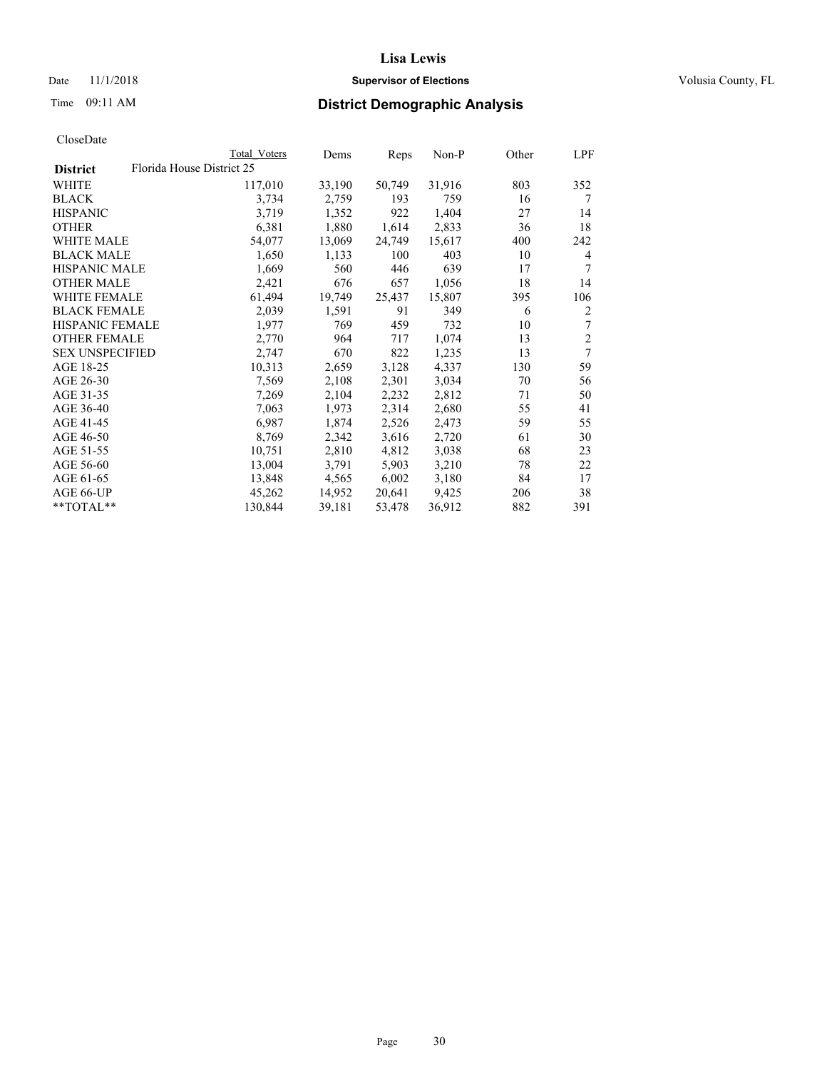## Date 11/1/2018 **Supervisor of Elections Supervisor of Elections** Volusia County, FL

|                        |                           | Total Voters | Dems   | Reps   | $Non-P$ | Other | LPF            |
|------------------------|---------------------------|--------------|--------|--------|---------|-------|----------------|
| <b>District</b>        | Florida House District 25 |              |        |        |         |       |                |
| WHITE                  |                           | 117,010      | 33,190 | 50,749 | 31,916  | 803   | 352            |
| <b>BLACK</b>           |                           | 3,734        | 2,759  | 193    | 759     | 16    | 7              |
| <b>HISPANIC</b>        |                           | 3,719        | 1,352  | 922    | 1,404   | 27    | 14             |
| <b>OTHER</b>           |                           | 6,381        | 1,880  | 1,614  | 2,833   | 36    | 18             |
| <b>WHITE MALE</b>      |                           | 54,077       | 13,069 | 24,749 | 15,617  | 400   | 242            |
| <b>BLACK MALE</b>      |                           | 1,650        | 1,133  | 100    | 403     | 10    | 4              |
| <b>HISPANIC MALE</b>   |                           | 1,669        | 560    | 446    | 639     | 17    | 7              |
| <b>OTHER MALE</b>      |                           | 2,421        | 676    | 657    | 1,056   | 18    | 14             |
| <b>WHITE FEMALE</b>    |                           | 61,494       | 19,749 | 25,437 | 15,807  | 395   | 106            |
| <b>BLACK FEMALE</b>    |                           | 2,039        | 1,591  | 91     | 349     | 6     | 2              |
| HISPANIC FEMALE        |                           | 1,977        | 769    | 459    | 732     | 10    | 7              |
| <b>OTHER FEMALE</b>    |                           | 2,770        | 964    | 717    | 1,074   | 13    | $\overline{2}$ |
| <b>SEX UNSPECIFIED</b> |                           | 2.747        | 670    | 822    | 1,235   | 13    | 7              |
| AGE 18-25              |                           | 10,313       | 2,659  | 3,128  | 4,337   | 130   | 59             |
| AGE 26-30              |                           | 7,569        | 2,108  | 2,301  | 3,034   | 70    | 56             |
| AGE 31-35              |                           | 7,269        | 2,104  | 2,232  | 2,812   | 71    | 50             |
| AGE 36-40              |                           | 7,063        | 1,973  | 2,314  | 2,680   | 55    | 41             |
| AGE 41-45              |                           | 6,987        | 1,874  | 2,526  | 2,473   | 59    | 55             |
| AGE 46-50              |                           | 8,769        | 2,342  | 3,616  | 2,720   | 61    | 30             |
| AGE 51-55              |                           | 10,751       | 2,810  | 4,812  | 3,038   | 68    | 23             |
| AGE 56-60              |                           | 13,004       | 3,791  | 5,903  | 3,210   | 78    | 22             |
| AGE 61-65              |                           | 13,848       | 4,565  | 6,002  | 3,180   | 84    | 17             |
| AGE 66-UP              |                           | 45,262       | 14,952 | 20,641 | 9,425   | 206   | 38             |
| **TOTAL**              |                           | 130,844      | 39,181 | 53,478 | 36,912  | 882   | 391            |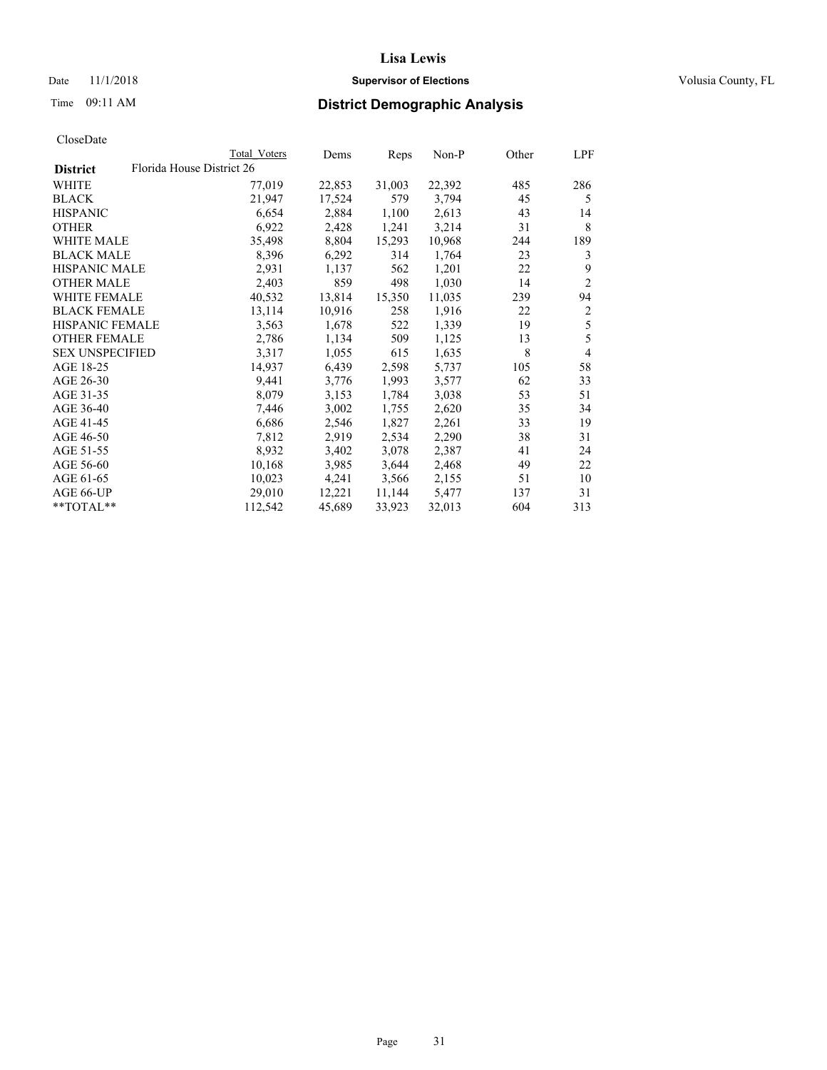## Date 11/1/2018 **Supervisor of Elections Supervisor of Elections** Volusia County, FL

|                        | Total Voters              | Dems   | Reps   | Non-P  | Other | LPF            |
|------------------------|---------------------------|--------|--------|--------|-------|----------------|
| <b>District</b>        | Florida House District 26 |        |        |        |       |                |
| WHITE                  | 77,019                    | 22,853 | 31,003 | 22,392 | 485   | 286            |
| BLACK                  | 21,947                    | 17,524 | 579    | 3,794  | 45    | 5              |
| HISPANIC               | 6,654                     | 2,884  | 1,100  | 2,613  | 43    | 14             |
| OTHER                  | 6,922                     | 2,428  | 1,241  | 3,214  | 31    | 8              |
| WHITE MALE             | 35,498                    | 8,804  | 15,293 | 10,968 | 244   | 189            |
| BLACK MALE             | 8,396                     | 6,292  | 314    | 1,764  | 23    | 3              |
| HISPANIC MALE          | 2,931                     | 1,137  | 562    | 1,201  | 22    | 9              |
| OTHER MALE             | 2,403                     | 859    | 498    | 1,030  | 14    | $\overline{2}$ |
| WHITE FEMALE           | 40,532                    | 13,814 | 15,350 | 11,035 | 239   | 94             |
| BLACK FEMALE           | 13,114                    | 10,916 | 258    | 1,916  | 22    | 2              |
| HISPANIC FEMALE        | 3,563                     | 1,678  | 522    | 1,339  | 19    | 5              |
| OTHER FEMALE           | 2,786                     | 1,134  | 509    | 1,125  | 13    | 5              |
| <b>SEX UNSPECIFIED</b> | 3,317                     | 1,055  | 615    | 1,635  | 8     | $\overline{4}$ |
| AGE 18-25              | 14,937                    | 6,439  | 2,598  | 5,737  | 105   | 58             |
| AGE 26-30              | 9,441                     | 3,776  | 1,993  | 3,577  | 62    | 33             |
| AGE 31-35              | 8,079                     | 3,153  | 1,784  | 3,038  | 53    | 51             |
| AGE 36-40              | 7,446                     | 3,002  | 1,755  | 2,620  | 35    | 34             |
| AGE 41-45              | 6,686                     | 2,546  | 1,827  | 2,261  | 33    | 19             |
| AGE 46-50              | 7,812                     | 2,919  | 2,534  | 2,290  | 38    | 31             |
| AGE 51-55              | 8,932                     | 3,402  | 3,078  | 2,387  | 41    | 24             |
| AGE 56-60              | 10,168                    | 3,985  | 3,644  | 2,468  | 49    | 22             |
| AGE 61-65              | 10,023                    | 4,241  | 3,566  | 2,155  | 51    | 10             |
| AGE 66-UP              | 29,010                    | 12,221 | 11,144 | 5,477  | 137   | 31             |
| **TOTAL**              | 112,542                   | 45,689 | 33,923 | 32,013 | 604   | 313            |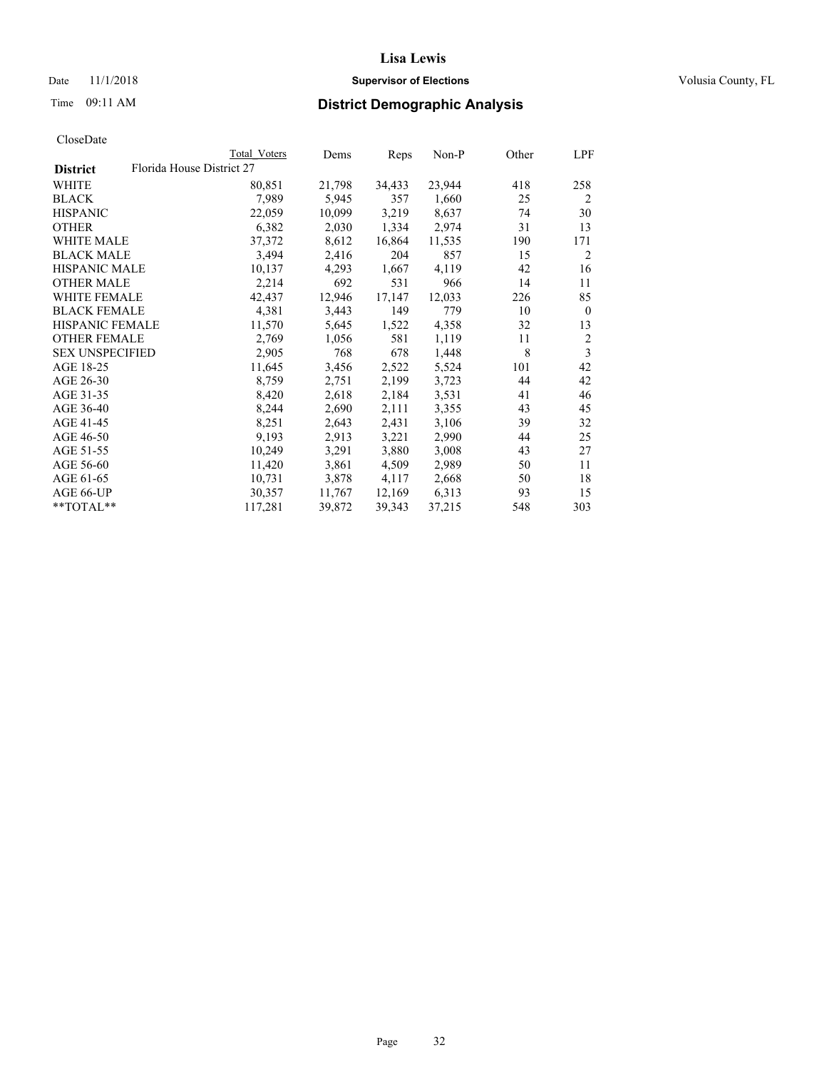## Date 11/1/2018 **Supervisor of Elections Supervisor of Elections** Volusia County, FL

|                        |                           | Total Voters | Dems   | Reps   | Non-P  | Other | LPF            |
|------------------------|---------------------------|--------------|--------|--------|--------|-------|----------------|
| <b>District</b>        | Florida House District 27 |              |        |        |        |       |                |
| WHITE                  |                           | 80,851       | 21,798 | 34,433 | 23,944 | 418   | 258            |
| <b>BLACK</b>           |                           | 7,989        | 5,945  | 357    | 1,660  | 25    | $\overline{2}$ |
| <b>HISPANIC</b>        |                           | 22,059       | 10,099 | 3,219  | 8,637  | 74    | 30             |
| <b>OTHER</b>           |                           | 6,382        | 2,030  | 1,334  | 2,974  | 31    | 13             |
| WHITE MALE             |                           | 37,372       | 8,612  | 16,864 | 11,535 | 190   | 171            |
| <b>BLACK MALE</b>      |                           | 3,494        | 2,416  | 204    | 857    | 15    | 2              |
| <b>HISPANIC MALE</b>   |                           | 10,137       | 4,293  | 1,667  | 4,119  | 42    | 16             |
| <b>OTHER MALE</b>      |                           | 2,214        | 692    | 531    | 966    | 14    | 11             |
| <b>WHITE FEMALE</b>    |                           | 42,437       | 12,946 | 17,147 | 12,033 | 226   | 85             |
| <b>BLACK FEMALE</b>    |                           | 4,381        | 3,443  | 149    | 779    | 10    | $\theta$       |
| <b>HISPANIC FEMALE</b> |                           | 11,570       | 5,645  | 1,522  | 4,358  | 32    | 13             |
| <b>OTHER FEMALE</b>    |                           | 2,769        | 1,056  | 581    | 1,119  | 11    | 2              |
| <b>SEX UNSPECIFIED</b> |                           | 2,905        | 768    | 678    | 1,448  | 8     | 3              |
| AGE 18-25              |                           | 11,645       | 3,456  | 2,522  | 5,524  | 101   | 42             |
| AGE 26-30              |                           | 8,759        | 2,751  | 2,199  | 3,723  | 44    | 42             |
| AGE 31-35              |                           | 8,420        | 2,618  | 2,184  | 3,531  | 41    | 46             |
| AGE 36-40              |                           | 8,244        | 2,690  | 2,111  | 3,355  | 43    | 45             |
| AGE 41-45              |                           | 8,251        | 2,643  | 2,431  | 3,106  | 39    | 32             |
| AGE 46-50              |                           | 9,193        | 2,913  | 3,221  | 2,990  | 44    | 25             |
| AGE 51-55              |                           | 10,249       | 3,291  | 3,880  | 3,008  | 43    | 27             |
| AGE 56-60              |                           | 11,420       | 3,861  | 4,509  | 2,989  | 50    | 11             |
| AGE 61-65              |                           | 10,731       | 3,878  | 4,117  | 2,668  | 50    | 18             |
| AGE 66-UP              |                           | 30,357       | 11,767 | 12,169 | 6,313  | 93    | 15             |
| **TOTAL**              |                           | 117,281      | 39,872 | 39,343 | 37,215 | 548   | 303            |
|                        |                           |              |        |        |        |       |                |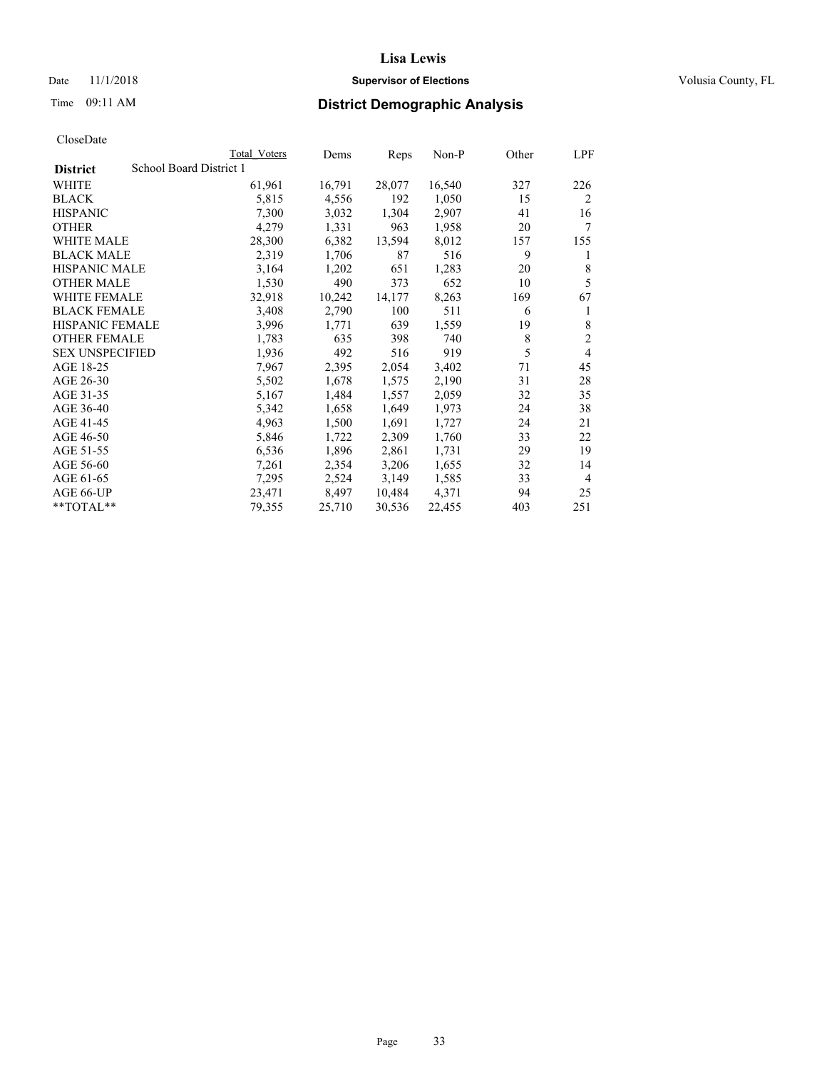## Date 11/1/2018 **Supervisor of Elections Supervisor of Elections** Volusia County, FL

# Time 09:11 AM **District Demographic Analysis**

|                        | Total Voters            | Dems   | Reps   | Non-P  | Other | LPF            |
|------------------------|-------------------------|--------|--------|--------|-------|----------------|
| <b>District</b>        | School Board District 1 |        |        |        |       |                |
| WHITE                  | 61,961                  | 16,791 | 28,077 | 16,540 | 327   | 226            |
| <b>BLACK</b>           | 5,815                   | 4,556  | 192    | 1,050  | 15    | $\overline{2}$ |
| <b>HISPANIC</b>        | 7,300                   | 3,032  | 1,304  | 2,907  | 41    | 16             |
| <b>OTHER</b>           | 4,279                   | 1,331  | 963    | 1,958  | 20    | 7              |
| WHITE MALE             | 28,300                  | 6,382  | 13,594 | 8,012  | 157   | 155            |
| <b>BLACK MALE</b>      | 2,319                   | 1,706  | 87     | 516    | 9     | 1              |
| <b>HISPANIC MALE</b>   | 3,164                   | 1,202  | 651    | 1,283  | 20    | 8              |
| <b>OTHER MALE</b>      | 1,530                   | 490    | 373    | 652    | 10    | 5              |
| WHITE FEMALE           | 32,918                  | 10,242 | 14,177 | 8,263  | 169   | 67             |
| <b>BLACK FEMALE</b>    | 3,408                   | 2,790  | 100    | 511    | 6     | 1              |
| <b>HISPANIC FEMALE</b> | 3,996                   | 1,771  | 639    | 1,559  | 19    | 8              |
| <b>OTHER FEMALE</b>    | 1,783                   | 635    | 398    | 740    | 8     | $\mathfrak{2}$ |
| <b>SEX UNSPECIFIED</b> | 1,936                   | 492    | 516    | 919    | 5     | 4              |
| AGE 18-25              | 7,967                   | 2,395  | 2,054  | 3,402  | 71    | 45             |
| AGE 26-30              | 5,502                   | 1,678  | 1,575  | 2,190  | 31    | 28             |
| AGE 31-35              | 5,167                   | 1,484  | 1,557  | 2,059  | 32    | 35             |
| AGE 36-40              | 5,342                   | 1,658  | 1,649  | 1,973  | 24    | 38             |
| AGE 41-45              | 4,963                   | 1,500  | 1,691  | 1,727  | 24    | 21             |
| AGE 46-50              | 5,846                   | 1,722  | 2,309  | 1,760  | 33    | 22             |
| AGE 51-55              | 6,536                   | 1,896  | 2,861  | 1,731  | 29    | 19             |
| AGE 56-60              | 7,261                   | 2,354  | 3,206  | 1,655  | 32    | 14             |
| AGE 61-65              | 7,295                   | 2,524  | 3,149  | 1,585  | 33    | $\overline{4}$ |
| AGE 66-UP              | 23,471                  | 8,497  | 10,484 | 4,371  | 94    | 25             |
| $*$ $TOTAL**$          | 79,355                  | 25,710 | 30,536 | 22,455 | 403   | 251            |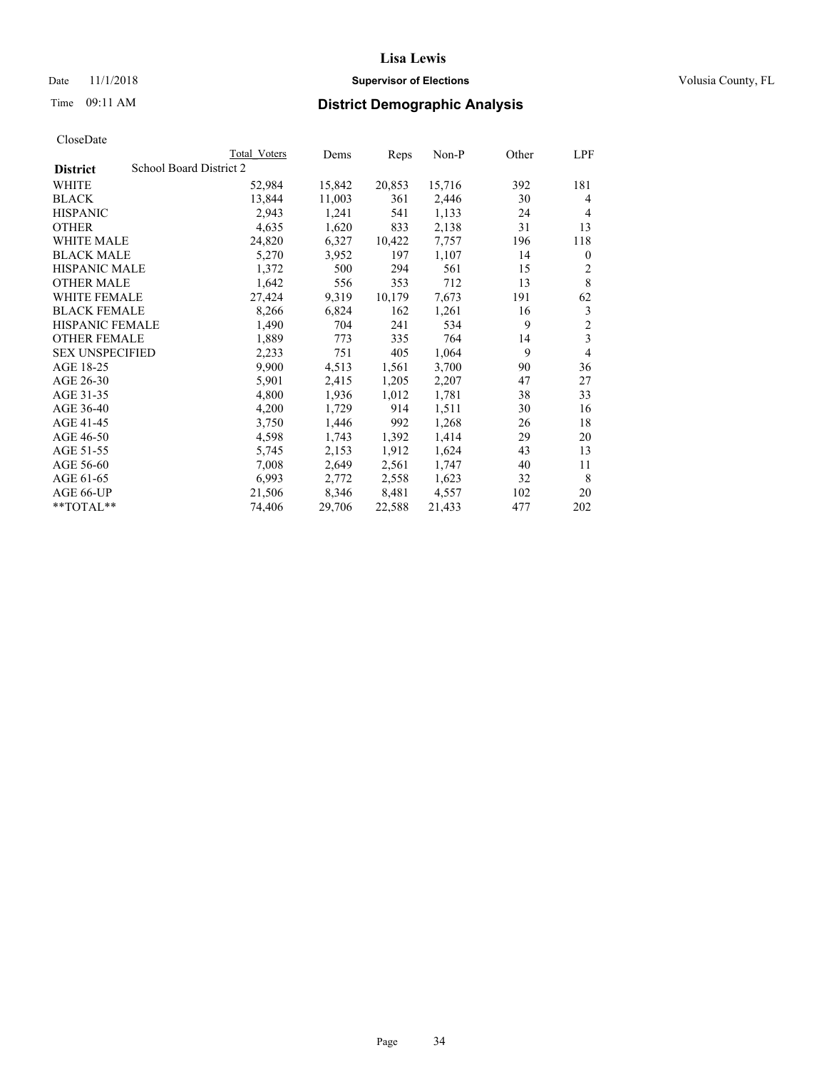## Date 11/1/2018 **Supervisor of Elections Supervisor of Elections** Volusia County, FL

# Time 09:11 AM **District Demographic Analysis**

|                        | Total Voters            | Dems   | Reps   | Non-P  | Other | LPF            |
|------------------------|-------------------------|--------|--------|--------|-------|----------------|
| <b>District</b>        | School Board District 2 |        |        |        |       |                |
| WHITE                  | 52,984                  | 15,842 | 20,853 | 15,716 | 392   | 181            |
| <b>BLACK</b>           | 13,844                  | 11,003 | 361    | 2,446  | 30    | 4              |
| <b>HISPANIC</b>        | 2,943                   | 1,241  | 541    | 1,133  | 24    | 4              |
| <b>OTHER</b>           | 4,635                   | 1,620  | 833    | 2,138  | 31    | 13             |
| WHITE MALE             | 24,820                  | 6,327  | 10,422 | 7,757  | 196   | 118            |
| <b>BLACK MALE</b>      | 5,270                   | 3,952  | 197    | 1,107  | 14    | $\theta$       |
| <b>HISPANIC MALE</b>   | 1,372                   | 500    | 294    | 561    | 15    | 2              |
| <b>OTHER MALE</b>      | 1,642                   | 556    | 353    | 712    | 13    | 8              |
| <b>WHITE FEMALE</b>    | 27,424                  | 9,319  | 10,179 | 7,673  | 191   | 62             |
| <b>BLACK FEMALE</b>    | 8,266                   | 6,824  | 162    | 1,261  | 16    | 3              |
| <b>HISPANIC FEMALE</b> | 1,490                   | 704    | 241    | 534    | 9     | $\overline{2}$ |
| <b>OTHER FEMALE</b>    | 1,889                   | 773    | 335    | 764    | 14    | 3              |
| <b>SEX UNSPECIFIED</b> | 2,233                   | 751    | 405    | 1,064  | 9     | 4              |
| AGE 18-25              | 9,900                   | 4,513  | 1,561  | 3,700  | 90    | 36             |
| AGE 26-30              | 5,901                   | 2,415  | 1,205  | 2,207  | 47    | 27             |
| AGE 31-35              | 4,800                   | 1,936  | 1,012  | 1,781  | 38    | 33             |
| AGE 36-40              | 4,200                   | 1,729  | 914    | 1,511  | 30    | 16             |
| AGE 41-45              | 3,750                   | 1,446  | 992    | 1,268  | 26    | 18             |
| AGE 46-50              | 4,598                   | 1,743  | 1,392  | 1,414  | 29    | 20             |
| AGE 51-55              | 5,745                   | 2,153  | 1,912  | 1,624  | 43    | 13             |
| AGE 56-60              | 7,008                   | 2,649  | 2,561  | 1,747  | 40    | 11             |
| AGE 61-65              | 6,993                   | 2,772  | 2,558  | 1,623  | 32    | 8              |
| AGE 66-UP              | 21,506                  | 8,346  | 8,481  | 4,557  | 102   | 20             |
| $*$ TOTAL $*$          | 74,406                  | 29,706 | 22,588 | 21,433 | 477   | 202            |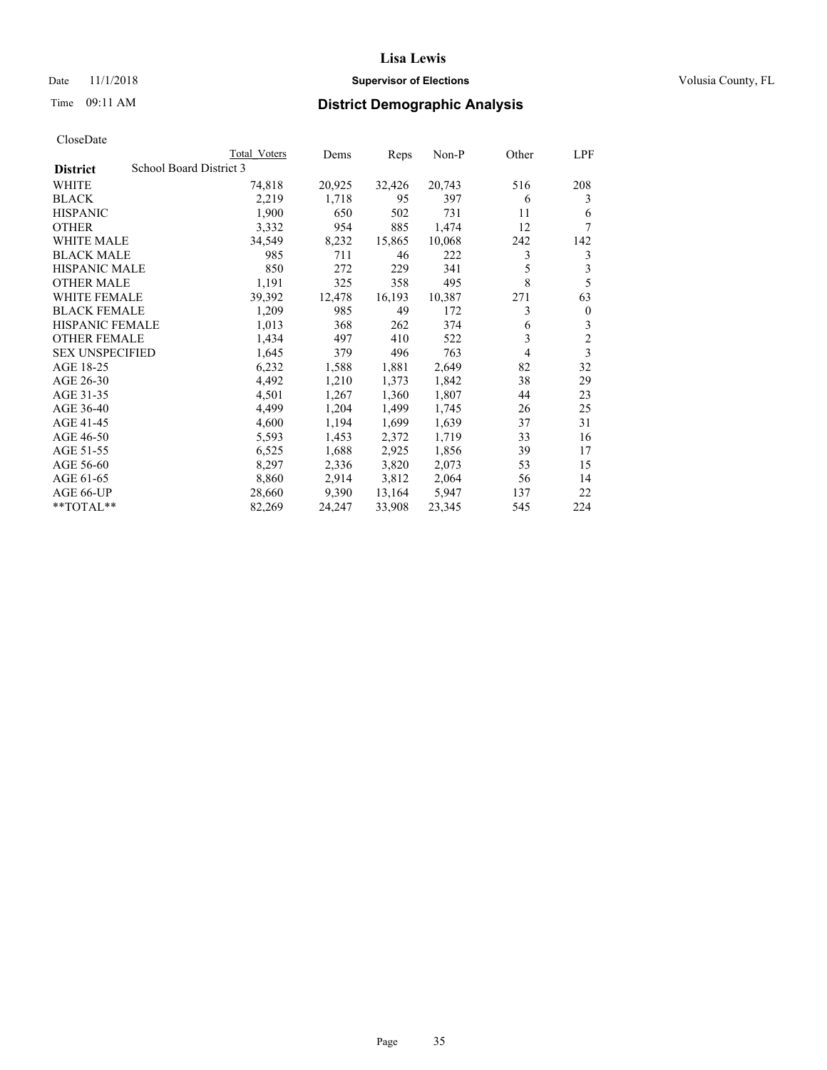## Date 11/1/2018 **Supervisor of Elections Supervisor of Elections** Volusia County, FL

# Time 09:11 AM **District Demographic Analysis**

|                        | Total Voters            | Dems   | Reps   | Non-P  | Other | LPF            |
|------------------------|-------------------------|--------|--------|--------|-------|----------------|
| <b>District</b>        | School Board District 3 |        |        |        |       |                |
| WHITE                  | 74,818                  | 20,925 | 32,426 | 20,743 | 516   | 208            |
| <b>BLACK</b>           | 2,219                   | 1,718  | 95     | 397    | 6     | 3              |
| <b>HISPANIC</b>        | 1,900                   | 650    | 502    | 731    | 11    | 6              |
| <b>OTHER</b>           | 3,332                   | 954    | 885    | 1,474  | 12    | 7              |
| WHITE MALE             | 34,549                  | 8,232  | 15,865 | 10,068 | 242   | 142            |
| <b>BLACK MALE</b>      | 985                     | 711    | 46     | 222    | 3     | 3              |
| <b>HISPANIC MALE</b>   | 850                     | 272    | 229    | 341    | 5     | 3              |
| <b>OTHER MALE</b>      | 1,191                   | 325    | 358    | 495    | 8     | 5              |
| WHITE FEMALE           | 39,392                  | 12,478 | 16,193 | 10,387 | 271   | 63             |
| <b>BLACK FEMALE</b>    | 1,209                   | 985    | 49     | 172    | 3     | $\mathbf{0}$   |
| <b>HISPANIC FEMALE</b> | 1,013                   | 368    | 262    | 374    | 6     | 3              |
| <b>OTHER FEMALE</b>    | 1,434                   | 497    | 410    | 522    | 3     | $\overline{c}$ |
| <b>SEX UNSPECIFIED</b> | 1,645                   | 379    | 496    | 763    | 4     | 3              |
| AGE 18-25              | 6,232                   | 1,588  | 1,881  | 2,649  | 82    | 32             |
| AGE 26-30              | 4,492                   | 1,210  | 1,373  | 1,842  | 38    | 29             |
| AGE 31-35              | 4,501                   | 1,267  | 1,360  | 1,807  | 44    | 23             |
| AGE 36-40              | 4,499                   | 1,204  | 1,499  | 1,745  | 26    | 25             |
| AGE 41-45              | 4,600                   | 1,194  | 1,699  | 1,639  | 37    | 31             |
| AGE 46-50              | 5,593                   | 1,453  | 2,372  | 1,719  | 33    | 16             |
| AGE 51-55              | 6,525                   | 1,688  | 2,925  | 1,856  | 39    | 17             |
| AGE 56-60              | 8,297                   | 2,336  | 3,820  | 2,073  | 53    | 15             |
| AGE 61-65              | 8,860                   | 2,914  | 3,812  | 2,064  | 56    | 14             |
| AGE 66-UP              | 28,660                  | 9,390  | 13,164 | 5,947  | 137   | 22             |
| $*$ $TOTAL**$          | 82,269                  | 24,247 | 33,908 | 23,345 | 545   | 224            |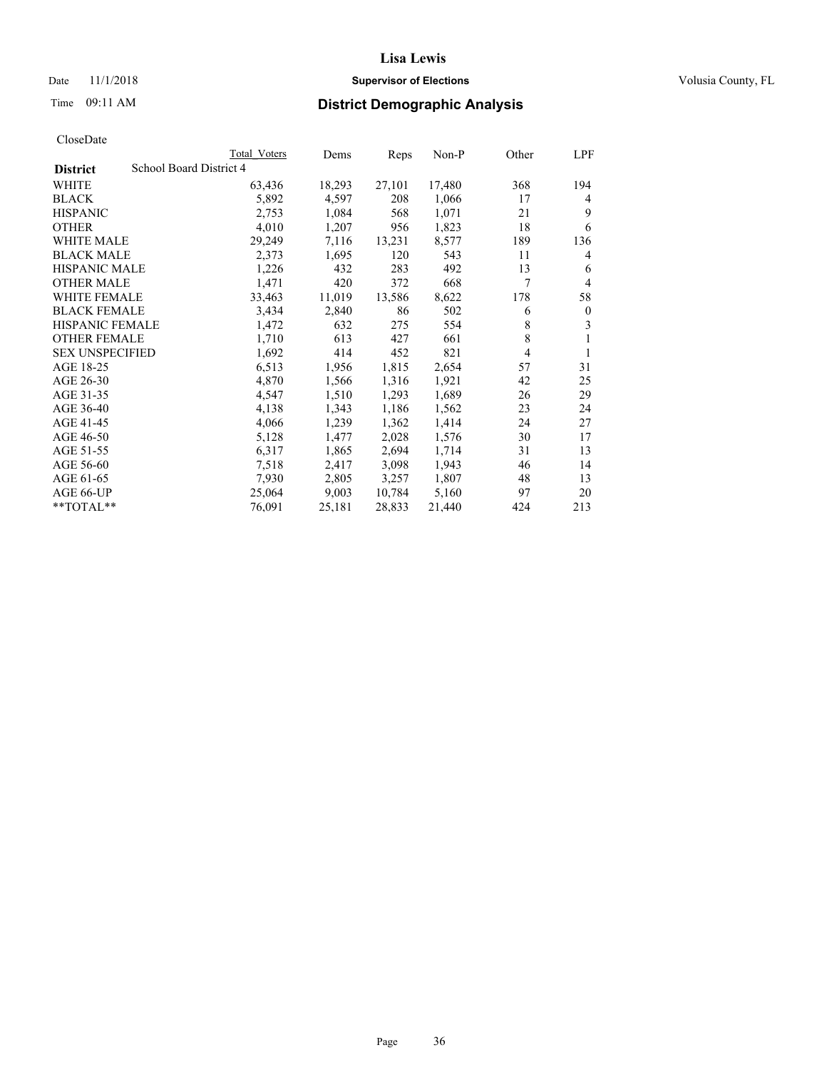## Date 11/1/2018 **Supervisor of Elections Supervisor of Elections** Volusia County, FL

# Time 09:11 AM **District Demographic Analysis**

|                        |                         | Total Voters | Dems   | Reps   | $Non-P$ | Other | LPF          |
|------------------------|-------------------------|--------------|--------|--------|---------|-------|--------------|
| <b>District</b>        | School Board District 4 |              |        |        |         |       |              |
| WHITE                  |                         | 63,436       | 18,293 | 27,101 | 17,480  | 368   | 194          |
| <b>BLACK</b>           |                         | 5,892        | 4,597  | 208    | 1,066   | 17    | 4            |
| <b>HISPANIC</b>        |                         | 2,753        | 1,084  | 568    | 1,071   | 21    | 9            |
| <b>OTHER</b>           |                         | 4,010        | 1,207  | 956    | 1,823   | 18    | 6            |
| WHITE MALE             |                         | 29,249       | 7,116  | 13,231 | 8,577   | 189   | 136          |
| <b>BLACK MALE</b>      |                         | 2,373        | 1,695  | 120    | 543     | 11    | 4            |
| <b>HISPANIC MALE</b>   |                         | 1,226        | 432    | 283    | 492     | 13    | 6            |
| <b>OTHER MALE</b>      |                         | 1,471        | 420    | 372    | 668     | 7     | 4            |
| <b>WHITE FEMALE</b>    |                         | 33,463       | 11,019 | 13,586 | 8,622   | 178   | 58           |
| <b>BLACK FEMALE</b>    |                         | 3,434        | 2,840  | 86     | 502     | 6     | $\mathbf{0}$ |
| HISPANIC FEMALE        |                         | 1,472        | 632    | 275    | 554     | 8     | 3            |
| <b>OTHER FEMALE</b>    |                         | 1,710        | 613    | 427    | 661     | 8     | 1            |
| <b>SEX UNSPECIFIED</b> |                         | 1,692        | 414    | 452    | 821     | 4     | 1            |
| AGE 18-25              |                         | 6,513        | 1,956  | 1,815  | 2,654   | 57    | 31           |
| AGE 26-30              |                         | 4,870        | 1,566  | 1,316  | 1,921   | 42    | 25           |
| AGE 31-35              |                         | 4,547        | 1,510  | 1,293  | 1,689   | 26    | 29           |
| AGE 36-40              |                         | 4,138        | 1,343  | 1,186  | 1,562   | 23    | 24           |
| AGE 41-45              |                         | 4,066        | 1,239  | 1,362  | 1,414   | 24    | 27           |
| AGE 46-50              |                         | 5,128        | 1,477  | 2,028  | 1,576   | 30    | 17           |
| AGE 51-55              |                         | 6,317        | 1,865  | 2,694  | 1,714   | 31    | 13           |
| AGE 56-60              |                         | 7,518        | 2,417  | 3,098  | 1,943   | 46    | 14           |
| AGE 61-65              |                         | 7,930        | 2,805  | 3,257  | 1,807   | 48    | 13           |
| AGE 66-UP              |                         | 25,064       | 9,003  | 10,784 | 5,160   | 97    | 20           |
| $*$ TOTAL $*$          |                         | 76,091       | 25,181 | 28,833 | 21,440  | 424   | 213          |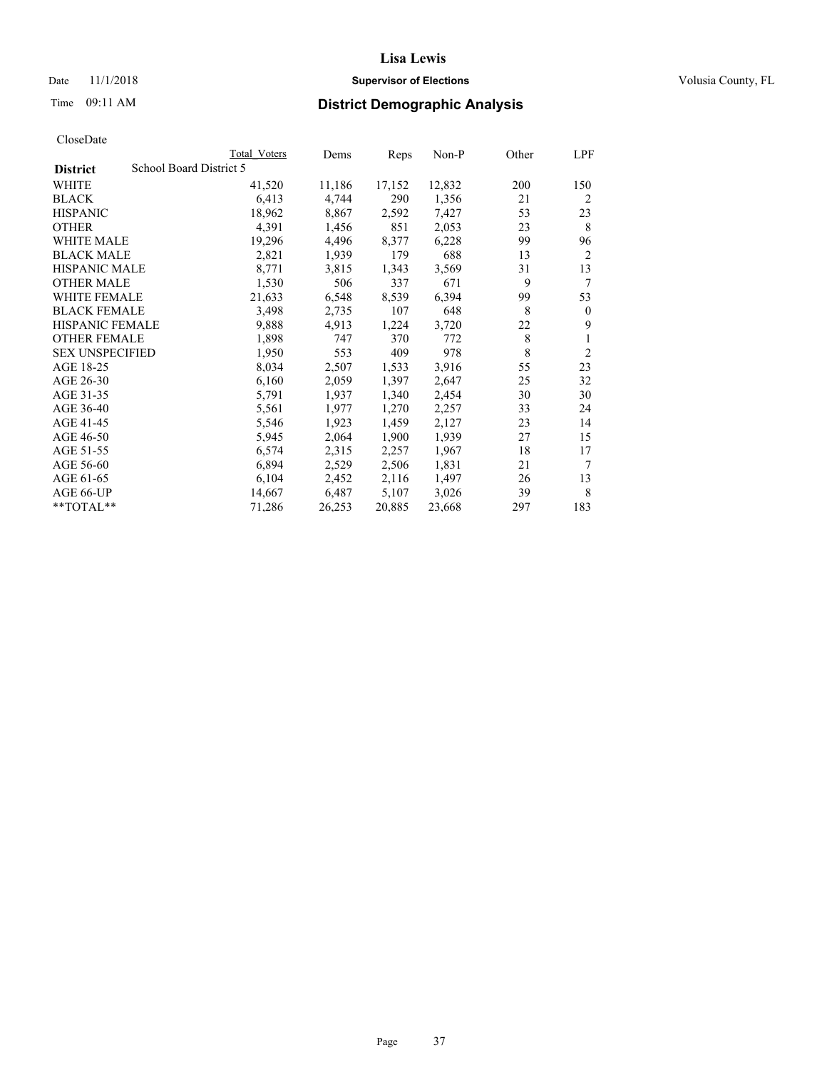## Date 11/1/2018 **Supervisor of Elections Supervisor of Elections** Volusia County, FL

## Time 09:11 AM **District Demographic Analysis**

|                        |                         | Total Voters | Dems   | Reps   | Non-P  | Other | LPF            |
|------------------------|-------------------------|--------------|--------|--------|--------|-------|----------------|
| <b>District</b>        | School Board District 5 |              |        |        |        |       |                |
| WHITE                  |                         | 41,520       | 11,186 | 17,152 | 12,832 | 200   | 150            |
| <b>BLACK</b>           |                         | 6,413        | 4,744  | 290    | 1,356  | 21    | $\overline{2}$ |
| <b>HISPANIC</b>        |                         | 18,962       | 8,867  | 2,592  | 7,427  | 53    | 23             |
| <b>OTHER</b>           |                         | 4,391        | 1,456  | 851    | 2,053  | 23    | 8              |
| <b>WHITE MALE</b>      |                         | 19,296       | 4,496  | 8,377  | 6,228  | 99    | 96             |
| <b>BLACK MALE</b>      |                         | 2,821        | 1,939  | 179    | 688    | 13    | 2              |
| <b>HISPANIC MALE</b>   |                         | 8,771        | 3,815  | 1,343  | 3,569  | 31    | 13             |
| <b>OTHER MALE</b>      |                         | 1,530        | 506    | 337    | 671    | 9     | 7              |
| WHITE FEMALE           |                         | 21,633       | 6,548  | 8,539  | 6,394  | 99    | 53             |
| <b>BLACK FEMALE</b>    |                         | 3,498        | 2,735  | 107    | 648    | 8     | $\mathbf{0}$   |
| <b>HISPANIC FEMALE</b> |                         | 9,888        | 4,913  | 1,224  | 3,720  | 22    | 9              |
| <b>OTHER FEMALE</b>    |                         | 1,898        | 747    | 370    | 772    | 8     | 1              |
| <b>SEX UNSPECIFIED</b> |                         | 1,950        | 553    | 409    | 978    | 8     | $\overline{2}$ |
| AGE 18-25              |                         | 8,034        | 2,507  | 1,533  | 3,916  | 55    | 23             |
| AGE 26-30              |                         | 6,160        | 2,059  | 1,397  | 2,647  | 25    | 32             |
| AGE 31-35              |                         | 5,791        | 1,937  | 1,340  | 2,454  | 30    | 30             |
| AGE 36-40              |                         | 5,561        | 1,977  | 1,270  | 2,257  | 33    | 24             |
| AGE 41-45              |                         | 5,546        | 1,923  | 1,459  | 2,127  | 23    | 14             |
| AGE 46-50              |                         | 5,945        | 2,064  | 1,900  | 1,939  | 27    | 15             |
| AGE 51-55              |                         | 6,574        | 2,315  | 2,257  | 1,967  | 18    | 17             |
| AGE 56-60              |                         | 6,894        | 2,529  | 2,506  | 1,831  | 21    | 7              |
| AGE 61-65              |                         | 6,104        | 2,452  | 2,116  | 1,497  | 26    | 13             |
| AGE 66-UP              |                         | 14,667       | 6,487  | 5,107  | 3,026  | 39    | 8              |
| $*$ TOTAL $*$          |                         | 71,286       | 26,253 | 20,885 | 23,668 | 297   | 183            |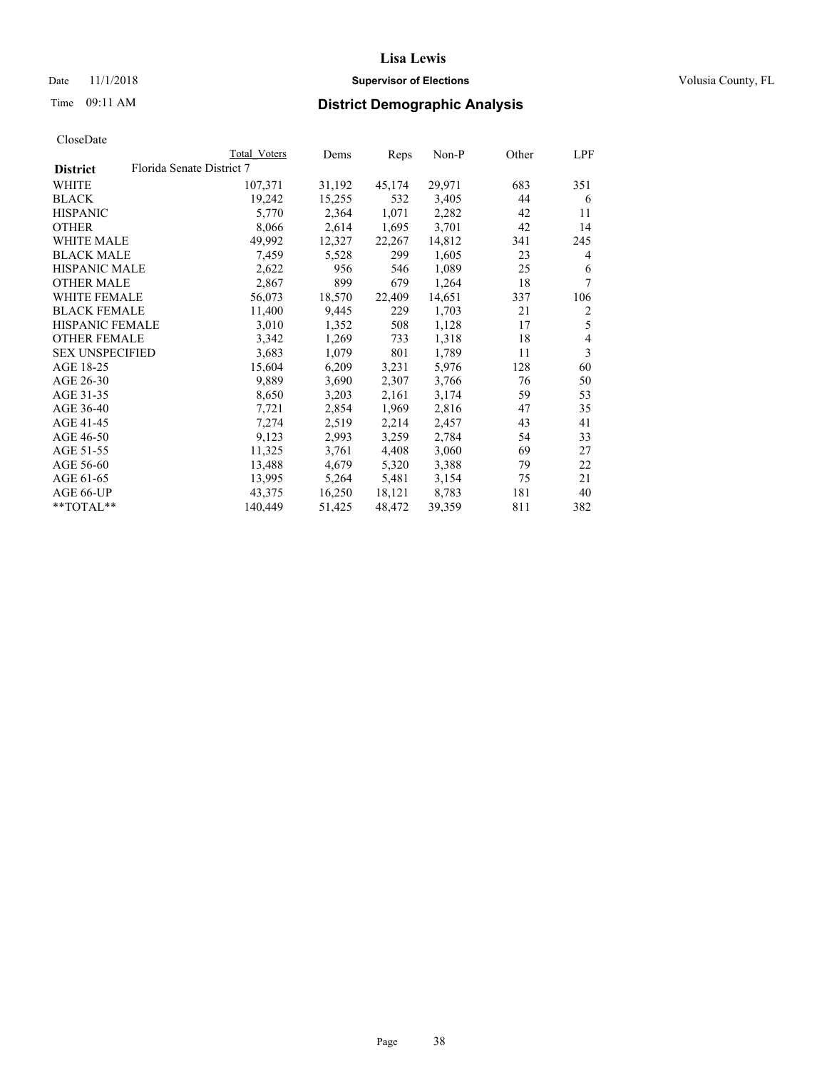## Date 11/1/2018 **Supervisor of Elections Supervisor of Elections** Volusia County, FL

## Time 09:11 AM **District Demographic Analysis**

| Total Voters | Dems                      | Reps   | $Non-P$ | Other | LPF            |
|--------------|---------------------------|--------|---------|-------|----------------|
|              |                           |        |         |       |                |
| 107,371      | 31,192                    | 45,174 | 29,971  | 683   | 351            |
| 19,242       | 15,255                    | 532    | 3,405   | 44    | 6              |
| 5,770        | 2,364                     | 1,071  | 2,282   | 42    | 11             |
| 8,066        | 2,614                     | 1,695  | 3,701   | 42    | 14             |
| 49,992       | 12,327                    | 22,267 | 14,812  | 341   | 245            |
| 7,459        | 5,528                     | 299    | 1,605   | 23    | 4              |
| 2,622        | 956                       | 546    | 1,089   | 25    | 6              |
| 2,867        | 899                       | 679    | 1,264   | 18    | 7              |
| 56,073       | 18,570                    | 22,409 | 14,651  | 337   | 106            |
| 11,400       | 9,445                     | 229    | 1,703   | 21    | $\overline{c}$ |
| 3,010        | 1,352                     | 508    | 1,128   | 17    | 5              |
| 3,342        | 1,269                     | 733    | 1,318   | 18    | $\overline{4}$ |
| 3,683        | 1,079                     | 801    | 1,789   | 11    | 3              |
| 15,604       | 6,209                     | 3,231  | 5,976   | 128   | 60             |
| 9,889        | 3,690                     | 2,307  | 3,766   | 76    | 50             |
| 8,650        | 3,203                     | 2,161  | 3,174   | 59    | 53             |
| 7,721        | 2,854                     | 1,969  | 2,816   | 47    | 35             |
| 7,274        | 2,519                     | 2,214  | 2,457   | 43    | 41             |
| 9,123        | 2,993                     | 3,259  | 2,784   | 54    | 33             |
| 11,325       | 3,761                     | 4,408  | 3,060   | 69    | 27             |
| 13,488       | 4,679                     | 5,320  | 3,388   | 79    | 22             |
| 13,995       | 5,264                     | 5,481  | 3,154   | 75    | 21             |
| 43,375       | 16,250                    | 18,121 | 8,783   | 181   | 40             |
| 140,449      | 51,425                    | 48,472 | 39,359  | 811   | 382            |
|              | Florida Senate District 7 |        |         |       |                |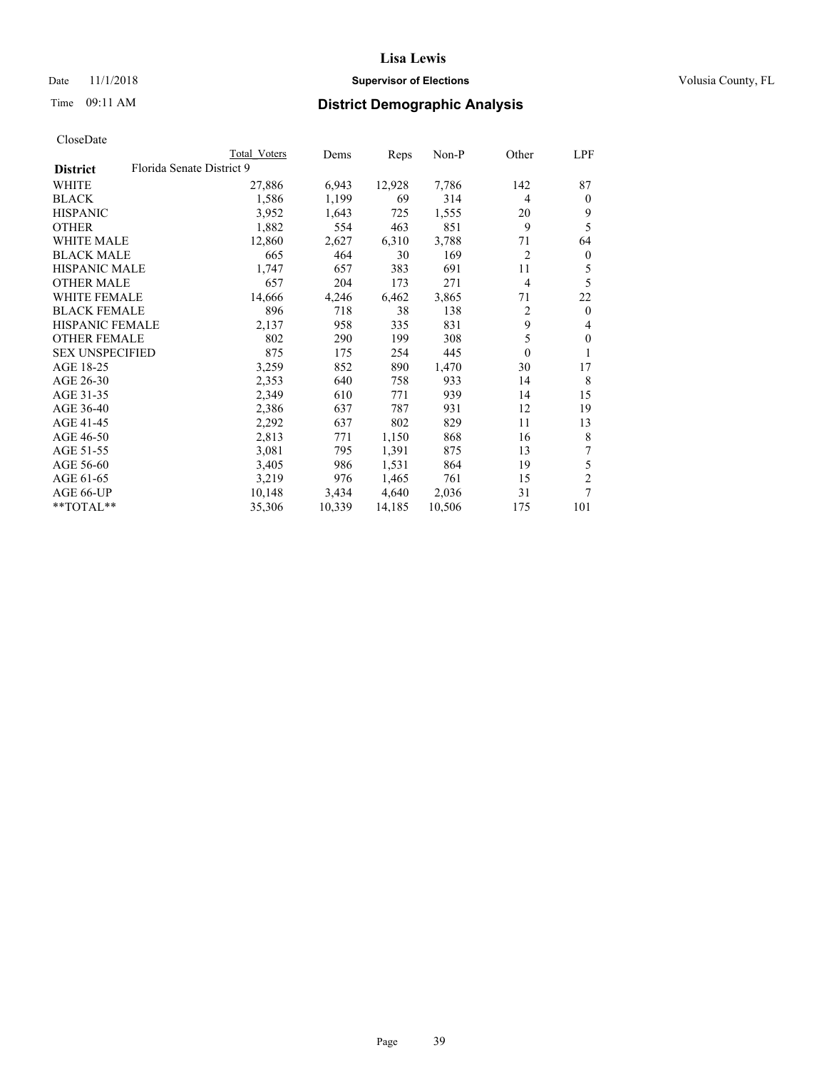## Date 11/1/2018 **Supervisor of Elections Supervisor of Elections** Volusia County, FL

# Time 09:11 AM **District Demographic Analysis**

|                        |                           | Total Voters | Dems   | Reps   | $Non-P$ | Other          | LPF            |
|------------------------|---------------------------|--------------|--------|--------|---------|----------------|----------------|
| <b>District</b>        | Florida Senate District 9 |              |        |        |         |                |                |
| WHITE                  |                           | 27,886       | 6,943  | 12,928 | 7,786   | 142            | 87             |
| <b>BLACK</b>           |                           | 1,586        | 1,199  | 69     | 314     | $\overline{4}$ | $\theta$       |
| <b>HISPANIC</b>        |                           | 3,952        | 1,643  | 725    | 1,555   | 20             | 9              |
| <b>OTHER</b>           |                           | 1,882        | 554    | 463    | 851     | 9              | 5              |
| WHITE MALE             |                           | 12,860       | 2,627  | 6,310  | 3,788   | 71             | 64             |
| <b>BLACK MALE</b>      |                           | 665          | 464    | 30     | 169     | $\overline{2}$ | $\bf{0}$       |
| <b>HISPANIC MALE</b>   |                           | 1,747        | 657    | 383    | 691     | 11             | 5              |
| <b>OTHER MALE</b>      |                           | 657          | 204    | 173    | 271     | $\overline{4}$ | 5              |
| WHITE FEMALE           |                           | 14,666       | 4,246  | 6,462  | 3,865   | 71             | 22             |
| <b>BLACK FEMALE</b>    |                           | 896          | 718    | 38     | 138     | 2              | $\theta$       |
| HISPANIC FEMALE        |                           | 2,137        | 958    | 335    | 831     | 9              | 4              |
| <b>OTHER FEMALE</b>    |                           | 802          | 290    | 199    | 308     | 5              | $\mathbf{0}$   |
| <b>SEX UNSPECIFIED</b> |                           | 875          | 175    | 254    | 445     | $\mathbf{0}$   | 1              |
| AGE 18-25              |                           | 3,259        | 852    | 890    | 1,470   | 30             | 17             |
| AGE 26-30              |                           | 2,353        | 640    | 758    | 933     | 14             | 8              |
| AGE 31-35              |                           | 2,349        | 610    | 771    | 939     | 14             | 15             |
| AGE 36-40              |                           | 2,386        | 637    | 787    | 931     | 12             | 19             |
| AGE 41-45              |                           | 2,292        | 637    | 802    | 829     | 11             | 13             |
| AGE 46-50              |                           | 2,813        | 771    | 1,150  | 868     | 16             | 8              |
| AGE 51-55              |                           | 3,081        | 795    | 1,391  | 875     | 13             | 7              |
| AGE 56-60              |                           | 3,405        | 986    | 1,531  | 864     | 19             | 5              |
| AGE 61-65              |                           | 3,219        | 976    | 1,465  | 761     | 15             | $\overline{c}$ |
| AGE 66-UP              |                           | 10,148       | 3,434  | 4,640  | 2,036   | 31             | 7              |
| **TOTAL**              |                           | 35,306       | 10,339 | 14,185 | 10,506  | 175            | 101            |
|                        |                           |              |        |        |         |                |                |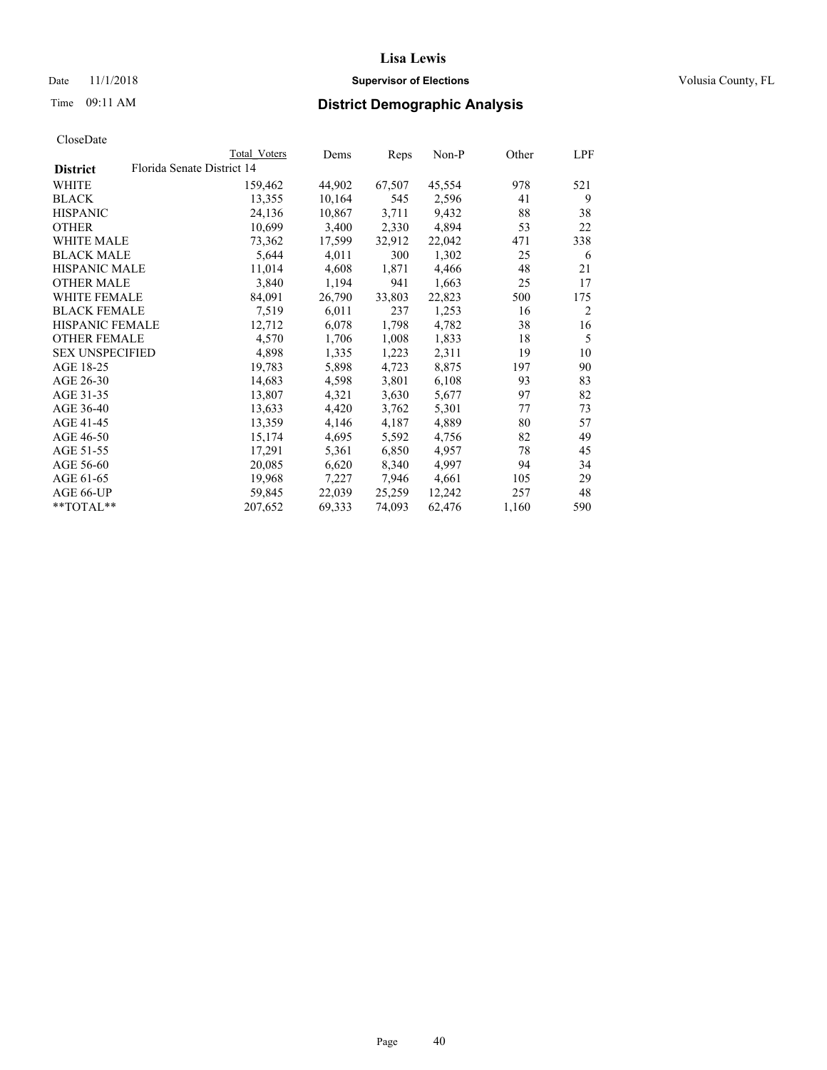## Date 11/1/2018 **Supervisor of Elections Supervisor of Elections** Volusia County, FL

|                        | Total Voters               | Dems   | Reps   | Non-P  | Other | LPF |
|------------------------|----------------------------|--------|--------|--------|-------|-----|
| <b>District</b>        | Florida Senate District 14 |        |        |        |       |     |
| WHITE                  | 159,462                    | 44,902 | 67,507 | 45,554 | 978   | 521 |
| BLACK                  | 13,355                     | 10,164 | 545    | 2,596  | 41    | 9   |
| HISPANIC               | 24,136                     | 10,867 | 3,711  | 9,432  | 88    | 38  |
| OTHER                  | 10,699                     | 3,400  | 2,330  | 4,894  | 53    | 22  |
| WHITE MALE             | 73,362                     | 17,599 | 32,912 | 22,042 | 471   | 338 |
| BLACK MALE             | 5,644                      | 4,011  | 300    | 1,302  | 25    | 6   |
| HISPANIC MALE          | 11,014                     | 4,608  | 1,871  | 4,466  | 48    | 21  |
| <b>OTHER MALE</b>      | 3,840                      | 1,194  | 941    | 1,663  | 25    | 17  |
| WHITE FEMALE           | 84,091                     | 26,790 | 33,803 | 22,823 | 500   | 175 |
| BLACK FEMALE           | 7,519                      | 6,011  | 237    | 1,253  | 16    | 2   |
| HISPANIC FEMALE        | 12,712                     | 6,078  | 1,798  | 4,782  | 38    | 16  |
| OTHER FEMALE           | 4,570                      | 1,706  | 1,008  | 1,833  | 18    | 5   |
| <b>SEX UNSPECIFIED</b> | 4,898                      | 1,335  | 1,223  | 2,311  | 19    | 10  |
| AGE 18-25              | 19,783                     | 5,898  | 4,723  | 8,875  | 197   | 90  |
| AGE 26-30              | 14,683                     | 4,598  | 3,801  | 6,108  | 93    | 83  |
| AGE 31-35              | 13,807                     | 4,321  | 3,630  | 5,677  | 97    | 82  |
| AGE 36-40              | 13,633                     | 4,420  | 3,762  | 5,301  | 77    | 73  |
| AGE 41-45              | 13,359                     | 4,146  | 4,187  | 4,889  | 80    | 57  |
| AGE 46-50              | 15,174                     | 4,695  | 5,592  | 4,756  | 82    | 49  |
| AGE 51-55              | 17,291                     | 5,361  | 6,850  | 4,957  | 78    | 45  |
| AGE 56-60              | 20,085                     | 6,620  | 8,340  | 4,997  | 94    | 34  |
| AGE 61-65              | 19,968                     | 7,227  | 7,946  | 4,661  | 105   | 29  |
| AGE 66-UP              | 59,845                     | 22,039 | 25,259 | 12,242 | 257   | 48  |
| **TOTAL**              | 207,652                    | 69,333 | 74,093 | 62,476 | 1,160 | 590 |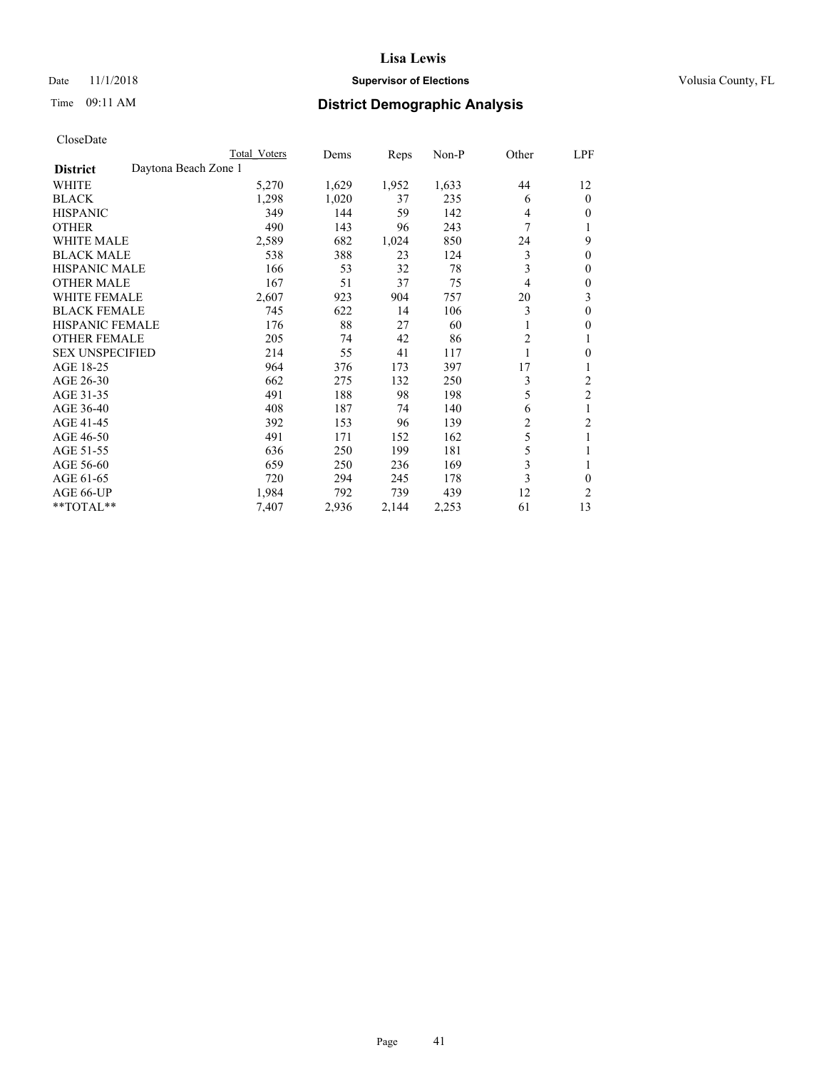## Date 11/1/2018 **Supervisor of Elections Supervisor of Elections** Volusia County, FL

# Time 09:11 AM **District Demographic Analysis**

|                                         | Total Voters | Dems  | Reps  | $Non-P$ | Other | LPF            |
|-----------------------------------------|--------------|-------|-------|---------|-------|----------------|
| Daytona Beach Zone 1<br><b>District</b> |              |       |       |         |       |                |
| WHITE                                   | 5,270        | 1,629 | 1,952 | 1,633   | 44    | 12             |
| <b>BLACK</b>                            | 1,298        | 1,020 | 37    | 235     | 6     | $\theta$       |
| <b>HISPANIC</b>                         | 349          | 144   | 59    | 142     | 4     | $\theta$       |
| <b>OTHER</b>                            | 490          | 143   | 96    | 243     | 7     | 1              |
| <b>WHITE MALE</b>                       | 2,589        | 682   | 1,024 | 850     | 24    | 9              |
| <b>BLACK MALE</b>                       | 538          | 388   | 23    | 124     | 3     | $\mathbf{0}$   |
| <b>HISPANIC MALE</b>                    | 166          | 53    | 32    | 78      | 3     | $\theta$       |
| <b>OTHER MALE</b>                       | 167          | 51    | 37    | 75      | 4     | $\mathbf{0}$   |
| <b>WHITE FEMALE</b>                     | 2,607        | 923   | 904   | 757     | 20    | 3              |
| <b>BLACK FEMALE</b>                     | 745          | 622   | 14    | 106     | 3     | $\theta$       |
| <b>HISPANIC FEMALE</b>                  | 176          | 88    | 27    | 60      | 1     | $\theta$       |
| <b>OTHER FEMALE</b>                     | 205          | 74    | 42    | 86      | 2     | 1              |
| <b>SEX UNSPECIFIED</b>                  | 214          | 55    | 41    | 117     |       | $\mathbf{0}$   |
| AGE 18-25                               | 964          | 376   | 173   | 397     | 17    | 1              |
| AGE 26-30                               | 662          | 275   | 132   | 250     | 3     | 2              |
| AGE 31-35                               | 491          | 188   | 98    | 198     | 5     | $\overline{2}$ |
| AGE 36-40                               | 408          | 187   | 74    | 140     | 6     | 1              |
| AGE 41-45                               | 392          | 153   | 96    | 139     | 2     | $\overline{2}$ |
| AGE 46-50                               | 491          | 171   | 152   | 162     | 5     | 1              |
| AGE 51-55                               | 636          | 250   | 199   | 181     | 5     | 1              |
| AGE 56-60                               | 659          | 250   | 236   | 169     | 3     | 1              |
| AGE 61-65                               | 720          | 294   | 245   | 178     | 3     | 0              |
| AGE 66-UP                               | 1,984        | 792   | 739   | 439     | 12    | 2              |
| $*$ TOTAL $*$                           | 7,407        | 2,936 | 2,144 | 2,253   | 61    | 13             |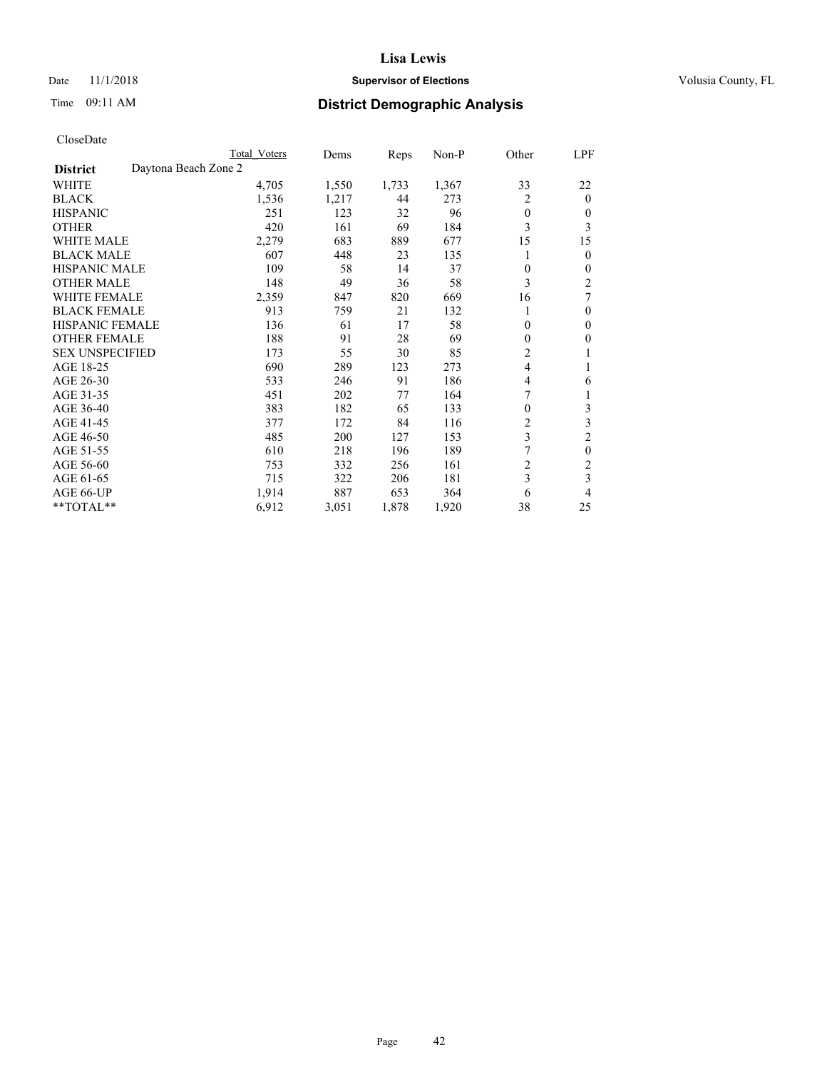## Date 11/1/2018 **Supervisor of Elections Supervisor of Elections** Volusia County, FL

# Time 09:11 AM **District Demographic Analysis**

|                        | Total Voters         | Dems  | Reps  | Non-P | Other          | LPF            |
|------------------------|----------------------|-------|-------|-------|----------------|----------------|
| <b>District</b>        | Daytona Beach Zone 2 |       |       |       |                |                |
| WHITE                  | 4,705                | 1,550 | 1,733 | 1,367 | 33             | 22             |
| <b>BLACK</b>           | 1,536                | 1,217 | 44    | 273   | 2              | $\mathbf{0}$   |
| <b>HISPANIC</b>        | 251                  | 123   | 32    | 96    | $\theta$       | $\Omega$       |
| <b>OTHER</b>           | 420                  | 161   | 69    | 184   | 3              | 3              |
| <b>WHITE MALE</b>      | 2,279                | 683   | 889   | 677   | 15             | 15             |
| <b>BLACK MALE</b>      | 607                  | 448   | 23    | 135   |                | $\theta$       |
| <b>HISPANIC MALE</b>   | 109                  | 58    | 14    | 37    | 0              | $\mathbf{0}$   |
| <b>OTHER MALE</b>      | 148                  | 49    | 36    | 58    | 3              | $\overline{2}$ |
| <b>WHITE FEMALE</b>    | 2,359                | 847   | 820   | 669   | 16             | 7              |
| <b>BLACK FEMALE</b>    | 913                  | 759   | 21    | 132   |                | $\mathbf{0}$   |
| <b>HISPANIC FEMALE</b> | 136                  | 61    | 17    | 58    | $\theta$       | $\theta$       |
| <b>OTHER FEMALE</b>    | 188                  | 91    | 28    | 69    | $\Omega$       | $\theta$       |
| <b>SEX UNSPECIFIED</b> | 173                  | 55    | 30    | 85    | 2              |                |
| AGE 18-25              | 690                  | 289   | 123   | 273   | $\overline{4}$ |                |
| AGE 26-30              | 533                  | 246   | 91    | 186   | 4              | 6              |
| AGE 31-35              | 451                  | 202   | 77    | 164   | 7              |                |
| AGE 36-40              | 383                  | 182   | 65    | 133   | $\theta$       | 3              |
| AGE 41-45              | 377                  | 172   | 84    | 116   | 2              | 3              |
| AGE 46-50              | 485                  | 200   | 127   | 153   | 3              | $\overline{2}$ |
| AGE 51-55              | 610                  | 218   | 196   | 189   |                | $\theta$       |
| AGE 56-60              | 753                  | 332   | 256   | 161   | $\overline{c}$ | $\overline{c}$ |
| AGE 61-65              | 715                  | 322   | 206   | 181   | 3              | 3              |
| AGE 66-UP              | 1,914                | 887   | 653   | 364   | 6              | 4              |
| **TOTAL**              | 6,912                | 3,051 | 1,878 | 1,920 | 38             | 25             |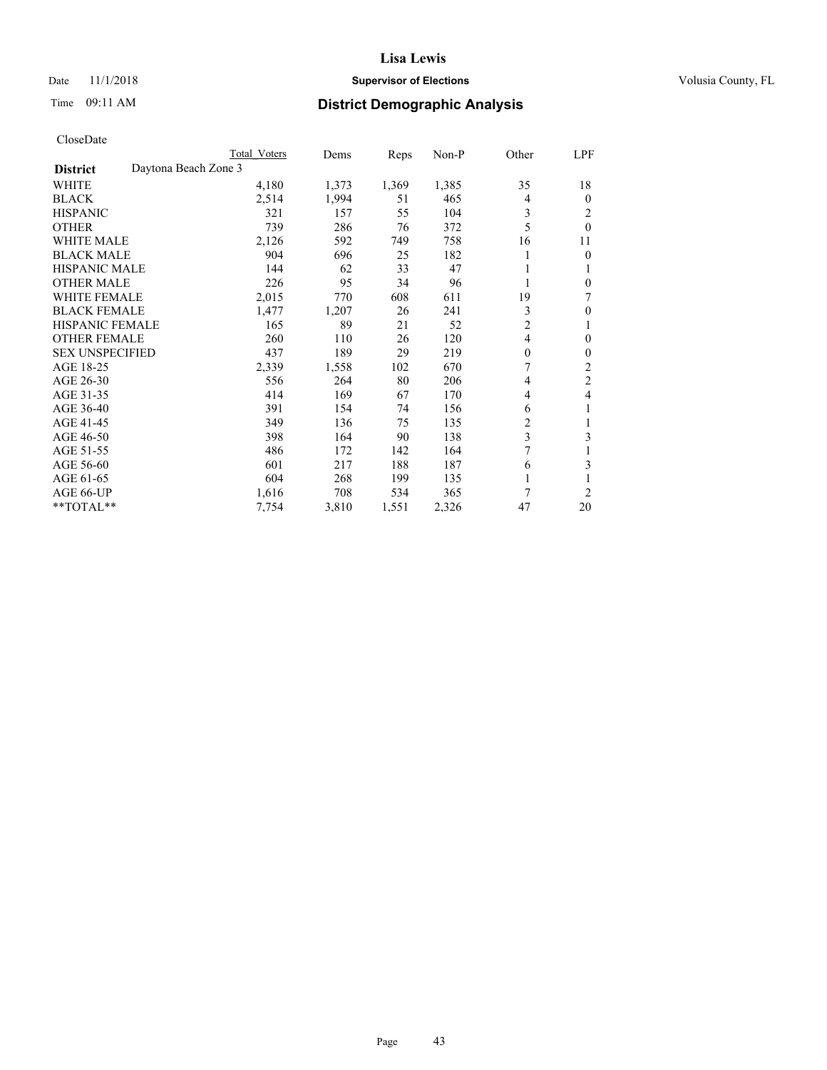## Date 11/1/2018 **Supervisor of Elections Supervisor of Elections** Volusia County, FL

## Time 09:11 AM **District Demographic Analysis**

|                                         | Total Voters | Dems  | Reps  | $Non-P$ | Other          | LPF            |
|-----------------------------------------|--------------|-------|-------|---------|----------------|----------------|
| Daytona Beach Zone 3<br><b>District</b> |              |       |       |         |                |                |
| WHITE                                   | 4,180        | 1,373 | 1,369 | 1,385   | 35             | 18             |
| <b>BLACK</b>                            | 2,514        | 1,994 | 51    | 465     | 4              | $\theta$       |
| <b>HISPANIC</b>                         | 321          | 157   | 55    | 104     | 3              | 2              |
| <b>OTHER</b>                            | 739          | 286   | 76    | 372     | 5              | $\theta$       |
| <b>WHITE MALE</b>                       | 2,126        | 592   | 749   | 758     | 16             | 11             |
| <b>BLACK MALE</b>                       | 904          | 696   | 25    | 182     |                | $\theta$       |
| <b>HISPANIC MALE</b>                    | 144          | 62    | 33    | 47      |                | 1              |
| <b>OTHER MALE</b>                       | 226          | 95    | 34    | 96      | 1              | $\theta$       |
| <b>WHITE FEMALE</b>                     | 2,015        | 770   | 608   | 611     | 19             | 7              |
| <b>BLACK FEMALE</b>                     | 1,477        | 1,207 | 26    | 241     | 3              | $\theta$       |
| <b>HISPANIC FEMALE</b>                  | 165          | 89    | 21    | 52      | $\overline{c}$ | 1              |
| <b>OTHER FEMALE</b>                     | 260          | 110   | 26    | 120     | 4              | $\mathbf{0}$   |
| <b>SEX UNSPECIFIED</b>                  | 437          | 189   | 29    | 219     | $\theta$       | $\theta$       |
| AGE 18-25                               | 2,339        | 1,558 | 102   | 670     | 7              | 2              |
| AGE 26-30                               | 556          | 264   | 80    | 206     | 4              | $\overline{c}$ |
| AGE 31-35                               | 414          | 169   | 67    | 170     | 4              | 4              |
| AGE 36-40                               | 391          | 154   | 74    | 156     | 6              | 1              |
| AGE 41-45                               | 349          | 136   | 75    | 135     | 2              | 1              |
| AGE 46-50                               | 398          | 164   | 90    | 138     | 3              | 3              |
| AGE 51-55                               | 486          | 172   | 142   | 164     | 7              | 1              |
| AGE 56-60                               | 601          | 217   | 188   | 187     | 6              | 3              |
| AGE 61-65                               | 604          | 268   | 199   | 135     |                |                |
| AGE 66-UP                               | 1,616        | 708   | 534   | 365     | 7              | $\overline{2}$ |
| $*$ TOTAL $*$                           | 7,754        | 3,810 | 1,551 | 2,326   | 47             | 20             |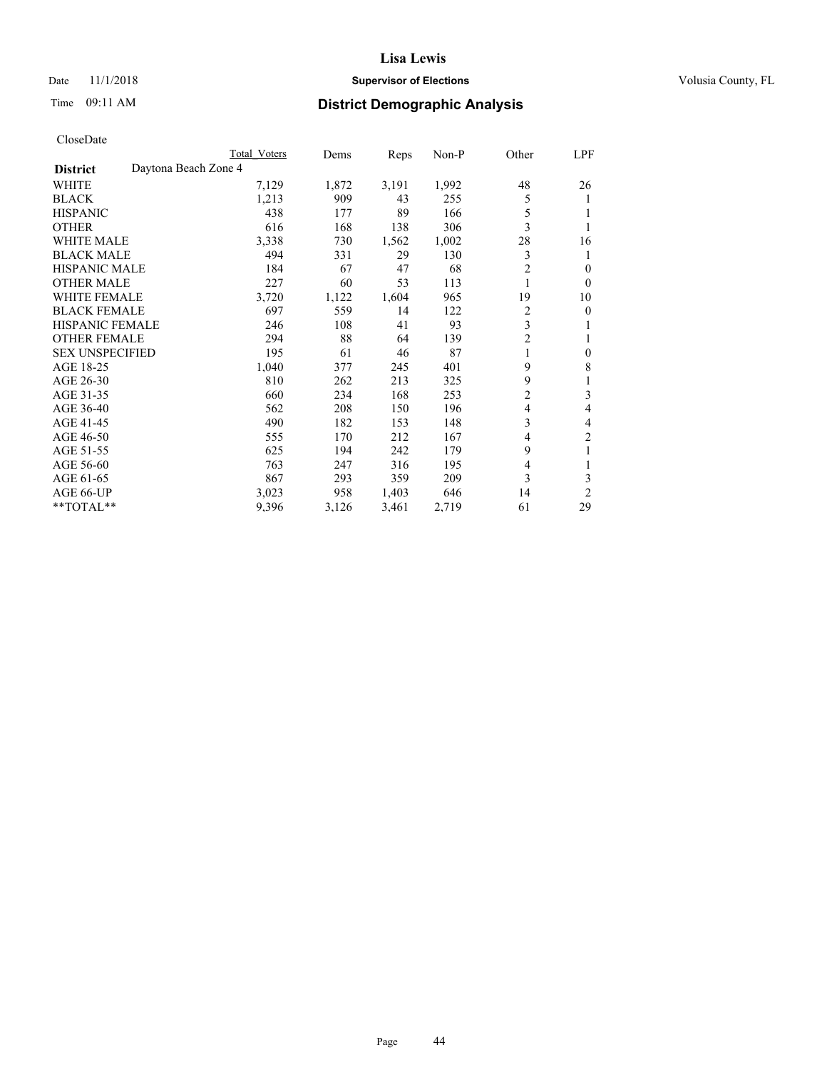## Date 11/1/2018 **Supervisor of Elections Supervisor of Elections** Volusia County, FL

# Time 09:11 AM **District Demographic Analysis**

|                        |                      | Total Voters | Dems  | Reps  | Non-P | Other          | LPF            |
|------------------------|----------------------|--------------|-------|-------|-------|----------------|----------------|
| <b>District</b>        | Daytona Beach Zone 4 |              |       |       |       |                |                |
| WHITE                  |                      | 7,129        | 1,872 | 3,191 | 1,992 | 48             | 26             |
| <b>BLACK</b>           |                      | 1,213        | 909   | 43    | 255   | 5              | 1              |
| <b>HISPANIC</b>        |                      | 438          | 177   | 89    | 166   | 5              |                |
| <b>OTHER</b>           |                      | 616          | 168   | 138   | 306   | 3              |                |
| <b>WHITE MALE</b>      |                      | 3,338        | 730   | 1,562 | 1,002 | 28             | 16             |
| <b>BLACK MALE</b>      |                      | 494          | 331   | 29    | 130   | 3              | 1              |
| <b>HISPANIC MALE</b>   |                      | 184          | 67    | 47    | 68    | 2              | 0              |
| <b>OTHER MALE</b>      |                      | 227          | 60    | 53    | 113   | 1              | $\mathbf{0}$   |
| WHITE FEMALE           |                      | 3,720        | 1,122 | 1,604 | 965   | 19             | 10             |
| <b>BLACK FEMALE</b>    |                      | 697          | 559   | 14    | 122   | $\overline{c}$ | 0              |
| <b>HISPANIC FEMALE</b> |                      | 246          | 108   | 41    | 93    | 3              | 1              |
| <b>OTHER FEMALE</b>    |                      | 294          | 88    | 64    | 139   | $\overline{c}$ | 1              |
| <b>SEX UNSPECIFIED</b> |                      | 195          | 61    | 46    | 87    | 1              | $\mathbf{0}$   |
| AGE 18-25              |                      | 1,040        | 377   | 245   | 401   | 9              | 8              |
| AGE 26-30              |                      | 810          | 262   | 213   | 325   | 9              | 1              |
| AGE 31-35              |                      | 660          | 234   | 168   | 253   | $\overline{c}$ | 3              |
| AGE 36-40              |                      | 562          | 208   | 150   | 196   | 4              | 4              |
| AGE 41-45              |                      | 490          | 182   | 153   | 148   | 3              | 4              |
| AGE 46-50              |                      | 555          | 170   | 212   | 167   | 4              | 2              |
| AGE 51-55              |                      | 625          | 194   | 242   | 179   | 9              | 1              |
| AGE 56-60              |                      | 763          | 247   | 316   | 195   | 4              |                |
| AGE 61-65              |                      | 867          | 293   | 359   | 209   | 3              | 3              |
| AGE 66-UP              |                      | 3,023        | 958   | 1,403 | 646   | 14             | $\overline{2}$ |
| **TOTAL**              |                      | 9,396        | 3,126 | 3,461 | 2,719 | 61             | 29             |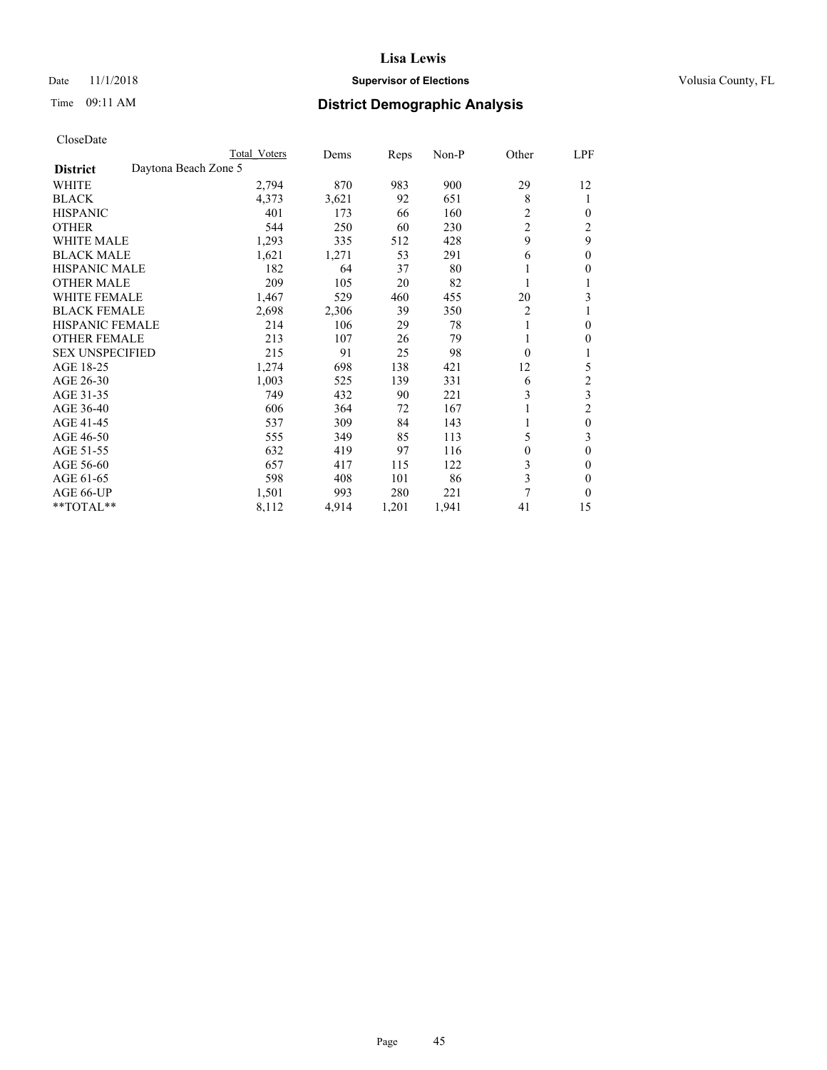## Date 11/1/2018 **Supervisor of Elections Supervisor of Elections** Volusia County, FL

# Time 09:11 AM **District Demographic Analysis**

|                                         | Total Voters | Dems  | Reps  | $Non-P$ | Other          | LPF            |
|-----------------------------------------|--------------|-------|-------|---------|----------------|----------------|
| Daytona Beach Zone 5<br><b>District</b> |              |       |       |         |                |                |
| WHITE                                   | 2,794        | 870   | 983   | 900     | 29             | 12             |
| <b>BLACK</b>                            | 4,373        | 3,621 | 92    | 651     | 8              | 1              |
| <b>HISPANIC</b>                         | 401          | 173   | 66    | 160     | $\overline{2}$ | 0              |
| <b>OTHER</b>                            | 544          | 250   | 60    | 230     | $\overline{c}$ | 2              |
| <b>WHITE MALE</b>                       | 1,293        | 335   | 512   | 428     | 9              | 9              |
| <b>BLACK MALE</b>                       | 1,621        | 1,271 | 53    | 291     | 6              | $\mathbf{0}$   |
| <b>HISPANIC MALE</b>                    | 182          | 64    | 37    | 80      |                | 0              |
| <b>OTHER MALE</b>                       | 209          | 105   | 20    | 82      | 1              |                |
| WHITE FEMALE                            | 1,467        | 529   | 460   | 455     | 20             | 3              |
| <b>BLACK FEMALE</b>                     | 2,698        | 2,306 | 39    | 350     | 2              |                |
| <b>HISPANIC FEMALE</b>                  | 214          | 106   | 29    | 78      | 1              | 0              |
| <b>OTHER FEMALE</b>                     | 213          | 107   | 26    | 79      |                | 0              |
| <b>SEX UNSPECIFIED</b>                  | 215          | 91    | 25    | 98      | $\theta$       |                |
| AGE 18-25                               | 1,274        | 698   | 138   | 421     | 12             | 5              |
| AGE 26-30                               | 1,003        | 525   | 139   | 331     | 6              | 2              |
| AGE 31-35                               | 749          | 432   | 90    | 221     | 3              | 3              |
| AGE 36-40                               | 606          | 364   | 72    | 167     |                | $\overline{2}$ |
| AGE 41-45                               | 537          | 309   | 84    | 143     | 1              | $\theta$       |
| AGE 46-50                               | 555          | 349   | 85    | 113     | 5              | 3              |
| AGE 51-55                               | 632          | 419   | 97    | 116     | 0              | 0              |
| AGE 56-60                               | 657          | 417   | 115   | 122     | 3              | 0              |
| AGE 61-65                               | 598          | 408   | 101   | 86      | 3              | 0              |
| AGE 66-UP                               | 1,501        | 993   | 280   | 221     | 7              | 0              |
| $*$ TOTAL $*$                           | 8,112        | 4,914 | 1,201 | 1,941   | 41             | 15             |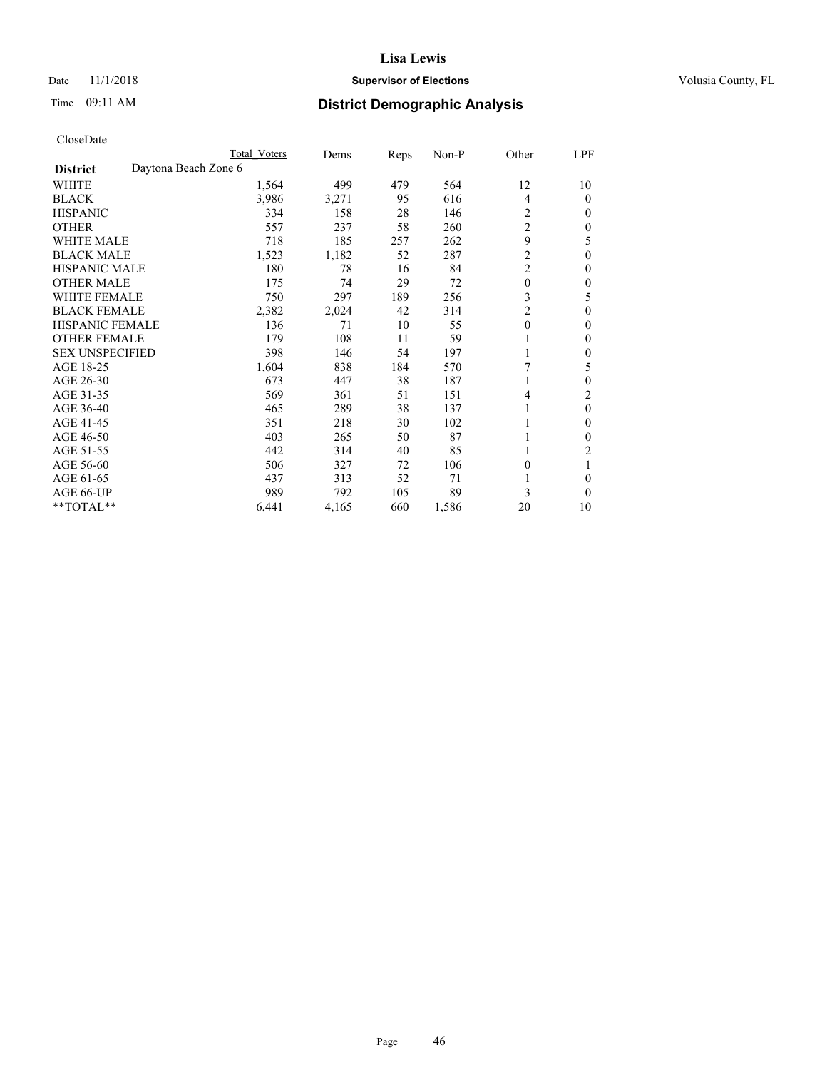## Date 11/1/2018 **Supervisor of Elections Supervisor of Elections** Volusia County, FL

# Time 09:11 AM **District Demographic Analysis**

|                        | Total Voters         | Dems  | Reps | Non-P | Other          | LPF      |
|------------------------|----------------------|-------|------|-------|----------------|----------|
| <b>District</b>        | Daytona Beach Zone 6 |       |      |       |                |          |
| WHITE                  | 1,564                | 499   | 479  | 564   | 12             | 10       |
| <b>BLACK</b>           | 3,986                | 3,271 | 95   | 616   | $\overline{4}$ | 0        |
| <b>HISPANIC</b>        | 334                  | 158   | 28   | 146   | 2              | 0        |
| <b>OTHER</b>           | 557                  | 237   | 58   | 260   | $\overline{2}$ | 0        |
| <b>WHITE MALE</b>      | 718                  | 185   | 257  | 262   | 9              | 5        |
| <b>BLACK MALE</b>      | 1,523                | 1,182 | 52   | 287   | $\overline{c}$ | $\theta$ |
| <b>HISPANIC MALE</b>   | 180                  | 78    | 16   | 84    | $\overline{c}$ | 0        |
| <b>OTHER MALE</b>      | 175                  | 74    | 29   | 72    | $\mathbf{0}$   | 0        |
| <b>WHITE FEMALE</b>    | 750                  | 297   | 189  | 256   | 3              | 5        |
| <b>BLACK FEMALE</b>    | 2,382                | 2,024 | 42   | 314   | $\overline{c}$ | 0        |
| <b>HISPANIC FEMALE</b> | 136                  | 71    | 10   | 55    | $\theta$       | 0        |
| <b>OTHER FEMALE</b>    | 179                  | 108   | 11   | 59    |                | 0        |
| <b>SEX UNSPECIFIED</b> | 398                  | 146   | 54   | 197   |                | 0        |
| AGE 18-25              | 1,604                | 838   | 184  | 570   | 7              | 5        |
| AGE 26-30              | 673                  | 447   | 38   | 187   | 1              | $\theta$ |
| AGE 31-35              | 569                  | 361   | 51   | 151   | 4              | 2        |
| AGE 36-40              | 465                  | 289   | 38   | 137   |                | $\theta$ |
| AGE 41-45              | 351                  | 218   | 30   | 102   |                | 0        |
| AGE 46-50              | 403                  | 265   | 50   | 87    |                | 0        |
| AGE 51-55              | 442                  | 314   | 40   | 85    |                | 2        |
| AGE 56-60              | 506                  | 327   | 72   | 106   | $\theta$       |          |
| AGE 61-65              | 437                  | 313   | 52   | 71    |                | 0        |
| AGE 66-UP              | 989                  | 792   | 105  | 89    | 3              | $\Omega$ |
| **TOTAL**              | 6,441                | 4,165 | 660  | 1,586 | 20             | 10       |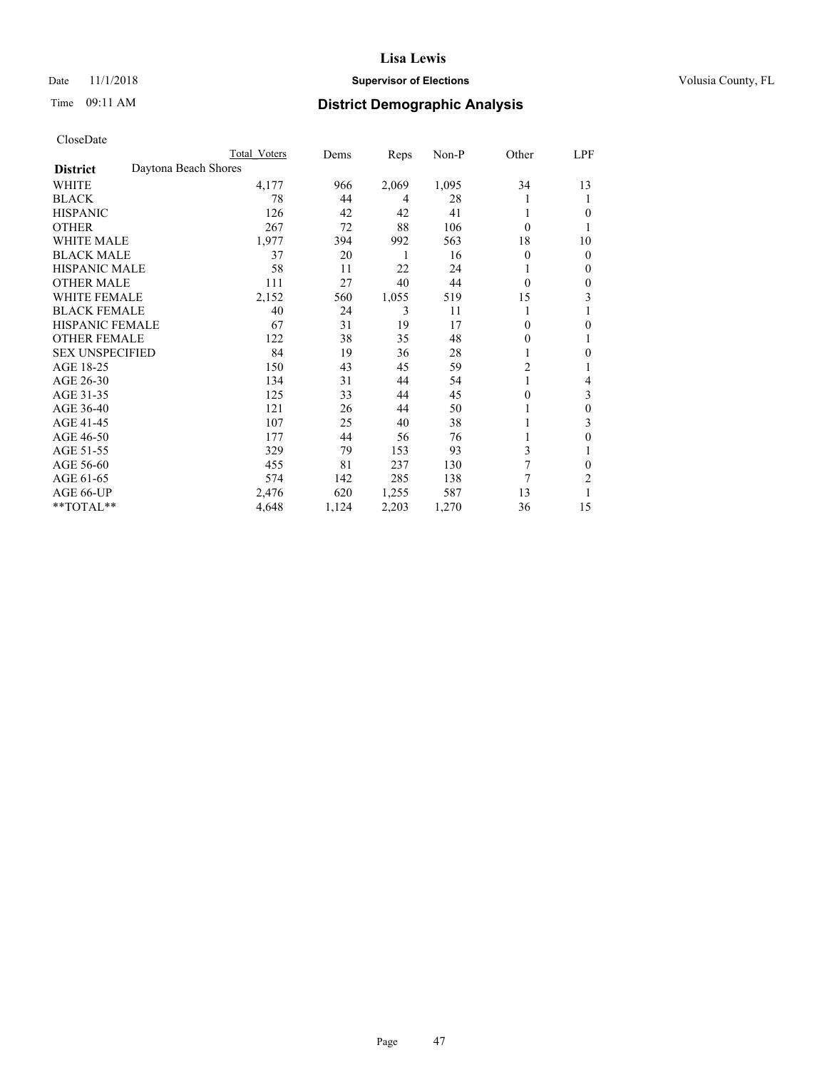## Date 11/1/2018 **Supervisor of Elections Supervisor of Elections** Volusia County, FL

## Time 09:11 AM **District Demographic Analysis**

|                        | Total Voters         | Dems  | Reps  | Non-P | Other          | LPF          |
|------------------------|----------------------|-------|-------|-------|----------------|--------------|
| <b>District</b>        | Daytona Beach Shores |       |       |       |                |              |
| WHITE                  | 4,177                | 966   | 2,069 | 1,095 | 34             | 13           |
| <b>BLACK</b>           | 78                   | 44    | 4     | 28    |                | 1            |
| <b>HISPANIC</b>        | 126                  | 42    | 42    | 41    |                | $\theta$     |
| <b>OTHER</b>           | 267                  | 72    | 88    | 106   | $\theta$       |              |
| <b>WHITE MALE</b>      | 1,977                | 394   | 992   | 563   | 18             | 10           |
| <b>BLACK MALE</b>      | 37                   | 20    | 1     | 16    | $\theta$       | $\mathbf{0}$ |
| <b>HISPANIC MALE</b>   | 58                   | 11    | 22    | 24    |                | $\mathbf{0}$ |
| <b>OTHER MALE</b>      | 111                  | 27    | 40    | 44    | $\theta$       | 0            |
| <b>WHITE FEMALE</b>    | 2,152                | 560   | 1,055 | 519   | 15             | 3            |
| <b>BLACK FEMALE</b>    | 40                   | 24    | 3     | 11    |                |              |
| <b>HISPANIC FEMALE</b> | 67                   | 31    | 19    | 17    | 0              | $\theta$     |
| <b>OTHER FEMALE</b>    | 122                  | 38    | 35    | 48    | 0              | 1            |
| <b>SEX UNSPECIFIED</b> | 84                   | 19    | 36    | 28    |                | $\theta$     |
| AGE 18-25              | 150                  | 43    | 45    | 59    | $\overline{c}$ |              |
| AGE 26-30              | 134                  | 31    | 44    | 54    | 1              | 4            |
| AGE 31-35              | 125                  | 33    | 44    | 45    | 0              | 3            |
| AGE 36-40              | 121                  | 26    | 44    | 50    |                | $\theta$     |
| AGE 41-45              | 107                  | 25    | 40    | 38    |                | 3            |
| AGE 46-50              | 177                  | 44    | 56    | 76    |                | $\theta$     |
| AGE 51-55              | 329                  | 79    | 153   | 93    | 3              | 1            |
| AGE 56-60              | 455                  | 81    | 237   | 130   | 7              | $\theta$     |
| AGE 61-65              | 574                  | 142   | 285   | 138   | 7              | 2            |
| AGE 66-UP              | 2,476                | 620   | 1,255 | 587   | 13             |              |
| **TOTAL**              | 4,648                | 1,124 | 2,203 | 1,270 | 36             | 15           |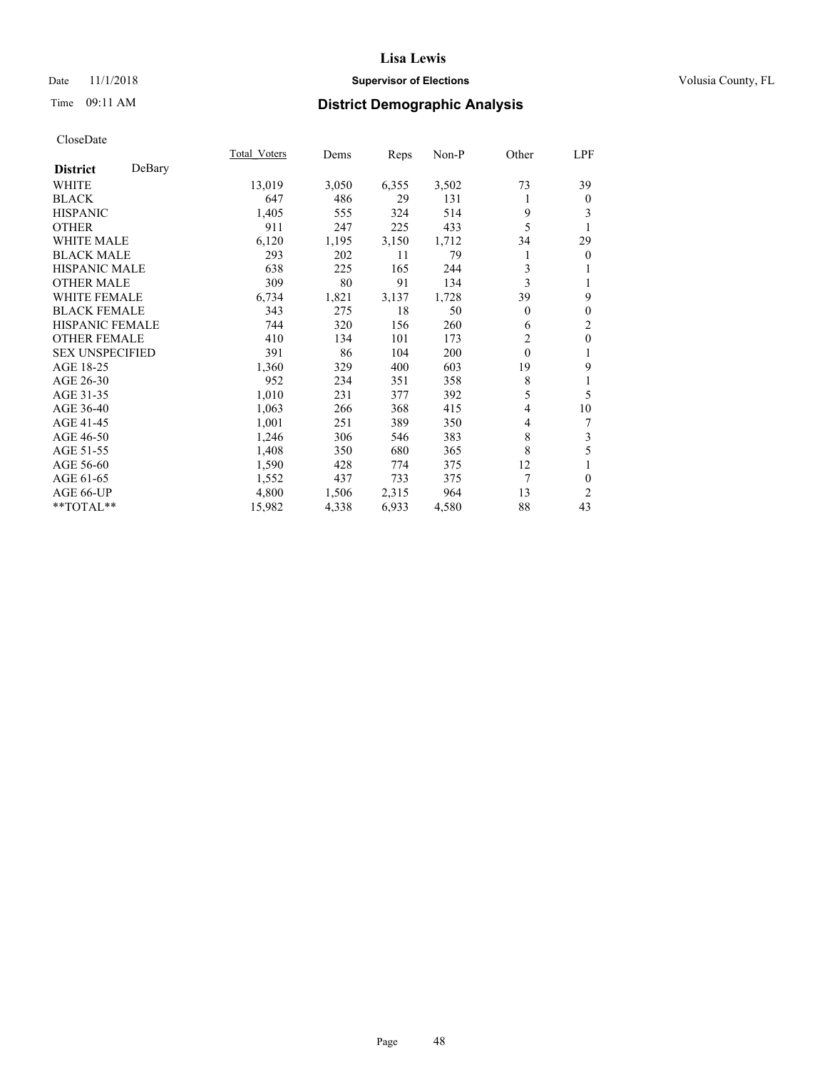## Date 11/1/2018 **Supervisor of Elections Supervisor of Elections** Volusia County, FL

## Time 09:11 AM **District Demographic Analysis**

|                        |        | Total Voters | Dems  | Reps  | Non-P | Other    | LPF            |
|------------------------|--------|--------------|-------|-------|-------|----------|----------------|
| <b>District</b>        | DeBary |              |       |       |       |          |                |
| <b>WHITE</b>           |        | 13,019       | 3,050 | 6,355 | 3,502 | 73       | 39             |
| <b>BLACK</b>           |        | 647          | 486   | 29    | 131   | 1        | $\mathbf{0}$   |
| <b>HISPANIC</b>        |        | 1,405        | 555   | 324   | 514   | 9        | 3              |
| <b>OTHER</b>           |        | 911          | 247   | 225   | 433   | 5        |                |
| WHITE MALE             |        | 6,120        | 1,195 | 3,150 | 1,712 | 34       | 29             |
| <b>BLACK MALE</b>      |        | 293          | 202   | 11    | 79    |          | $\theta$       |
| <b>HISPANIC MALE</b>   |        | 638          | 225   | 165   | 244   | 3        | 1              |
| <b>OTHER MALE</b>      |        | 309          | 80    | 91    | 134   | 3        | 1              |
| WHITE FEMALE           |        | 6,734        | 1,821 | 3,137 | 1,728 | 39       | 9              |
| <b>BLACK FEMALE</b>    |        | 343          | 275   | 18    | 50    | 0        | $\mathbf{0}$   |
| <b>HISPANIC FEMALE</b> |        | 744          | 320   | 156   | 260   | 6        | $\overline{c}$ |
| <b>OTHER FEMALE</b>    |        | 410          | 134   | 101   | 173   | 2        | $\mathbf{0}$   |
| <b>SEX UNSPECIFIED</b> |        | 391          | 86    | 104   | 200   | $\theta$ | 1              |
| AGE 18-25              |        | 1,360        | 329   | 400   | 603   | 19       | 9              |
| AGE 26-30              |        | 952          | 234   | 351   | 358   | 8        | 1              |
| AGE 31-35              |        | 1,010        | 231   | 377   | 392   | 5        | 5              |
| AGE 36-40              |        | 1,063        | 266   | 368   | 415   | 4        | 10             |
| AGE 41-45              |        | 1,001        | 251   | 389   | 350   | 4        | 7              |
| AGE 46-50              |        | 1,246        | 306   | 546   | 383   | 8        | 3              |
| AGE 51-55              |        | 1,408        | 350   | 680   | 365   | 8        | 5              |
| AGE 56-60              |        | 1,590        | 428   | 774   | 375   | 12       | 1              |
| AGE 61-65              |        | 1,552        | 437   | 733   | 375   | 7        | $\theta$       |
| AGE 66-UP              |        | 4,800        | 1,506 | 2,315 | 964   | 13       | 2              |
| **TOTAL**              |        | 15,982       | 4,338 | 6,933 | 4,580 | 88       | 43             |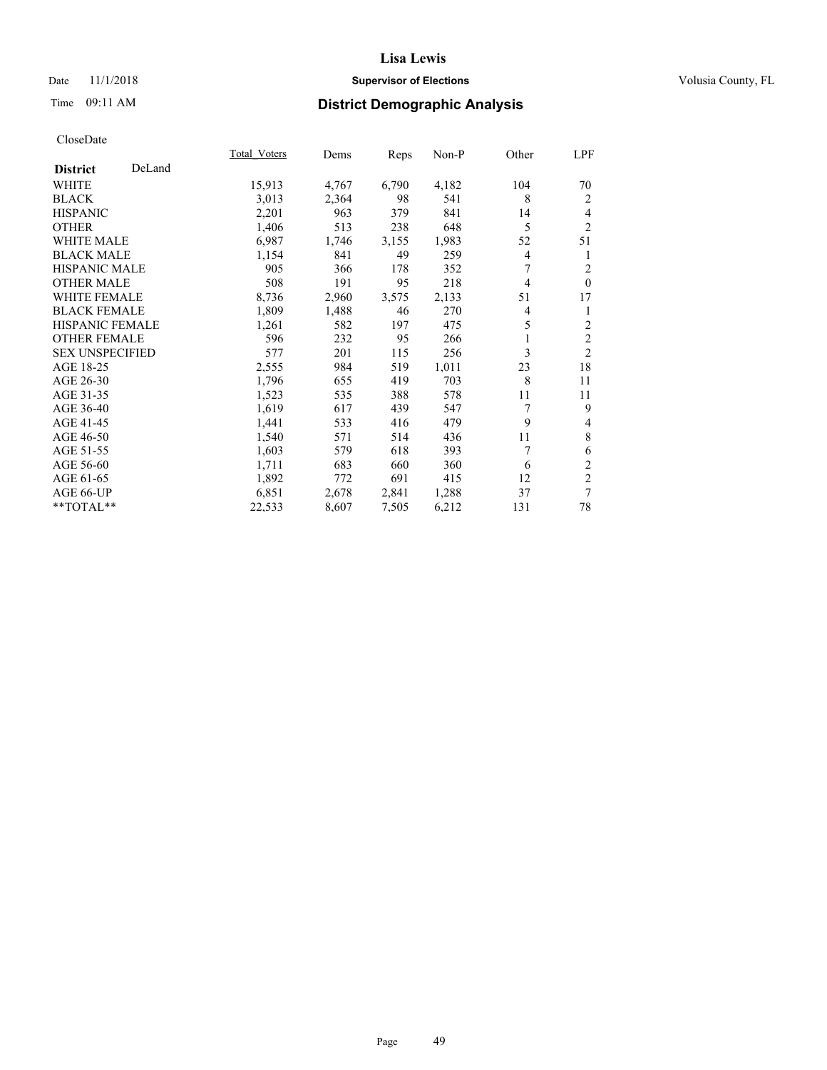## Date 11/1/2018 **Supervisor of Elections Supervisor of Elections** Volusia County, FL

## Time 09:11 AM **District Demographic Analysis**

|                        |        | Total Voters | Dems  | Reps  | Non-P | Other          | LPF            |
|------------------------|--------|--------------|-------|-------|-------|----------------|----------------|
| <b>District</b>        | DeLand |              |       |       |       |                |                |
| WHITE                  |        | 15,913       | 4,767 | 6,790 | 4,182 | 104            | 70             |
| <b>BLACK</b>           |        | 3,013        | 2,364 | 98    | 541   | 8              | 2              |
| <b>HISPANIC</b>        |        | 2,201        | 963   | 379   | 841   | 14             | 4              |
| <b>OTHER</b>           |        | 1,406        | 513   | 238   | 648   | 5              | 2              |
| WHITE MALE             |        | 6,987        | 1,746 | 3,155 | 1,983 | 52             | 51             |
| <b>BLACK MALE</b>      |        | 1,154        | 841   | 49    | 259   | 4              | 1              |
| <b>HISPANIC MALE</b>   |        | 905          | 366   | 178   | 352   | 7              | $\overline{c}$ |
| <b>OTHER MALE</b>      |        | 508          | 191   | 95    | 218   | $\overline{4}$ | $\theta$       |
| <b>WHITE FEMALE</b>    |        | 8,736        | 2,960 | 3,575 | 2,133 | 51             | 17             |
| <b>BLACK FEMALE</b>    |        | 1,809        | 1,488 | 46    | 270   | 4              | 1              |
| <b>HISPANIC FEMALE</b> |        | 1,261        | 582   | 197   | 475   | 5              | 2              |
| <b>OTHER FEMALE</b>    |        | 596          | 232   | 95    | 266   |                | $\overline{2}$ |
| <b>SEX UNSPECIFIED</b> |        | 577          | 201   | 115   | 256   | 3              | $\overline{2}$ |
| AGE 18-25              |        | 2,555        | 984   | 519   | 1,011 | 23             | 18             |
| AGE 26-30              |        | 1,796        | 655   | 419   | 703   | 8              | 11             |
| AGE 31-35              |        | 1,523        | 535   | 388   | 578   | 11             | 11             |
| AGE 36-40              |        | 1,619        | 617   | 439   | 547   | 7              | 9              |
| AGE 41-45              |        | 1,441        | 533   | 416   | 479   | 9              | 4              |
| AGE 46-50              |        | 1,540        | 571   | 514   | 436   | 11             | $\,$ 8 $\,$    |
| AGE 51-55              |        | 1,603        | 579   | 618   | 393   | 7              | 6              |
| AGE 56-60              |        | 1,711        | 683   | 660   | 360   | 6              | $\mathfrak{2}$ |
| AGE 61-65              |        | 1,892        | 772   | 691   | 415   | 12             | $\mathfrak{2}$ |
| AGE 66-UP              |        | 6,851        | 2,678 | 2,841 | 1,288 | 37             | 7              |
| **TOTAL**              |        | 22,533       | 8,607 | 7,505 | 6,212 | 131            | 78             |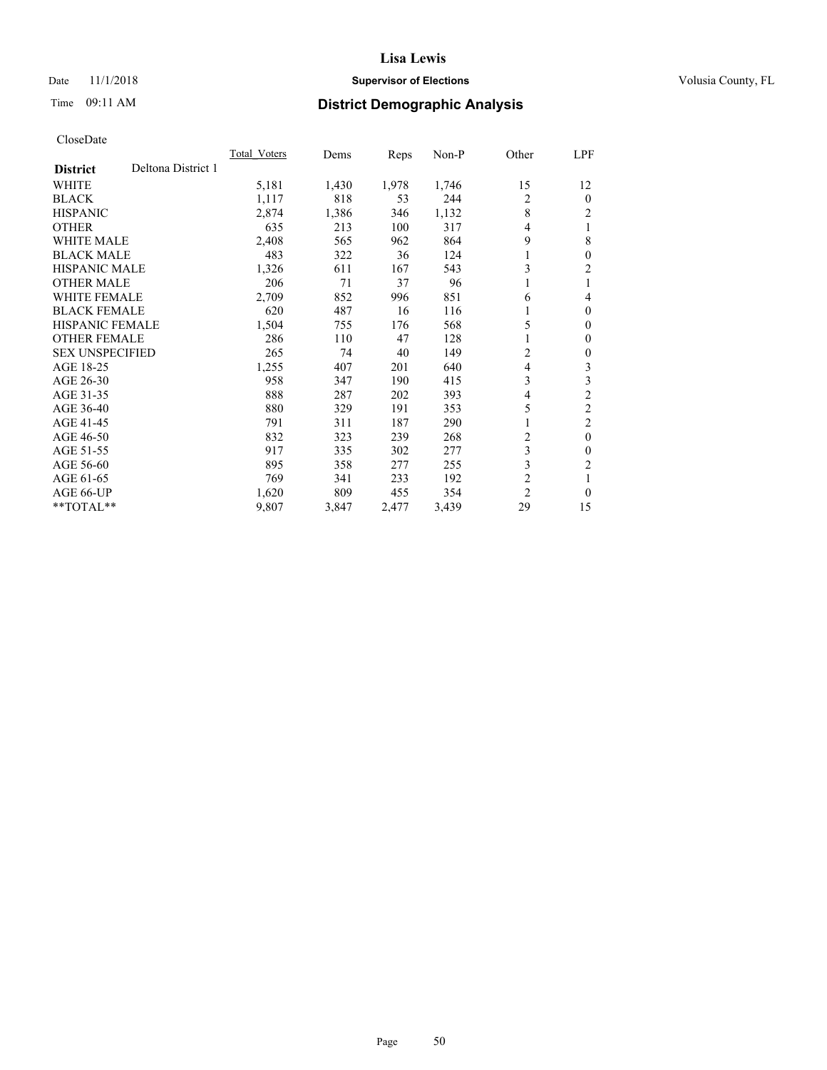## Date 11/1/2018 **Supervisor of Elections Supervisor of Elections** Volusia County, FL

# Time 09:11 AM **District Demographic Analysis**

|                                       | Total Voters | Dems  | Reps  | $Non-P$ | Other          | <u>LPF</u>     |
|---------------------------------------|--------------|-------|-------|---------|----------------|----------------|
| Deltona District 1<br><b>District</b> |              |       |       |         |                |                |
| WHITE                                 | 5,181        | 1,430 | 1,978 | 1,746   | 15             | 12             |
| <b>BLACK</b>                          | 1,117        | 818   | 53    | 244     | 2              | $\theta$       |
| <b>HISPANIC</b>                       | 2,874        | 1,386 | 346   | 1,132   | 8              | $\overline{c}$ |
| <b>OTHER</b>                          | 635          | 213   | 100   | 317     | 4              |                |
| WHITE MALE                            | 2,408        | 565   | 962   | 864     | 9              | 8              |
| <b>BLACK MALE</b>                     | 483          | 322   | 36    | 124     | 1              | $\theta$       |
| <b>HISPANIC MALE</b>                  | 1,326        | 611   | 167   | 543     | 3              | 2              |
| <b>OTHER MALE</b>                     | 206          | 71    | 37    | 96      | 1              |                |
| WHITE FEMALE                          | 2,709        | 852   | 996   | 851     | 6              | 4              |
| <b>BLACK FEMALE</b>                   | 620          | 487   | 16    | 116     |                | $\theta$       |
| <b>HISPANIC FEMALE</b>                | 1,504        | 755   | 176   | 568     | 5              | $\mathbf{0}$   |
| <b>OTHER FEMALE</b>                   | 286          | 110   | 47    | 128     | 1              | 0              |
| <b>SEX UNSPECIFIED</b>                | 265          | 74    | 40    | 149     | 2              | 0              |
| AGE 18-25                             | 1,255        | 407   | 201   | 640     | 4              | 3              |
| AGE 26-30                             | 958          | 347   | 190   | 415     | 3              | 3              |
| AGE 31-35                             | 888          | 287   | 202   | 393     | 4              | $\overline{2}$ |
| AGE 36-40                             | 880          | 329   | 191   | 353     | 5              | $\overline{2}$ |
| AGE 41-45                             | 791          | 311   | 187   | 290     | 1              | 2              |
| AGE 46-50                             | 832          | 323   | 239   | 268     | 2              | $\theta$       |
| AGE 51-55                             | 917          | 335   | 302   | 277     | 3              | 0              |
| AGE 56-60                             | 895          | 358   | 277   | 255     | 3              | $\overline{2}$ |
| AGE 61-65                             | 769          | 341   | 233   | 192     | $\overline{c}$ |                |
| AGE 66-UP                             | 1,620        | 809   | 455   | 354     | $\overline{2}$ | $\theta$       |
| **TOTAL**                             | 9,807        | 3,847 | 2,477 | 3,439   | 29             | 15             |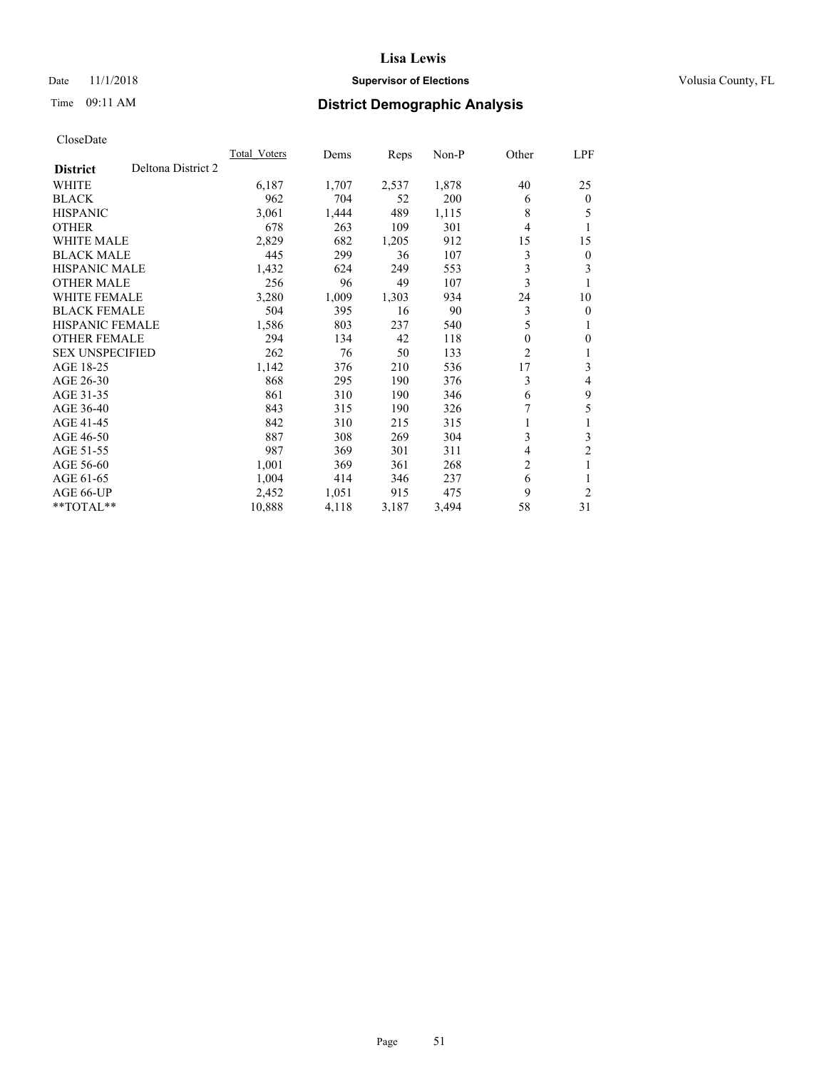## **Lisa Lewis** Date 11/1/2018 **Supervisor of Elections Supervisor of Elections** Volusia County, FL

# Time 09:11 AM **District Demographic Analysis**

|                                       | Total Voters | Dems  | Reps  | $Non-P$ | Other | <u>LPF</u>     |
|---------------------------------------|--------------|-------|-------|---------|-------|----------------|
| Deltona District 2<br><b>District</b> |              |       |       |         |       |                |
| WHITE                                 | 6,187        | 1,707 | 2,537 | 1,878   | 40    | 25             |
| <b>BLACK</b>                          | 962          | 704   | 52    | 200     | 6     | $\mathbf{0}$   |
| <b>HISPANIC</b>                       | 3,061        | 1,444 | 489   | 1,115   | 8     | 5              |
| <b>OTHER</b>                          | 678          | 263   | 109   | 301     | 4     | 1              |
| <b>WHITE MALE</b>                     | 2,829        | 682   | 1,205 | 912     | 15    | 15             |
| <b>BLACK MALE</b>                     | 445          | 299   | 36    | 107     | 3     | $\mathbf{0}$   |
| HISPANIC MALE                         | 1,432        | 624   | 249   | 553     | 3     | 3              |
| <b>OTHER MALE</b>                     | 256          | 96    | 49    | 107     | 3     | 1              |
| <b>WHITE FEMALE</b>                   | 3,280        | 1,009 | 1,303 | 934     | 24    | 10             |
| <b>BLACK FEMALE</b>                   | 504          | 395   | 16    | 90      | 3     | $\mathbf{0}$   |
| <b>HISPANIC FEMALE</b>                | 1,586        | 803   | 237   | 540     | 5     | 1              |
| <b>OTHER FEMALE</b>                   | 294          | 134   | 42    | 118     | 0     | $\theta$       |
| <b>SEX UNSPECIFIED</b>                | 262          | 76    | 50    | 133     | 2     | 1              |
| AGE 18-25                             | 1,142        | 376   | 210   | 536     | 17    | 3              |
| AGE 26-30                             | 868          | 295   | 190   | 376     | 3     | 4              |
| AGE 31-35                             | 861          | 310   | 190   | 346     | 6     | 9              |
| AGE 36-40                             | 843          | 315   | 190   | 326     | 7     | 5              |
| AGE 41-45                             | 842          | 310   | 215   | 315     | 1     | 1              |
| AGE 46-50                             | 887          | 308   | 269   | 304     | 3     | 3              |
| AGE 51-55                             | 987          | 369   | 301   | 311     | 4     | $\overline{2}$ |
| AGE 56-60                             | 1,001        | 369   | 361   | 268     | 2     | 1              |
| AGE 61-65                             | 1,004        | 414   | 346   | 237     | 6     | 1              |
| AGE 66-UP                             | 2,452        | 1,051 | 915   | 475     | 9     | $\overline{2}$ |
| $*$ TOTAL $*$                         | 10,888       | 4,118 | 3,187 | 3,494   | 58    | 31             |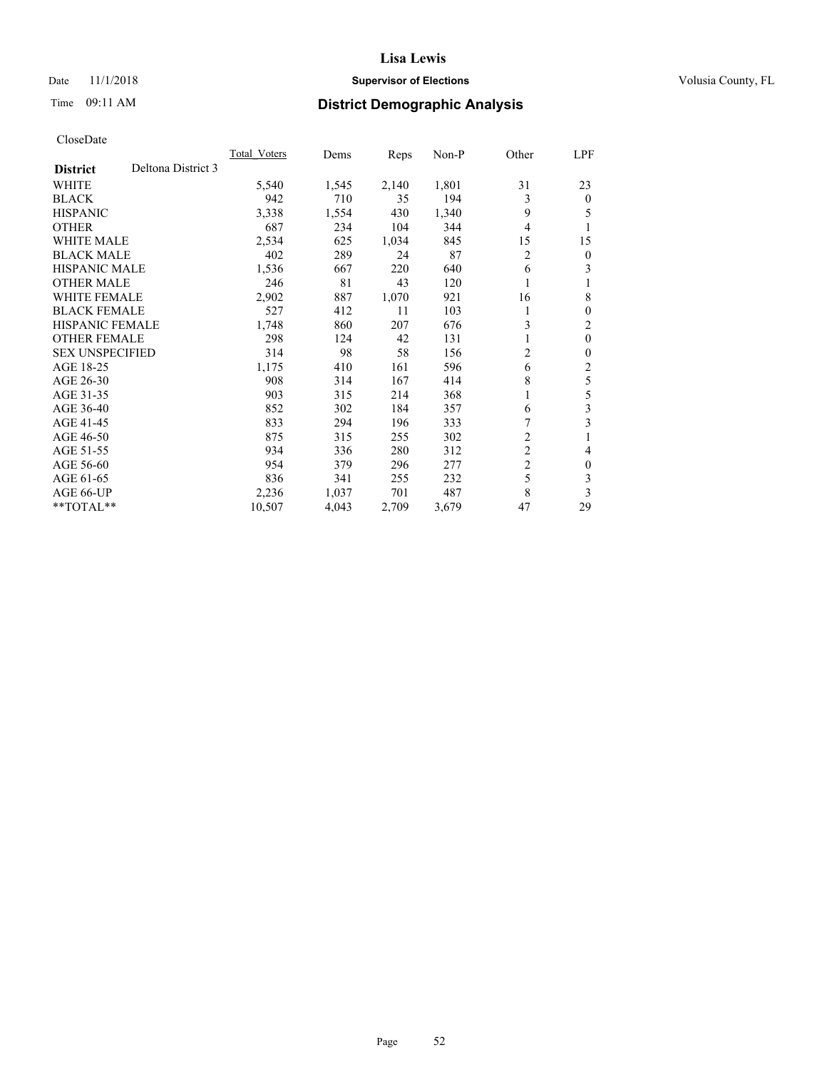## Date 11/1/2018 **Supervisor of Elections Supervisor of Elections** Volusia County, FL

# Time 09:11 AM **District Demographic Analysis**

|                        |                    | <b>Total Voters</b> | Dems  | Reps  | $Non-P$ | Other          | LPF            |
|------------------------|--------------------|---------------------|-------|-------|---------|----------------|----------------|
| <b>District</b>        | Deltona District 3 |                     |       |       |         |                |                |
| <b>WHITE</b>           |                    | 5,540               | 1,545 | 2,140 | 1,801   | 31             | 23             |
| <b>BLACK</b>           |                    | 942                 | 710   | 35    | 194     | 3              | $\mathbf{0}$   |
| <b>HISPANIC</b>        |                    | 3,338               | 1,554 | 430   | 1,340   | 9              | 5              |
| <b>OTHER</b>           |                    | 687                 | 234   | 104   | 344     | 4              | 1              |
| <b>WHITE MALE</b>      |                    | 2,534               | 625   | 1,034 | 845     | 15             | 15             |
| <b>BLACK MALE</b>      |                    | 402                 | 289   | 24    | 87      | 2              | $\mathbf{0}$   |
| <b>HISPANIC MALE</b>   |                    | 1,536               | 667   | 220   | 640     | 6              | 3              |
| <b>OTHER MALE</b>      |                    | 246                 | 81    | 43    | 120     |                |                |
| <b>WHITE FEMALE</b>    |                    | 2,902               | 887   | 1,070 | 921     | 16             | 8              |
| <b>BLACK FEMALE</b>    |                    | 527                 | 412   | 11    | 103     |                | $\theta$       |
| <b>HISPANIC FEMALE</b> |                    | 1,748               | 860   | 207   | 676     | 3              | $\overline{2}$ |
| <b>OTHER FEMALE</b>    |                    | 298                 | 124   | 42    | 131     | 1              | $\theta$       |
| <b>SEX UNSPECIFIED</b> |                    | 314                 | 98    | 58    | 156     | 2              | 0              |
| AGE 18-25              |                    | 1,175               | 410   | 161   | 596     | 6              | 2              |
| AGE 26-30              |                    | 908                 | 314   | 167   | 414     | 8              | 5              |
| AGE 31-35              |                    | 903                 | 315   | 214   | 368     | 1              | 5              |
| AGE 36-40              |                    | 852                 | 302   | 184   | 357     | 6              | 3              |
| AGE 41-45              |                    | 833                 | 294   | 196   | 333     | 7              | 3              |
| AGE 46-50              |                    | 875                 | 315   | 255   | 302     | $\overline{c}$ |                |
| AGE 51-55              |                    | 934                 | 336   | 280   | 312     | $\overline{c}$ | 4              |
| AGE 56-60              |                    | 954                 | 379   | 296   | 277     | $\overline{c}$ | $\theta$       |
| AGE 61-65              |                    | 836                 | 341   | 255   | 232     | 5              | 3              |
| AGE 66-UP              |                    | 2,236               | 1,037 | 701   | 487     | 8              | 3              |
| $*$ TOTAL $*$          |                    | 10,507              | 4,043 | 2,709 | 3,679   | 47             | 29             |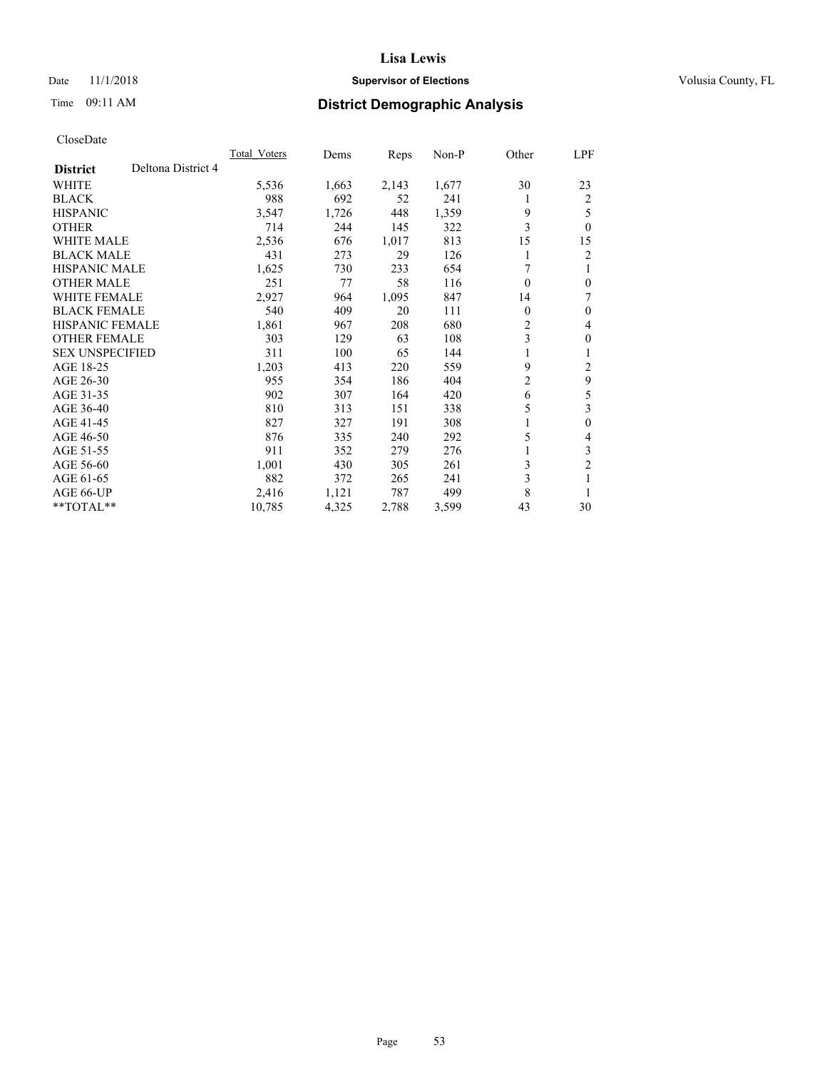## Date 11/1/2018 **Supervisor of Elections Supervisor of Elections** Volusia County, FL

# Time 09:11 AM **District Demographic Analysis**

|                        |                    | <b>Total Voters</b> | Dems  | Reps  | $Non-P$ | Other          | LPF            |
|------------------------|--------------------|---------------------|-------|-------|---------|----------------|----------------|
| <b>District</b>        | Deltona District 4 |                     |       |       |         |                |                |
| <b>WHITE</b>           |                    | 5,536               | 1,663 | 2,143 | 1,677   | 30             | 23             |
| <b>BLACK</b>           |                    | 988                 | 692   | 52    | 241     | 1              | $\overline{2}$ |
| <b>HISPANIC</b>        |                    | 3,547               | 1,726 | 448   | 1,359   | 9              | 5              |
| <b>OTHER</b>           |                    | 714                 | 244   | 145   | 322     | 3              | $\theta$       |
| <b>WHITE MALE</b>      |                    | 2,536               | 676   | 1,017 | 813     | 15             | 15             |
| <b>BLACK MALE</b>      |                    | 431                 | 273   | 29    | 126     |                | 2              |
| <b>HISPANIC MALE</b>   |                    | 1,625               | 730   | 233   | 654     | 7              | 1              |
| <b>OTHER MALE</b>      |                    | 251                 | 77    | 58    | 116     | 0              | $\theta$       |
| <b>WHITE FEMALE</b>    |                    | 2,927               | 964   | 1,095 | 847     | 14             | 7              |
| <b>BLACK FEMALE</b>    |                    | 540                 | 409   | 20    | 111     | 0              | $\theta$       |
| <b>HISPANIC FEMALE</b> |                    | 1,861               | 967   | 208   | 680     | 2              | 4              |
| <b>OTHER FEMALE</b>    |                    | 303                 | 129   | 63    | 108     | 3              | $\theta$       |
| <b>SEX UNSPECIFIED</b> |                    | 311                 | 100   | 65    | 144     |                | 1              |
| AGE 18-25              |                    | 1,203               | 413   | 220   | 559     | 9              | $\overline{c}$ |
| AGE 26-30              |                    | 955                 | 354   | 186   | 404     | $\overline{2}$ | 9              |
| AGE 31-35              |                    | 902                 | 307   | 164   | 420     | 6              | 5              |
| AGE 36-40              |                    | 810                 | 313   | 151   | 338     | 5              | 3              |
| AGE 41-45              |                    | 827                 | 327   | 191   | 308     | 1              | $\theta$       |
| AGE 46-50              |                    | 876                 | 335   | 240   | 292     | 5              | 4              |
| AGE 51-55              |                    | 911                 | 352   | 279   | 276     |                | 3              |
| AGE 56-60              |                    | 1,001               | 430   | 305   | 261     | 3              | $\overline{c}$ |
| AGE 61-65              |                    | 882                 | 372   | 265   | 241     | 3              |                |
| AGE 66-UP              |                    | 2,416               | 1,121 | 787   | 499     | 8              | 1              |
| $*$ TOTAL $*$          |                    | 10,785              | 4,325 | 2,788 | 3,599   | 43             | 30             |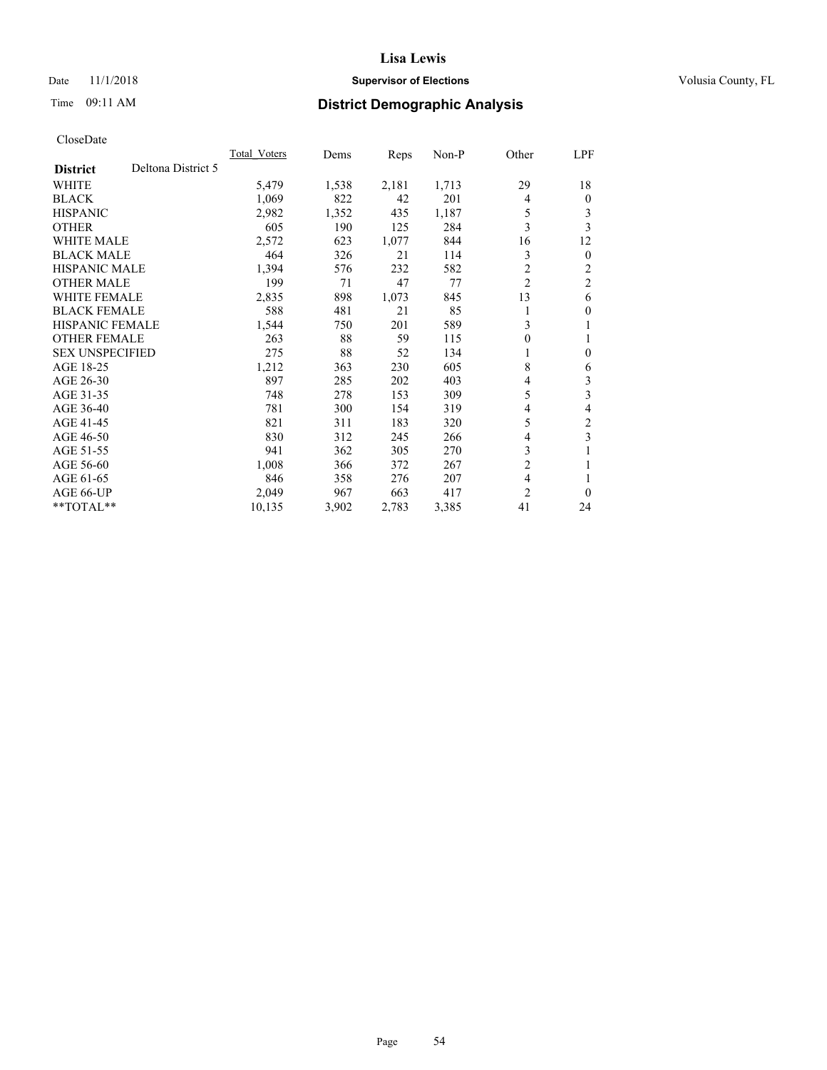## Date 11/1/2018 **Supervisor of Elections Supervisor of Elections** Volusia County, FL

# Time 09:11 AM **District Demographic Analysis**

|                                       | Total Voters | Dems  | Reps  | $Non-P$ | Other          | LPF            |
|---------------------------------------|--------------|-------|-------|---------|----------------|----------------|
| Deltona District 5<br><b>District</b> |              |       |       |         |                |                |
| <b>WHITE</b>                          | 5,479        | 1,538 | 2,181 | 1,713   | 29             | 18             |
| <b>BLACK</b>                          | 1,069        | 822   | 42    | 201     | 4              | $\Omega$       |
| <b>HISPANIC</b>                       | 2,982        | 1,352 | 435   | 1,187   | 5              | 3              |
| <b>OTHER</b>                          | 605          | 190   | 125   | 284     | 3              | 3              |
| <b>WHITE MALE</b>                     | 2,572        | 623   | 1,077 | 844     | 16             | 12             |
| <b>BLACK MALE</b>                     | 464          | 326   | 21    | 114     | 3              | $\overline{0}$ |
| <b>HISPANIC MALE</b>                  | 1,394        | 576   | 232   | 582     | $\overline{2}$ | 2              |
| <b>OTHER MALE</b>                     | 199          | 71    | 47    | 77      | $\overline{2}$ | $\overline{2}$ |
| <b>WHITE FEMALE</b>                   | 2,835        | 898   | 1,073 | 845     | 13             | 6              |
| <b>BLACK FEMALE</b>                   | 588          | 481   | 21    | 85      | 1              | 0              |
| <b>HISPANIC FEMALE</b>                | 1,544        | 750   | 201   | 589     | 3              | 1              |
| <b>OTHER FEMALE</b>                   | 263          | 88    | 59    | 115     | 0              |                |
| <b>SEX UNSPECIFIED</b>                | 275          | 88    | 52    | 134     |                | 0              |
| AGE 18-25                             | 1,212        | 363   | 230   | 605     | 8              | 6              |
| AGE 26-30                             | 897          | 285   | 202   | 403     | 4              | 3              |
| AGE 31-35                             | 748          | 278   | 153   | 309     | 5              | 3              |
| AGE 36-40                             | 781          | 300   | 154   | 319     | 4              | 4              |
| AGE 41-45                             | 821          | 311   | 183   | 320     | 5              | 2              |
| AGE 46-50                             | 830          | 312   | 245   | 266     | 4              | 3              |
| AGE 51-55                             | 941          | 362   | 305   | 270     | 3              |                |
| AGE 56-60                             | 1,008        | 366   | 372   | 267     | $\overline{2}$ |                |
| AGE 61-65                             | 846          | 358   | 276   | 207     | 4              |                |
| AGE 66-UP                             | 2,049        | 967   | 663   | 417     | $\overline{2}$ | 0              |
| $*$ TOTAL $*$                         | 10,135       | 3,902 | 2,783 | 3,385   | 41             | 24             |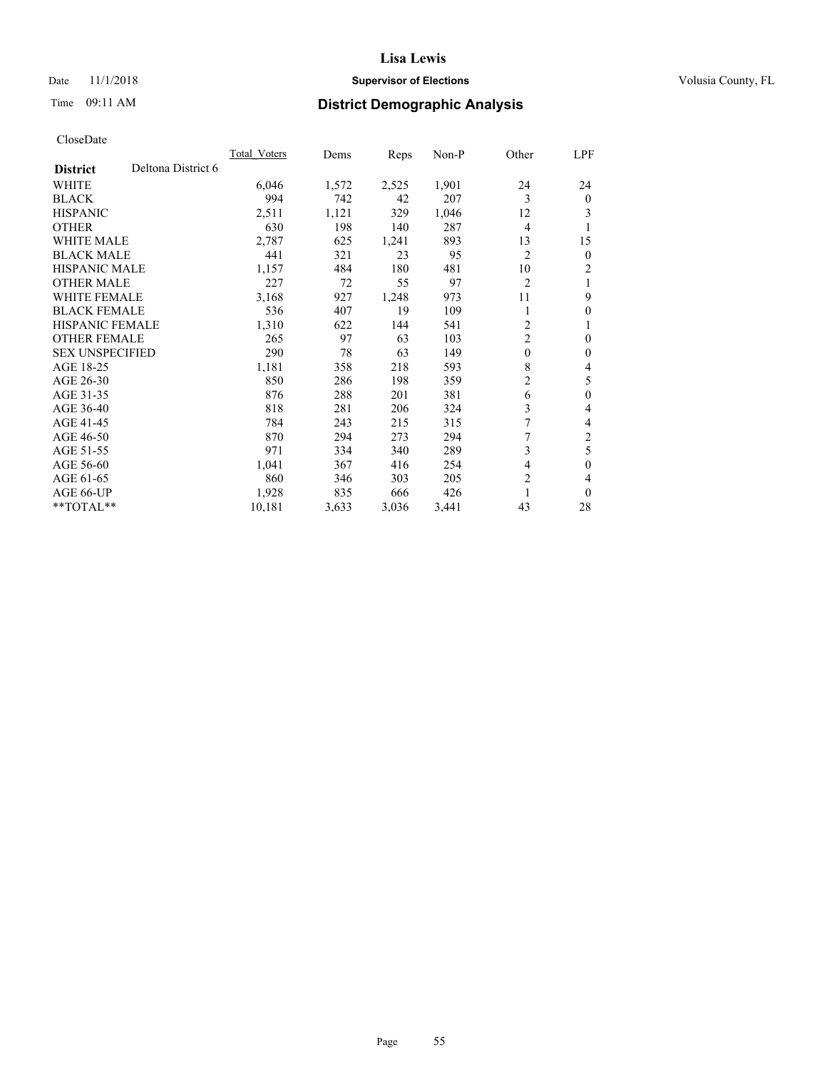## Date 11/1/2018 **Supervisor of Elections Supervisor of Elections** Volusia County, FL

# Time 09:11 AM **District Demographic Analysis**

|                        |                    | <b>Total Voters</b> | Dems  | Reps  | $Non-P$ | Other                   | LPF          |
|------------------------|--------------------|---------------------|-------|-------|---------|-------------------------|--------------|
| <b>District</b>        | Deltona District 6 |                     |       |       |         |                         |              |
| <b>WHITE</b>           |                    | 6,046               | 1,572 | 2,525 | 1,901   | 24                      | 24           |
| <b>BLACK</b>           |                    | 994                 | 742   | 42    | 207     | 3                       | $\theta$     |
| <b>HISPANIC</b>        |                    | 2,511               | 1,121 | 329   | 1,046   | 12                      | 3            |
| <b>OTHER</b>           |                    | 630                 | 198   | 140   | 287     | $\overline{4}$          | 1            |
| <b>WHITE MALE</b>      |                    | 2,787               | 625   | 1,241 | 893     | 13                      | 15           |
| <b>BLACK MALE</b>      |                    | 441                 | 321   | 23    | 95      | $\overline{2}$          | $\mathbf{0}$ |
| <b>HISPANIC MALE</b>   |                    | 1,157               | 484   | 180   | 481     | 10                      | 2            |
| <b>OTHER MALE</b>      |                    | 227                 | 72    | 55    | 97      | $\overline{2}$          | 1            |
| <b>WHITE FEMALE</b>    |                    | 3,168               | 927   | 1,248 | 973     | 11                      | 9            |
| <b>BLACK FEMALE</b>    |                    | 536                 | 407   | 19    | 109     |                         | $\theta$     |
| <b>HISPANIC FEMALE</b> |                    | 1,310               | 622   | 144   | 541     | 2                       | 1            |
| <b>OTHER FEMALE</b>    |                    | 265                 | 97    | 63    | 103     | $\overline{\mathbf{c}}$ | $\theta$     |
| <b>SEX UNSPECIFIED</b> |                    | 290                 | 78    | 63    | 149     | $\mathbf{0}$            | $\theta$     |
| AGE 18-25              |                    | 1,181               | 358   | 218   | 593     | 8                       | 4            |
| AGE 26-30              |                    | 850                 | 286   | 198   | 359     | $\overline{2}$          | 5            |
| AGE 31-35              |                    | 876                 | 288   | 201   | 381     | 6                       | $\theta$     |
| AGE 36-40              |                    | 818                 | 281   | 206   | 324     | 3                       | 4            |
| AGE 41-45              |                    | 784                 | 243   | 215   | 315     | 7                       | 4            |
| AGE 46-50              |                    | 870                 | 294   | 273   | 294     | 7                       | 2            |
| AGE 51-55              |                    | 971                 | 334   | 340   | 289     | 3                       | 5            |
| AGE 56-60              |                    | 1,041               | 367   | 416   | 254     | 4                       | $\theta$     |
| AGE 61-65              |                    | 860                 | 346   | 303   | 205     | $\overline{2}$          | 4            |
| AGE 66-UP              |                    | 1,928               | 835   | 666   | 426     | 1                       | $\theta$     |
| $*$ TOTAL $*$          |                    | 10,181              | 3,633 | 3,036 | 3,441   | 43                      | 28           |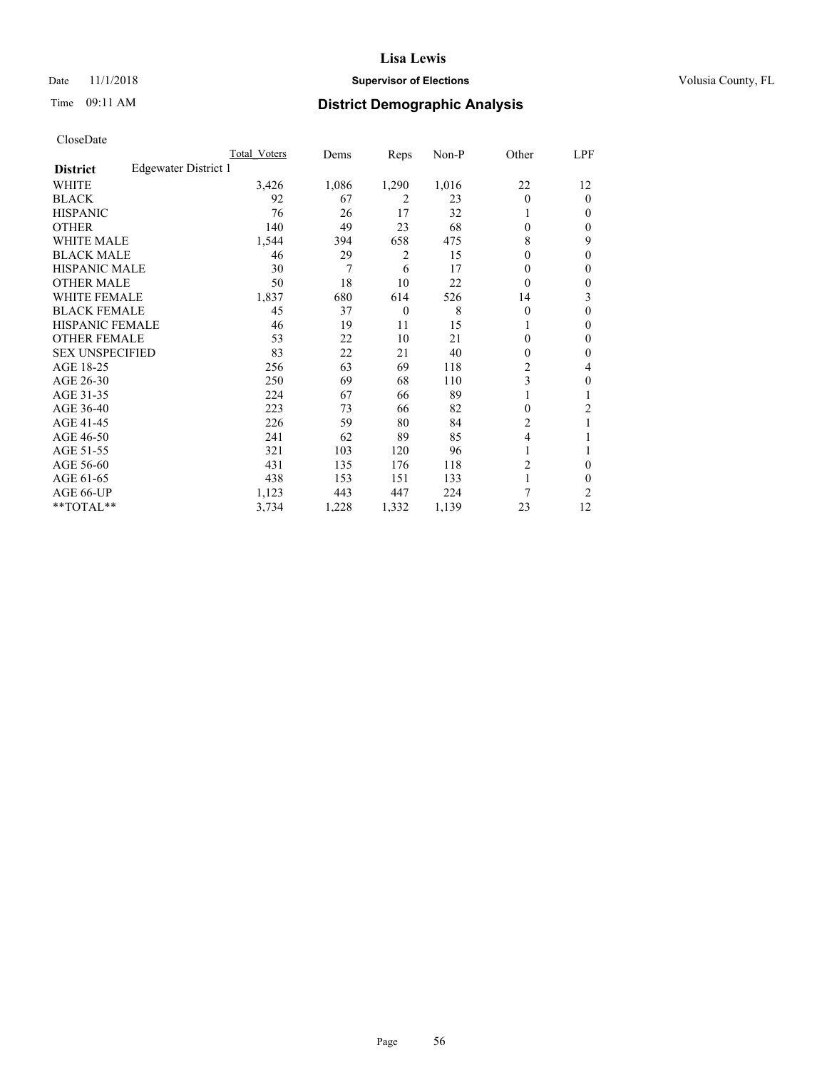## Date 11/1/2018 **Supervisor of Elections Supervisor of Elections** Volusia County, FL

# Time 09:11 AM **District Demographic Analysis**

|                        |                      | Total Voters | Dems  | Reps           | Non-P | Other          | LPF            |
|------------------------|----------------------|--------------|-------|----------------|-------|----------------|----------------|
| <b>District</b>        | Edgewater District 1 |              |       |                |       |                |                |
| WHITE                  |                      | 3,426        | 1,086 | 1,290          | 1,016 | 22             | 12             |
| <b>BLACK</b>           |                      | 92           | 67    | 2              | 23    | 0              | $\mathbf{0}$   |
| <b>HISPANIC</b>        |                      | 76           | 26    | 17             | 32    |                | $\Omega$       |
| <b>OTHER</b>           |                      | 140          | 49    | 23             | 68    | 0              | 0              |
| <b>WHITE MALE</b>      |                      | 1,544        | 394   | 658            | 475   | 8              | 9              |
| <b>BLACK MALE</b>      |                      | 46           | 29    | 2              | 15    | $\mathbf{0}$   | $\theta$       |
| <b>HISPANIC MALE</b>   |                      | 30           | 7     | 6              | 17    | 0              | $\theta$       |
| <b>OTHER MALE</b>      |                      | 50           | 18    | 10             | 22    | 0              | 0              |
| WHITE FEMALE           |                      | 1,837        | 680   | 614            | 526   | 14             | 3              |
| <b>BLACK FEMALE</b>    |                      | 45           | 37    | $\overline{0}$ | 8     | 0              | 0              |
| <b>HISPANIC FEMALE</b> |                      | 46           | 19    | 11             | 15    |                | 0              |
| <b>OTHER FEMALE</b>    |                      | 53           | 22    | 10             | 21    | 0              | 0              |
| <b>SEX UNSPECIFIED</b> |                      | 83           | 22    | 21             | 40    | 0              | $\theta$       |
| AGE 18-25              |                      | 256          | 63    | 69             | 118   | $\overline{c}$ | 4              |
| AGE 26-30              |                      | 250          | 69    | 68             | 110   | 3              | $\theta$       |
| AGE 31-35              |                      | 224          | 67    | 66             | 89    |                |                |
| AGE 36-40              |                      | 223          | 73    | 66             | 82    | 0              | 2              |
| AGE 41-45              |                      | 226          | 59    | 80             | 84    | 2              |                |
| AGE 46-50              |                      | 241          | 62    | 89             | 85    | 4              |                |
| AGE 51-55              |                      | 321          | 103   | 120            | 96    | 1              |                |
| AGE 56-60              |                      | 431          | 135   | 176            | 118   | 2              | 0              |
| AGE 61-65              |                      | 438          | 153   | 151            | 133   | 1              | 0              |
| AGE 66-UP              |                      | 1,123        | 443   | 447            | 224   | 7              | $\overline{c}$ |
| **TOTAL**              |                      | 3,734        | 1,228 | 1,332          | 1,139 | 23             | 12             |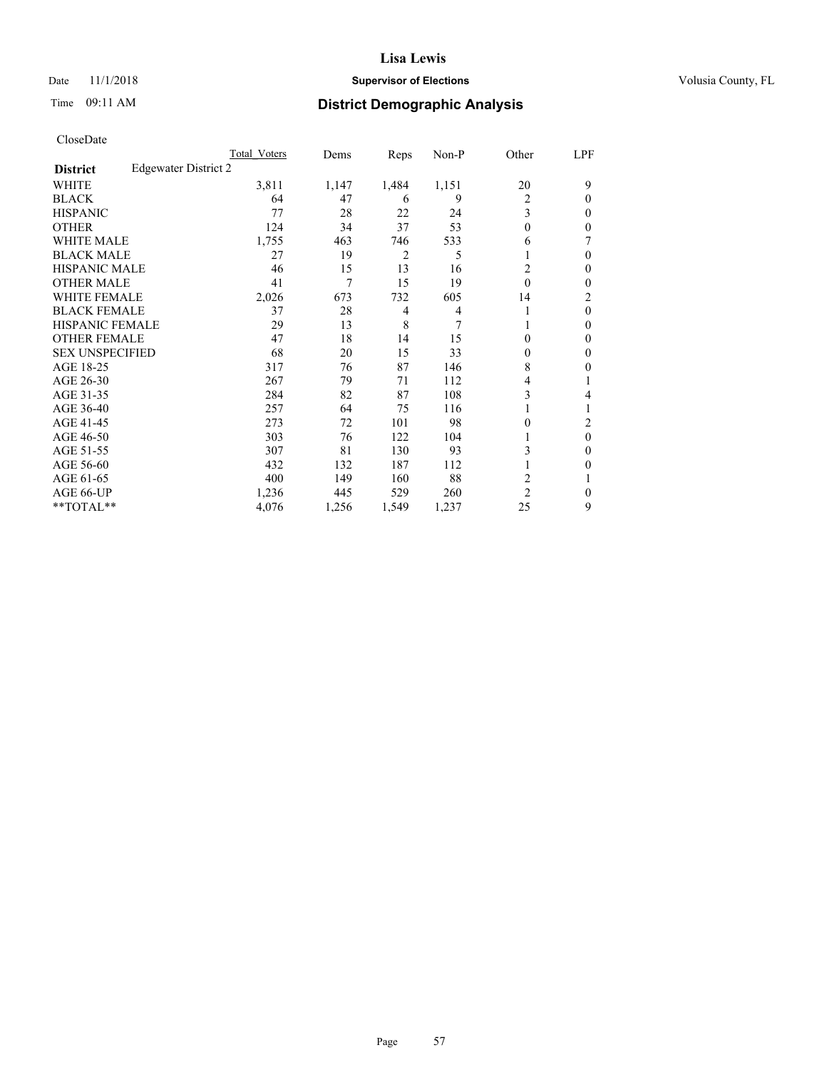## Date 11/1/2018 **Supervisor of Elections Supervisor of Elections** Volusia County, FL

## Time 09:11 AM **District Demographic Analysis**

|                        |                      | Total Voters | Dems  | Reps  | Non-P | Other          | LPF            |
|------------------------|----------------------|--------------|-------|-------|-------|----------------|----------------|
| <b>District</b>        | Edgewater District 2 |              |       |       |       |                |                |
| WHITE                  |                      | 3,811        | 1,147 | 1,484 | 1,151 | 20             | 9              |
| <b>BLACK</b>           |                      | 64           | 47    | 6     | 9     | 2              | 0              |
| <b>HISPANIC</b>        |                      | 77           | 28    | 22    | 24    | 3              | 0              |
| <b>OTHER</b>           |                      | 124          | 34    | 37    | 53    | $\Omega$       | 0              |
| WHITE MALE             |                      | 1,755        | 463   | 746   | 533   | 6              |                |
| <b>BLACK MALE</b>      |                      | 27           | 19    | 2     | 5     |                | 0              |
| <b>HISPANIC MALE</b>   |                      | 46           | 15    | 13    | 16    | 2              | 0              |
| <b>OTHER MALE</b>      |                      | 41           | 7     | 15    | 19    | $\theta$       | 0              |
| WHITE FEMALE           |                      | 2,026        | 673   | 732   | 605   | 14             | $\overline{c}$ |
| <b>BLACK FEMALE</b>    |                      | 37           | 28    | 4     | 4     | 1              | $\theta$       |
| <b>HISPANIC FEMALE</b> |                      | 29           | 13    | 8     | 7     |                | 0              |
| <b>OTHER FEMALE</b>    |                      | 47           | 18    | 14    | 15    | $\Omega$       | 0              |
| <b>SEX UNSPECIFIED</b> |                      | 68           | 20    | 15    | 33    | $\theta$       | 0              |
| AGE 18-25              |                      | 317          | 76    | 87    | 146   | 8              | 0              |
| AGE 26-30              |                      | 267          | 79    | 71    | 112   | 4              |                |
| AGE 31-35              |                      | 284          | 82    | 87    | 108   | 3              | 4              |
| AGE 36-40              |                      | 257          | 64    | 75    | 116   |                |                |
| AGE 41-45              |                      | 273          | 72    | 101   | 98    | $\Omega$       | 2              |
| AGE 46-50              |                      | 303          | 76    | 122   | 104   |                | $\theta$       |
| AGE 51-55              |                      | 307          | 81    | 130   | 93    | 3              | 0              |
| AGE 56-60              |                      | 432          | 132   | 187   | 112   |                | 0              |
| AGE 61-65              |                      | 400          | 149   | 160   | 88    | 2              |                |
| AGE 66-UP              |                      | 1,236        | 445   | 529   | 260   | $\overline{2}$ | 0              |
| **TOTAL**              |                      | 4,076        | 1,256 | 1,549 | 1,237 | 25             | 9              |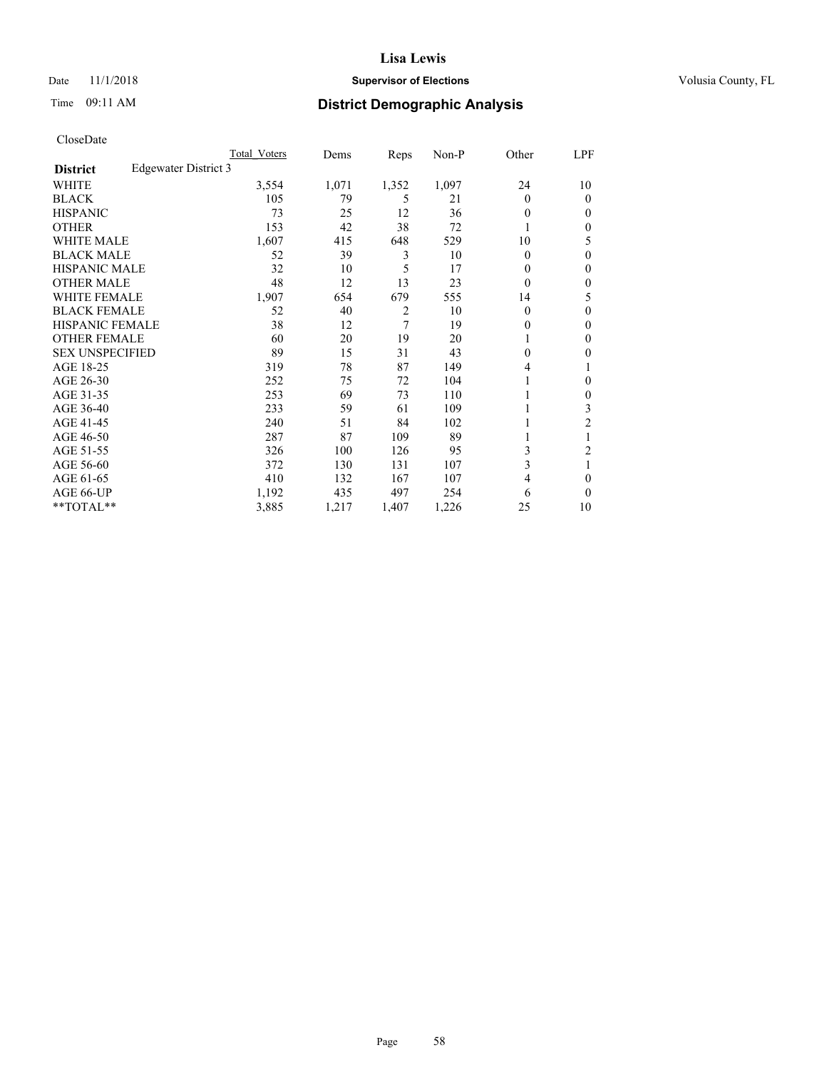## Date 11/1/2018 **Supervisor of Elections Supervisor of Elections** Volusia County, FL

## Time 09:11 AM **District Demographic Analysis**

| Total Voters         | Dems  | Reps           | $Non-P$ | Other    | LPF |
|----------------------|-------|----------------|---------|----------|-----|
| Edgewater District 3 |       |                |         |          |     |
| 3,554                | 1,071 | 1,352          | 1,097   | 24       | 10  |
| 105                  | 79    | 5              | 21      | $\Omega$ | 0   |
| 73                   | 25    | 12             | 36      | 0        | 0   |
| 153                  | 42    | 38             | 72      |          | 0   |
| 1,607                | 415   | 648            | 529     | 10       | 5   |
| 52                   | 39    | 3              | 10      | $\Omega$ | 0   |
| 32                   | 10    | 5              | 17      | 0        | 0   |
| 48                   | 12    | 13             | 23      | $\Omega$ | 0   |
| 1,907                | 654   | 679            | 555     | 14       | 5   |
| 52                   | 40    | $\overline{2}$ | 10      | $\theta$ | 0   |
| 38                   | 12    | 7              | 19      | 0        | 0   |
| 60                   | 20    | 19             | 20      |          | 0   |
| 89                   | 15    | 31             | 43      | 0        | 0   |
| 319                  | 78    | 87             | 149     | 4        |     |
| 252                  | 75    | 72             | 104     |          | 0   |
| 253                  | 69    | 73             | 110     |          | 0   |
| 233                  | 59    | 61             | 109     |          | 3   |
| 240                  | 51    | 84             | 102     |          | 2   |
| 287                  | 87    | 109            | 89      |          |     |
| 326                  | 100   | 126            | 95      | 3        | 2   |
| 372                  | 130   | 131            | 107     | 3        | 1   |
| 410                  | 132   | 167            | 107     | 4        | 0   |
| 1,192                | 435   | 497            | 254     | 6        | 0   |
| 3,885                | 1,217 | 1,407          | 1,226   | 25       | 10  |
|                      |       |                |         |          |     |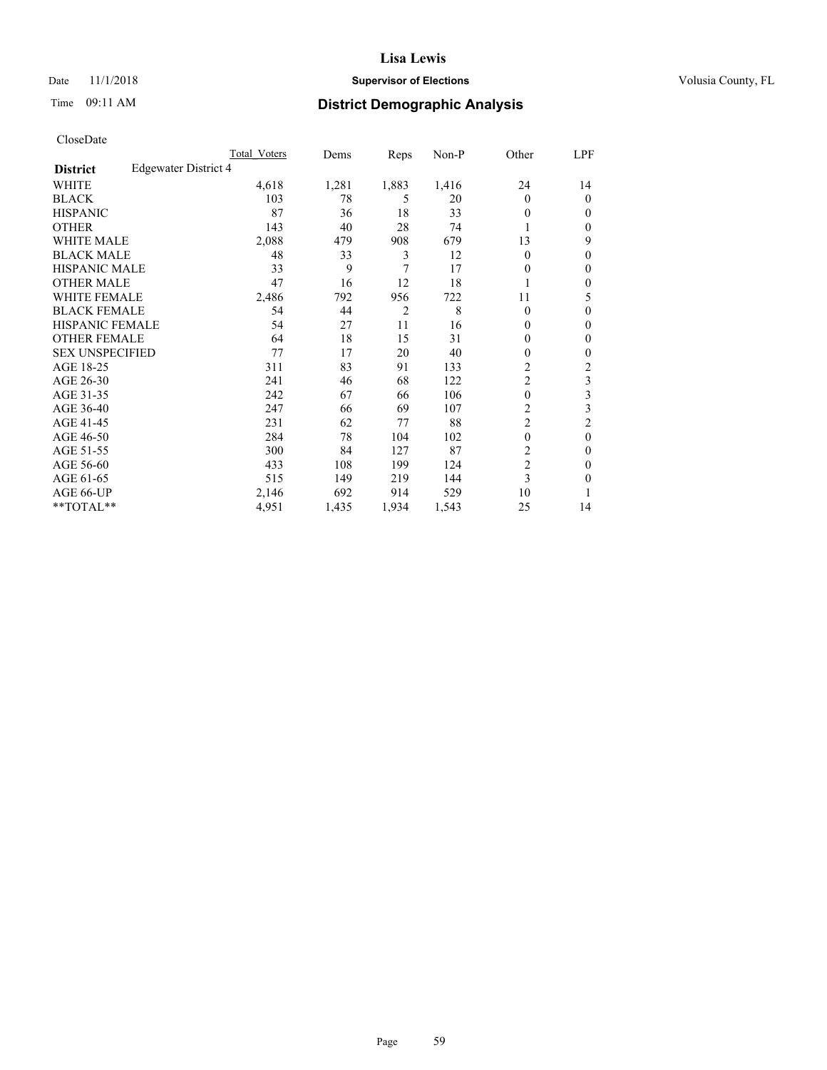## Date 11/1/2018 **Supervisor of Elections Supervisor of Elections** Volusia County, FL

## Time 09:11 AM **District Demographic Analysis**

|                        |                      | Total Voters | Dems  | Reps           | Non-P | Other          | LPF    |
|------------------------|----------------------|--------------|-------|----------------|-------|----------------|--------|
| <b>District</b>        | Edgewater District 4 |              |       |                |       |                |        |
| WHITE                  |                      | 4,618        | 1,281 | 1,883          | 1,416 | 24             | 14     |
| <b>BLACK</b>           |                      | 103          | 78    | 5              | 20    | $\Omega$       | 0      |
| <b>HISPANIC</b>        |                      | 87           | 36    | 18             | 33    | 0              | $_{0}$ |
| <b>OTHER</b>           |                      | 143          | 40    | 28             | 74    |                | 0      |
| WHITE MALE             |                      | 2,088        | 479   | 908            | 679   | 13             | 9      |
| <b>BLACK MALE</b>      |                      | 48           | 33    | 3              | 12    | $\Omega$       | 0      |
| <b>HISPANIC MALE</b>   |                      | 33           | 9     | 7              | 17    | $_{0}$         | 0      |
| <b>OTHER MALE</b>      |                      | 47           | 16    | 12             | 18    |                | 0      |
| WHITE FEMALE           |                      | 2,486        | 792   | 956            | 722   | 11             | 5      |
| <b>BLACK FEMALE</b>    |                      | 54           | 44    | $\overline{2}$ | 8     | $\Omega$       | 0      |
| <b>HISPANIC FEMALE</b> |                      | 54           | 27    | 11             | 16    | 0              | 0      |
| <b>OTHER FEMALE</b>    |                      | 64           | 18    | 15             | 31    | 0              | 0      |
| <b>SEX UNSPECIFIED</b> |                      | 77           | 17    | 20             | 40    | 0              | 0      |
| AGE 18-25              |                      | 311          | 83    | 91             | 133   | $\overline{2}$ | 2      |
| AGE 26-30              |                      | 241          | 46    | 68             | 122   | $\overline{c}$ | 3      |
| AGE 31-35              |                      | 242          | 67    | 66             | 106   | 0              | 3      |
| AGE 36-40              |                      | 247          | 66    | 69             | 107   | 2              | 3      |
| AGE 41-45              |                      | 231          | 62    | 77             | 88    | $\overline{2}$ | 2      |
| AGE 46-50              |                      | 284          | 78    | 104            | 102   | $\theta$       | 0      |
| AGE 51-55              |                      | 300          | 84    | 127            | 87    | 2              | 0      |
| AGE 56-60              |                      | 433          | 108   | 199            | 124   | $\overline{c}$ | 0      |
| AGE 61-65              |                      | 515          | 149   | 219            | 144   | 3              | 0      |
| AGE 66-UP              |                      | 2,146        | 692   | 914            | 529   | 10             |        |
| **TOTAL**              |                      | 4,951        | 1,435 | 1,934          | 1,543 | 25             | 14     |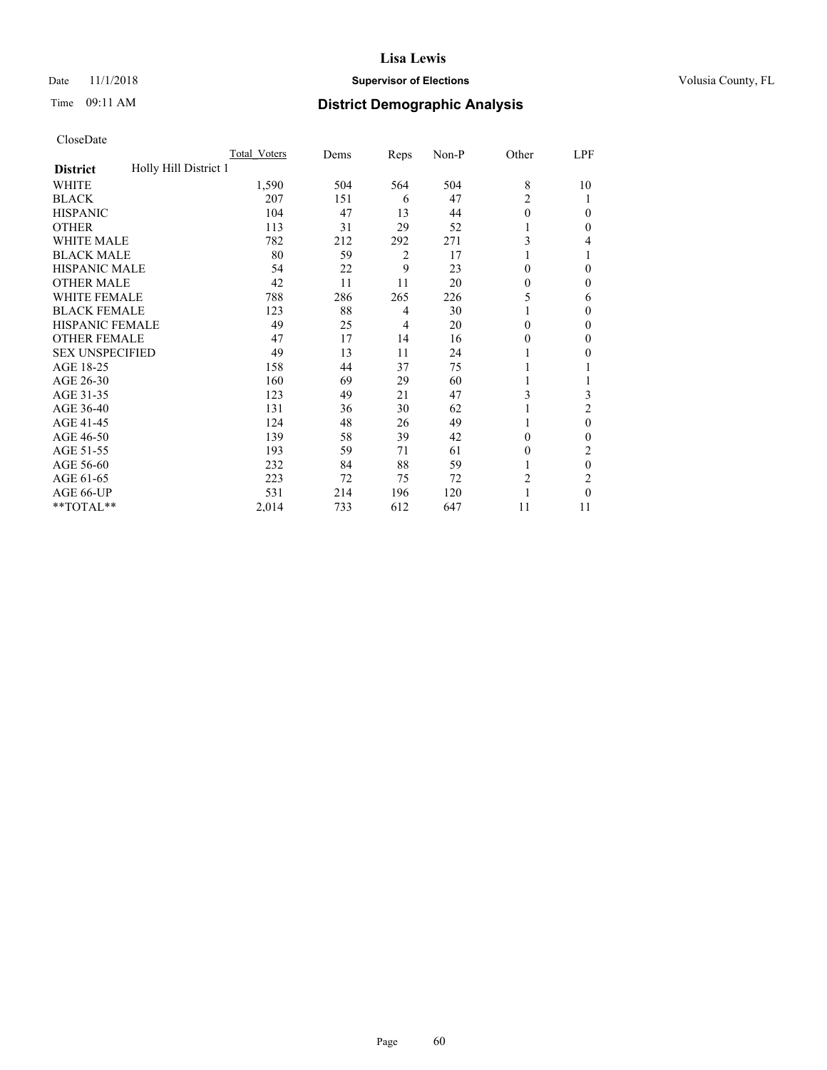## Date 11/1/2018 **Supervisor of Elections Supervisor of Elections** Volusia County, FL

# Time 09:11 AM **District Demographic Analysis**

|                                          | Total Voters | Dems | Reps           | Non-P | Other          | LPF          |
|------------------------------------------|--------------|------|----------------|-------|----------------|--------------|
| Holly Hill District 1<br><b>District</b> |              |      |                |       |                |              |
| WHITE                                    | 1,590        | 504  | 564            | 504   | 8              | 10           |
| <b>BLACK</b>                             | 207          | 151  | 6              | 47    | $\overline{2}$ |              |
| <b>HISPANIC</b>                          | 104          | 47   | 13             | 44    | $\theta$       | $\Omega$     |
| <b>OTHER</b>                             | 113          | 31   | 29             | 52    |                | 0            |
| WHITE MALE                               | 782          | 212  | 292            | 271   | 3              | 4            |
| <b>BLACK MALE</b>                        | 80           | 59   | $\overline{2}$ | 17    | 1              |              |
| <b>HISPANIC MALE</b>                     | 54           | 22   | 9              | 23    | $\theta$       | 0            |
| <b>OTHER MALE</b>                        | 42           | 11   | 11             | 20    | $\theta$       | $\mathbf{0}$ |
| <b>WHITE FEMALE</b>                      | 788          | 286  | 265            | 226   | 5              | 6            |
| <b>BLACK FEMALE</b>                      | 123          | 88   | 4              | 30    |                | 0            |
| <b>HISPANIC FEMALE</b>                   | 49           | 25   | 4              | 20    | $\Omega$       | 0            |
| <b>OTHER FEMALE</b>                      | 47           | 17   | 14             | 16    | $\theta$       | 0            |
| <b>SEX UNSPECIFIED</b>                   | 49           | 13   | 11             | 24    |                | 0            |
| AGE 18-25                                | 158          | 44   | 37             | 75    |                |              |
| AGE 26-30                                | 160          | 69   | 29             | 60    | 1              |              |
| AGE 31-35                                | 123          | 49   | 21             | 47    | 3              | 3            |
| AGE 36-40                                | 131          | 36   | 30             | 62    | 1              | 2            |
| AGE 41-45                                | 124          | 48   | 26             | 49    |                | $\theta$     |
| AGE 46-50                                | 139          | 58   | 39             | 42    | $\theta$       | 0            |
| AGE 51-55                                | 193          | 59   | 71             | 61    | $\Omega$       | 2            |
| AGE 56-60                                | 232          | 84   | 88             | 59    |                | $\theta$     |
| AGE 61-65                                | 223          | 72   | 75             | 72    | $\overline{c}$ | 2            |
| AGE 66-UP                                | 531          | 214  | 196            | 120   |                | 0            |
| **TOTAL**                                | 2,014        | 733  | 612            | 647   | 11             | 11           |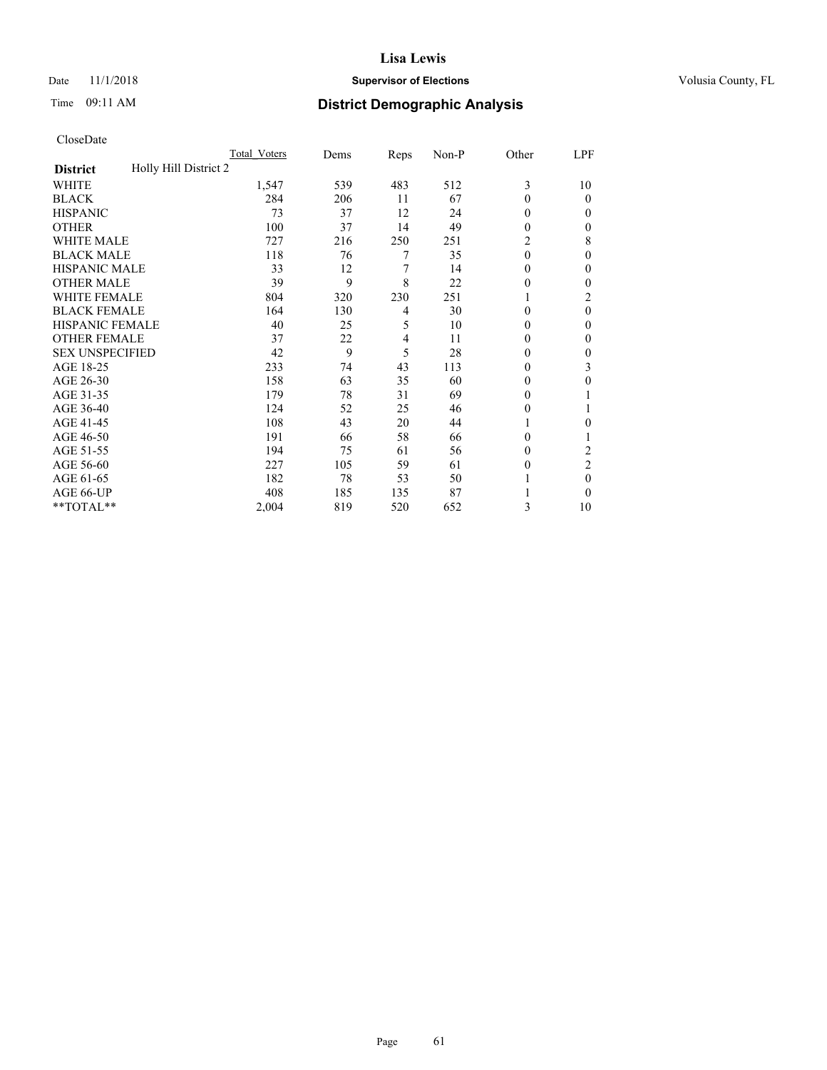## Date 11/1/2018 **Supervisor of Elections Supervisor of Elections** Volusia County, FL

# Time 09:11 AM **District Demographic Analysis**

|                                          | Total Voters | Dems | Reps | Non-P | Other        | LPF            |
|------------------------------------------|--------------|------|------|-------|--------------|----------------|
| Holly Hill District 2<br><b>District</b> |              |      |      |       |              |                |
| WHITE                                    | 1,547        | 539  | 483  | 512   | 3            | 10             |
| <b>BLACK</b>                             | 284          | 206  | 11   | 67    | $\theta$     | $\theta$       |
| <b>HISPANIC</b>                          | 73           | 37   | 12   | 24    | $\theta$     | 0              |
| <b>OTHER</b>                             | 100          | 37   | 14   | 49    | $\theta$     | 0              |
| <b>WHITE MALE</b>                        | 727          | 216  | 250  | 251   | 2            | 8              |
| <b>BLACK MALE</b>                        | 118          | 76   | 7    | 35    | $\theta$     | $\Omega$       |
| <b>HISPANIC MALE</b>                     | 33           | 12   | 7    | 14    | $\mathbf{0}$ | 0              |
| <b>OTHER MALE</b>                        | 39           | 9    | 8    | 22    | $\theta$     | 0              |
| <b>WHITE FEMALE</b>                      | 804          | 320  | 230  | 251   |              | 2              |
| <b>BLACK FEMALE</b>                      | 164          | 130  | 4    | 30    | $\theta$     | $\theta$       |
| <b>HISPANIC FEMALE</b>                   | 40           | 25   | 5    | 10    | $\theta$     | 0              |
| <b>OTHER FEMALE</b>                      | 37           | 22   | 4    | 11    | $\theta$     | 0              |
| <b>SEX UNSPECIFIED</b>                   | 42           | 9    | 5    | 28    | $\theta$     | 0              |
| AGE 18-25                                | 233          | 74   | 43   | 113   | $\theta$     | 3              |
| AGE 26-30                                | 158          | 63   | 35   | 60    | $\theta$     | $\theta$       |
| AGE 31-35                                | 179          | 78   | 31   | 69    | $\theta$     |                |
| AGE 36-40                                | 124          | 52   | 25   | 46    | $\theta$     |                |
| AGE 41-45                                | 108          | 43   | 20   | 44    |              | 0              |
| AGE 46-50                                | 191          | 66   | 58   | 66    | $\theta$     |                |
| AGE 51-55                                | 194          | 75   | 61   | 56    | $\Omega$     | 2              |
| AGE 56-60                                | 227          | 105  | 59   | 61    | $\theta$     | $\overline{2}$ |
| AGE 61-65                                | 182          | 78   | 53   | 50    |              | $\theta$       |
| AGE 66-UP                                | 408          | 185  | 135  | 87    |              | 0              |
| **TOTAL**                                | 2,004        | 819  | 520  | 652   | 3            | 10             |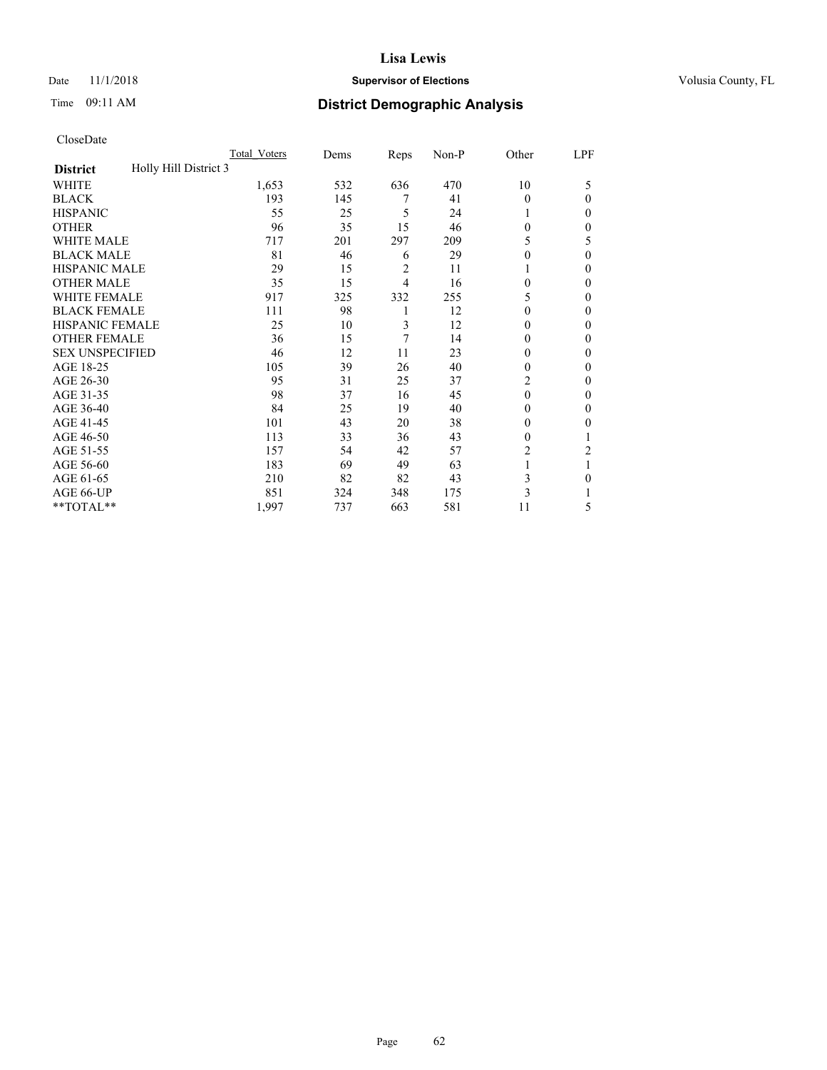## Date 11/1/2018 **Supervisor of Elections Supervisor of Elections** Volusia County, FL

# Time 09:11 AM **District Demographic Analysis**

|                                          | Total Voters | Dems | Reps | Non-P | Other          | LPF            |
|------------------------------------------|--------------|------|------|-------|----------------|----------------|
| Holly Hill District 3<br><b>District</b> |              |      |      |       |                |                |
| WHITE                                    | 1,653        | 532  | 636  | 470   | 10             | 5              |
| <b>BLACK</b>                             | 193          | 145  | 7    | 41    | $\theta$       | $\Omega$       |
| <b>HISPANIC</b>                          | 55           | 25   | 5    | 24    | 1              | 0              |
| <b>OTHER</b>                             | 96           | 35   | 15   | 46    | $\theta$       | 0              |
| <b>WHITE MALE</b>                        | 717          | 201  | 297  | 209   | 5              | 5              |
| <b>BLACK MALE</b>                        | 81           | 46   | 6    | 29    | $\theta$       | $\theta$       |
| <b>HISPANIC MALE</b>                     | 29           | 15   | 2    | 11    |                | 0              |
| <b>OTHER MALE</b>                        | 35           | 15   | 4    | 16    | $\theta$       | $\mathbf{0}$   |
| <b>WHITE FEMALE</b>                      | 917          | 325  | 332  | 255   | 5              | 0              |
| <b>BLACK FEMALE</b>                      | 111          | 98   | 1    | 12    | $\theta$       | 0              |
| <b>HISPANIC FEMALE</b>                   | 25           | 10   | 3    | 12    | $\Omega$       | 0              |
| <b>OTHER FEMALE</b>                      | 36           | 15   | 7    | 14    | $\theta$       | 0              |
| <b>SEX UNSPECIFIED</b>                   | 46           | 12   | 11   | 23    | $\theta$       | 0              |
| AGE 18-25                                | 105          | 39   | 26   | 40    | $\theta$       | 0              |
| AGE 26-30                                | 95           | 31   | 25   | 37    | $\overline{c}$ | $\mathbf{0}$   |
| AGE 31-35                                | 98           | 37   | 16   | 45    | $\theta$       | 0              |
| AGE 36-40                                | 84           | 25   | 19   | 40    | $\theta$       | 0              |
| AGE 41-45                                | 101          | 43   | 20   | 38    | $\Omega$       | 0              |
| AGE 46-50                                | 113          | 33   | 36   | 43    | $\theta$       |                |
| AGE 51-55                                | 157          | 54   | 42   | 57    | 2              | $\overline{2}$ |
| AGE 56-60                                | 183          | 69   | 49   | 63    |                |                |
| AGE 61-65                                | 210          | 82   | 82   | 43    | 3              | 0              |
| AGE 66-UP                                | 851          | 324  | 348  | 175   | 3              |                |
| **TOTAL**                                | 1,997        | 737  | 663  | 581   | 11             | 5              |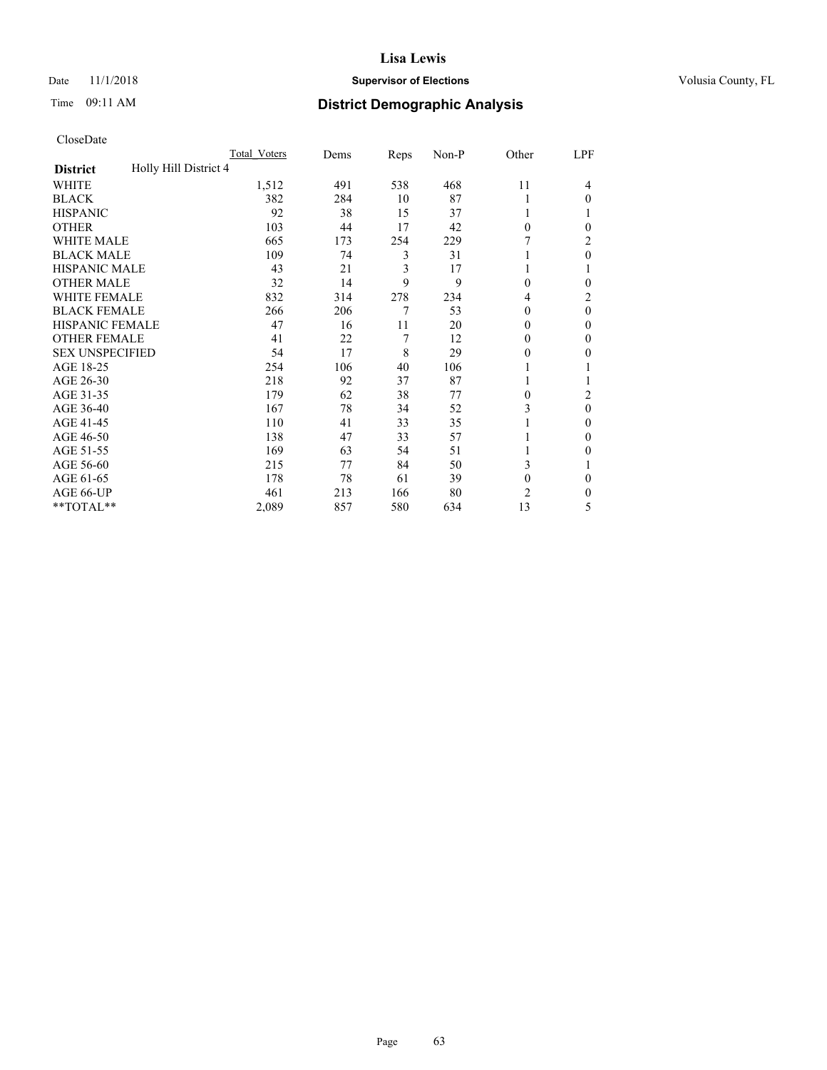## Date 11/1/2018 **Supervisor of Elections Supervisor of Elections** Volusia County, FL

# Time 09:11 AM **District Demographic Analysis**

|                                          | Total Voters | Dems | Reps | Non-P | Other          | LPF      |
|------------------------------------------|--------------|------|------|-------|----------------|----------|
| Holly Hill District 4<br><b>District</b> |              |      |      |       |                |          |
| WHITE                                    | 1,512        | 491  | 538  | 468   | 11             | 4        |
| <b>BLACK</b>                             | 382          | 284  | 10   | 87    | 1              | $\Omega$ |
| <b>HISPANIC</b>                          | 92           | 38   | 15   | 37    | 1              |          |
| <b>OTHER</b>                             | 103          | 44   | 17   | 42    | $\theta$       | 0        |
| WHITE MALE                               | 665          | 173  | 254  | 229   |                | 2        |
| <b>BLACK MALE</b>                        | 109          | 74   | 3    | 31    | 1              | $\theta$ |
| <b>HISPANIC MALE</b>                     | 43           | 21   | 3    | 17    | 1              |          |
| <b>OTHER MALE</b>                        | 32           | 14   | 9    | 9     | $\theta$       | 0        |
| <b>WHITE FEMALE</b>                      | 832          | 314  | 278  | 234   | 4              | 2        |
| <b>BLACK FEMALE</b>                      | 266          | 206  | 7    | 53    | $\theta$       | $\theta$ |
| <b>HISPANIC FEMALE</b>                   | 47           | 16   | 11   | 20    | $\theta$       | 0        |
| <b>OTHER FEMALE</b>                      | 41           | 22   | 7    | 12    | $\theta$       | $\Omega$ |
| <b>SEX UNSPECIFIED</b>                   | 54           | 17   | 8    | 29    | $\Omega$       | 0        |
| AGE 18-25                                | 254          | 106  | 40   | 106   |                |          |
| AGE 26-30                                | 218          | 92   | 37   | 87    | 1              |          |
| AGE 31-35                                | 179          | 62   | 38   | 77    | 0              | 2        |
| AGE 36-40                                | 167          | 78   | 34   | 52    | 3              | $\theta$ |
| AGE 41-45                                | 110          | 41   | 33   | 35    |                | 0        |
| AGE 46-50                                | 138          | 47   | 33   | 57    | 1              | $\Omega$ |
| AGE 51-55                                | 169          | 63   | 54   | 51    |                | 0        |
| AGE 56-60                                | 215          | 77   | 84   | 50    | 3              |          |
| AGE 61-65                                | 178          | 78   | 61   | 39    | $\mathbf{0}$   | $\theta$ |
| AGE 66-UP                                | 461          | 213  | 166  | 80    | $\overline{c}$ | 0        |
| **TOTAL**                                | 2,089        | 857  | 580  | 634   | 13             | 5        |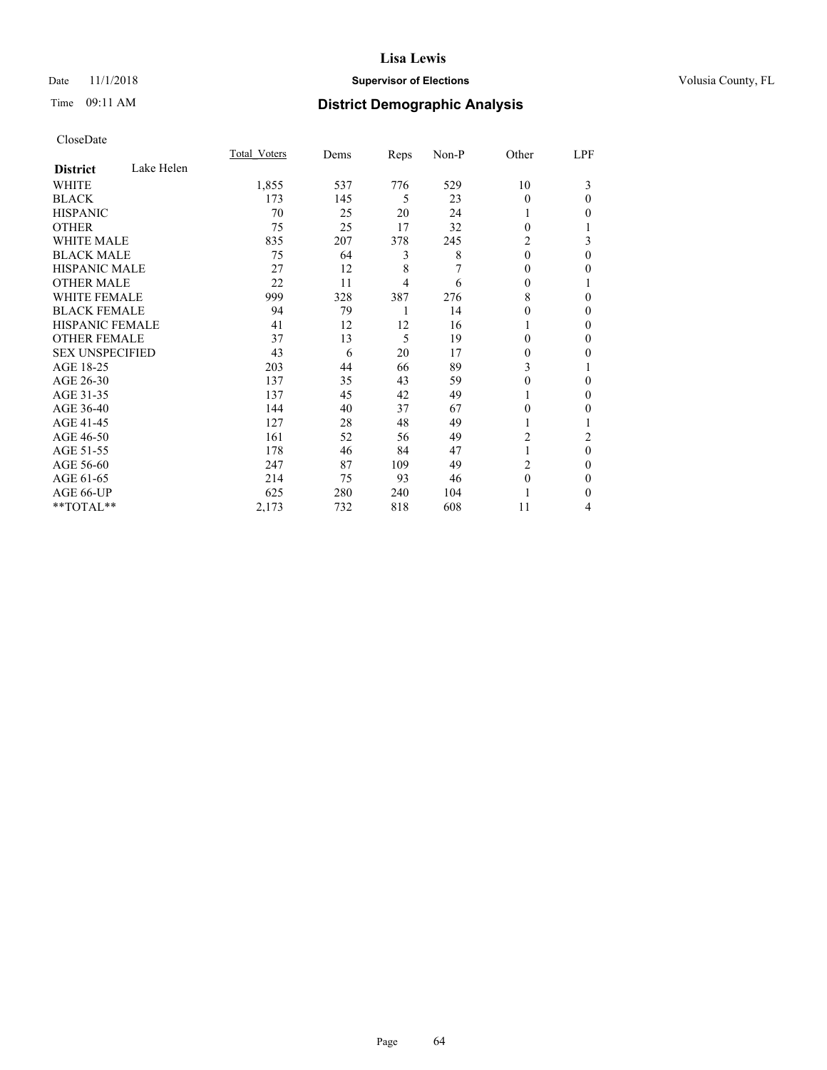## Date 11/1/2018 **Supervisor of Elections Supervisor of Elections** Volusia County, FL

# Time 09:11 AM **District Demographic Analysis**

|                               | Total Voters | Dems | Reps | Non-P | Other    | LPF      |
|-------------------------------|--------------|------|------|-------|----------|----------|
| Lake Helen<br><b>District</b> |              |      |      |       |          |          |
| WHITE                         | 1,855        | 537  | 776  | 529   | 10       | 3        |
| <b>BLACK</b>                  | 173          | 145  | 5    | 23    | $\theta$ | $\Omega$ |
| <b>HISPANIC</b>               | 70           | 25   | 20   | 24    |          | 0        |
| <b>OTHER</b>                  | 75           | 25   | 17   | 32    | 0        |          |
| WHITE MALE                    | 835          | 207  | 378  | 245   | 2        | 3        |
| <b>BLACK MALE</b>             | 75           | 64   | 3    | 8     | $\theta$ | $\theta$ |
| <b>HISPANIC MALE</b>          | 27           | 12   | 8    | 7     | 0        | 0        |
| <b>OTHER MALE</b>             | 22           | 11   | 4    | 6     | 0        |          |
| <b>WHITE FEMALE</b>           | 999          | 328  | 387  | 276   | 8        | $\Omega$ |
| <b>BLACK FEMALE</b>           | 94           | 79   | 1    | 14    | 0        | $\Omega$ |
| <b>HISPANIC FEMALE</b>        | 41           | 12   | 12   | 16    |          | $\Omega$ |
| <b>OTHER FEMALE</b>           | 37           | 13   | 5    | 19    | 0        | $\Omega$ |
| <b>SEX UNSPECIFIED</b>        | 43           | 6    | 20   | 17    | $\Omega$ | 0        |
| AGE 18-25                     | 203          | 44   | 66   | 89    | 3        |          |
| AGE 26-30                     | 137          | 35   | 43   | 59    | 0        | 0        |
| AGE 31-35                     | 137          | 45   | 42   | 49    |          | 0        |
| AGE 36-40                     | 144          | 40   | 37   | 67    | 0        | $\Omega$ |
| AGE 41-45                     | 127          | 28   | 48   | 49    |          |          |
| AGE 46-50                     | 161          | 52   | 56   | 49    | 2        | 2        |
| AGE 51-55                     | 178          | 46   | 84   | 47    |          | $\theta$ |
| AGE 56-60                     | 247          | 87   | 109  | 49    | 2        | 0        |
| AGE 61-65                     | 214          | 75   | 93   | 46    | $\theta$ | $\Omega$ |
| AGE 66-UP                     | 625          | 280  | 240  | 104   |          | $\Omega$ |
| **TOTAL**                     | 2,173        | 732  | 818  | 608   | 11       | 4        |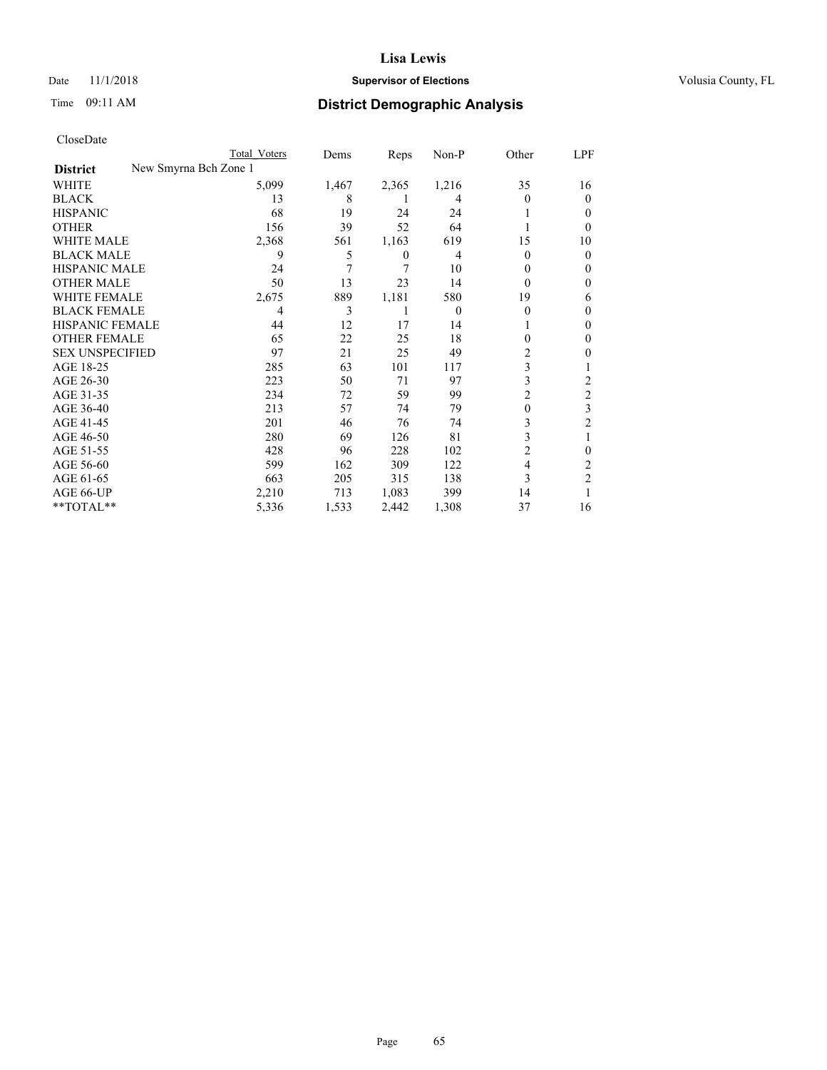## Date 11/1/2018 **Supervisor of Elections Supervisor of Elections** Volusia County, FL

| CloseDate |
|-----------|
|-----------|

|                        |                       | Total Voters | Dems  | Reps  | $Non-P$        | Other          | LPF            |
|------------------------|-----------------------|--------------|-------|-------|----------------|----------------|----------------|
| <b>District</b>        | New Smyrna Bch Zone 1 |              |       |       |                |                |                |
| WHITE                  |                       | 5,099        | 1,467 | 2,365 | 1,216          | 35             | 16             |
| <b>BLACK</b>           |                       | 13           | 8     | L     | 4              | 0              | $_{0}$         |
| <b>HISPANIC</b>        |                       | 68           | 19    | 24    | 24             |                | $_{0}$         |
| <b>OTHER</b>           |                       | 156          | 39    | 52    | 64             |                | $_{0}$         |
| <b>WHITE MALE</b>      |                       | 2,368        | 561   | 1,163 | 619            | 15             | 10             |
| <b>BLACK MALE</b>      |                       | 9            | 5     | 0     | 4              | $\Omega$       | 0              |
| <b>HISPANIC MALE</b>   |                       | 24           | 7     | 7     | 10             | 0              | $_{0}$         |
| <b>OTHER MALE</b>      |                       | 50           | 13    | 23    | 14             | $\Omega$       | $_{0}$         |
| <b>WHITE FEMALE</b>    |                       | 2,675        | 889   | 1,181 | 580            | 19             | 6              |
| <b>BLACK FEMALE</b>    |                       | 4            | 3     | 1     | $\overline{0}$ | $\Omega$       | $_{0}$         |
| HISPANIC FEMALE        |                       | 44           | 12    | 17    | 14             |                | 0              |
| <b>OTHER FEMALE</b>    |                       | 65           | 22    | 25    | 18             | 0              | 0              |
| <b>SEX UNSPECIFIED</b> |                       | 97           | 21    | 25    | 49             | 2              | 0              |
| AGE 18-25              |                       | 285          | 63    | 101   | 117            | 3              |                |
| AGE 26-30              |                       | 223          | 50    | 71    | 97             | 3              | 2              |
| AGE 31-35              |                       | 234          | 72    | 59    | 99             | $\overline{c}$ | $\overline{2}$ |
| AGE 36-40              |                       | 213          | 57    | 74    | 79             | $\theta$       | 3              |
| AGE 41-45              |                       | 201          | 46    | 76    | 74             | 3              | 2              |
| AGE 46-50              |                       | 280          | 69    | 126   | 81             | 3              |                |
| AGE 51-55              |                       | 428          | 96    | 228   | 102            | $\overline{c}$ | 0              |
| AGE 56-60              |                       | 599          | 162   | 309   | 122            | $\overline{4}$ | 2              |
| AGE 61-65              |                       | 663          | 205   | 315   | 138            | 3              | $\overline{c}$ |
| AGE 66-UP              |                       | 2,210        | 713   | 1,083 | 399            | 14             |                |
| **TOTAL**              |                       | 5,336        | 1,533 | 2,442 | 1,308          | 37             | 16             |
|                        |                       |              |       |       |                |                |                |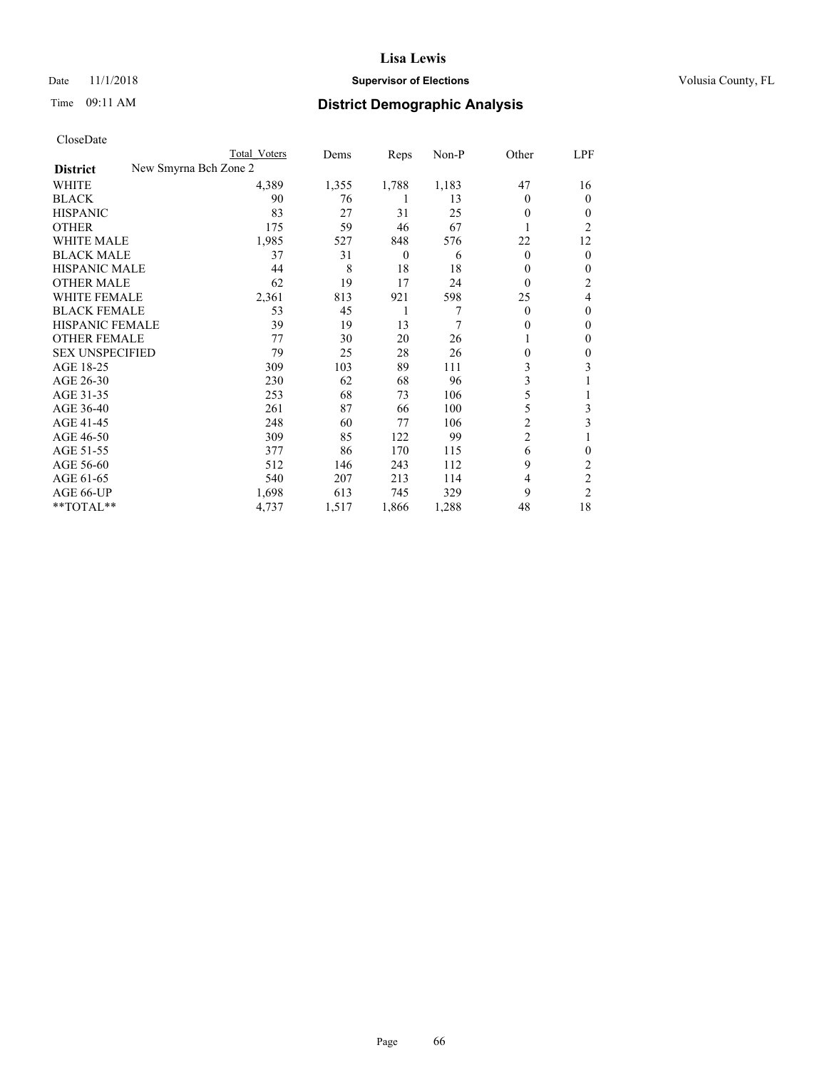## Date 11/1/2018 **Supervisor of Elections Supervisor of Elections** Volusia County, FL

| CloseDate |
|-----------|
|-----------|

|                                          | Total Voters | Dems  | Reps           | Non-P | Other          | LPF            |
|------------------------------------------|--------------|-------|----------------|-------|----------------|----------------|
| New Smyrna Bch Zone 2<br><b>District</b> |              |       |                |       |                |                |
| WHITE                                    | 4,389        | 1,355 | 1,788          | 1,183 | 47             | 16             |
| <b>BLACK</b>                             | 90           | 76    | 1              | 13    | $\Omega$       | $\theta$       |
| <b>HISPANIC</b>                          | 83           | 27    | 31             | 25    | 0              | $\Omega$       |
| <b>OTHER</b>                             | 175          | 59    | 46             | 67    |                | 2              |
| <b>WHITE MALE</b>                        | 1,985        | 527   | 848            | 576   | 22             | 12             |
| <b>BLACK MALE</b>                        | 37           | 31    | $\overline{0}$ | 6     | $\Omega$       | $\mathbf{0}$   |
| <b>HISPANIC MALE</b>                     | 44           | 8     | 18             | 18    | 0              | $\mathbf{0}$   |
| <b>OTHER MALE</b>                        | 62           | 19    | 17             | 24    | $\Omega$       | 2              |
| WHITE FEMALE                             | 2,361        | 813   | 921            | 598   | 25             | 4              |
| <b>BLACK FEMALE</b>                      | 53           | 45    | 1              | 7     | $\Omega$       | $\theta$       |
| HISPANIC FEMALE                          | 39           | 19    | 13             | 7     | 0              | $\mathbf{0}$   |
| <b>OTHER FEMALE</b>                      | 77           | 30    | 20             | 26    |                | $\Omega$       |
| <b>SEX UNSPECIFIED</b>                   | 79           | 25    | 28             | 26    | 0              | $\mathbf{0}$   |
| AGE 18-25                                | 309          | 103   | 89             | 111   | 3              | 3              |
| AGE 26-30                                | 230          | 62    | 68             | 96    | 3              |                |
| AGE 31-35                                | 253          | 68    | 73             | 106   | 5              |                |
| AGE 36-40                                | 261          | 87    | 66             | 100   | 5              | 3              |
| AGE 41-45                                | 248          | 60    | 77             | 106   | 2              | 3              |
| AGE 46-50                                | 309          | 85    | 122            | 99    | $\overline{2}$ |                |
| AGE 51-55                                | 377          | 86    | 170            | 115   | 6              | $\mathbf{0}$   |
| AGE 56-60                                | 512          | 146   | 243            | 112   | 9              | $\overline{c}$ |
| AGE 61-65                                | 540          | 207   | 213            | 114   | 4              | $\overline{c}$ |
| AGE 66-UP                                | 1,698        | 613   | 745            | 329   | 9              | 2              |
| **TOTAL**                                | 4,737        | 1,517 | 1,866          | 1,288 | 48             | 18             |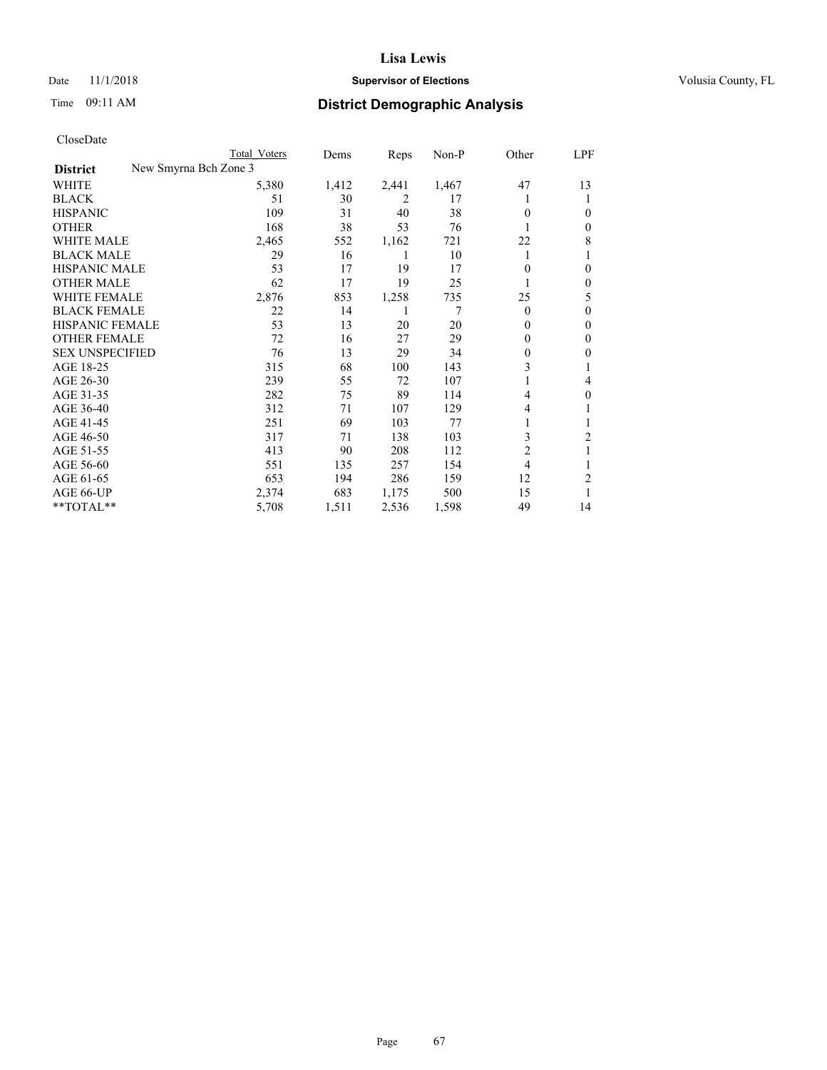## Date 11/1/2018 **Supervisor of Elections Supervisor of Elections** Volusia County, FL

| CloseDate |
|-----------|
|-----------|

|                        |                       | Total Voters | Dems  | Reps  | Non-P | Other          | LPF            |
|------------------------|-----------------------|--------------|-------|-------|-------|----------------|----------------|
| <b>District</b>        | New Smyrna Bch Zone 3 |              |       |       |       |                |                |
| WHITE                  |                       | 5,380        | 1,412 | 2,441 | 1,467 | 47             | 13             |
| <b>BLACK</b>           |                       | 51           | 30    | 2     | 17    |                | 1              |
| <b>HISPANIC</b>        |                       | 109          | 31    | 40    | 38    | 0              | 0              |
| <b>OTHER</b>           |                       | 168          | 38    | 53    | 76    |                | $\mathbf{0}$   |
| <b>WHITE MALE</b>      |                       | 2,465        | 552   | 1,162 | 721   | 22             | 8              |
| <b>BLACK MALE</b>      |                       | 29           | 16    | 1     | 10    | 1              |                |
| <b>HISPANIC MALE</b>   |                       | 53           | 17    | 19    | 17    | 0              | 0              |
| <b>OTHER MALE</b>      |                       | 62           | 17    | 19    | 25    |                | $\mathbf{0}$   |
| WHITE FEMALE           |                       | 2,876        | 853   | 1,258 | 735   | 25             | 5              |
| <b>BLACK FEMALE</b>    |                       | 22           | 14    | 1     | 7     | $\theta$       | $\theta$       |
| HISPANIC FEMALE        |                       | 53           | 13    | 20    | 20    | $\Omega$       | $\mathbf{0}$   |
| <b>OTHER FEMALE</b>    |                       | 72           | 16    | 27    | 29    | 0              | $\mathbf{0}$   |
| <b>SEX UNSPECIFIED</b> |                       | 76           | 13    | 29    | 34    | 0              | 0              |
| AGE 18-25              |                       | 315          | 68    | 100   | 143   | 3              |                |
| AGE 26-30              |                       | 239          | 55    | 72    | 107   | 1              | 4              |
| AGE 31-35              |                       | 282          | 75    | 89    | 114   | 4              | 0              |
| AGE 36-40              |                       | 312          | 71    | 107   | 129   | 4              |                |
| AGE 41-45              |                       | 251          | 69    | 103   | 77    | 1              | 1              |
| AGE 46-50              |                       | 317          | 71    | 138   | 103   | 3              | 2              |
| AGE 51-55              |                       | 413          | 90    | 208   | 112   | 2              | 1              |
| AGE 56-60              |                       | 551          | 135   | 257   | 154   | $\overline{4}$ | 1              |
| AGE 61-65              |                       | 653          | 194   | 286   | 159   | 12             | $\overline{c}$ |
| AGE 66-UP              |                       | 2,374        | 683   | 1,175 | 500   | 15             | 1              |
| **TOTAL**              |                       | 5,708        | 1,511 | 2,536 | 1,598 | 49             | 14             |
|                        |                       |              |       |       |       |                |                |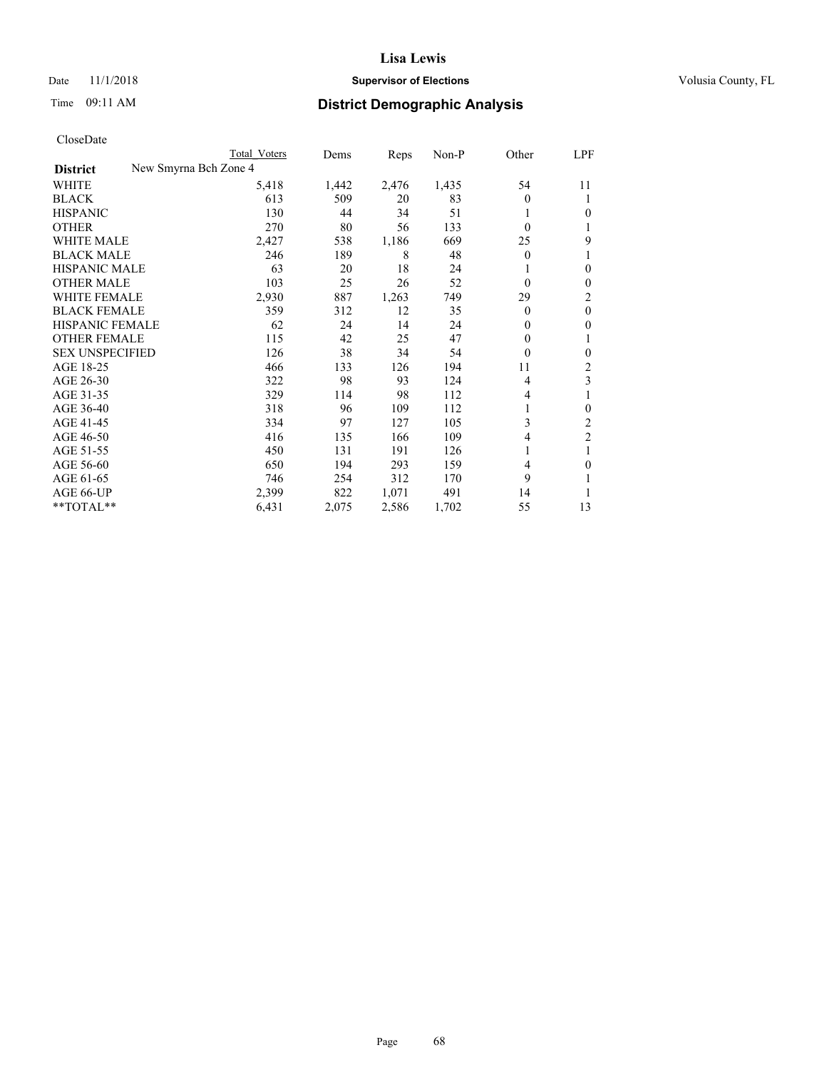#### Date 11/1/2018 **Supervisor of Elections Supervisor of Elections** Volusia County, FL

| CloseDate |
|-----------|
|-----------|

| Cioscivato             |                       |              |       |       |       |              |                  |
|------------------------|-----------------------|--------------|-------|-------|-------|--------------|------------------|
|                        |                       | Total Voters | Dems  | Reps  | Non-P | Other        | LPF              |
| <b>District</b>        | New Smyrna Bch Zone 4 |              |       |       |       |              |                  |
| WHITE                  |                       | 5,418        | 1,442 | 2,476 | 1,435 | 54           | 11               |
| <b>BLACK</b>           |                       | 613          | 509   | 20    | 83    | $\theta$     | 1                |
| <b>HISPANIC</b>        |                       | 130          | 44    | 34    | 51    |              | $\theta$         |
| <b>OTHER</b>           |                       | 270          | 80    | 56    | 133   | $\theta$     | 1                |
| <b>WHITE MALE</b>      |                       | 2,427        | 538   | 1,186 | 669   | 25           | 9                |
| <b>BLACK MALE</b>      |                       | 246          | 189   | 8     | 48    | $\mathbf{0}$ | 1                |
| <b>HISPANIC MALE</b>   |                       | 63           | 20    | 18    | 24    |              | $\theta$         |
| <b>OTHER MALE</b>      |                       | 103          | 25    | 26    | 52    | $\theta$     | $\boldsymbol{0}$ |
| WHITE FEMALE           |                       | 2,930        | 887   | 1,263 | 749   | 29           | $\mathfrak{2}$   |
| <b>BLACK FEMALE</b>    |                       | 359          | 312   | 12    | 35    | $\mathbf{0}$ | $\boldsymbol{0}$ |
| HISPANIC FEMALE        |                       | 62           | 24    | 14    | 24    | 0            | $\boldsymbol{0}$ |
| <b>OTHER FEMALE</b>    |                       | 115          | 42    | 25    | 47    | $\mathbf{0}$ | 1                |
| <b>SEX UNSPECIFIED</b> |                       | 126          | 38    | 34    | 54    | $\theta$     | $\mathbf{0}$     |
| AGE 18-25              |                       | 466          | 133   | 126   | 194   | 11           | $\sqrt{2}$       |
| AGE 26-30              |                       | 322          | 98    | 93    | 124   | 4            | 3                |
| AGE 31-35              |                       | 329          | 114   | 98    | 112   | 4            |                  |
| AGE 36-40              |                       | 318          | 96    | 109   | 112   |              | $\boldsymbol{0}$ |
| AGE 41-45              |                       | 334          | 97    | 127   | 105   | 3            | $\overline{c}$   |
| AGE 46-50              |                       | 416          | 135   | 166   | 109   | 4            | $\overline{2}$   |
| AGE 51-55              |                       | 450          | 131   | 191   | 126   | 1            | 1                |
| AGE 56-60              |                       | 650          | 194   | 293   | 159   | 4            | $\mathbf{0}$     |
| AGE 61-65              |                       | 746          | 254   | 312   | 170   | 9            | 1                |
| AGE 66-UP              |                       | 2,399        | 822   | 1,071 | 491   | 14           |                  |
| $*$ TOTAL $*$          |                       | 6,431        | 2,075 | 2,586 | 1,702 | 55           | 13               |
|                        |                       |              |       |       |       |              |                  |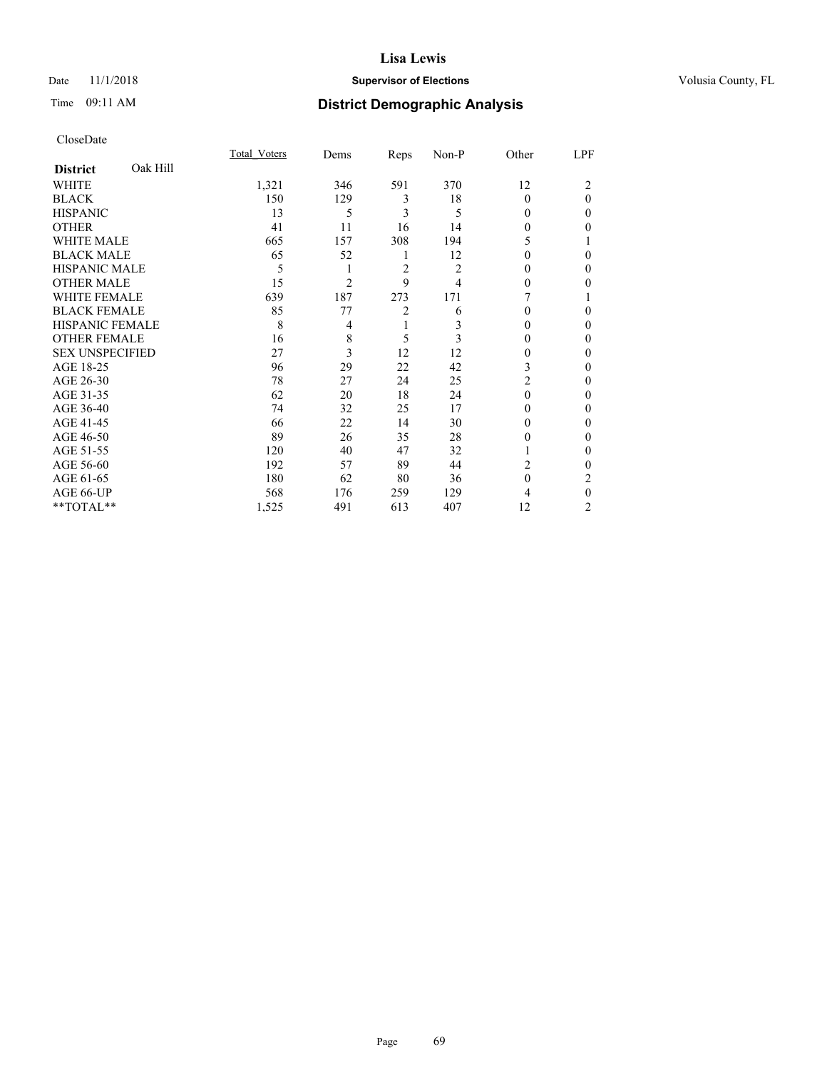## Date 11/1/2018 **Supervisor of Elections Supervisor of Elections** Volusia County, FL

# Time 09:11 AM **District Demographic Analysis**

|                        |          | Total Voters | Dems           | Reps           | Non-P | Other          | LPF      |
|------------------------|----------|--------------|----------------|----------------|-------|----------------|----------|
| <b>District</b>        | Oak Hill |              |                |                |       |                |          |
| WHITE                  |          | 1,321        | 346            | 591            | 370   | 12             | 2        |
| <b>BLACK</b>           |          | 150          | 129            | 3              | 18    | $\theta$       | $\Omega$ |
| <b>HISPANIC</b>        |          | 13           | 5              | 3              | 5     | $\Omega$       | $\Omega$ |
| <b>OTHER</b>           |          | 41           | 11             | 16             | 14    | 0              | 0        |
| WHITE MALE             |          | 665          | 157            | 308            | 194   | 5              |          |
| <b>BLACK MALE</b>      |          | 65           | 52             | 1              | 12    | 0              | $\Omega$ |
| <b>HISPANIC MALE</b>   |          | 5            | 1              | $\overline{2}$ | 2     | 0              | 0        |
| <b>OTHER MALE</b>      |          | 15           | $\overline{2}$ | 9              | 4     | 0              | 0        |
| WHITE FEMALE           |          | 639          | 187            | 273            | 171   | 7              |          |
| <b>BLACK FEMALE</b>    |          | 85           | 77             | 2              | 6     | $\theta$       | 0        |
| <b>HISPANIC FEMALE</b> |          | 8            | 4              | 1              | 3     | $\theta$       | $\Omega$ |
| <b>OTHER FEMALE</b>    |          | 16           | 8              | 5              | 3     | $\Omega$       | 0        |
| <b>SEX UNSPECIFIED</b> |          | 27           | 3              | 12             | 12    | 0              | 0        |
| AGE 18-25              |          | 96           | 29             | 22             | 42    | 3              | 0        |
| AGE 26-30              |          | 78           | 27             | 24             | 25    | $\overline{c}$ | $\Omega$ |
| AGE 31-35              |          | 62           | 20             | 18             | 24    | $\theta$       | 0        |
| AGE 36-40              |          | 74           | 32             | 25             | 17    | $\Omega$       | 0        |
| AGE 41-45              |          | 66           | 22             | 14             | 30    | $\Omega$       | $\Omega$ |
| AGE 46-50              |          | 89           | 26             | 35             | 28    | 0              | 0        |
| AGE 51-55              |          | 120          | 40             | 47             | 32    |                | $\Omega$ |
| AGE 56-60              |          | 192          | 57             | 89             | 44    | 2              | $\Omega$ |
| AGE 61-65              |          | 180          | 62             | 80             | 36    | $\theta$       | 2        |
| AGE 66-UP              |          | 568          | 176            | 259            | 129   | 4              | $\Omega$ |
| **TOTAL**              |          | 1,525        | 491            | 613            | 407   | 12             | 2        |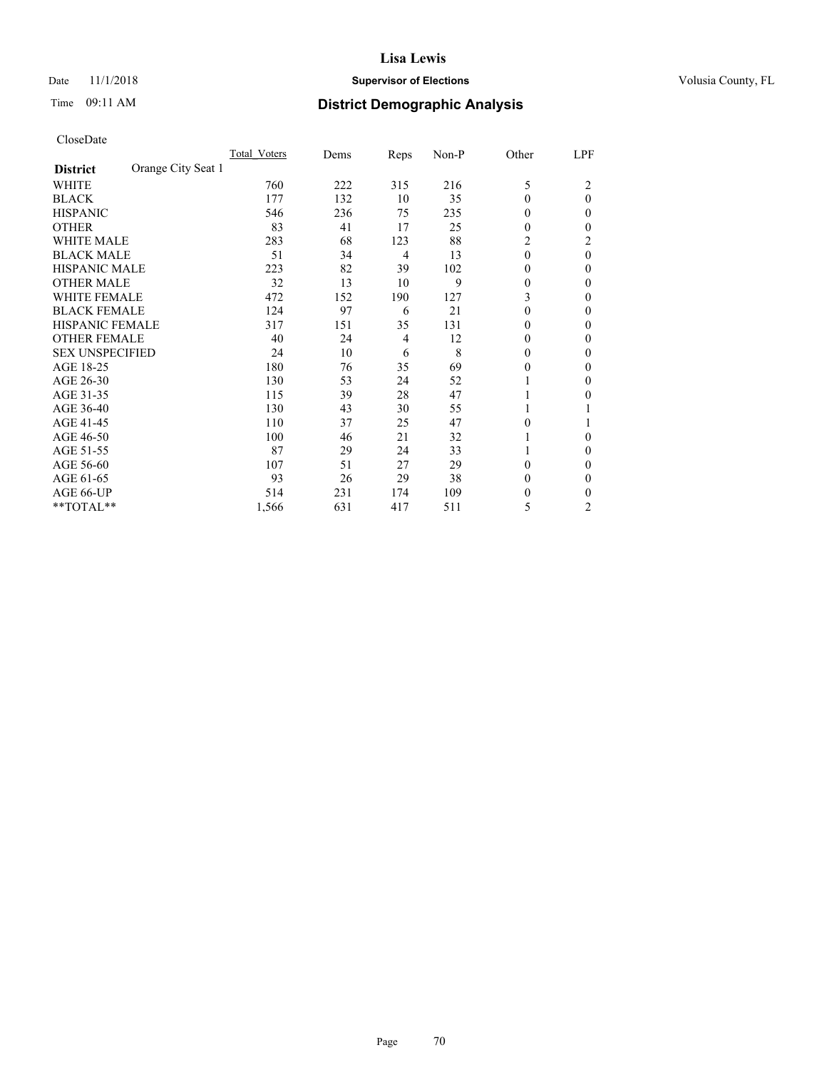## Date 11/1/2018 **Supervisor of Elections Supervisor of Elections** Volusia County, FL

# Time 09:11 AM **District Demographic Analysis**

|                        |                    | Total Voters | Dems | Reps | Non-P | Other    | LPF            |
|------------------------|--------------------|--------------|------|------|-------|----------|----------------|
| <b>District</b>        | Orange City Seat 1 |              |      |      |       |          |                |
| WHITE                  |                    | 760          | 222  | 315  | 216   | 5        | 2              |
| <b>BLACK</b>           |                    | 177          | 132  | 10   | 35    | $\theta$ | $\theta$       |
| <b>HISPANIC</b>        |                    | 546          | 236  | 75   | 235   | $\Omega$ | 0              |
| <b>OTHER</b>           |                    | 83           | 41   | 17   | 25    | $\theta$ | 0              |
| WHITE MALE             |                    | 283          | 68   | 123  | 88    | 2        | 2              |
| <b>BLACK MALE</b>      |                    | 51           | 34   | 4    | 13    | $\theta$ | $\theta$       |
| HISPANIC MALE          |                    | 223          | 82   | 39   | 102   | $\theta$ | 0              |
| <b>OTHER MALE</b>      |                    | 32           | 13   | 10   | 9     | 0        | 0              |
| WHITE FEMALE           |                    | 472          | 152  | 190  | 127   | 3        | 0              |
| <b>BLACK FEMALE</b>    |                    | 124          | 97   | 6    | 21    | $\theta$ | 0              |
| <b>HISPANIC FEMALE</b> |                    | 317          | 151  | 35   | 131   | $\Omega$ | 0              |
| <b>OTHER FEMALE</b>    |                    | 40           | 24   | 4    | 12    | $\Omega$ | 0              |
| <b>SEX UNSPECIFIED</b> |                    | 24           | 10   | 6    | 8     | $\theta$ | 0              |
| AGE 18-25              |                    | 180          | 76   | 35   | 69    | $\theta$ | 0              |
| AGE 26-30              |                    | 130          | 53   | 24   | 52    |          | $\mathbf{0}$   |
| AGE 31-35              |                    | 115          | 39   | 28   | 47    |          | 0              |
| AGE 36-40              |                    | 130          | 43   | 30   | 55    |          |                |
| AGE 41-45              |                    | 110          | 37   | 25   | 47    | $\theta$ |                |
| AGE 46-50              |                    | 100          | 46   | 21   | 32    |          | 0              |
| AGE 51-55              |                    | 87           | 29   | 24   | 33    |          | 0              |
| AGE 56-60              |                    | 107          | 51   | 27   | 29    | $\theta$ | 0              |
| AGE 61-65              |                    | 93           | 26   | 29   | 38    | $\theta$ | 0              |
| AGE 66-UP              |                    | 514          | 231  | 174  | 109   | $\theta$ | 0              |
| **TOTAL**              |                    | 1,566        | 631  | 417  | 511   | 5        | $\overline{2}$ |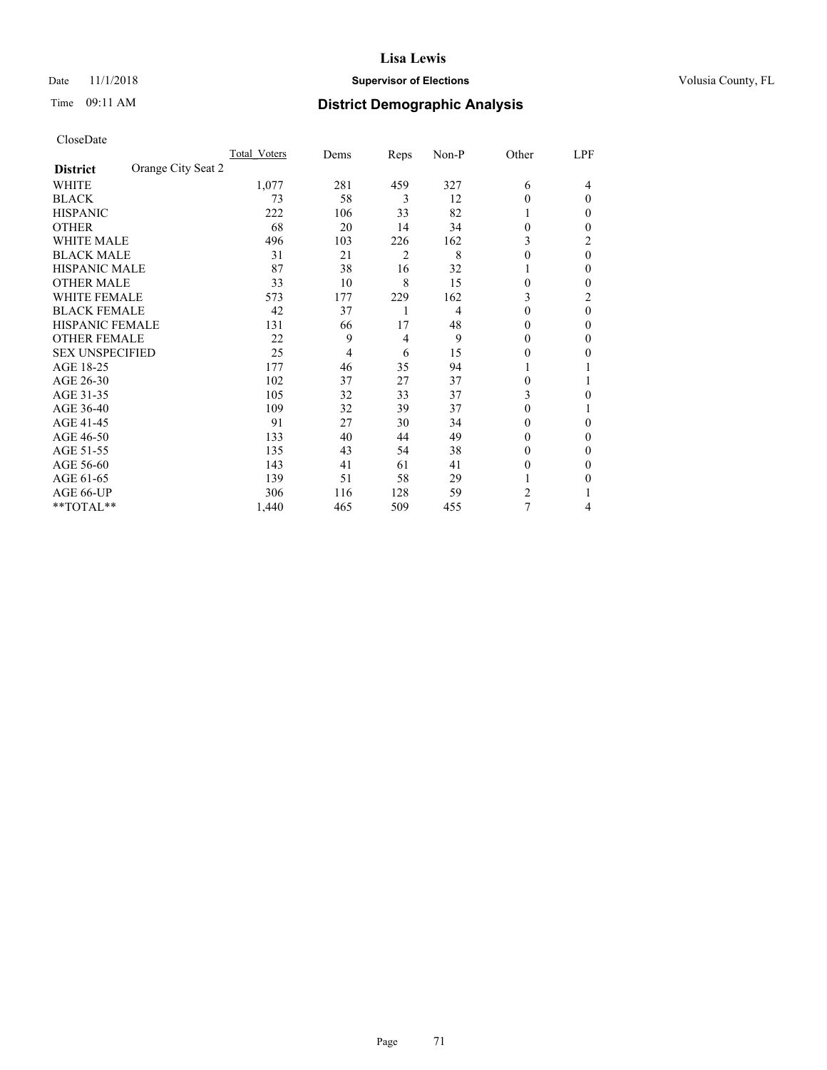## Date 11/1/2018 **Supervisor of Elections Supervisor of Elections** Volusia County, FL

| CloseDate |
|-----------|
|-----------|

|                                       | Total Voters | Dems | Reps           | Non-P | Other          | LPF |
|---------------------------------------|--------------|------|----------------|-------|----------------|-----|
| Orange City Seat 2<br><b>District</b> |              |      |                |       |                |     |
| WHITE                                 | 1,077        | 281  | 459            | 327   | 6              | 4   |
| <b>BLACK</b>                          | 73           | 58   | 3              | 12    | $\Omega$       | 0   |
| <b>HISPANIC</b>                       | 222          | 106  | 33             | 82    |                | 0   |
| <b>OTHER</b>                          | 68           | 20   | 14             | 34    | $\Omega$       | 0   |
| <b>WHITE MALE</b>                     | 496          | 103  | 226            | 162   | 3              | 2   |
| <b>BLACK MALE</b>                     | 31           | 21   | $\overline{2}$ | 8     | $\theta$       | 0   |
| <b>HISPANIC MALE</b>                  | 87           | 38   | 16             | 32    |                | 0   |
| <b>OTHER MALE</b>                     | 33           | 10   | 8              | 15    | $\theta$       | 0   |
| <b>WHITE FEMALE</b>                   | 573          | 177  | 229            | 162   | 3              | 2   |
| <b>BLACK FEMALE</b>                   | 42           | 37   |                | 4     | $\theta$       | 0   |
| <b>HISPANIC FEMALE</b>                | 131          | 66   | 17             | 48    | $\Omega$       | 0   |
| <b>OTHER FEMALE</b>                   | 22           | 9    | $\overline{4}$ | 9     | 0              | 0   |
| <b>SEX UNSPECIFIED</b>                | 25           | 4    | 6              | 15    | 0              | 0   |
| AGE 18-25                             | 177          | 46   | 35             | 94    |                |     |
| AGE 26-30                             | 102          | 37   | 27             | 37    | $\theta$       |     |
| AGE 31-35                             | 105          | 32   | 33             | 37    | 3              | 0   |
| AGE 36-40                             | 109          | 32   | 39             | 37    | 0              |     |
| AGE 41-45                             | 91           | 27   | 30             | 34    | 0              | 0   |
| AGE 46-50                             | 133          | 40   | 44             | 49    | $\Omega$       | 0   |
| AGE 51-55                             | 135          | 43   | 54             | 38    | 0              | 0   |
| AGE 56-60                             | 143          | 41   | 61             | 41    | $\theta$       | 0   |
| AGE 61-65                             | 139          | 51   | 58             | 29    |                | 0   |
| AGE 66-UP                             | 306          | 116  | 128            | 59    | $\mathfrak{D}$ |     |
| **TOTAL**                             | 1,440        | 465  | 509            | 455   | 7              | 4   |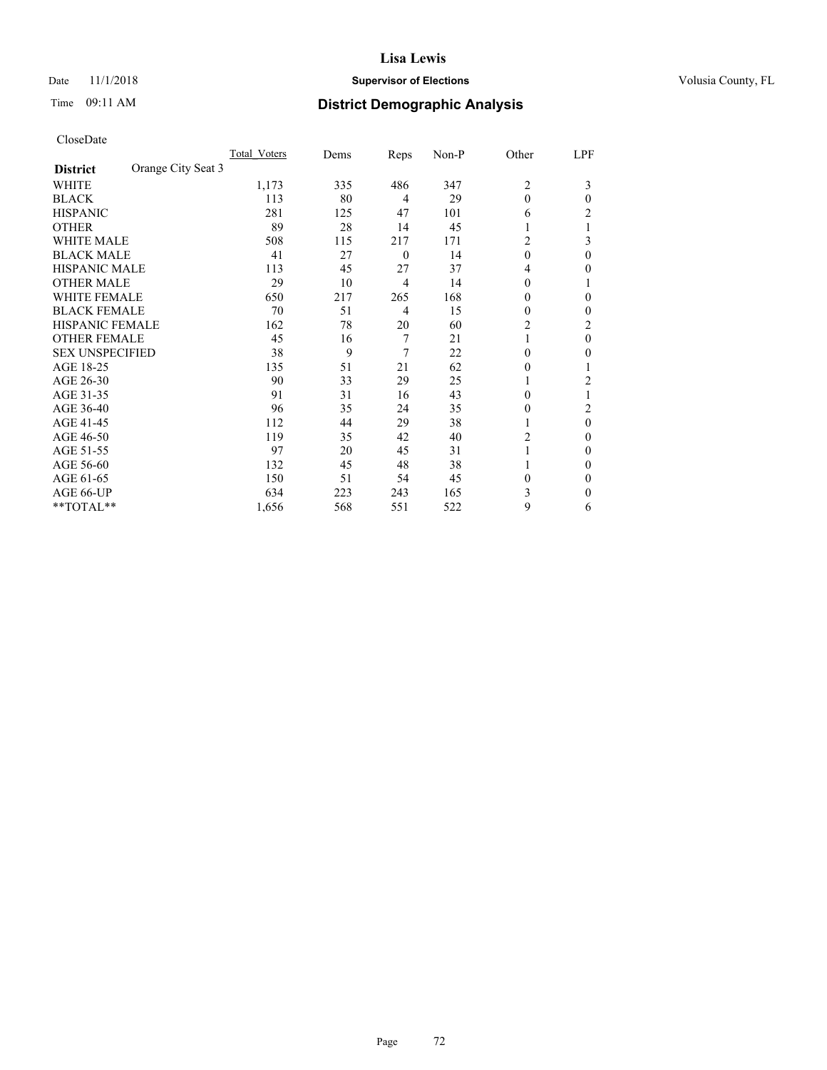## Date 11/1/2018 **Supervisor of Elections Supervisor of Elections** Volusia County, FL

| CloseDate |
|-----------|
|-----------|

|                                       | Total Voters | Dems | Reps             | Non-P | Other          | LPF      |
|---------------------------------------|--------------|------|------------------|-------|----------------|----------|
| Orange City Seat 3<br><b>District</b> |              |      |                  |       |                |          |
| <b>WHITE</b>                          | 1,173        | 335  | 486              | 347   | $\overline{2}$ | 3        |
| <b>BLACK</b>                          | 113          | 80   | 4                | 29    | $\theta$       | $\theta$ |
| <b>HISPANIC</b>                       | 281          | 125  | 47               | 101   | 6              | 2        |
| <b>OTHER</b>                          | 89           | 28   | 14               | 45    |                |          |
| <b>WHITE MALE</b>                     | 508          | 115  | 217              | 171   | 2              | 3        |
| <b>BLACK MALE</b>                     | 41           | 27   | $\boldsymbol{0}$ | 14    | $\theta$       | $\theta$ |
| <b>HISPANIC MALE</b>                  | 113          | 45   | 27               | 37    | 4              | 0        |
| <b>OTHER MALE</b>                     | 29           | 10   | 4                | 14    | $\mathbf{0}$   |          |
| <b>WHITE FEMALE</b>                   | 650          | 217  | 265              | 168   | 0              | 0        |
| <b>BLACK FEMALE</b>                   | 70           | 51   | 4                | 15    | 0              | 0        |
| <b>HISPANIC FEMALE</b>                | 162          | 78   | 20               | 60    | 2              | 2        |
| <b>OTHER FEMALE</b>                   | 45           | 16   | 7                | 21    |                | $\Omega$ |
| <b>SEX UNSPECIFIED</b>                | 38           | 9    | 7                | 22    | $\Omega$       | 0        |
| AGE 18-25                             | 135          | 51   | 21               | 62    | $\theta$       |          |
| AGE 26-30                             | 90           | 33   | 29               | 25    |                | 2        |
| AGE 31-35                             | 91           | 31   | 16               | 43    | 0              |          |
| AGE 36-40                             | 96           | 35   | 24               | 35    | $\theta$       | 2        |
| AGE 41-45                             | 112          | 44   | 29               | 38    |                | $\theta$ |
| AGE 46-50                             | 119          | 35   | 42               | 40    | 2              | 0        |
| AGE 51-55                             | 97           | 20   | 45               | 31    |                | $\theta$ |
| AGE 56-60                             | 132          | 45   | 48               | 38    |                | 0        |
| AGE 61-65                             | 150          | 51   | 54               | 45    | $\theta$       | $\Omega$ |
| AGE 66-UP                             | 634          | 223  | 243              | 165   | 3              | 0        |
| **TOTAL**                             | 1,656        | 568  | 551              | 522   | 9              | 6        |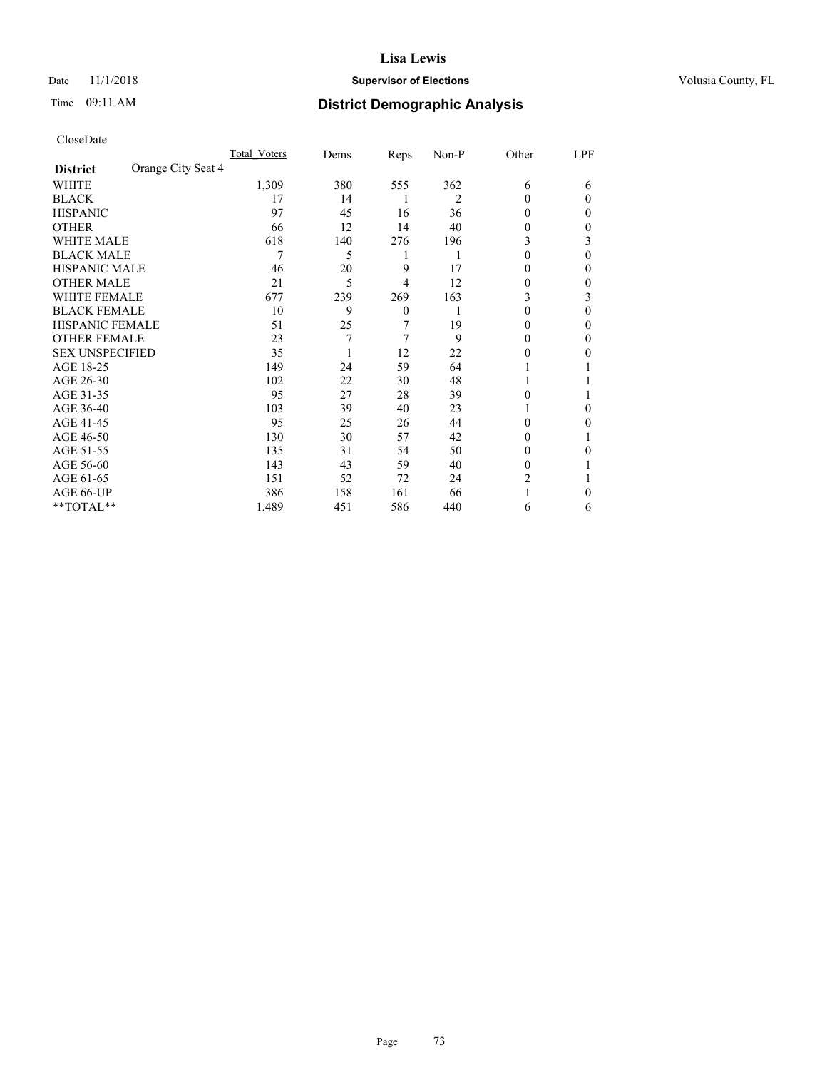## Date 11/1/2018 **Supervisor of Elections Supervisor of Elections** Volusia County, FL

# Time 09:11 AM **District Demographic Analysis**

|                                       | Total Voters | Dems | Reps           | Non-P | Other    | LPF |
|---------------------------------------|--------------|------|----------------|-------|----------|-----|
| Orange City Seat 4<br><b>District</b> |              |      |                |       |          |     |
| WHITE                                 | 1,309        | 380  | 555            | 362   | 6        | 6   |
| <b>BLACK</b>                          | 17           | 14   | 1              | 2     | $\theta$ | 0   |
| <b>HISPANIC</b>                       | 97           | 45   | 16             | 36    | $\Omega$ | 0   |
| <b>OTHER</b>                          | 66           | 12   | 14             | 40    | 0        | 0   |
| WHITE MALE                            | 618          | 140  | 276            | 196   | 3        | 3   |
| <b>BLACK MALE</b>                     | 7            | 5    | 1              | 1     | $\theta$ | 0   |
| <b>HISPANIC MALE</b>                  | 46           | 20   | 9              | 17    | 0        | 0   |
| <b>OTHER MALE</b>                     | 21           | 5    | 4              | 12    | 0        | 0   |
| <b>WHITE FEMALE</b>                   | 677          | 239  | 269            | 163   | 3        | 3   |
| <b>BLACK FEMALE</b>                   | 10           | 9    | $\overline{0}$ |       | $\theta$ | 0   |
| <b>HISPANIC FEMALE</b>                | 51           | 25   | 7              | 19    | 0        | 0   |
| <b>OTHER FEMALE</b>                   | 23           | 7    | 7              | 9     | $\Omega$ | 0   |
| <b>SEX UNSPECIFIED</b>                | 35           |      | 12             | 22    | 0        | 0   |
| AGE 18-25                             | 149          | 24   | 59             | 64    |          |     |
| AGE 26-30                             | 102          | 22   | 30             | 48    | 1        |     |
| AGE 31-35                             | 95           | 27   | 28             | 39    | 0        |     |
| AGE 36-40                             | 103          | 39   | 40             | 23    |          | 0   |
| AGE 41-45                             | 95           | 25   | 26             | 44    | 0        | 0   |
| AGE 46-50                             | 130          | 30   | 57             | 42    | $\Omega$ |     |
| AGE 51-55                             | 135          | 31   | 54             | 50    | $\theta$ | 0   |
| AGE 56-60                             | 143          | 43   | 59             | 40    | $\theta$ |     |
| AGE 61-65                             | 151          | 52   | 72             | 24    | 2        |     |
| AGE 66-UP                             | 386          | 158  | 161            | 66    |          | 0   |
| **TOTAL**                             | 1,489        | 451  | 586            | 440   | 6        | 6   |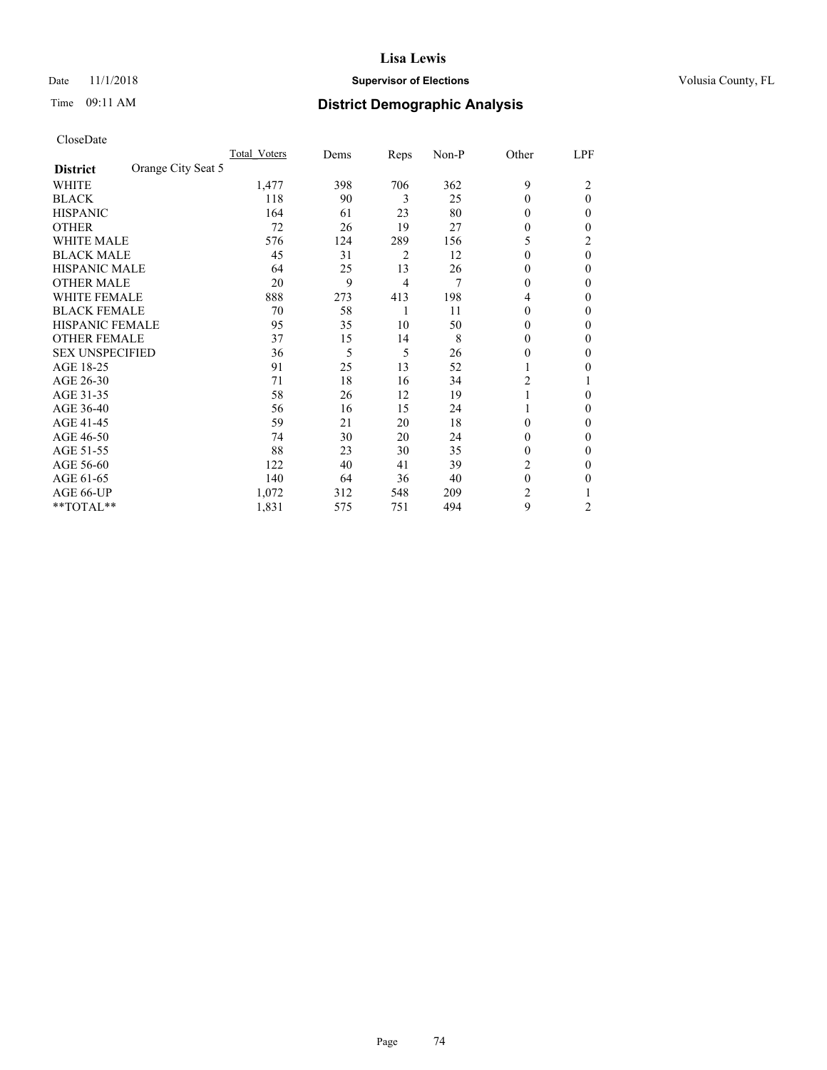## Date 11/1/2018 **Supervisor of Elections Supervisor of Elections** Volusia County, FL

# Time 09:11 AM **District Demographic Analysis**

|                                       | Total Voters | Dems | Reps | Non-P | Other    | LPF      |
|---------------------------------------|--------------|------|------|-------|----------|----------|
| Orange City Seat 5<br><b>District</b> |              |      |      |       |          |          |
| WHITE                                 | 1,477        | 398  | 706  | 362   | 9        | 2        |
| <b>BLACK</b>                          | 118          | 90   | 3    | 25    | $\theta$ | $\theta$ |
| <b>HISPANIC</b>                       | 164          | 61   | 23   | 80    | $\Omega$ | 0        |
| <b>OTHER</b>                          | 72           | 26   | 19   | 27    | $\theta$ | 0        |
| WHITE MALE                            | 576          | 124  | 289  | 156   | 5        | 2        |
| <b>BLACK MALE</b>                     | 45           | 31   | 2    | 12    | $\Omega$ | $\theta$ |
| <b>HISPANIC MALE</b>                  | 64           | 25   | 13   | 26    | $\theta$ | 0        |
| <b>OTHER MALE</b>                     | 20           | 9    | 4    | 7     | $\Omega$ | 0        |
| WHITE FEMALE                          | 888          | 273  | 413  | 198   | 4        | 0        |
| <b>BLACK FEMALE</b>                   | 70           | 58   | 1    | 11    | $\Omega$ | 0        |
| <b>HISPANIC FEMALE</b>                | 95           | 35   | 10   | 50    | $\Omega$ | 0        |
| <b>OTHER FEMALE</b>                   | 37           | 15   | 14   | 8     | $\Omega$ | 0        |
| <b>SEX UNSPECIFIED</b>                | 36           | 5    | 5    | 26    | 0        | 0        |
| AGE 18-25                             | 91           | 25   | 13   | 52    |          | 0        |
| AGE 26-30                             | 71           | 18   | 16   | 34    | 2        |          |
| AGE 31-35                             | 58           | 26   | 12   | 19    |          | 0        |
| AGE 36-40                             | 56           | 16   | 15   | 24    |          | 0        |
| AGE 41-45                             | 59           | 21   | 20   | 18    | $\Omega$ | 0        |
| AGE 46-50                             | 74           | 30   | 20   | 24    | $\Omega$ | 0        |
| AGE 51-55                             | 88           | 23   | 30   | 35    | $\Omega$ | 0        |
| AGE 56-60                             | 122          | 40   | 41   | 39    | 2        | 0        |
| AGE 61-65                             | 140          | 64   | 36   | 40    | $\theta$ | 0        |
| AGE 66-UP                             | 1,072        | 312  | 548  | 209   | 2        |          |
| **TOTAL**                             | 1,831        | 575  | 751  | 494   | 9        | 2        |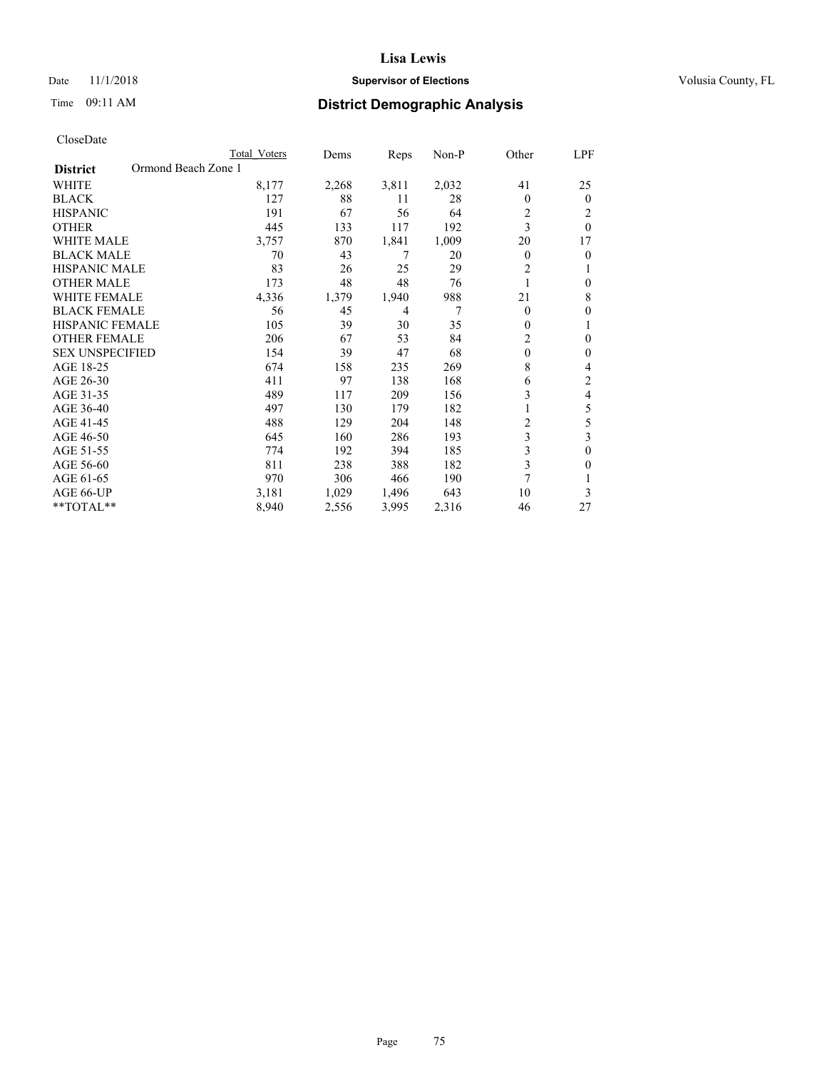## Date 11/1/2018 **Supervisor of Elections Supervisor of Elections** Volusia County, FL

# Time 09:11 AM **District Demographic Analysis**

|                                        | Total Voters | Dems  | Reps  | Non-P | Other          | LPF            |
|----------------------------------------|--------------|-------|-------|-------|----------------|----------------|
| Ormond Beach Zone 1<br><b>District</b> |              |       |       |       |                |                |
| WHITE                                  | 8,177        | 2,268 | 3,811 | 2,032 | 41             | 25             |
| <b>BLACK</b>                           | 127          | 88    | 11    | 28    | $\Omega$       | $\overline{0}$ |
| <b>HISPANIC</b>                        | 191          | 67    | 56    | 64    | 2              | 2              |
| <b>OTHER</b>                           | 445          | 133   | 117   | 192   | 3              | $\theta$       |
| WHITE MALE                             | 3,757        | 870   | 1,841 | 1,009 | 20             | 17             |
| <b>BLACK MALE</b>                      | 70           | 43    | 7     | 20    | $\overline{0}$ | 0              |
| <b>HISPANIC MALE</b>                   | 83           | 26    | 25    | 29    | $\overline{2}$ |                |
| <b>OTHER MALE</b>                      | 173          | 48    | 48    | 76    |                | 0              |
| WHITE FEMALE                           | 4,336        | 1,379 | 1,940 | 988   | 21             | 8              |
| <b>BLACK FEMALE</b>                    | 56           | 45    | 4     | 7     | $\theta$       | 0              |
| <b>HISPANIC FEMALE</b>                 | 105          | 39    | 30    | 35    | 0              |                |
| <b>OTHER FEMALE</b>                    | 206          | 67    | 53    | 84    | $\overline{2}$ | 0              |
| <b>SEX UNSPECIFIED</b>                 | 154          | 39    | 47    | 68    | $\mathbf{0}$   | 0              |
| AGE 18-25                              | 674          | 158   | 235   | 269   | 8              | 4              |
| AGE 26-30                              | 411          | 97    | 138   | 168   | 6              | 2              |
| AGE 31-35                              | 489          | 117   | 209   | 156   | 3              | 4              |
| AGE 36-40                              | 497          | 130   | 179   | 182   |                | 5              |
| AGE 41-45                              | 488          | 129   | 204   | 148   | $\overline{c}$ | 5              |
| AGE 46-50                              | 645          | 160   | 286   | 193   | 3              | 3              |
| AGE 51-55                              | 774          | 192   | 394   | 185   | 3              | $\mathbf{0}$   |
| AGE 56-60                              | 811          | 238   | 388   | 182   | 3              | 0              |
| AGE 61-65                              | 970          | 306   | 466   | 190   | 7              |                |
| AGE 66-UP                              | 3,181        | 1,029 | 1,496 | 643   | 10             | 3              |
| **TOTAL**                              | 8,940        | 2,556 | 3,995 | 2,316 | 46             | 27             |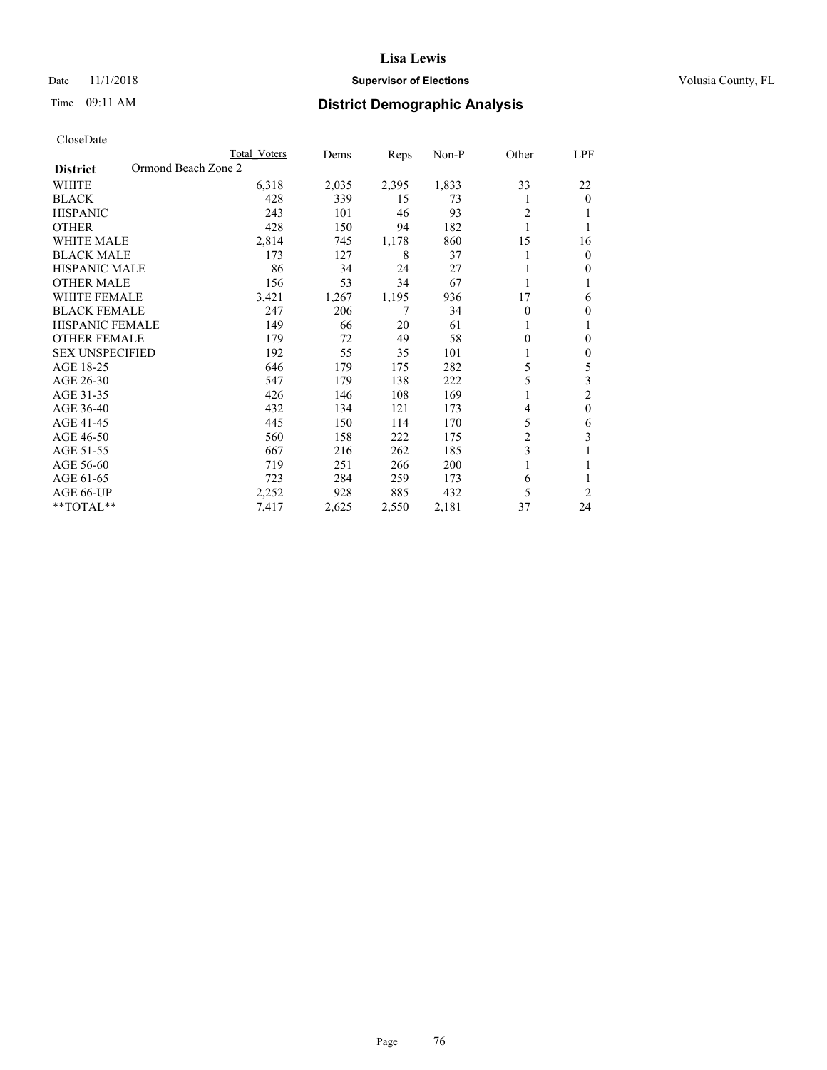## Date 11/1/2018 **Supervisor of Elections Supervisor of Elections** Volusia County, FL

# Time 09:11 AM **District Demographic Analysis**

|                                        | Total Voters | Dems  | Reps  | Non-P | Other          | <u>LPF</u>     |
|----------------------------------------|--------------|-------|-------|-------|----------------|----------------|
| Ormond Beach Zone 2<br><b>District</b> |              |       |       |       |                |                |
| <b>WHITE</b>                           | 6,318        | 2,035 | 2,395 | 1,833 | 33             | 22             |
| <b>BLACK</b>                           | 428          | 339   | 15    | 73    | 1              | $\theta$       |
| <b>HISPANIC</b>                        | 243          | 101   | 46    | 93    | $\overline{2}$ | 1              |
| <b>OTHER</b>                           | 428          | 150   | 94    | 182   | 1              | 1              |
| <b>WHITE MALE</b>                      | 2,814        | 745   | 1,178 | 860   | 15             | 16             |
| <b>BLACK MALE</b>                      | 173          | 127   | 8     | 37    | 1              | $\mathbf{0}$   |
| HISPANIC MALE                          | 86           | 34    | 24    | 27    |                | $\theta$       |
| <b>OTHER MALE</b>                      | 156          | 53    | 34    | 67    | 1              | 1              |
| <b>WHITE FEMALE</b>                    | 3,421        | 1,267 | 1,195 | 936   | 17             | 6              |
| <b>BLACK FEMALE</b>                    | 247          | 206   | 7     | 34    | 0              | $\mathbf{0}$   |
| <b>HISPANIC FEMALE</b>                 | 149          | 66    | 20    | 61    | 1              | 1              |
| <b>OTHER FEMALE</b>                    | 179          | 72    | 49    | 58    | 0              | $\theta$       |
| <b>SEX UNSPECIFIED</b>                 | 192          | 55    | 35    | 101   | 1              | $\mathbf{0}$   |
| AGE 18-25                              | 646          | 179   | 175   | 282   | 5              | 5              |
| AGE 26-30                              | 547          | 179   | 138   | 222   | 5              | 3              |
| AGE 31-35                              | 426          | 146   | 108   | 169   | 1              | $\overline{2}$ |
| AGE 36-40                              | 432          | 134   | 121   | 173   | 4              | $\mathbf{0}$   |
| AGE 41-45                              | 445          | 150   | 114   | 170   | 5              | 6              |
| AGE 46-50                              | 560          | 158   | 222   | 175   | $\overline{c}$ | 3              |
| AGE 51-55                              | 667          | 216   | 262   | 185   | 3              | 1              |
| AGE 56-60                              | 719          | 251   | 266   | 200   | 1              | 1              |
| AGE 61-65                              | 723          | 284   | 259   | 173   | 6              | 1              |
| AGE 66-UP                              | 2,252        | 928   | 885   | 432   | 5              | 2              |
| **TOTAL**                              | 7,417        | 2,625 | 2,550 | 2,181 | 37             | 24             |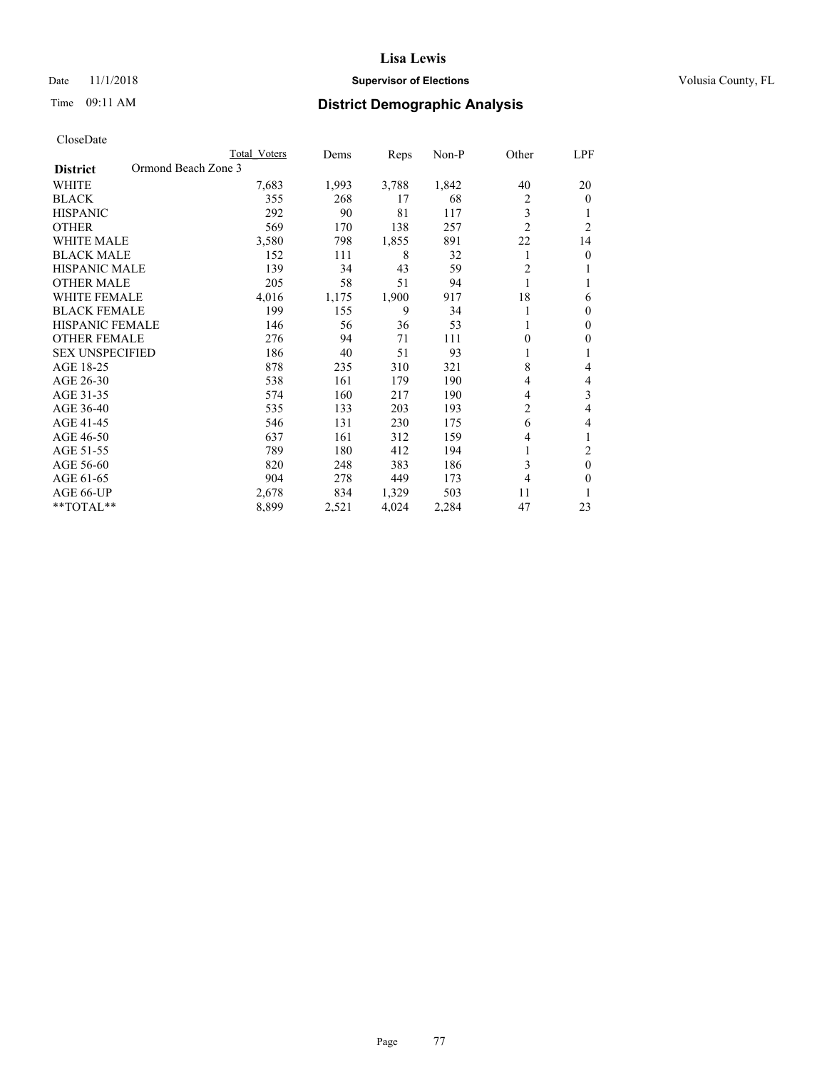## Date 11/1/2018 **Supervisor of Elections Supervisor of Elections** Volusia County, FL

# Time 09:11 AM **District Demographic Analysis**

|                                        | Total Voters | Dems  | Reps  | $Non-P$ | Other          | LPF            |
|----------------------------------------|--------------|-------|-------|---------|----------------|----------------|
| Ormond Beach Zone 3<br><b>District</b> |              |       |       |         |                |                |
| WHITE                                  | 7,683        | 1,993 | 3,788 | 1,842   | 40             | 20             |
| <b>BLACK</b>                           | 355          | 268   | 17    | 68      | 2              | $\theta$       |
| <b>HISPANIC</b>                        | 292          | 90    | 81    | 117     | 3              |                |
| <b>OTHER</b>                           | 569          | 170   | 138   | 257     | $\overline{2}$ | $\overline{2}$ |
| <b>WHITE MALE</b>                      | 3,580        | 798   | 1,855 | 891     | 22             | 14             |
| <b>BLACK MALE</b>                      | 152          | 111   | 8     | 32      | 1              | $\theta$       |
| <b>HISPANIC MALE</b>                   | 139          | 34    | 43    | 59      | 2              | 1              |
| <b>OTHER MALE</b>                      | 205          | 58    | 51    | 94      | 1              | 1              |
| <b>WHITE FEMALE</b>                    | 4,016        | 1,175 | 1,900 | 917     | 18             | 6              |
| <b>BLACK FEMALE</b>                    | 199          | 155   | 9     | 34      |                | $\theta$       |
| <b>HISPANIC FEMALE</b>                 | 146          | 56    | 36    | 53      | 1              | $\mathbf{0}$   |
| <b>OTHER FEMALE</b>                    | 276          | 94    | 71    | 111     | 0              | $\theta$       |
| <b>SEX UNSPECIFIED</b>                 | 186          | 40    | 51    | 93      |                | 1              |
| AGE 18-25                              | 878          | 235   | 310   | 321     | 8              | 4              |
| AGE 26-30                              | 538          | 161   | 179   | 190     | 4              | 4              |
| AGE 31-35                              | 574          | 160   | 217   | 190     | 4              | 3              |
| AGE 36-40                              | 535          | 133   | 203   | 193     | $\overline{c}$ | 4              |
| AGE 41-45                              | 546          | 131   | 230   | 175     | 6              | 4              |
| AGE 46-50                              | 637          | 161   | 312   | 159     | 4              | 1              |
| AGE 51-55                              | 789          | 180   | 412   | 194     | 1              | 2              |
| AGE 56-60                              | 820          | 248   | 383   | 186     | 3              | $\theta$       |
| AGE 61-65                              | 904          | 278   | 449   | 173     | 4              | $\theta$       |
| AGE 66-UP                              | 2,678        | 834   | 1,329 | 503     | 11             | 1              |
| $*$ TOTAL $*$                          | 8,899        | 2,521 | 4,024 | 2,284   | 47             | 23             |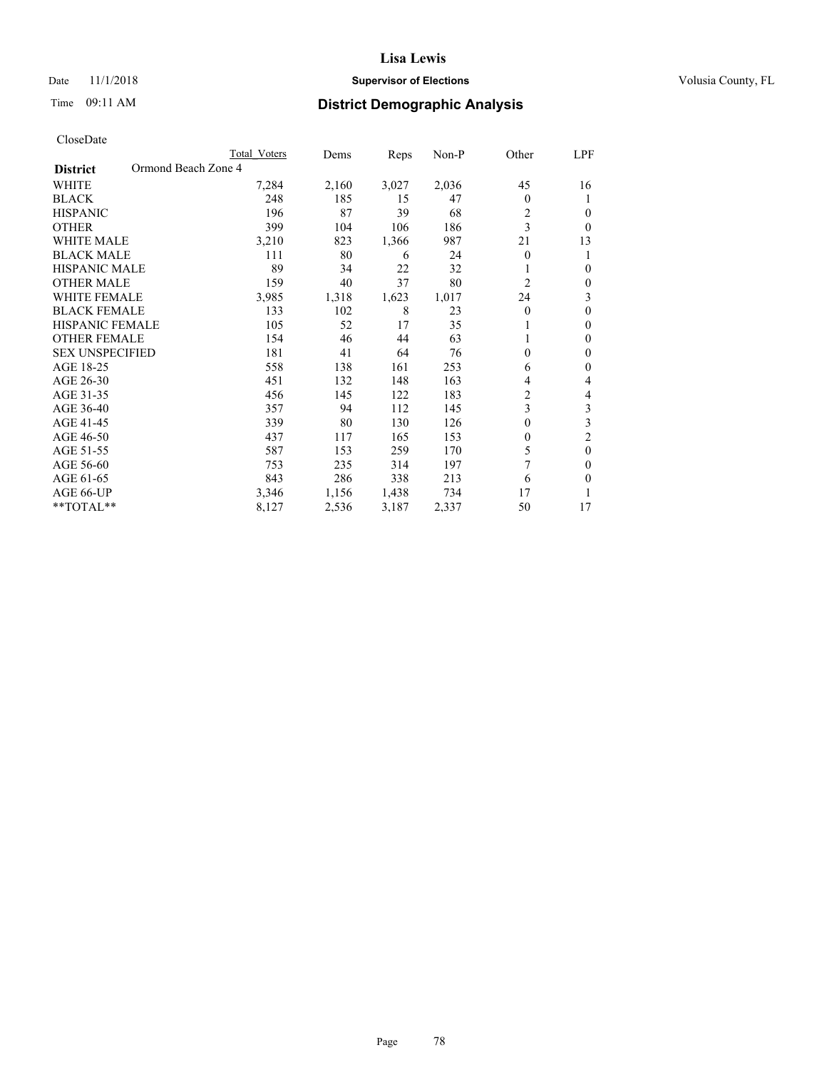## Date 11/1/2018 **Supervisor of Elections Supervisor of Elections** Volusia County, FL

# Time 09:11 AM **District Demographic Analysis**

|                                        | Total Voters | Dems  | Reps  | Non-P | Other          | LPF            |
|----------------------------------------|--------------|-------|-------|-------|----------------|----------------|
| Ormond Beach Zone 4<br><b>District</b> |              |       |       |       |                |                |
| WHITE                                  | 7,284        | 2,160 | 3,027 | 2,036 | 45             | 16             |
| <b>BLACK</b>                           | 248          | 185   | 15    | 47    | $\theta$       | 1              |
| <b>HISPANIC</b>                        | 196          | 87    | 39    | 68    | 2              | $\theta$       |
| <b>OTHER</b>                           | 399          | 104   | 106   | 186   | 3              | $\Omega$       |
| <b>WHITE MALE</b>                      | 3,210        | 823   | 1,366 | 987   | 21             | 13             |
| <b>BLACK MALE</b>                      | 111          | 80    | 6     | 24    | $\theta$       | 1              |
| <b>HISPANIC MALE</b>                   | 89           | 34    | 22    | 32    |                | $\theta$       |
| <b>OTHER MALE</b>                      | 159          | 40    | 37    | 80    | $\overline{2}$ | $\mathbf{0}$   |
| <b>WHITE FEMALE</b>                    | 3,985        | 1,318 | 1,623 | 1,017 | 24             | 3              |
| <b>BLACK FEMALE</b>                    | 133          | 102   | 8     | 23    | $\theta$       | $\theta$       |
| <b>HISPANIC FEMALE</b>                 | 105          | 52    | 17    | 35    |                | $\Omega$       |
| <b>OTHER FEMALE</b>                    | 154          | 46    | 44    | 63    |                | $\theta$       |
| <b>SEX UNSPECIFIED</b>                 | 181          | 41    | 64    | 76    | $\theta$       | $\theta$       |
| AGE 18-25                              | 558          | 138   | 161   | 253   | 6              | $\theta$       |
| AGE 26-30                              | 451          | 132   | 148   | 163   | 4              | 4              |
| AGE 31-35                              | 456          | 145   | 122   | 183   | $\overline{c}$ | 4              |
| AGE 36-40                              | 357          | 94    | 112   | 145   | 3              | 3              |
| AGE 41-45                              | 339          | 80    | 130   | 126   | 0              | 3              |
| AGE 46-50                              | 437          | 117   | 165   | 153   | $\theta$       | $\overline{c}$ |
| AGE 51-55                              | 587          | 153   | 259   | 170   | 5              | $\theta$       |
| AGE 56-60                              | 753          | 235   | 314   | 197   | $\overline{7}$ | $\theta$       |
| AGE 61-65                              | 843          | 286   | 338   | 213   | 6              | $\theta$       |
| AGE 66-UP                              | 3,346        | 1,156 | 1,438 | 734   | 17             |                |
| **TOTAL**                              | 8,127        | 2,536 | 3,187 | 2,337 | 50             | 17             |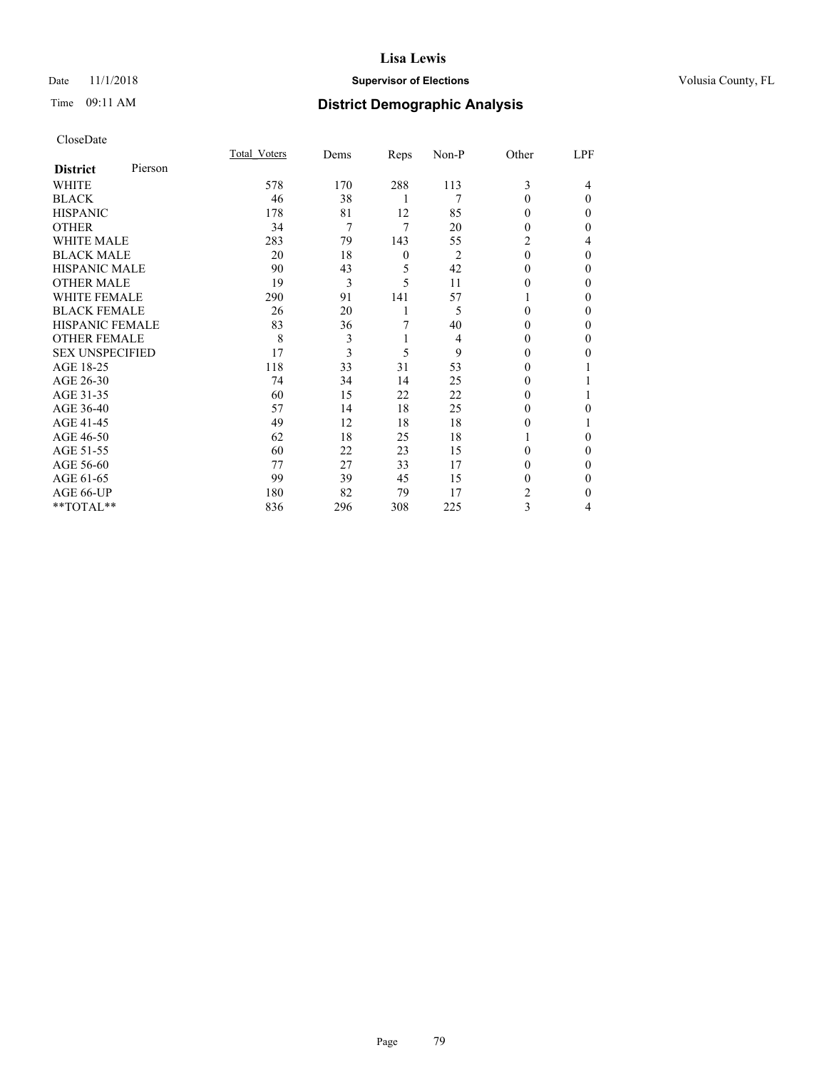## Date 11/1/2018 **Supervisor of Elections Supervisor of Elections** Volusia County, FL

# Time 09:11 AM **District Demographic Analysis**

|                        |         | Total Voters | Dems | Reps             | Non-P          | Other    | LPF      |
|------------------------|---------|--------------|------|------------------|----------------|----------|----------|
| <b>District</b>        | Pierson |              |      |                  |                |          |          |
| WHITE                  |         | 578          | 170  | 288              | 113            | 3        | 4        |
| <b>BLACK</b>           |         | 46           | 38   | 1                | 7              | $\theta$ | $\Omega$ |
| <b>HISPANIC</b>        |         | 178          | 81   | 12               | 85             | 0        | 0        |
| <b>OTHER</b>           |         | 34           | 7    | 7                | 20             | 0        | 0        |
| WHITE MALE             |         | 283          | 79   | 143              | 55             | 2        | 4        |
| <b>BLACK MALE</b>      |         | 20           | 18   | $\boldsymbol{0}$ | $\overline{2}$ | $\theta$ | $\Omega$ |
| <b>HISPANIC MALE</b>   |         | 90           | 43   | 5                | 42             | 0        | 0        |
| <b>OTHER MALE</b>      |         | 19           | 3    | 5                | 11             | 0        | 0        |
| WHITE FEMALE           |         | 290          | 91   | 141              | 57             |          | 0        |
| <b>BLACK FEMALE</b>    |         | 26           | 20   | 1                | 5              | 0        | $\Omega$ |
| <b>HISPANIC FEMALE</b> |         | 83           | 36   | 7                | 40             | 0        | 0        |
| <b>OTHER FEMALE</b>    |         | 8            | 3    | 1                | 4              | 0        | 0        |
| <b>SEX UNSPECIFIED</b> |         | 17           | 3    | 5                | 9              | $\theta$ | 0        |
| AGE 18-25              |         | 118          | 33   | 31               | 53             | 0        |          |
| AGE 26-30              |         | 74           | 34   | 14               | 25             | 0        |          |
| AGE 31-35              |         | 60           | 15   | 22               | 22             | 0        |          |
| AGE 36-40              |         | 57           | 14   | 18               | 25             | 0        | 0        |
| AGE 41-45              |         | 49           | 12   | 18               | 18             | 0        |          |
| AGE 46-50              |         | 62           | 18   | 25               | 18             |          | 0        |
| AGE 51-55              |         | 60           | 22   | 23               | 15             | 0        | $\Omega$ |
| AGE 56-60              |         | 77           | 27   | 33               | 17             | 0        | 0        |
| AGE 61-65              |         | 99           | 39   | 45               | 15             | 0        | $\Omega$ |
| AGE 66-UP              |         | 180          | 82   | 79               | 17             | 2        | $\Omega$ |
| **TOTAL**              |         | 836          | 296  | 308              | 225            | 3        | 4        |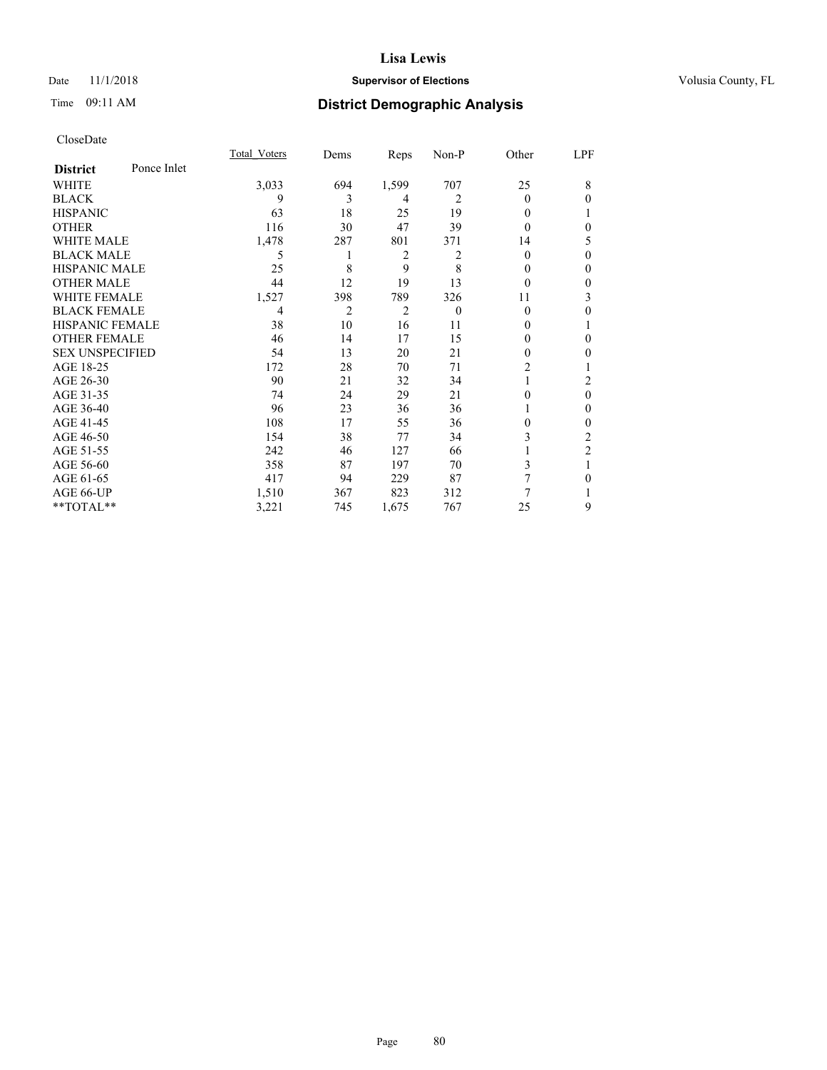## Date 11/1/2018 **Supervisor of Elections Supervisor of Elections** Volusia County, FL

# Time 09:11 AM **District Demographic Analysis**

|                        |             | Total Voters | Dems | Reps           | Non-P    | Other          | LPF            |
|------------------------|-------------|--------------|------|----------------|----------|----------------|----------------|
| <b>District</b>        | Ponce Inlet |              |      |                |          |                |                |
| WHITE                  |             | 3,033        | 694  | 1,599          | 707      | 25             | 8              |
| <b>BLACK</b>           |             | 9            | 3    | 4              | 2        | 0              | $\Omega$       |
| <b>HISPANIC</b>        |             | 63           | 18   | 25             | 19       | 0              |                |
| <b>OTHER</b>           |             | 116          | 30   | 47             | 39       | 0              | $\theta$       |
| WHITE MALE             |             | 1,478        | 287  | 801            | 371      | 14             | 5              |
| <b>BLACK MALE</b>      |             | 5            |      | $\overline{2}$ | 2        | 0              | $\theta$       |
| <b>HISPANIC MALE</b>   |             | 25           | 8    | 9              | 8        | 0              | $\theta$       |
| <b>OTHER MALE</b>      |             | 44           | 12   | 19             | 13       | 0              | $\mathbf{0}$   |
| <b>WHITE FEMALE</b>    |             | 1,527        | 398  | 789            | 326      | 11             | 3              |
| <b>BLACK FEMALE</b>    |             | 4            | 2    | $\overline{2}$ | $\theta$ | 0              | 0              |
| <b>HISPANIC FEMALE</b> |             | 38           | 10   | 16             | 11       | 0              |                |
| <b>OTHER FEMALE</b>    |             | 46           | 14   | 17             | 15       | 0              | $\theta$       |
| <b>SEX UNSPECIFIED</b> |             | 54           | 13   | 20             | 21       | 0              | $\theta$       |
| AGE 18-25              |             | 172          | 28   | 70             | 71       | $\overline{2}$ |                |
| AGE 26-30              |             | 90           | 21   | 32             | 34       |                | 2              |
| AGE 31-35              |             | 74           | 24   | 29             | 21       | 0              | $\mathbf{0}$   |
| AGE 36-40              |             | 96           | 23   | 36             | 36       |                | $\mathbf{0}$   |
| AGE 41-45              |             | 108          | 17   | 55             | 36       | 0              | $\theta$       |
| AGE 46-50              |             | 154          | 38   | 77             | 34       | 3              | 2              |
| AGE 51-55              |             | 242          | 46   | 127            | 66       |                | $\overline{2}$ |
| AGE 56-60              |             | 358          | 87   | 197            | 70       | 3              | 1              |
| AGE 61-65              |             | 417          | 94   | 229            | 87       | 7              | $\theta$       |
| AGE 66-UP              |             | 1,510        | 367  | 823            | 312      | 7              |                |
| **TOTAL**              |             | 3,221        | 745  | 1,675          | 767      | 25             | 9              |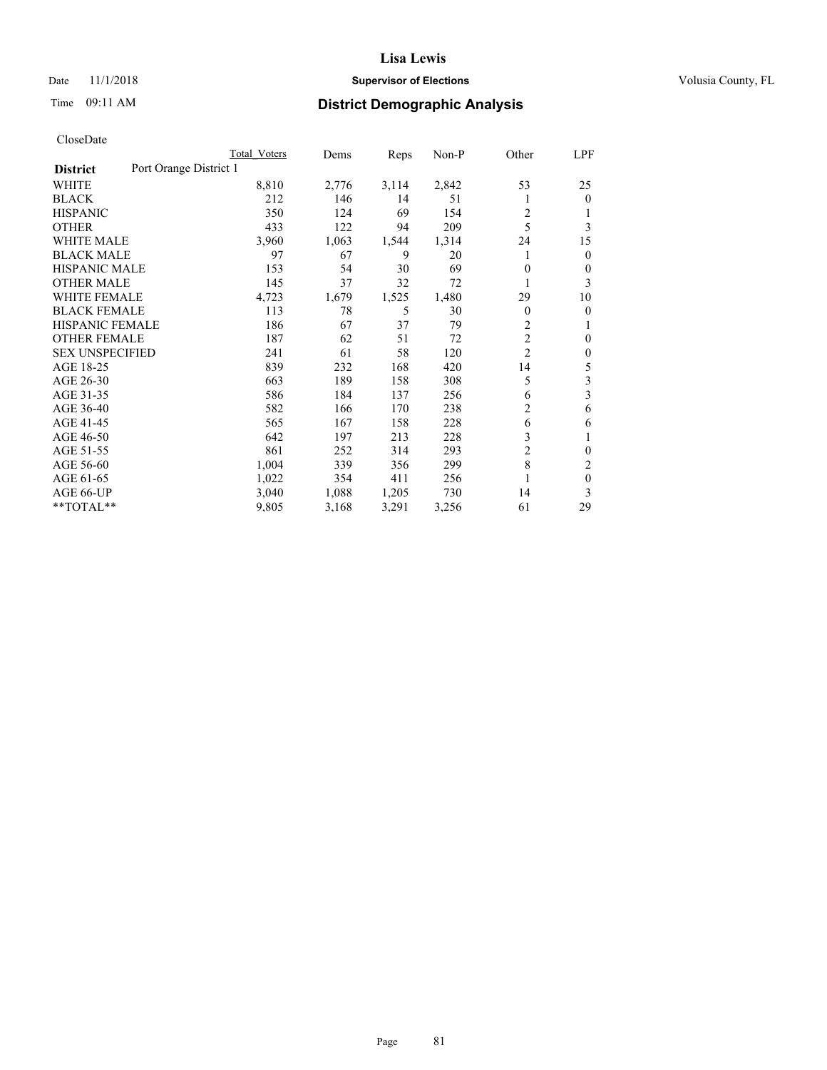## Date 11/1/2018 **Supervisor of Elections Supervisor of Elections** Volusia County, FL

# Time 09:11 AM **District Demographic Analysis**

|                        |                        | Total Voters | Dems  | Reps  | Non-P | Other          | LPF          |
|------------------------|------------------------|--------------|-------|-------|-------|----------------|--------------|
| <b>District</b>        | Port Orange District 1 |              |       |       |       |                |              |
| WHITE                  |                        | 8,810        | 2,776 | 3,114 | 2,842 | 53             | 25           |
| <b>BLACK</b>           |                        | 212          | 146   | 14    | 51    |                | $\mathbf{0}$ |
| <b>HISPANIC</b>        |                        | 350          | 124   | 69    | 154   | 2              |              |
| <b>OTHER</b>           |                        | 433          | 122   | 94    | 209   | 5              | 3            |
| <b>WHITE MALE</b>      |                        | 3,960        | 1,063 | 1,544 | 1,314 | 24             | 15           |
| <b>BLACK MALE</b>      |                        | 97           | 67    | 9     | 20    |                | $\mathbf{0}$ |
| <b>HISPANIC MALE</b>   |                        | 153          | 54    | 30    | 69    | 0              | 0            |
| <b>OTHER MALE</b>      |                        | 145          | 37    | 32    | 72    | 1              | 3            |
| WHITE FEMALE           |                        | 4,723        | 1,679 | 1,525 | 1,480 | 29             | 10           |
| <b>BLACK FEMALE</b>    |                        | 113          | 78    | 5     | 30    | 0              | 0            |
| <b>HISPANIC FEMALE</b> |                        | 186          | 67    | 37    | 79    | $\overline{c}$ | 1            |
| <b>OTHER FEMALE</b>    |                        | 187          | 62    | 51    | 72    | $\overline{c}$ | 0            |
| <b>SEX UNSPECIFIED</b> |                        | 241          | 61    | 58    | 120   | $\overline{2}$ | $\theta$     |
| AGE 18-25              |                        | 839          | 232   | 168   | 420   | 14             | 5            |
| AGE 26-30              |                        | 663          | 189   | 158   | 308   | 5              | 3            |
| AGE 31-35              |                        | 586          | 184   | 137   | 256   | 6              | 3            |
| AGE 36-40              |                        | 582          | 166   | 170   | 238   | 2              | 6            |
| AGE 41-45              |                        | 565          | 167   | 158   | 228   | 6              | 6            |
| AGE 46-50              |                        | 642          | 197   | 213   | 228   | 3              | 1            |
| AGE 51-55              |                        | 861          | 252   | 314   | 293   | 2              | 0            |
| AGE 56-60              |                        | 1,004        | 339   | 356   | 299   | 8              | 2            |
| AGE 61-65              |                        | 1,022        | 354   | 411   | 256   | 1              | $\theta$     |
| AGE 66-UP              |                        | 3,040        | 1,088 | 1,205 | 730   | 14             | 3            |
| **TOTAL**              |                        | 9,805        | 3,168 | 3,291 | 3,256 | 61             | 29           |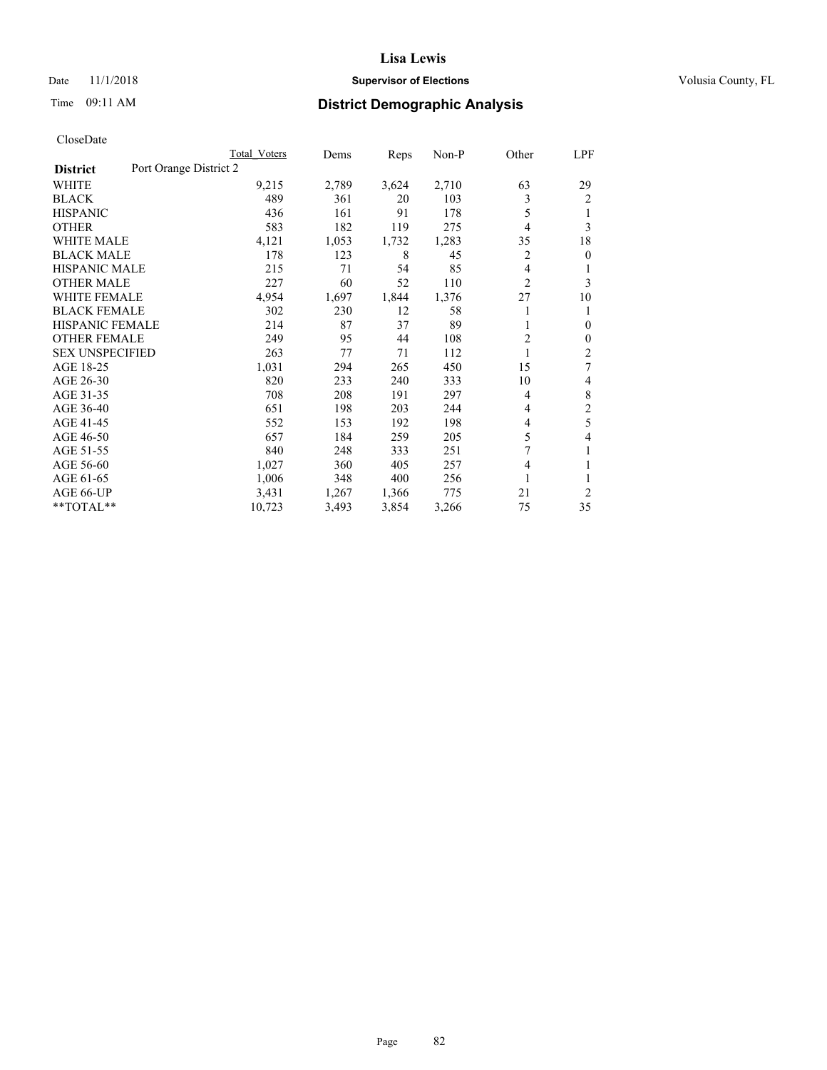## Date 11/1/2018 **Supervisor of Elections Supervisor of Elections** Volusia County, FL

# Time 09:11 AM **District Demographic Analysis**

|                                           | Total Voters | Dems  | Reps  | Non-P | Other          | <u>LPF</u>     |
|-------------------------------------------|--------------|-------|-------|-------|----------------|----------------|
| Port Orange District 2<br><b>District</b> |              |       |       |       |                |                |
| WHITE                                     | 9,215        | 2,789 | 3,624 | 2,710 | 63             | 29             |
| <b>BLACK</b>                              | 489          | 361   | 20    | 103   | 3              | 2              |
| <b>HISPANIC</b>                           | 436          | 161   | 91    | 178   | 5              | 1              |
| <b>OTHER</b>                              | 583          | 182   | 119   | 275   | 4              | 3              |
| <b>WHITE MALE</b>                         | 4,121        | 1,053 | 1,732 | 1,283 | 35             | 18             |
| <b>BLACK MALE</b>                         | 178          | 123   | 8     | 45    | 2              | $\overline{0}$ |
| <b>HISPANIC MALE</b>                      | 215          | 71    | 54    | 85    | 4              | 1              |
| <b>OTHER MALE</b>                         | 227          | 60    | 52    | 110   | $\overline{2}$ | 3              |
| <b>WHITE FEMALE</b>                       | 4,954        | 1,697 | 1,844 | 1,376 | 27             | 10             |
| <b>BLACK FEMALE</b>                       | 302          | 230   | 12    | 58    |                | 1              |
| <b>HISPANIC FEMALE</b>                    | 214          | 87    | 37    | 89    | 1              | $\mathbf{0}$   |
| <b>OTHER FEMALE</b>                       | 249          | 95    | 44    | 108   | $\overline{c}$ | $\mathbf{0}$   |
| <b>SEX UNSPECIFIED</b>                    | 263          | 77    | 71    | 112   | 1              | $\overline{2}$ |
| AGE 18-25                                 | 1,031        | 294   | 265   | 450   | 15             | 7              |
| AGE 26-30                                 | 820          | 233   | 240   | 333   | 10             | 4              |
| AGE 31-35                                 | 708          | 208   | 191   | 297   | 4              | 8              |
| AGE 36-40                                 | 651          | 198   | 203   | 244   | 4              | $\overline{2}$ |
| AGE 41-45                                 | 552          | 153   | 192   | 198   | 4              | 5              |
| AGE 46-50                                 | 657          | 184   | 259   | 205   | 5              | 4              |
| AGE 51-55                                 | 840          | 248   | 333   | 251   | 7              | 1              |
| AGE 56-60                                 | 1,027        | 360   | 405   | 257   | 4              | 1              |
| AGE 61-65                                 | 1,006        | 348   | 400   | 256   | 1              | 1              |
| AGE 66-UP                                 | 3,431        | 1,267 | 1,366 | 775   | 21             | 2              |
| **TOTAL**                                 | 10,723       | 3,493 | 3,854 | 3,266 | 75             | 35             |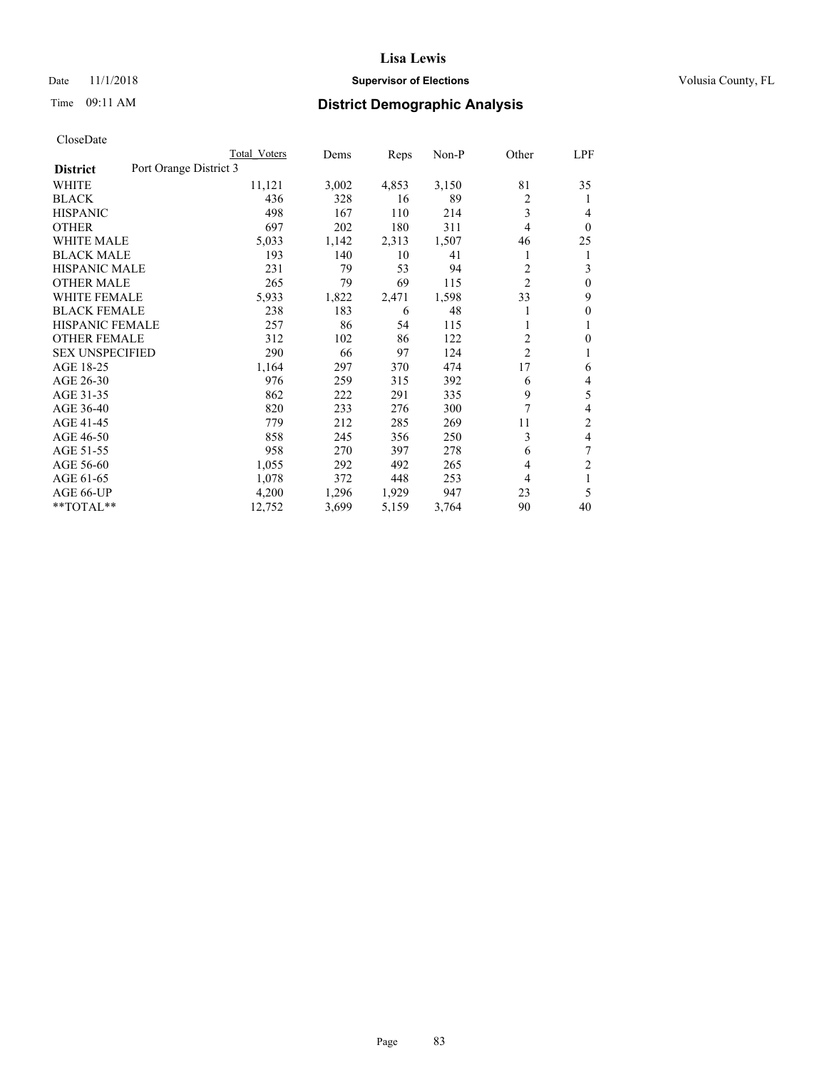## Date 11/1/2018 **Supervisor of Elections Supervisor of Elections** Volusia County, FL

# Time 09:11 AM **District Demographic Analysis**

|                                           | Total Voters | Dems  | Reps  | $Non-P$ | Other          | LPF            |
|-------------------------------------------|--------------|-------|-------|---------|----------------|----------------|
| Port Orange District 3<br><b>District</b> |              |       |       |         |                |                |
| WHITE                                     | 11,121       | 3,002 | 4,853 | 3,150   | 81             | 35             |
| <b>BLACK</b>                              | 436          | 328   | 16    | 89      | $\overline{c}$ | 1              |
| <b>HISPANIC</b>                           | 498          | 167   | 110   | 214     | 3              | 4              |
| <b>OTHER</b>                              | 697          | 202   | 180   | 311     | 4              | $\theta$       |
| <b>WHITE MALE</b>                         | 5,033        | 1,142 | 2,313 | 1,507   | 46             | 25             |
| <b>BLACK MALE</b>                         | 193          | 140   | 10    | 41      | 1              | 1              |
| <b>HISPANIC MALE</b>                      | 231          | 79    | 53    | 94      | 2              | 3              |
| <b>OTHER MALE</b>                         | 265          | 79    | 69    | 115     | $\overline{c}$ | $\theta$       |
| <b>WHITE FEMALE</b>                       | 5,933        | 1,822 | 2,471 | 1,598   | 33             | 9              |
| <b>BLACK FEMALE</b>                       | 238          | 183   | 6     | 48      |                | $\mathbf{0}$   |
| <b>HISPANIC FEMALE</b>                    | 257          | 86    | 54    | 115     | 1              | 1              |
| <b>OTHER FEMALE</b>                       | 312          | 102   | 86    | 122     | 2              | 0              |
| <b>SEX UNSPECIFIED</b>                    | 290          | 66    | 97    | 124     | $\overline{c}$ |                |
| AGE 18-25                                 | 1,164        | 297   | 370   | 474     | 17             | 6              |
| AGE 26-30                                 | 976          | 259   | 315   | 392     | 6              | 4              |
| AGE 31-35                                 | 862          | 222   | 291   | 335     | 9              | 5              |
| AGE 36-40                                 | 820          | 233   | 276   | 300     | 7              | 4              |
| AGE 41-45                                 | 779          | 212   | 285   | 269     | 11             | $\overline{2}$ |
| AGE 46-50                                 | 858          | 245   | 356   | 250     | 3              | 4              |
| AGE 51-55                                 | 958          | 270   | 397   | 278     | 6              | 7              |
| AGE 56-60                                 | 1,055        | 292   | 492   | 265     | 4              | $\overline{c}$ |
| AGE 61-65                                 | 1,078        | 372   | 448   | 253     | 4              | 1              |
| AGE 66-UP                                 | 4,200        | 1,296 | 1,929 | 947     | 23             | 5              |
| **TOTAL**                                 | 12,752       | 3,699 | 5,159 | 3,764   | 90             | 40             |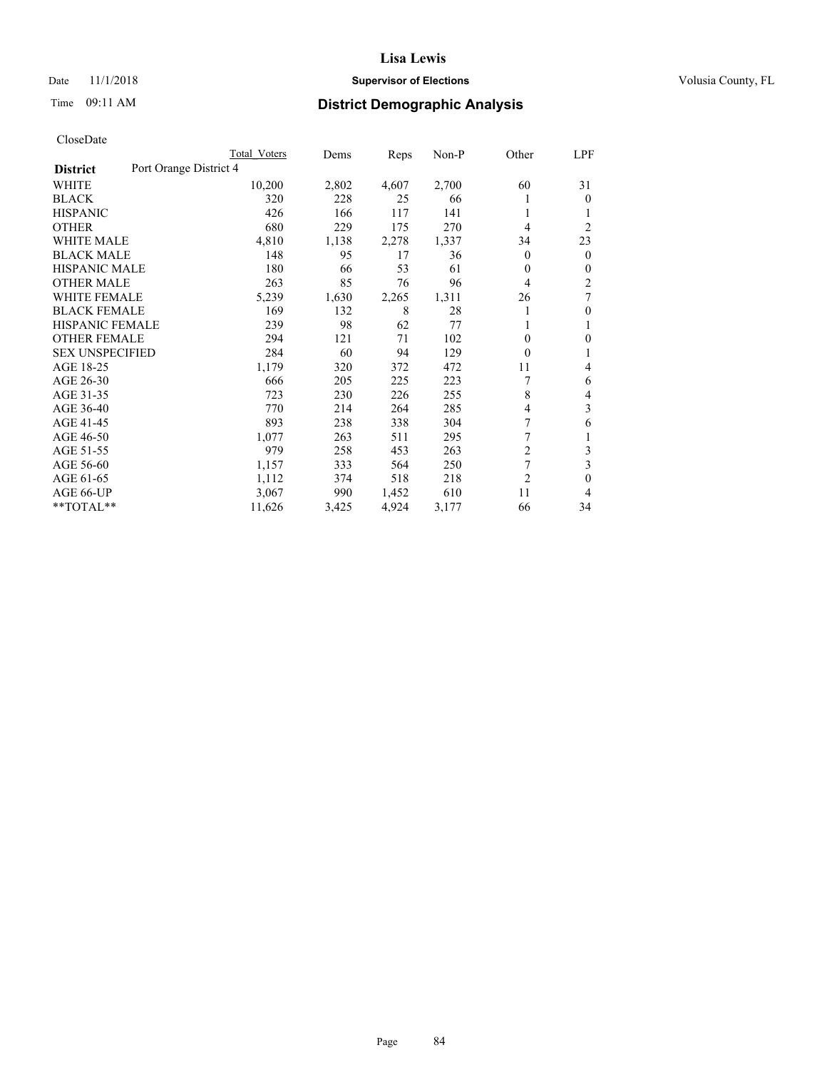## Date 11/1/2018 **Supervisor of Elections Supervisor of Elections** Volusia County, FL

# Time 09:11 AM **District Demographic Analysis**

| Total Voters           | Dems  |       | $Non-P$ | Other          | <u>LPF</u>     |
|------------------------|-------|-------|---------|----------------|----------------|
| Port Orange District 4 |       |       |         |                |                |
| 10,200                 | 2,802 | 4,607 | 2,700   | 60             | 31             |
| 320                    | 228   | 25    | 66      | 1              | $\theta$       |
| 426                    | 166   | 117   | 141     | 1              | 1              |
| 680                    | 229   | 175   | 270     | 4              | $\overline{2}$ |
| 4,810                  | 1,138 | 2,278 | 1,337   | 34             | 23             |
| 148                    | 95    | 17    | 36      | 0              | $\mathbf{0}$   |
| 180                    | 66    | 53    | 61      | 0              | $\mathbf{0}$   |
| 263                    | 85    | 76    | 96      | 4              | 2              |
| 5,239                  | 1,630 | 2,265 | 1,311   | 26             | 7              |
| 169                    | 132   | 8     | 28      |                | $\mathbf{0}$   |
| 239                    | 98    | 62    | 77      | 1              | 1              |
| 294                    | 121   | 71    | 102     | 0              | $\Omega$       |
| 284                    | 60    | 94    | 129     | $\theta$       | 1              |
| 1,179                  | 320   | 372   | 472     | 11             | 4              |
| 666                    | 205   | 225   | 223     |                | 6              |
| 723                    | 230   | 226   | 255     | 8              | 4              |
| 770                    | 214   | 264   | 285     | 4              | 3              |
| 893                    | 238   | 338   | 304     | 7              | 6              |
| 1,077                  | 263   | 511   | 295     | 7              | 1              |
| 979                    | 258   | 453   | 263     | $\overline{2}$ | 3              |
| 1,157                  | 333   | 564   | 250     | 7              | 3              |
| 1,112                  | 374   | 518   | 218     | $\overline{2}$ | $\theta$       |
| 3,067                  | 990   | 1,452 | 610     | 11             | 4              |
| 11,626                 | 3,425 | 4,924 | 3,177   | 66             | 34             |
|                        |       |       |         | Reps           |                |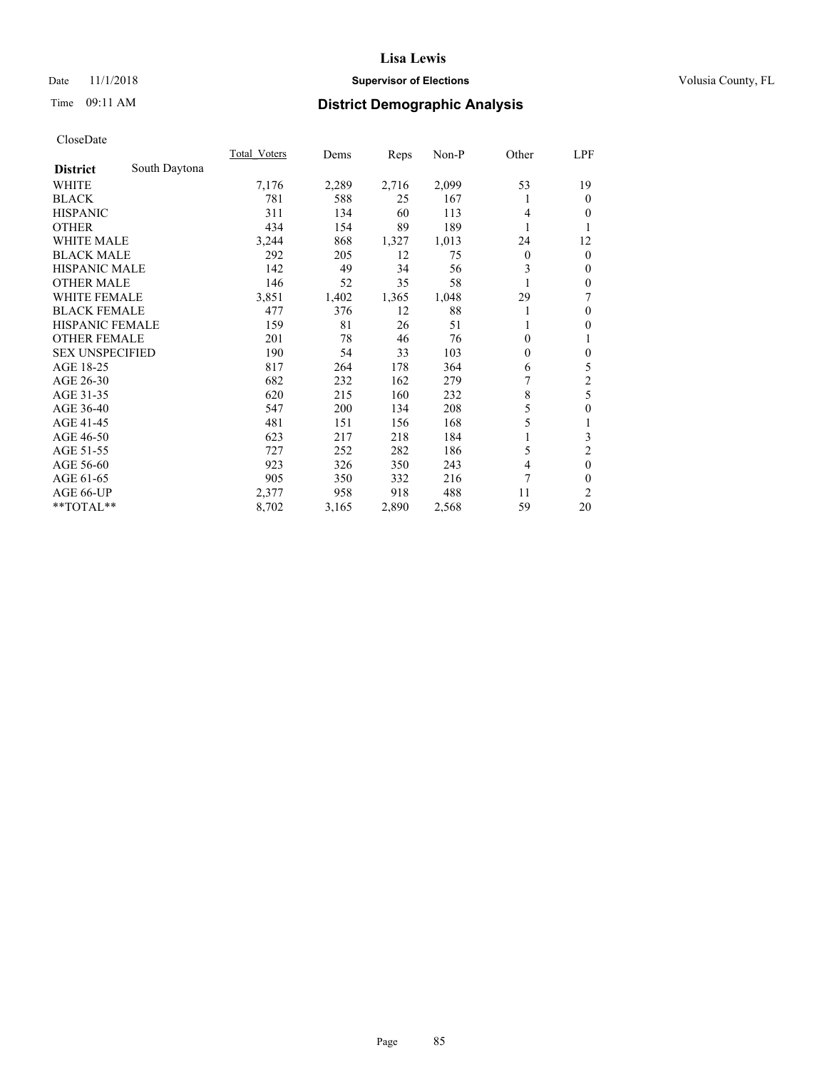## Date 11/1/2018 **Supervisor of Elections Supervisor of Elections** Volusia County, FL

# Time 09:11 AM **District Demographic Analysis**

|                        |               | Total Voters | Dems  | Reps  | Non-P | Other        | LPF              |
|------------------------|---------------|--------------|-------|-------|-------|--------------|------------------|
| <b>District</b>        | South Daytona |              |       |       |       |              |                  |
| WHITE                  |               | 7,176        | 2,289 | 2,716 | 2,099 | 53           | 19               |
| <b>BLACK</b>           |               | 781          | 588   | 25    | 167   |              | $\theta$         |
| <b>HISPANIC</b>        |               | 311          | 134   | 60    | 113   | 4            | $\theta$         |
| <b>OTHER</b>           |               | 434          | 154   | 89    | 189   |              | 1                |
| <b>WHITE MALE</b>      |               | 3,244        | 868   | 1,327 | 1,013 | 24           | 12               |
| <b>BLACK MALE</b>      |               | 292          | 205   | 12    | 75    | $\mathbf{0}$ | $\mathbf{0}$     |
| <b>HISPANIC MALE</b>   |               | 142          | 49    | 34    | 56    | 3            | $\mathbf{0}$     |
| <b>OTHER MALE</b>      |               | 146          | 52    | 35    | 58    |              | $\mathbf{0}$     |
| <b>WHITE FEMALE</b>    |               | 3,851        | 1,402 | 1,365 | 1,048 | 29           | 7                |
| <b>BLACK FEMALE</b>    |               | 477          | 376   | 12    | 88    | 1            | $\mathbf{0}$     |
| <b>HISPANIC FEMALE</b> |               | 159          | 81    | 26    | 51    |              | $\theta$         |
| <b>OTHER FEMALE</b>    |               | 201          | 78    | 46    | 76    | $\Omega$     | 1                |
| <b>SEX UNSPECIFIED</b> |               | 190          | 54    | 33    | 103   | $\theta$     | $\boldsymbol{0}$ |
| AGE 18-25              |               | 817          | 264   | 178   | 364   | 6            | 5                |
| AGE 26-30              |               | 682          | 232   | 162   | 279   | 7            | $\overline{c}$   |
| AGE 31-35              |               | 620          | 215   | 160   | 232   | 8            | 5                |
| AGE 36-40              |               | 547          | 200   | 134   | 208   | 5            | $\mathbf{0}$     |
| AGE 41-45              |               | 481          | 151   | 156   | 168   | 5            | 1                |
| AGE 46-50              |               | 623          | 217   | 218   | 184   |              | 3                |
| AGE 51-55              |               | 727          | 252   | 282   | 186   | 5            | $\overline{2}$   |
| AGE 56-60              |               | 923          | 326   | 350   | 243   | 4            | $\mathbf{0}$     |
| AGE 61-65              |               | 905          | 350   | 332   | 216   | 7            | $\theta$         |
| AGE 66-UP              |               | 2,377        | 958   | 918   | 488   | 11           | 2                |
| **TOTAL**              |               | 8,702        | 3,165 | 2,890 | 2,568 | 59           | 20               |